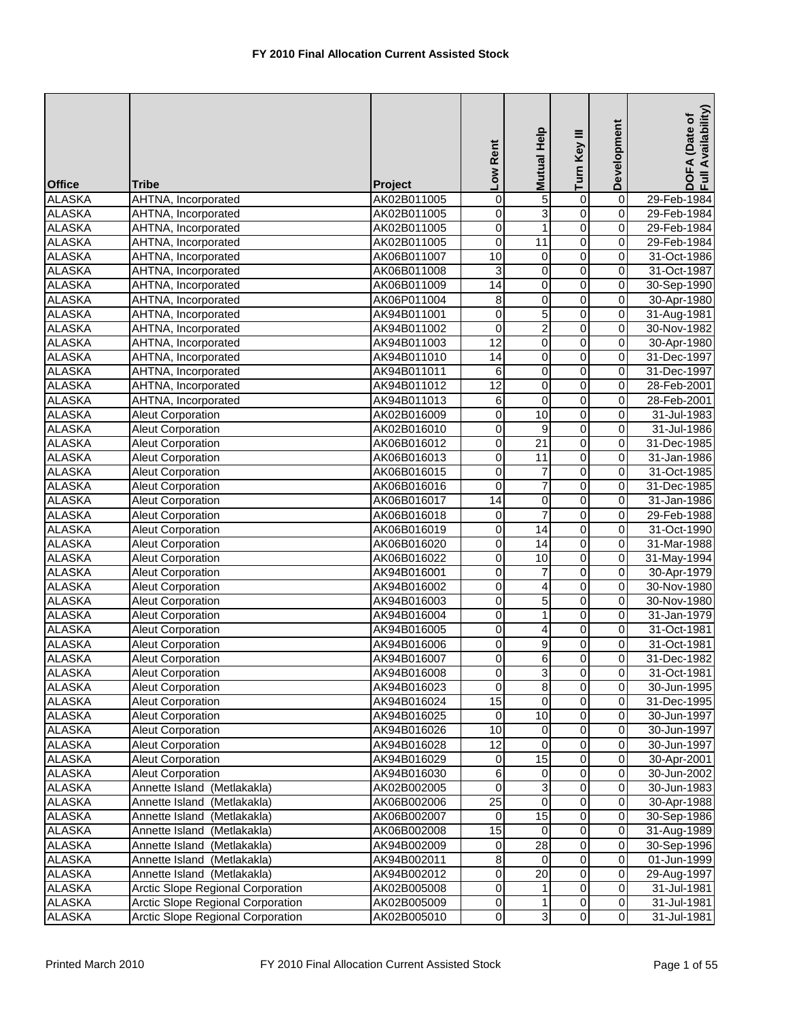| <b>Office</b> | <b>Tribe</b>                      | Project     | Low Rent            | <b>Mutual Help</b> | Turn Key III            | Development      | DOFA (Date of<br>Full Availability) |
|---------------|-----------------------------------|-------------|---------------------|--------------------|-------------------------|------------------|-------------------------------------|
| <b>ALASKA</b> | AHTNA, Incorporated               | AK02B011005 | $\mathsf{O}\xspace$ | 5                  | $\overline{0}$          | $\overline{0}$   | 29-Feb-1984                         |
| <b>ALASKA</b> | AHTNA, Incorporated               | AK02B011005 | 0                   | 3                  | $\overline{0}$          | $\mathbf 0$      | 29-Feb-1984                         |
| <b>ALASKA</b> | AHTNA, Incorporated               | AK02B011005 | $\overline{0}$      | $\mathbf{1}$       | $\overline{0}$          | $\mathbf 0$      | 29-Feb-1984                         |
| <b>ALASKA</b> | AHTNA, Incorporated               | AK02B011005 | 0                   | $\overline{11}$    | 0                       | $\mathbf 0$      | 29-Feb-1984                         |
| <b>ALASKA</b> | AHTNA, Incorporated               | AK06B011007 | 10                  | 0                  | $\overline{0}$          | 0                | 31-Oct-1986                         |
| <b>ALASKA</b> | AHTNA, Incorporated               | AK06B011008 | 3                   | 0                  | 0                       | 0                | 31-Oct-1987                         |
| <b>ALASKA</b> | AHTNA, Incorporated               | AK06B011009 | 14                  | $\overline{0}$     | $\overline{0}$          | $\overline{0}$   | 30-Sep-1990                         |
| <b>ALASKA</b> | AHTNA, Incorporated               | AK06P011004 | 8                   | 0                  | $\overline{0}$          | $\boldsymbol{0}$ | 30-Apr-1980                         |
| <b>ALASKA</b> | AHTNA, Incorporated               | AK94B011001 | 0                   | 5                  | $\overline{0}$          | $\boldsymbol{0}$ | 31-Aug-1981                         |
| <b>ALASKA</b> | AHTNA, Incorporated               | AK94B011002 | $\overline{0}$      | $\overline{2}$     | $\overline{0}$          | $\mathbf 0$      | 30-Nov-1982                         |
| <b>ALASKA</b> | AHTNA, Incorporated               | AK94B011003 | 12                  | $\overline{0}$     | $\overline{0}$          | $\overline{0}$   | 30-Apr-1980                         |
| <b>ALASKA</b> | AHTNA, Incorporated               | AK94B011010 | 14                  | $\mathbf 0$        | $\overline{0}$          | 0                | 31-Dec-1997                         |
| <b>ALASKA</b> | AHTNA, Incorporated               | AK94B011011 | 6                   | $\mathbf 0$        | $\overline{0}$          | 0                | 31-Dec-1997                         |
| <b>ALASKA</b> | AHTNA, Incorporated               | AK94B011012 | 12                  | $\overline{0}$     | $\overline{0}$          | $\boldsymbol{0}$ | 28-Feb-2001                         |
| <b>ALASKA</b> | AHTNA, Incorporated               | AK94B011013 | 6                   | $\mathbf 0$        | $\overline{0}$          | $\boldsymbol{0}$ | 28-Feb-2001                         |
| <b>ALASKA</b> | Aleut Corporation                 | AK02B016009 | 0                   | 10                 | 0                       | 0                | 31-Jul-1983                         |
| <b>ALASKA</b> | Aleut Corporation                 | AK02B016010 | $\overline{0}$      | 9                  | $\overline{0}$          | $\mathbf 0$      | 31-Jul-1986                         |
| <b>ALASKA</b> | <b>Aleut Corporation</b>          | AK06B016012 | 0                   | $\overline{21}$    | $\overline{0}$          | $\mathbf 0$      | 31-Dec-1985                         |
| <b>ALASKA</b> | <b>Aleut Corporation</b>          | AK06B016013 | 0                   | $\overline{11}$    | $\overline{0}$          | 0                | 31-Jan-1986                         |
| <b>ALASKA</b> | Aleut Corporation                 | AK06B016015 | 0                   | 7                  | 0                       | 0                | 31-Oct-1985                         |
| <b>ALASKA</b> | <b>Aleut Corporation</b>          | AK06B016016 | $\overline{0}$      | $\overline{7}$     | $\overline{0}$          | $\boldsymbol{0}$ | 31-Dec-1985                         |
| <b>ALASKA</b> | Aleut Corporation                 | AK06B016017 | $\overline{14}$     | $\pmb{0}$          | $\overline{0}$          | $\overline{0}$   | 31-Jan-1986                         |
| <b>ALASKA</b> | Aleut Corporation                 | AK06B016018 | $\mathbf 0$         | 7                  | $\overline{0}$          | $\boldsymbol{0}$ | 29-Feb-1988                         |
| <b>ALASKA</b> | <b>Aleut Corporation</b>          | AK06B016019 | 0                   | 14                 | $\overline{0}$          | $\mathbf 0$      | 31-Oct-1990                         |
| <b>ALASKA</b> | <b>Aleut Corporation</b>          | AK06B016020 | $\overline{0}$      | $\overline{14}$    | $\overline{0}$          | $\mathbf 0$      | 31-Mar-1988                         |
| <b>ALASKA</b> | <b>Aleut Corporation</b>          | AK06B016022 | 0                   | 10                 | $\overline{0}$          | $\boldsymbol{0}$ | 31-May-1994                         |
| <b>ALASKA</b> | Aleut Corporation                 | AK94B016001 | 0                   | $\overline{7}$     | $\overline{0}$          | $\pmb{0}$        | 30-Apr-1979                         |
| <b>ALASKA</b> | <b>Aleut Corporation</b>          | AK94B016002 | $\overline{0}$      | 4                  | $\overline{0}$          | $\boldsymbol{0}$ | 30-Nov-1980                         |
| <b>ALASKA</b> | Aleut Corporation                 | AK94B016003 | 0                   | 5                  | 0                       | $\overline{0}$   | 30-Nov-1980                         |
| <b>ALASKA</b> | Aleut Corporation                 | AK94B016004 | 0                   | 1                  | $\overline{0}$          | $\boldsymbol{0}$ | 31-Jan-1979                         |
| <b>ALASKA</b> | <b>Aleut Corporation</b>          | AK94B016005 | 0                   | 4                  | $\overline{0}$          | $\mathbf 0$      | 31-Oct-1981                         |
| <b>ALASKA</b> | <b>Aleut Corporation</b>          | AK94B016006 | 0                   | 9                  | 0                       | $\mathbf 0$      | 31-Oct-1981                         |
| <b>ALASKA</b> | <b>Aleut Corporation</b>          | AK94B016007 | $\overline{0}$      | 6                  | 0                       | 0                | 31-Dec-1982                         |
| ALASKA        | <b>Aleut Corporation</b>          | AK94B016008 | $\overline{0}$      | $\vert$            | $\overline{0}$          | 0                | 31-Oct-1981                         |
| <b>ALASKA</b> | <b>Aleut Corporation</b>          | AK94B016023 | $\overline{0}$      | 8                  | $\overline{0}$          | $\overline{0}$   | 30-Jun-1995                         |
| <b>ALASKA</b> | Aleut Corporation                 | AK94B016024 | 15                  | $\mathbf 0$        | $\mathsf{O}\xspace$     | $\overline{0}$   | 31-Dec-1995                         |
| <b>ALASKA</b> | Aleut Corporation                 | AK94B016025 | $\mathbf 0$         | 10                 | $\overline{0}$          | 0                | 30-Jun-1997                         |
| <b>ALASKA</b> | <b>Aleut Corporation</b>          | AK94B016026 | 10                  | 0                  | 0                       | 0                | 30-Jun-1997                         |
| <b>ALASKA</b> | <b>Aleut Corporation</b>          | AK94B016028 | 12                  | $\mathbf 0$        | $\overline{0}$          | 0                | 30-Jun-1997                         |
| <b>ALASKA</b> | <b>Aleut Corporation</b>          | AK94B016029 | 0                   | 15                 | 0                       | 0                | 30-Apr-2001                         |
| <b>ALASKA</b> | <b>Aleut Corporation</b>          | AK94B016030 | 6                   | 0                  | 0                       | 0                | 30-Jun-2002                         |
| <b>ALASKA</b> | Annette Island (Metlakakla)       | AK02B002005 | $\pmb{0}$           | 3                  | 0                       | $\pmb{0}$        | 30-Jun-1983                         |
| <b>ALASKA</b> | Annette Island (Metlakakla)       | AK06B002006 | $\overline{25}$     | 0                  | $\overline{\mathsf{o}}$ | $\overline{0}$   | 30-Apr-1988                         |
| <b>ALASKA</b> | Annette Island (Metlakakla)       | AK06B002007 | $\mathbf 0$         | 15                 | 0                       | $\overline{0}$   | 30-Sep-1986                         |
| <b>ALASKA</b> | Annette Island (Metlakakla)       | AK06B002008 | 15                  | 0                  | $\overline{\mathsf{o}}$ | $\pmb{0}$        | 31-Aug-1989                         |
| <b>ALASKA</b> | Annette Island (Metlakakla)       | AK94B002009 | $\overline{0}$      | $\overline{28}$    | $\overline{0}$          | $\overline{0}$   | 30-Sep-1996                         |
| <b>ALASKA</b> | Annette Island (Metlakakla)       | AK94B002011 | 8                   | 0                  | 0                       | $\pmb{0}$        | 01-Jun-1999                         |
| <b>ALASKA</b> | Annette Island (Metlakakla)       | AK94B002012 | 0                   | 20                 | 0                       | $\pmb{0}$        | 29-Aug-1997                         |
| <b>ALASKA</b> | Arctic Slope Regional Corporation | AK02B005008 | $\pmb{0}$           |                    | $\overline{\mathsf{o}}$ | $\overline{0}$   | 31-Jul-1981                         |
| <b>ALASKA</b> | Arctic Slope Regional Corporation | AK02B005009 | $\overline{0}$      |                    | $\overline{\mathsf{o}}$ | $\overline{0}$   | 31-Jul-1981                         |
| <b>ALASKA</b> | Arctic Slope Regional Corporation | AK02B005010 | $\overline{0}$      | 3                  | $\mathsf{O}\xspace$     | $\overline{0}$   | $31 -$ Jul-1981                     |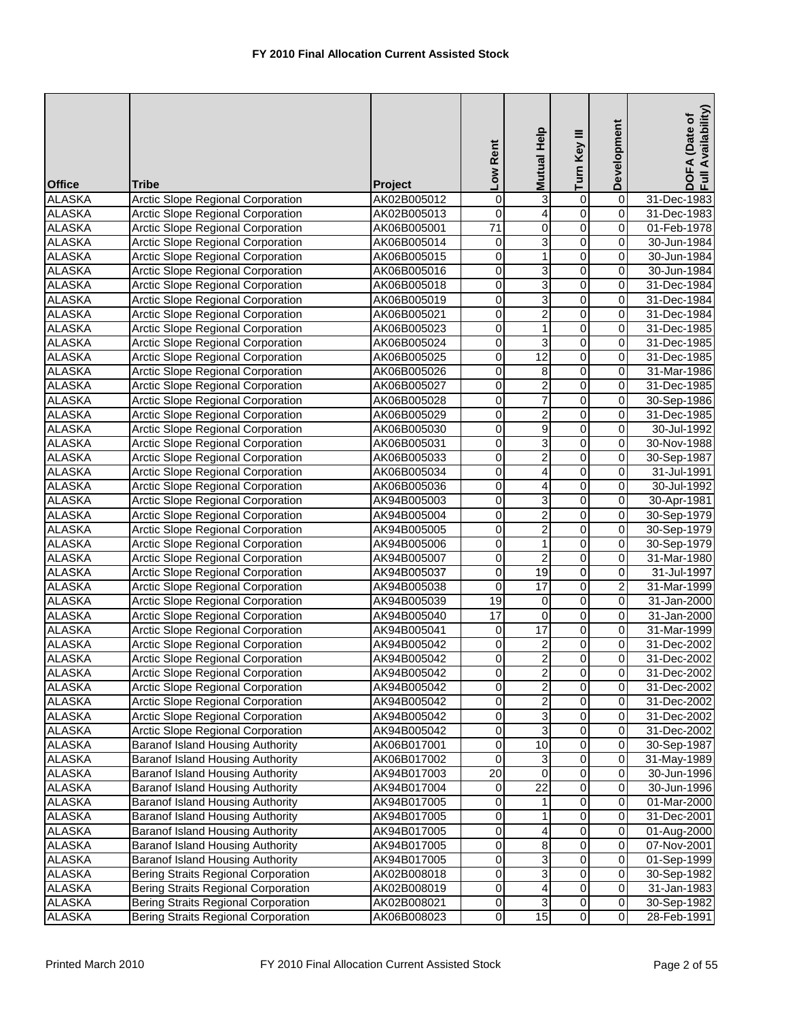|                                |                                                                                      |                            | Low Rent            | Mutual Help                      | Turn Key III            | Development      | Full Availability)<br>DOFA (Date of |
|--------------------------------|--------------------------------------------------------------------------------------|----------------------------|---------------------|----------------------------------|-------------------------|------------------|-------------------------------------|
| <b>Office</b>                  | Tribe                                                                                | <b>Project</b>             |                     |                                  |                         |                  |                                     |
| <b>ALASKA</b>                  | <b>Arctic Slope Regional Corporation</b>                                             | AK02B005012                | $\overline{0}$      | 3                                | $\overline{0}$          | $\overline{0}$   | 31-Dec-1983                         |
| <b>ALASKA</b>                  | <b>Arctic Slope Regional Corporation</b>                                             | AK02B005013                | 0                   | 4                                | $\overline{0}$          | $\overline{0}$   | 31-Dec-1983                         |
| <b>ALASKA</b>                  | <b>Arctic Slope Regional Corporation</b>                                             | AK06B005001                | $\overline{71}$     | $\boldsymbol{0}$                 | $\overline{0}$          | 0                | 01-Feb-1978                         |
| <b>ALASKA</b>                  | <b>Arctic Slope Regional Corporation</b>                                             | AK06B005014                | 0                   | 3                                | $\overline{0}$          | $\boldsymbol{0}$ | 30-Jun-1984                         |
| <b>ALASKA</b>                  | <b>Arctic Slope Regional Corporation</b>                                             | AK06B005015                | 0                   | $\mathbf{1}$                     | 0                       | 0                | 30-Jun-1984                         |
| <b>ALASKA</b>                  | Arctic Slope Regional Corporation                                                    | AK06B005016                | 0                   | 3                                | $\overline{0}$          | 0                | 30-Jun-1984                         |
| <b>ALASKA</b>                  | <b>Arctic Slope Regional Corporation</b>                                             | AK06B005018                | 0                   | 3                                | $\overline{0}$          | $\mathbf 0$      | 31-Dec-1984                         |
| <b>ALASKA</b>                  | Arctic Slope Regional Corporation                                                    | AK06B005019                | 0                   | 3                                | $\overline{0}$          | $\pmb{0}$        | 31-Dec-1984                         |
| <b>ALASKA</b>                  | <b>Arctic Slope Regional Corporation</b>                                             | AK06B005021                | 0                   | $\overline{2}$                   | $\overline{0}$          | $\pmb{0}$        | 31-Dec-1984                         |
| <b>ALASKA</b>                  | Arctic Slope Regional Corporation                                                    | AK06B005023                | 0                   | $\mathbf{1}$                     | $\overline{0}$          | 0                | 31-Dec-1985                         |
| <b>ALASKA</b>                  | <b>Arctic Slope Regional Corporation</b>                                             | AK06B005024                | $\overline{0}$      | 3                                | $\overline{0}$          | $\mathbf 0$      | 31-Dec-1985                         |
| <b>ALASKA</b>                  | Arctic Slope Regional Corporation                                                    | AK06B005025                | 0                   | $\overline{12}$                  | 0                       | $\pmb{0}$        | 31-Dec-1985                         |
| <b>ALASKA</b>                  | <b>Arctic Slope Regional Corporation</b>                                             | AK06B005026                | $\overline{0}$      | 8                                | $\overline{0}$          | 0                | 31-Mar-1986                         |
| <b>ALASKA</b>                  | Arctic Slope Regional Corporation                                                    | AK06B005027                | 0                   | $\overline{\mathbf{c}}$          | 0                       | 0                | 31-Dec-1985                         |
| <b>ALASKA</b>                  | <b>Arctic Slope Regional Corporation</b>                                             | AK06B005028                | $\overline{0}$      | $\overline{7}$                   | $\overline{0}$          | $\pmb{0}$        | 30-Sep-1986                         |
| <b>ALASKA</b>                  | Arctic Slope Regional Corporation                                                    | AK06B005029                | 0                   | $\overline{c}$<br>$\overline{9}$ | 0<br>$\overline{0}$     | $\pmb{0}$        | 31-Dec-1985                         |
| <b>ALASKA</b><br><b>ALASKA</b> | Arctic Slope Regional Corporation                                                    | AK06B005030<br>AK06B005031 | 0                   | 3                                | $\overline{0}$          | 0<br>$\mathbf 0$ | 30-Jul-1992                         |
| <b>ALASKA</b>                  | <b>Arctic Slope Regional Corporation</b><br><b>Arctic Slope Regional Corporation</b> |                            | 0<br>$\overline{0}$ | $\overline{2}$                   | $\overline{0}$          |                  | 30-Nov-1988                         |
| <b>ALASKA</b>                  | Arctic Slope Regional Corporation                                                    | AK06B005033<br>AK06B005034 | 0                   | 4                                | 0                       | $\pmb{0}$<br>0   | 30-Sep-1987<br>31-Jul-1991          |
| <b>ALASKA</b>                  | Arctic Slope Regional Corporation                                                    | AK06B005036                | 0                   | 4                                | $\overline{0}$          | 0                | 30-Jul-1992                         |
| <b>ALASKA</b>                  | Arctic Slope Regional Corporation                                                    | AK94B005003                | $\overline{0}$      | 3                                | $\overline{0}$          | $\pmb{0}$        | 30-Apr-1981                         |
| <b>ALASKA</b>                  | Arctic Slope Regional Corporation                                                    | AK94B005004                | 0                   | $\overline{2}$                   | $\overline{0}$          | $\overline{0}$   | 30-Sep-1979                         |
| <b>ALASKA</b>                  | <b>Arctic Slope Regional Corporation</b>                                             | AK94B005005                | 0                   | $\overline{2}$                   | $\overline{0}$          | $\pmb{0}$        | 30-Sep-1979                         |
| <b>ALASKA</b>                  | <b>Arctic Slope Regional Corporation</b>                                             | AK94B005006                | $\overline{0}$      | 1                                | $\overline{0}$          | $\mathbf 0$      | 30-Sep-1979                         |
| <b>ALASKA</b>                  | Arctic Slope Regional Corporation                                                    | AK94B005007                | $\overline{0}$      | $\overline{2}$                   | $\overline{0}$          | $\boldsymbol{0}$ | 31-Mar-1980                         |
| <b>ALASKA</b>                  | <b>Arctic Slope Regional Corporation</b>                                             | AK94B005037                | 0                   | $\overline{19}$                  | 0                       | 0                | 31-Jul-1997                         |
| <b>ALASKA</b>                  | Arctic Slope Regional Corporation                                                    | AK94B005038                | $\overline{0}$      | $\overline{17}$                  | $\overline{0}$          | 2                | 31-Mar-1999                         |
| <b>ALASKA</b>                  | Arctic Slope Regional Corporation                                                    | AK94B005039                | 19                  | 0                                | $\overline{0}$          | $\overline{0}$   | 31-Jan-2000                         |
| <b>ALASKA</b>                  | <b>Arctic Slope Regional Corporation</b>                                             | AK94B005040                | $\overline{17}$     | 0                                | $\overline{0}$          | $\overline{0}$   | 31-Jan-2000                         |
| <b>ALASKA</b>                  | <b>Arctic Slope Regional Corporation</b>                                             | AK94B005041                | $\boldsymbol{0}$    | 17                               | $\overline{0}$          | $\boldsymbol{0}$ | 31-Mar-1999                         |
| <b>ALASKA</b>                  | Arctic Slope Regional Corporation                                                    | AK94B005042                | 0                   | $\overline{2}$                   | 0                       | $\mathbf 0$      | 31-Dec-2002                         |
| <b>ALASKA</b>                  | Arctic Slope Regional Corporation                                                    | AK94B005042                | 0                   | $\overline{2}$                   | $\overline{0}$          | 0                | 31-Dec-2002                         |
| <b>ALASKA</b>                  | Arctic Slope Regional Corporation                                                    | AK94B005042                | $\overline{0}$      | $\mathbf{2}$                     | $\mathbf{0}$            | 0                | 31-Dec-2002                         |
| <b>ALASKA</b>                  | Arctic Slope Regional Corporation                                                    | AK94B005042                | 0                   | $\overline{2}$                   | $\overline{0}$          | $\mathbf 0$      | 31-Dec-2002                         |
| ALASKA                         | <b>Arctic Slope Regional Corporation</b>                                             | AK94B005042                | 0                   | 2                                | 0                       | 0                | 31-Dec-2002                         |
| <b>ALASKA</b>                  | Arctic Slope Regional Corporation                                                    | AK94B005042                | 0                   | 3                                | $\mathbf 0$             | $\pmb{0}$        | 31-Dec-2002                         |
| <b>ALASKA</b>                  | <b>Arctic Slope Regional Corporation</b>                                             | AK94B005042                | 0                   | 3                                | 0                       | 0                | 31-Dec-2002                         |
| <b>ALASKA</b>                  | <b>Baranof Island Housing Authority</b>                                              | AK06B017001                | 0                   | 10                               | 0                       | 0                | 30-Sep-1987                         |
| <b>ALASKA</b>                  | Baranof Island Housing Authority                                                     | AK06B017002                | $\pmb{0}$           | 3                                | $\overline{0}$          | 0                | 31-May-1989                         |
| <b>ALASKA</b>                  | <b>Baranof Island Housing Authority</b>                                              | AK94B017003                | 20                  | 0                                | 0                       | $\pmb{0}$        | 30-Jun-1996                         |
| <b>ALASKA</b>                  | Baranof Island Housing Authority                                                     | AK94B017004                | 0                   | 22                               | 0                       | 0                | 30-Jun-1996                         |
| <b>ALASKA</b>                  | Baranof Island Housing Authority                                                     | AK94B017005                | 0                   | 1                                | 0                       | $\pmb{0}$        | 01-Mar-2000                         |
| <b>ALASKA</b>                  | Baranof Island Housing Authority                                                     | AK94B017005                | 0                   | 1                                | $\overline{\mathsf{o}}$ | $\overline{0}$   | 31-Dec-2001                         |
| <b>ALASKA</b>                  | Baranof Island Housing Authority                                                     | AK94B017005                | 0                   | 4                                | $\mathsf 0$             | $\mathsf 0$      | 01-Aug-2000                         |
| <b>ALASKA</b>                  | Baranof Island Housing Authority                                                     | AK94B017005                | 0                   | 8                                | 0                       | 0                | 07-Nov-2001                         |
| <b>ALASKA</b>                  | Baranof Island Housing Authority                                                     | AK94B017005                | $\overline{0}$      | 3                                | $\overline{\mathsf{o}}$ | $\mathbf 0$      | 01-Sep-1999                         |
| <b>ALASKA</b>                  | Bering Straits Regional Corporation                                                  | AK02B008018                | $\overline{0}$      | 3                                | $\mathbf 0$             | $\pmb{0}$        | 30-Sep-1982                         |
| <b>ALASKA</b>                  | Bering Straits Regional Corporation                                                  | AK02B008019                | 0                   | 4                                | $\overline{\mathsf{o}}$ | $\pmb{0}$        | 31-Jan-1983                         |
| ALASKA                         | Bering Straits Regional Corporation                                                  | AK02B008021                | 0                   | 3                                | $\mathsf{O}\xspace$     | $\pmb{0}$        | 30-Sep-1982                         |
| <b>ALASKA</b>                  | Bering Straits Regional Corporation                                                  | AK06B008023                | $\overline{0}$      | 15                               | $\overline{0}$          | $\overline{0}$   | 28-Feb-1991                         |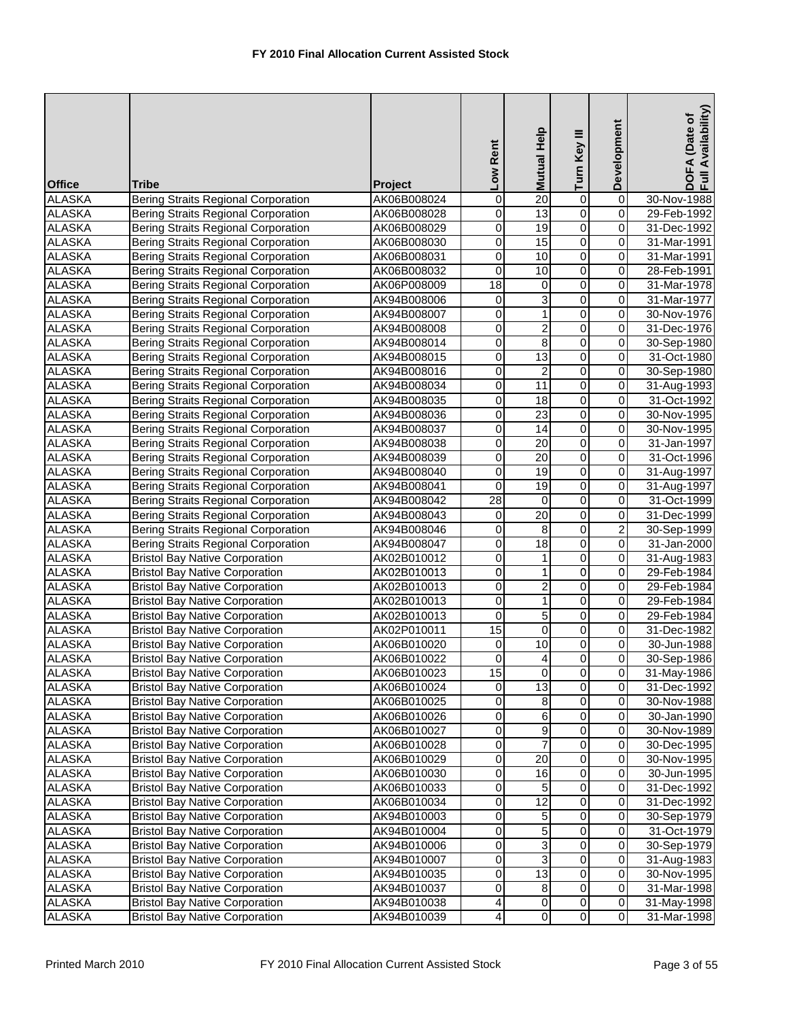|                                |                                                                                   |                            |                     | <b>Mutual Help</b>      | Turn Key III                     | Development                   | DOFA (Date of<br>Full Availability) |
|--------------------------------|-----------------------------------------------------------------------------------|----------------------------|---------------------|-------------------------|----------------------------------|-------------------------------|-------------------------------------|
|                                |                                                                                   |                            | Low Rent            |                         |                                  |                               |                                     |
| <b>Office</b>                  | Tribe                                                                             | <b>Project</b>             |                     |                         |                                  |                               |                                     |
| <b>ALASKA</b>                  | <b>Bering Straits Regional Corporation</b>                                        | AK06B008024                | $\mathsf{O}\xspace$ | $\overline{20}$         | 0                                | $\overline{0}$                | 30-Nov-1988                         |
| <b>ALASKA</b>                  | Bering Straits Regional Corporation                                               | AK06B008028                | 0                   | 13                      | $\overline{0}$                   | $\overline{0}$                | 29-Feb-1992                         |
| <b>ALASKA</b>                  | <b>Bering Straits Regional Corporation</b>                                        | AK06B008029                | 0                   | $\overline{19}$         | $\overline{0}$                   | $\pmb{0}$                     | 31-Dec-1992                         |
| <b>ALASKA</b>                  | <b>Bering Straits Regional Corporation</b>                                        | AK06B008030                | O                   | $\overline{15}$         | $\overline{0}$                   | $\overline{0}$                | 31-Mar-1991                         |
| <b>ALASKA</b>                  | <b>Bering Straits Regional Corporation</b>                                        | AK06B008031                | 0                   | 10                      | 0                                | $\pmb{0}$                     | 31-Mar-1991                         |
| <b>ALASKA</b>                  | Bering Straits Regional Corporation                                               | AK06B008032                | $\mathbf 0$         | 10                      | $\overline{0}$                   | $\overline{0}$                | 28-Feb-1991                         |
| <b>ALASKA</b>                  | <b>Bering Straits Regional Corporation</b>                                        | AK06P008009                | 18                  | $\mathbf 0$             | 0                                | $\pmb{0}$                     | 31-Mar-1978                         |
| <b>ALASKA</b>                  | Bering Straits Regional Corporation                                               | AK94B008006                | 0                   | 3                       | $\overline{0}$                   | $\overline{0}$                | 31-Mar-1977                         |
| <b>ALASKA</b>                  | Bering Straits Regional Corporation                                               | AK94B008007                | 0                   | $\mathbf 1$             | $\overline{0}$                   | $\overline{0}$                | 30-Nov-1976                         |
| <b>ALASKA</b>                  | <b>Bering Straits Regional Corporation</b>                                        | AK94B008008                | 0                   | $\overline{2}$          | $\overline{0}$                   | $\pmb{0}$                     | 31-Dec-1976                         |
| <b>ALASKA</b>                  | <b>Bering Straits Regional Corporation</b>                                        | AK94B008014                | 0                   | $\overline{8}$          | $\overline{0}$                   | $\overline{0}$                | 30-Sep-1980                         |
| <b>ALASKA</b>                  | <b>Bering Straits Regional Corporation</b>                                        | AK94B008015                | 0                   | $\overline{13}$         | 0                                | $\overline{\mathbf{0}}$       | 31-Oct-1980                         |
| <b>ALASKA</b>                  | Bering Straits Regional Corporation                                               | AK94B008016                | 0                   | $\overline{\mathbf{c}}$ | 0                                | $\pmb{0}$                     | 30-Sep-1980                         |
| <b>ALASKA</b>                  | <b>Bering Straits Regional Corporation</b>                                        | AK94B008034                | 0                   | $\overline{11}$         | 0                                | $\overline{0}$                | 31-Aug-1993                         |
| <b>ALASKA</b>                  | <b>Bering Straits Regional Corporation</b>                                        | AK94B008035                | $\overline{0}$      | $\overline{18}$         | $\overline{0}$                   | $\overline{0}$                | 31-Oct-1992                         |
| <b>ALASKA</b>                  | <b>Bering Straits Regional Corporation</b>                                        | AK94B008036                | 0                   | $\overline{23}$         | 0                                | $\mathsf 0$                   | 30-Nov-1995                         |
| <b>ALASKA</b>                  | <b>Bering Straits Regional Corporation</b>                                        | AK94B008037                | 0                   | 14                      | $\overline{0}$                   | $\pmb{0}$                     | 30-Nov-1995                         |
| <b>ALASKA</b>                  | <b>Bering Straits Regional Corporation</b>                                        | AK94B008038                | 0                   | $\overline{20}$         | $\overline{0}$                   | $\mathbf 0$                   | 31-Jan-1997                         |
| <b>ALASKA</b>                  | <b>Bering Straits Regional Corporation</b>                                        | AK94B008039                | 0                   | 20                      | 0                                | $\overline{\mathbf{0}}$       | 31-Oct-1996                         |
| <b>ALASKA</b>                  | <b>Bering Straits Regional Corporation</b>                                        | AK94B008040                | 0                   | 19                      | 0                                | $\mathsf 0$                   | 31-Aug-1997                         |
| <b>ALASKA</b>                  | <b>Bering Straits Regional Corporation</b>                                        | AK94B008041                | $\mathbf 0$         | 19                      | 0                                | $\pmb{0}$                     | 31-Aug-1997                         |
| <b>ALASKA</b>                  | Bering Straits Regional Corporation                                               | AK94B008042                | $\overline{28}$     | $\overline{0}$          | $\overline{0}$                   | $\overline{0}$                | 31-Oct-1999                         |
| <b>ALASKA</b><br><b>ALASKA</b> | <b>Bering Straits Regional Corporation</b>                                        | AK94B008043                | 0                   | $\overline{20}$         | $\overline{0}$<br>$\overline{0}$ | $\overline{0}$                | 31-Dec-1999                         |
| <b>ALASKA</b>                  | Bering Straits Regional Corporation<br><b>Bering Straits Regional Corporation</b> | AK94B008046<br>AK94B008047 | 0<br>0              | 8<br>$\overline{18}$    | $\overline{0}$                   | $\overline{2}$<br>$\mathbf 0$ | 30-Sep-1999<br>31-Jan-2000          |
| <b>ALASKA</b>                  | <b>Bristol Bay Native Corporation</b>                                             | AK02B010012                | 0                   | 1                       | $\overline{0}$                   | $\overline{0}$                | 31-Aug-1983                         |
| <b>ALASKA</b>                  | <b>Bristol Bay Native Corporation</b>                                             | AK02B010013                | 0                   | 1                       | 0                                | 0                             | 29-Feb-1984                         |
| <b>ALASKA</b>                  | <b>Bristol Bay Native Corporation</b>                                             | AK02B010013                | 0                   | $\overline{2}$          | 0                                | $\pmb{0}$                     | 29-Feb-1984                         |
| <b>ALASKA</b>                  | <b>Bristol Bay Native Corporation</b>                                             | AK02B010013                | $\overline{0}$      | $\overline{1}$          | $\overline{0}$                   | $\overline{0}$                | 29-Feb-1984                         |
| <b>ALASKA</b>                  | <b>Bristol Bay Native Corporation</b>                                             | AK02B010013                | 0                   | 5                       | 0                                | $\overline{\mathbf{0}}$       | 29-Feb-1984                         |
| <b>ALASKA</b>                  | <b>Bristol Bay Native Corporation</b>                                             | AK02P010011                | 15                  | $\overline{0}$          | $\overline{0}$                   | $\overline{0}$                | 31-Dec-1982                         |
| <b>ALASKA</b>                  | <b>Bristol Bay Native Corporation</b>                                             | AK06B010020                | 0                   | 10                      | 0                                | $\mathbf 0$                   | 30-Jun-1988                         |
| <b>ALASKA</b>                  | <b>Bristol Bay Native Corporation</b>                                             | AK06B010022                | 0                   | 4                       | $\overline{0}$                   | $\mathbf 0$                   | 30-Sep-1986                         |
| <b>ALASKA</b>                  | <b>Bristol Bay Native Corporation</b>                                             | AK06B010023                | 15                  | $\overline{0}$          | $\overline{0}$                   | 0                             | 31-May-1986                         |
| <b>ALASKA</b>                  | <b>Bristol Bay Native Corporation</b>                                             | AK06B010024                | 0                   | 13                      | $\overline{0}$                   | $\mathbf 0$                   | 31-Dec-1992                         |
| ALASKA                         | <b>Bristol Bay Native Corporation</b>                                             | AK06B010025                | 0                   | 8                       | 0                                | $\pmb{0}$                     | 30-Nov-1988                         |
| <b>ALASKA</b>                  | <b>Bristol Bay Native Corporation</b>                                             | AK06B010026                | $\Omega$            | 6                       | $\overline{\mathsf{o}}$          | $\mathbf 0$                   | 30-Jan-1990                         |
| <b>ALASKA</b>                  | <b>Bristol Bay Native Corporation</b>                                             | AK06B010027                | 0                   | 9                       | 0                                | $\pmb{0}$                     | 30-Nov-1989                         |
| <b>ALASKA</b>                  | <b>Bristol Bay Native Corporation</b>                                             | AK06B010028                | 0                   | $\overline{7}$          | $\overline{\mathsf{o}}$          | $\pmb{0}$                     | 30-Dec-1995                         |
| <b>ALASKA</b>                  | <b>Bristol Bay Native Corporation</b>                                             | AK06B010029                | $\mathsf{O}\xspace$ | 20                      | $\overline{\mathsf{o}}$          | $\pmb{0}$                     | 30-Nov-1995                         |
| <b>ALASKA</b>                  | <b>Bristol Bay Native Corporation</b>                                             | AK06B010030                | 0                   | 16                      | 0                                | $\mathbf 0$                   | 30-Jun-1995                         |
| <b>ALASKA</b>                  | <b>Bristol Bay Native Corporation</b>                                             | AK06B010033                | 0                   | 5                       | 0                                | 0                             | 31-Dec-1992                         |
| <b>ALASKA</b>                  | <b>Bristol Bay Native Corporation</b>                                             | AK06B010034                | 0                   | $\overline{12}$         | $\overline{\mathsf{o}}$          | $\pmb{0}$                     | 31-Dec-1992                         |
| <b>ALASKA</b>                  | <b>Bristol Bay Native Corporation</b>                                             | AK94B010003                | $\overline{0}$      | 5                       | $\overline{\mathsf{o}}$          | $\overline{\mathsf{o}}$       | 30-Sep-1979                         |
| <b>ALASKA</b>                  | <b>Bristol Bay Native Corporation</b>                                             | AK94B010004                | 0                   | 5                       | $\overline{\mathsf{o}}$          | $\pmb{0}$                     | 31-Oct-1979                         |
| <b>ALASKA</b>                  | <b>Bristol Bay Native Corporation</b>                                             | AK94B010006                | 0                   | 3                       | $\overline{\mathsf{o}}$          | $\pmb{0}$                     | 30-Sep-1979                         |
| <b>ALASKA</b>                  | <b>Bristol Bay Native Corporation</b>                                             | AK94B010007                | $\mathsf{O}\xspace$ | 3                       | $\overline{0}$                   | $\overline{\mathbf{0}}$       | 31-Aug-1983                         |
| <b>ALASKA</b>                  | <b>Bristol Bay Native Corporation</b>                                             | AK94B010035                | 0                   | 13                      | $\mathsf{O}\xspace$              | $\mathbf 0$                   | 30-Nov-1995                         |
| <b>ALASKA</b>                  | <b>Bristol Bay Native Corporation</b>                                             | AK94B010037                | 0                   | 8                       | 0                                | $\mathbf 0$                   | 31-Mar-1998                         |
| <b>ALASKA</b>                  | <b>Bristol Bay Native Corporation</b>                                             | AK94B010038                | 4                   | $\overline{0}$          | $\mathsf{O}\xspace$              | $\mathbf 0$                   | 31-May-1998                         |
| <b>ALASKA</b>                  | <b>Bristol Bay Native Corporation</b>                                             | AK94B010039                | 4                   | $\overline{0}$          | $\overline{0}$                   | $\overline{\mathbf{0}}$       | 31-Mar-1998                         |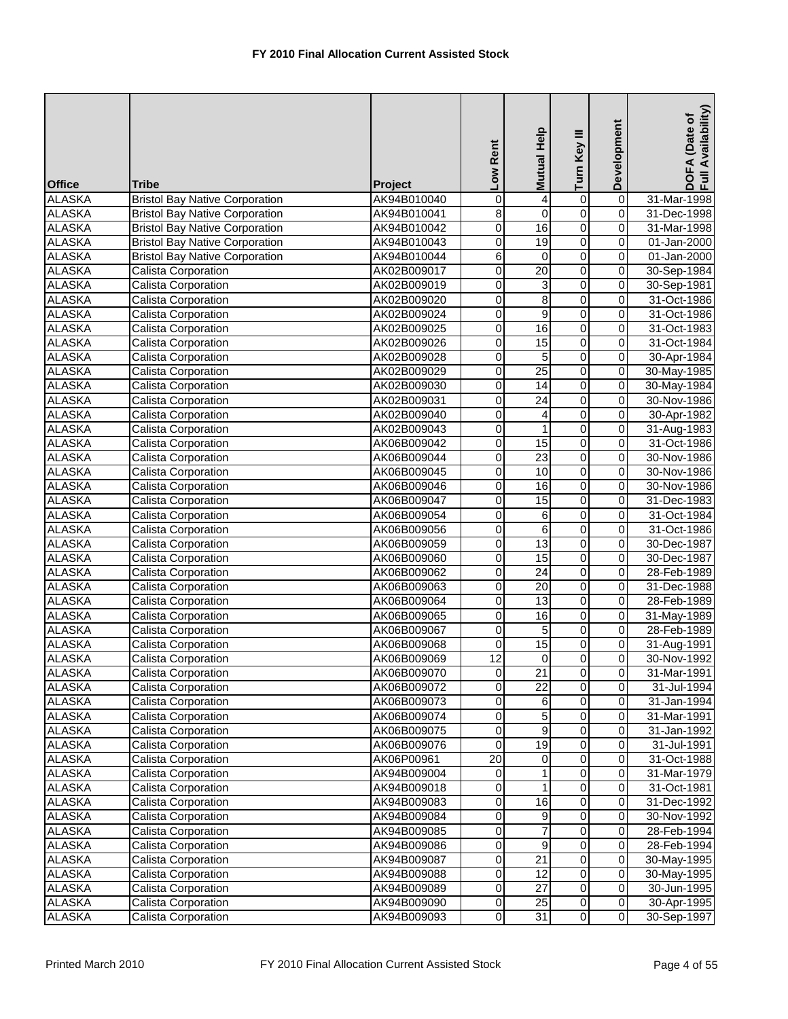| <b>Office</b>                  | <b>Tribe</b>                               | <b>Project</b>             | Low Rent            | Mutual Help      | Turn Key III                     | Development                   | DOFA (Date of<br>Full Availability) |
|--------------------------------|--------------------------------------------|----------------------------|---------------------|------------------|----------------------------------|-------------------------------|-------------------------------------|
| <b>ALASKA</b>                  | <b>Bristol Bay Native Corporation</b>      | AK94B010040                | $\mathsf{O}\xspace$ | 4                | 0                                | $\overline{0}$                | 31-Mar-1998                         |
| <b>ALASKA</b>                  | <b>Bristol Bay Native Corporation</b>      | AK94B010041                | $\overline{8}$      | $\mathbf 0$      | $\overline{0}$                   | $\overline{0}$                | 31-Dec-1998                         |
| <b>ALASKA</b>                  | <b>Bristol Bay Native Corporation</b>      | AK94B010042                | 0                   | 16               | $\overline{0}$                   | $\mathbf 0$                   | 31-Mar-1998                         |
| <b>ALASKA</b>                  | <b>Bristol Bay Native Corporation</b>      | AK94B010043                | $\overline{0}$      | 19               | $\overline{0}$                   | 0                             | 01-Jan-2000                         |
| <b>ALASKA</b>                  | <b>Bristol Bay Native Corporation</b>      | AK94B010044                | 6                   | 0                | 0                                | 0                             | 01-Jan-2000                         |
| <b>ALASKA</b>                  | <b>Calista Corporation</b>                 | AK02B009017                | 0                   | $\overline{20}$  | $\overline{0}$                   | $\pmb{0}$                     | 30-Sep-1984                         |
| <b>ALASKA</b>                  | <b>Calista Corporation</b>                 | AK02B009019                | 0                   | 3                | $\overline{0}$                   | $\overline{0}$                | 30-Sep-1981                         |
| <b>ALASKA</b>                  | Calista Corporation                        | AK02B009020                | $\pmb{0}$           | $\overline{8}$   | $\overline{0}$                   | $\overline{0}$                | 31-Oct-1986                         |
| <b>ALASKA</b>                  | Calista Corporation                        | AK02B009024                | 0                   | $\overline{9}$   | $\overline{0}$                   | $\overline{0}$                | 31-Oct-1986                         |
| <b>ALASKA</b>                  | Calista Corporation                        | AK02B009025                | 0                   | 16               | $\overline{0}$                   | $\pmb{0}$                     | 31-Oct-1983                         |
| <b>ALASKA</b>                  | <b>Calista Corporation</b>                 | AK02B009026                | $\overline{0}$      | $\overline{15}$  | $\overline{0}$                   | $\overline{0}$                | 31-Oct-1984                         |
| <b>ALASKA</b>                  | <b>Calista Corporation</b>                 | AK02B009028                | 0                   | 5                | 0                                | 0                             | 30-Apr-1984                         |
| <b>ALASKA</b>                  | Calista Corporation                        | AK02B009029                | 0                   | $\overline{25}$  | $\overline{0}$                   | $\pmb{0}$                     | 30-May-1985                         |
| <b>ALASKA</b>                  | <b>Calista Corporation</b>                 | AK02B009030                | 0                   | $\overline{14}$  | $\overline{0}$                   | $\overline{0}$                | 30-May-1984                         |
| <b>ALASKA</b>                  | <b>Calista Corporation</b>                 | AK02B009031                | $\mathsf{O}\xspace$ | $\overline{24}$  | $\overline{0}$                   | $\overline{0}$                | 30-Nov-1986                         |
| <b>ALASKA</b>                  | Calista Corporation                        | AK02B009040                | 0                   | 4                | $\overline{0}$                   | $\overline{0}$                | 30-Apr-1982                         |
| <b>ALASKA</b>                  | Calista Corporation                        | AK02B009043                | 0                   | $\mathbf{1}$     | 0                                | $\mathbf 0$                   | 31-Aug-1983                         |
| <b>ALASKA</b>                  | <b>Calista Corporation</b>                 | AK06B009042                | O                   | $\overline{15}$  | $\overline{0}$                   | $\overline{0}$                | 31-Oct-1986                         |
| <b>ALASKA</b>                  | Calista Corporation                        | AK06B009044                | 0                   | $\overline{23}$  | $\overline{0}$                   | 0                             | 30-Nov-1986                         |
| <b>ALASKA</b>                  | Calista Corporation                        | AK06B009045                | 0                   | 10               | 0                                | 0                             | 30-Nov-1986                         |
| <b>ALASKA</b>                  | Calista Corporation                        | AK06B009046                | 0                   | 16               | $\overline{0}$<br>$\overline{0}$ | $\mathbf 0$<br>$\overline{0}$ | 30-Nov-1986                         |
| <b>ALASKA</b>                  | <b>Calista Corporation</b>                 | AK06B009047                | $\overline{0}$      | $\overline{15}$  | $\overline{0}$                   | $\overline{0}$                | 31-Dec-1983                         |
| <b>ALASKA</b><br><b>ALASKA</b> | Calista Corporation<br>Calista Corporation | AK06B009054                | 0                   | 6                | $\overline{0}$                   |                               | 31-Oct-1984                         |
| <b>ALASKA</b>                  | Calista Corporation                        | AK06B009056<br>AK06B009059 | 0<br>O              | 6<br>13          | O                                | $\pmb{0}$<br>0                | 31-Oct-1986<br>30-Dec-1987          |
| <b>ALASKA</b>                  | Calista Corporation                        | AK06B009060                | $\mathsf{O}\xspace$ | 15               | 0                                | $\overline{0}$                | 30-Dec-1987                         |
| <b>ALASKA</b>                  | Calista Corporation                        | AK06B009062                | 0                   | $\overline{24}$  | $\overline{0}$                   | $\overline{0}$                | 28-Feb-1989                         |
| <b>ALASKA</b>                  | <b>Calista Corporation</b>                 | AK06B009063                | 0                   | 20               | 0                                | $\mathbf 0$                   | 31-Dec-1988                         |
| <b>ALASKA</b>                  | Calista Corporation                        | AK06B009064                | 0                   | 13               | $\overline{0}$                   | $\overline{0}$                | 28-Feb-1989                         |
| <b>ALASKA</b>                  | Calista Corporation                        | AK06B009065                | 0                   | 16               | $\overline{0}$                   | $\overline{0}$                | 31-May-1989                         |
| <b>ALASKA</b>                  | Calista Corporation                        | AK06B009067                | 0                   | $\overline{5}$   | $\overline{0}$                   | $\boldsymbol{0}$              | 28-Feb-1989                         |
| <b>ALASKA</b>                  | Calista Corporation                        | AK06B009068                | 0                   | 15               | 0                                | $\mathbf 0$                   | 31-Aug-1991                         |
| <b>ALASKA</b>                  | Calista Corporation                        | AK06B009069                | $\overline{12}$     | 0                | $\overline{0}$                   | 0                             | 30-Nov-1992                         |
| <b>ALASKA</b>                  | Calista Corporation                        | AK06B009070                | $\overline{0}$      | 21               | $\overline{0}$                   | 0                             | 31-Mar-1991                         |
| <b>ALASKA</b>                  | <b>Calista Corporation</b>                 | AK06B009072                | $\pmb{0}$           | $\overline{22}$  | $\overline{\mathbf{0}}$          | $\overline{0}$                | 31-Jul-1994                         |
| <b>ALASKA</b>                  | <b>Calista Corporation</b>                 | AK06B009073                | 0                   | 6                | $\overline{\mathsf{o}}$          | $\overline{\mathbf{0}}$       | 31-Jan-1994                         |
| <b>ALASKA</b>                  | Calista Corporation                        | AK06B009074                | 0                   | 5                | 0                                | $\mathbf 0$                   | 31-Mar-1991                         |
| <b>ALASKA</b>                  | Calista Corporation                        | AK06B009075                | 0                   | 9                | 0                                | $\pmb{0}$                     | 31-Jan-1992                         |
| <b>ALASKA</b>                  | Calista Corporation                        | AK06B009076                | 0                   | 19               | $\overline{0}$                   | $\mathbf 0$                   | 31-Jul-1991                         |
| <b>ALASKA</b>                  | <b>Calista Corporation</b>                 | AK06P00961                 | 20                  | $\boldsymbol{0}$ | $\overline{\mathsf{o}}$          | $\pmb{0}$                     | 31-Oct-1988                         |
| <b>ALASKA</b>                  | Calista Corporation                        | AK94B009004                | 0                   | $\mathbf{1}$     | 0                                | $\mathbf 0$                   | 31-Mar-1979                         |
| <b>ALASKA</b>                  | Calista Corporation                        | AK94B009018                | 0                   | 1                | 0                                | 0                             | 31-Oct-1981                         |
| <b>ALASKA</b>                  | Calista Corporation                        | AK94B009083                | 0                   | 16               | $\overline{\mathsf{o}}$          | $\overline{\mathbf{0}}$       | 31-Dec-1992                         |
| <b>ALASKA</b>                  | Calista Corporation                        | AK94B009084                | 0                   | 9                | $\overline{\mathsf{o}}$          | $\overline{\mathsf{o}}$       | 30-Nov-1992                         |
| <b>ALASKA</b>                  | Calista Corporation                        | AK94B009085                | 0                   | 7                | 0                                | $\mathsf 0$                   | 28-Feb-1994                         |
| <b>ALASKA</b>                  | Calista Corporation                        | AK94B009086                | 0                   | 9                | $\overline{0}$                   | $\mathbf 0$                   | 28-Feb-1994                         |
| <b>ALASKA</b>                  | Calista Corporation                        | AK94B009087                | $\mathsf{O}\xspace$ | 21               | $\overline{\mathsf{o}}$          | $\mathbf 0$                   | 30-May-1995                         |
| <b>ALASKA</b>                  | Calista Corporation                        | AK94B009088                | 0                   | 12               | 0                                | $\pmb{0}$                     | 30-May-1995                         |
| <b>ALASKA</b>                  | Calista Corporation                        | AK94B009089                | 0                   | 27               | $\mathsf{O}\xspace$              | $\pmb{0}$                     | 30-Jun-1995                         |
| <b>ALASKA</b>                  | Calista Corporation                        | AK94B009090                | $\overline{0}$      | $\overline{25}$  | $\overline{0}$                   | $\pmb{0}$                     | 30-Apr-1995                         |
| <b>ALASKA</b>                  | Calista Corporation                        | AK94B009093                | $\overline{0}$      | 31               | $\overline{0}$                   | $\overline{\mathbf{0}}$       | 30-Sep-1997                         |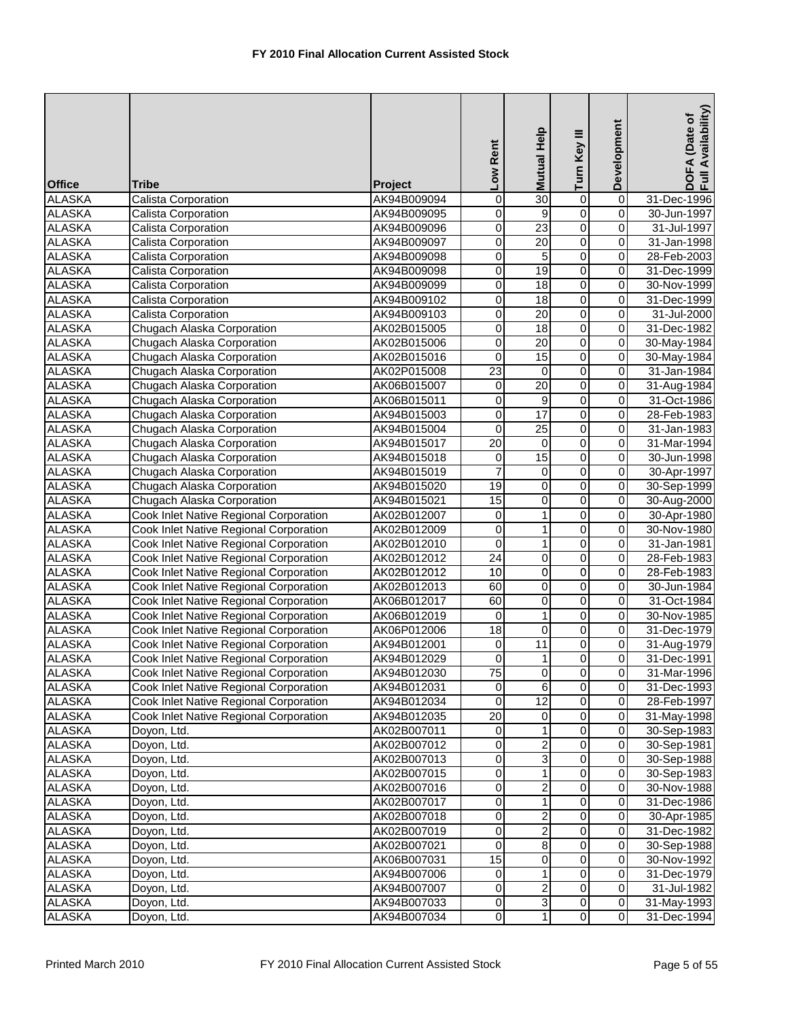| <b>Office</b> | Tribe                                  | Project     | Low Rent         | Mutual Help             | Turn Key III            | Development             | Availability)<br>DOFA (Date of<br>Full Availability |
|---------------|----------------------------------------|-------------|------------------|-------------------------|-------------------------|-------------------------|-----------------------------------------------------|
| <b>ALASKA</b> | Calista Corporation                    | AK94B009094 | $\mathbf 0$      | 30                      | $\mathbf 0$             | $\overline{0}$          | 31-Dec-1996                                         |
| <b>ALASKA</b> | Calista Corporation                    | AK94B009095 | 0                | 9                       | $\overline{0}$          | $\mathbf 0$             | 30-Jun-1997                                         |
| <b>ALASKA</b> | Calista Corporation                    | AK94B009096 | 0                | 23                      | $\overline{0}$          | $\mathbf 0$             | 31-Jul-1997                                         |
| <b>ALASKA</b> | Calista Corporation                    | AK94B009097 | 0                | $\overline{20}$         | 0                       | $\overline{0}$          | 31-Jan-1998                                         |
| <b>ALASKA</b> | Calista Corporation                    | AK94B009098 | $\boldsymbol{0}$ | $\overline{5}$          | $\overline{0}$          | $\overline{0}$          | 28-Feb-2003                                         |
| <b>ALASKA</b> | Calista Corporation                    | AK94B009098 | 0                | $\overline{19}$         | 0                       | 0                       | 31-Dec-1999                                         |
| <b>ALASKA</b> | Calista Corporation                    | AK94B009099 | $\overline{0}$   | 18                      | $\overline{0}$          | $\overline{0}$          | 30-Nov-1999                                         |
| <b>ALASKA</b> | Calista Corporation                    | AK94B009102 | $\mathbf 0$      | 18                      | $\overline{0}$          | $\overline{0}$          | 31-Dec-1999                                         |
| <b>ALASKA</b> | Calista Corporation                    | AK94B009103 | 0                | $\overline{20}$         | $\overline{0}$          | $\boldsymbol{0}$        | 31-Jul-2000                                         |
| <b>ALASKA</b> | Chugach Alaska Corporation             | AK02B015005 | 0                | $\overline{18}$         | $\overline{0}$          | $\mathbf 0$             | 31-Dec-1982                                         |
| <b>ALASKA</b> | Chugach Alaska Corporation             | AK02B015006 | $\overline{0}$   | 20                      | $\overline{0}$          | $\overline{0}$          | 30-May-1984                                         |
| <b>ALASKA</b> | Chugach Alaska Corporation             | AK02B015016 | $\mathbf 0$      | 15                      | 0                       | $\overline{0}$          | 30-May-1984                                         |
| <b>ALASKA</b> | Chugach Alaska Corporation             | AK02P015008 | $\overline{23}$  | $\overline{0}$          | 0                       | $\overline{0}$          | 31-Jan-1984                                         |
| <b>ALASKA</b> | Chugach Alaska Corporation             | AK06B015007 | $\pmb{0}$        | 20                      | $\overline{0}$          | $\overline{0}$          | 31-Aug-1984                                         |
| <b>ALASKA</b> | Chugach Alaska Corporation             | AK06B015011 | 0                | 9                       | 0                       | $\overline{0}$          | 31-Oct-1986                                         |
| <b>ALASKA</b> | Chugach Alaska Corporation             | AK94B015003 | $\mathbf 0$      | $\overline{17}$         | $\mathsf 0$             | $\boldsymbol{0}$        | 28-Feb-1983                                         |
| <b>ALASKA</b> | Chugach Alaska Corporation             | AK94B015004 | $\overline{0}$   | $\overline{25}$         | $\overline{0}$          | $\mathbf 0$             | 31-Jan-1983                                         |
| <b>ALASKA</b> | Chugach Alaska Corporation             | AK94B015017 | $\overline{20}$  | $\mathbf 0$             | 0                       | $\overline{0}$          | 31-Mar-1994                                         |
| <b>ALASKA</b> | Chugach Alaska Corporation             | AK94B015018 | 0                | 15                      | 0                       | $\overline{0}$          | 30-Jun-1998                                         |
| <b>ALASKA</b> | Chugach Alaska Corporation             | AK94B015019 | $\overline{7}$   | $\mathbf 0$             | 0                       | $\pmb{0}$               | 30-Apr-1997                                         |
| <b>ALASKA</b> | Chugach Alaska Corporation             | AK94B015020 | 19               | O                       | $\overline{0}$          | $\overline{0}$          | 30-Sep-1999                                         |
| <b>ALASKA</b> | Chugach Alaska Corporation             | AK94B015021 | $\overline{15}$  | $\overline{0}$          | $\overline{0}$          | $\overline{\mathsf{o}}$ | 30-Aug-2000                                         |
| <b>ALASKA</b> | Cook Inlet Native Regional Corporation | AK02B012007 | $\pmb{0}$        | $\overline{1}$          | $\overline{0}$          | $\overline{0}$          | 30-Apr-1980                                         |
| <b>ALASKA</b> | Cook Inlet Native Regional Corporation | AK02B012009 | $\boldsymbol{0}$ | 1                       | $\overline{0}$          | $\mathbf 0$             | 30-Nov-1980                                         |
| <b>ALASKA</b> | Cook Inlet Native Regional Corporation | AK02B012010 | $\overline{0}$   | $\mathbf{1}$            | $\overline{0}$          | $\overline{0}$          | 31-Jan-1981                                         |
| <b>ALASKA</b> | Cook Inlet Native Regional Corporation | AK02B012012 | $\overline{24}$  | 0                       | 0                       | $\overline{0}$          | 28-Feb-1983                                         |
| <b>ALASKA</b> | Cook Inlet Native Regional Corporation | AK02B012012 | 10               | 0                       | $\overline{0}$          | $\mathsf 0$             | 28-Feb-1983                                         |
| <b>ALASKA</b> | Cook Inlet Native Regional Corporation | AK02B012013 | 60               | 0                       | $\overline{0}$          | $\overline{0}$          | 30-Jun-1984                                         |
| <b>ALASKA</b> | Cook Inlet Native Regional Corporation | AK06B012017 | 60               | $\pmb{0}$               | 0                       | $\overline{0}$          | 31-Oct-1984                                         |
| <b>ALASKA</b> | Cook Inlet Native Regional Corporation | AK06B012019 | 0                | $\overline{1}$          | $\overline{0}$          | $\boldsymbol{0}$        | 30-Nov-1985                                         |
| <b>ALASKA</b> | Cook Inlet Native Regional Corporation | AK06P012006 | $\overline{18}$  | $\overline{\mathsf{o}}$ | $\overline{0}$          | $\boldsymbol{0}$        | 31-Dec-1979                                         |
| <b>ALASKA</b> | Cook Inlet Native Regional Corporation | AK94B012001 | $\pmb{0}$        | $\overline{11}$         | $\overline{0}$          | $\overline{0}$          | 31-Aug-1979                                         |
| <b>ALASKA</b> | Cook Inlet Native Regional Corporation | AK94B012029 | $\overline{0}$   | 1                       | 0                       | $\mathbf 0$             | 31-Dec-1991                                         |
| ALASKA        | Cook Inlet Native Regional Corporation | AK94B012030 | 75               | $\overline{0}$          | $\mathbf 0$             | $\overline{0}$          | 31-Mar-1996                                         |
| <b>ALASKA</b> | Cook Inlet Native Regional Corporation | AK94B012031 | 0                | $6\overline{6}$         | $\overline{0}$          | $\overline{0}$          | 31-Dec-1993                                         |
| <b>ALASKA</b> | Cook Inlet Native Regional Corporation | AK94B012034 | 0                | 12                      | $\overline{\mathsf{o}}$ | $\overline{\mathbf{0}}$ | 28-Feb-1997                                         |
| <b>ALASKA</b> | Cook Inlet Native Regional Corporation | AK94B012035 | $\overline{20}$  | $\mathbf 0$             | $\overline{0}$          | $\overline{0}$          | 31-May-1998                                         |
| <b>ALASKA</b> | Doyon, Ltd.                            | AK02B007011 | 0                | 1                       | 0                       | $\mathbf 0$             | 30-Sep-1983                                         |
| <b>ALASKA</b> | Doyon, Ltd.                            | AK02B007012 | $\boldsymbol{0}$ | $\overline{a}$          | $\overline{\mathsf{o}}$ | $\mathbf 0$             | 30-Sep-1981                                         |
| <b>ALASKA</b> | Doyon, Ltd.                            | AK02B007013 | 0                | 3                       | 0                       | $\mathbf 0$             | 30-Sep-1988                                         |
| <b>ALASKA</b> | Doyon, Ltd.                            | AK02B007015 | 0                | $\mathbf{1}$            | 0                       | $\pmb{0}$               | 30-Sep-1983                                         |
| <b>ALASKA</b> | Doyon, Ltd.                            | AK02B007016 | 0                | 2                       | 0                       | $\pmb{0}$               | 30-Nov-1988                                         |
| <b>ALASKA</b> | Doyon, Ltd.                            | AK02B007017 | $\mathbf 0$      | 1                       | $\overline{\mathsf{o}}$ | $\overline{\mathbf{0}}$ | 31-Dec-1986                                         |
| <b>ALASKA</b> | Doyon, Ltd.                            | AK02B007018 | 0                | $\overline{a}$          | 0                       | $\mathbf 0$             | 30-Apr-1985                                         |
| <b>ALASKA</b> | Doyon, Ltd.                            | AK02B007019 | 0                | $\overline{a}$          | $\mathsf{O}\xspace$     | $\pmb{0}$               | 31-Dec-1982                                         |
| <b>ALASKA</b> | Doyon, Ltd.                            | AK02B007021 | $\overline{0}$   | 8                       | $\overline{0}$          | $\overline{0}$          | 30-Sep-1988                                         |
| <b>ALASKA</b> | Doyon, Ltd.                            | AK06B007031 | 15               | 0                       | $\overline{\mathsf{o}}$ | $\mathbf 0$             | 30-Nov-1992                                         |
| <b>ALASKA</b> | Doyon, Ltd.                            | AK94B007006 | 0                | 1                       | 0                       | $\pmb{0}$               | 31-Dec-1979                                         |
| <b>ALASKA</b> | Doyon, Ltd.                            | AK94B007007 | 0                | $\overline{c}$          | $\mathbf 0$             | 0                       | 31-Jul-1982                                         |
| ALASKA        | Doyon, Ltd.                            | AK94B007033 | $\overline{0}$   | $\overline{3}$          | $\overline{0}$          | $\overline{\mathsf{o}}$ | 31-May-1993                                         |
| ALASKA        | Doyon, Ltd.                            | AK94B007034 | 0                | $\overline{1}$          | $\overline{\mathsf{o}}$ | $\overline{0}$          | 31-Dec-1994                                         |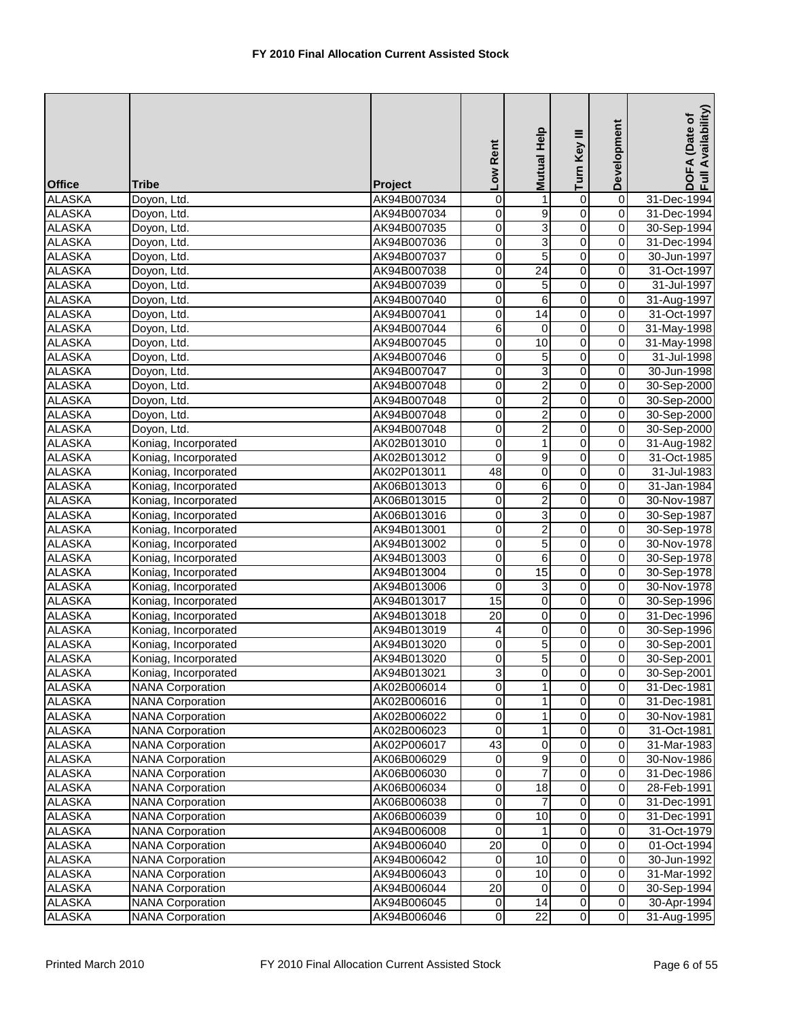| <b>Office</b>    | Tribe                                              | Project                    | Low Rent         | Help<br><b>Mutual</b>   | Turn Key III                           | Development                          | Availability)<br>DOFA (Date of<br>Full Availability |
|------------------|----------------------------------------------------|----------------------------|------------------|-------------------------|----------------------------------------|--------------------------------------|-----------------------------------------------------|
| <b>ALASKA</b>    | Doyon, Ltd.                                        | AK94B007034                | $\mathbf 0$      | 1                       | $\overline{0}$                         | $\overline{0}$                       | 31-Dec-1994                                         |
| <b>ALASKA</b>    | Doyon, Ltd.                                        | AK94B007034                | 0                | $\overline{9}$          | $\overline{0}$                         | $\mathbf 0$                          | 31-Dec-1994                                         |
| <b>ALASKA</b>    | Doyon, Ltd.                                        | AK94B007035                | 0                | 3                       | $\overline{0}$                         | $\overline{0}$                       | 30-Sep-1994                                         |
| <b>ALASKA</b>    | Doyon, Ltd.                                        | AK94B007036                | 0                | ω                       | 0                                      | $\overline{0}$                       | 31-Dec-1994                                         |
| <b>ALASKA</b>    | Doyon, Ltd.                                        | AK94B007037                | $\boldsymbol{0}$ | $\overline{5}$          | $\overline{0}$                         | $\overline{0}$                       | 30-Jun-1997                                         |
| <b>ALASKA</b>    | Doyon, Ltd.                                        | AK94B007038                | 0                | $\overline{24}$         | 0                                      | $\pmb{0}$                            | 31-Oct-1997                                         |
| <b>ALASKA</b>    | Doyon, Ltd.                                        | AK94B007039                | $\overline{0}$   | $\overline{5}$          | $\overline{0}$                         | $\overline{0}$                       | 31-Jul-1997                                         |
| <b>ALASKA</b>    | Doyon, Ltd.                                        | AK94B007040                | $\mathbf 0$      | 6                       | $\overline{0}$                         | $\overline{0}$                       | 31-Aug-1997                                         |
| <b>ALASKA</b>    | Doyon, Ltd.                                        | AK94B007041                | $\mathbf 0$      | $\overline{14}$         | $\overline{0}$                         | $\overline{0}$                       | 31-Oct-1997                                         |
| <b>ALASKA</b>    | Doyon, Ltd.                                        | AK94B007044                | 6                | $\mathbf 0$             | $\overline{0}$                         | $\mathbf 0$                          | 31-May-1998                                         |
| <b>ALASKA</b>    | Doyon, Ltd.                                        | AK94B007045                | $\overline{0}$   | 10                      | $\overline{0}$                         | $\overline{0}$                       | 31-May-1998                                         |
| <b>ALASKA</b>    | Doyon, Ltd.                                        | AK94B007046                | $\mathbf 0$      | 5                       | $\overline{0}$                         | $\overline{0}$                       | 31-Jul-1998                                         |
| <b>ALASKA</b>    | Doyon, Ltd.                                        | AK94B007047                | $\pmb{0}$        | ω                       | 0                                      | $\overline{0}$                       | 30-Jun-1998                                         |
| <b>ALASKA</b>    | Doyon, Ltd.                                        | AK94B007048                | $\overline{0}$   | $\overline{2}$          | $\overline{0}$                         | $\overline{0}$                       | 30-Sep-2000                                         |
| <b>ALASKA</b>    | Doyon, Ltd.                                        | AK94B007048                | 0                | $\overline{2}$          | $\overline{0}$                         | $\overline{0}$                       | 30-Sep-2000                                         |
| <b>ALASKA</b>    | Doyon, Ltd.                                        | AK94B007048                | 0                | $\overline{2}$          | $\mathsf 0$                            | $\pmb{0}$                            | 30-Sep-2000                                         |
| <b>ALASKA</b>    | Doyon, Ltd.                                        | AK94B007048                | 0                | $\overline{2}$          | $\overline{0}$                         | $\overline{0}$                       | 30-Sep-2000                                         |
| <b>ALASKA</b>    | Koniag, Incorporated                               | AK02B013010                | $\mathbf 0$      | $\mathbf{1}$            | $\overline{0}$                         | $\overline{0}$                       | 31-Aug-1982                                         |
| <b>ALASKA</b>    | Koniag, Incorporated                               | AK02B013012                | 0                | $\boldsymbol{9}$        | 0                                      | $\overline{0}$                       | 31-Oct-1985                                         |
| <b>ALASKA</b>    | Koniag, Incorporated                               | AK02P013011                | 48               | 0                       | 0                                      | 0                                    | 31-Jul-1983                                         |
| <b>ALASKA</b>    | Koniag, Incorporated                               | AK06B013013                | $\mathbf 0$      | $\overline{6}$          | $\overline{0}$                         | $\overline{0}$                       | 31-Jan-1984                                         |
| <b>ALASKA</b>    | Koniag, Incorporated                               | AK06B013015                | $\mathbf 0$      | $\overline{2}$          | $\overline{0}$                         | $\overline{0}$                       | 30-Nov-1987                                         |
| <b>ALASKA</b>    | Koniag, Incorporated                               | AK06B013016                | $\overline{0}$   | $\overline{3}$          | $\overline{0}$                         | $\overline{0}$                       | 30-Sep-1987                                         |
| <b>ALASKA</b>    | Koniag, Incorporated                               | AK94B013001                | 0                | $\overline{2}$          | $\overline{0}$                         | $\mathbf 0$                          | 30-Sep-1978                                         |
| <b>ALASKA</b>    | Koniag, Incorporated                               | AK94B013002                | $\overline{0}$   | $\overline{5}$          | $\overline{0}$                         | $\overline{0}$                       | 30-Nov-1978                                         |
| <b>ALASKA</b>    | Koniag, Incorporated                               | AK94B013003                | $\mathbf 0$      | 6                       | 0                                      | $\overline{0}$                       | 30-Sep-1978                                         |
| <b>ALASKA</b>    | Koniag, Incorporated                               | AK94B013004                | 0                | 15                      | $\overline{0}$                         | $\mathsf 0$                          | 30-Sep-1978                                         |
| <b>ALASKA</b>    | Koniag, Incorporated                               | AK94B013006                | 0                | 3                       | $\overline{0}$                         | $\overline{0}$                       | 30-Nov-1978                                         |
| <b>ALASKA</b>    | Koniag, Incorporated                               | AK94B013017                | $\overline{15}$  | $\pmb{0}$               | $\overline{0}$                         | $\overline{0}$                       | 30-Sep-1996                                         |
| <b>ALASKA</b>    | Koniag, Incorporated                               | AK94B013018                | $\overline{20}$  | $\pmb{0}$               | $\overline{0}$                         | $\overline{0}$                       | 31-Dec-1996                                         |
| <b>ALASKA</b>    | Koniag, Incorporated                               | AK94B013019                | 4                | $\pmb{0}$               | $\overline{0}$                         | $\pmb{0}$                            | 30-Sep-1996                                         |
| <b>ALASKA</b>    | Koniag, Incorporated                               | AK94B013020                | $\overline{0}$   | $\overline{5}$          | $\overline{0}$                         | $\mathbf 0$                          | 30-Sep-2001                                         |
| <b>ALASKA</b>    | Koniag, Incorporated                               | AK94B013020                | 0                | 5                       | 0                                      | $\mathbf 0$                          | 30-Sep-2001                                         |
| <b>ALASKA</b>    | Koniag, Incorporated                               | AK94B013021                | 3                | $\overline{0}$          | $\mathbf 0$                            | $\overline{0}$                       | 30-Sep-2001                                         |
| <b>ALASKA</b>    | <b>NANA Corporation</b>                            | AK02B006014                | $\overline{0}$   | $\mathbf{1}$            | $\overline{0}$                         | $\overline{0}$                       | 31-Dec-1981                                         |
| <b>ALASKA</b>    | <b>NANA Corporation</b>                            | AK02B006016                | 0                | $\mathbf{1}$            | $\overline{\mathsf{o}}$                | $\overline{\mathsf{o}}$              | 31-Dec-1981                                         |
| <b>ALASKA</b>    | <b>NANA Corporation</b>                            | AK02B006022                | $\pmb{0}$        | 1                       | $\overline{0}$                         | $\overline{0}$                       | 30-Nov-1981                                         |
| <b>ALASKA</b>    | <b>NANA Corporation</b>                            | AK02B006023                | $\mathbf 0$      | $\mathbf{1}$            | 0                                      | $\pmb{0}$                            | 31-Oct-1981                                         |
| <b>ALASKA</b>    | <b>NANA Corporation</b>                            | AK02P006017                | 43               | $\overline{0}$          | $\overline{\mathsf{o}}$                | $\pmb{0}$                            | 31-Mar-1983                                         |
| <b>ALASKA</b>    | <b>NANA Corporation</b>                            | AK06B006029                | 0                | 9                       | 0                                      | $\mathbf 0$                          | 30-Nov-1986                                         |
| <b>ALASKA</b>    | <b>NANA Corporation</b>                            | AK06B006030                | 0                | $\overline{7}$          | 0                                      | $\pmb{0}$                            | 31-Dec-1986                                         |
| ALASKA           | <b>NANA Corporation</b>                            | AK06B006034                | 0                | 18                      | 0                                      | $\pmb{0}$                            | 28-Feb-1991                                         |
| <b>ALASKA</b>    | <b>NANA Corporation</b>                            | AK06B006038                | $\mathbf 0$      | $\overline{7}$          | $\overline{\mathsf{o}}$                | $\overline{\mathsf{o}}$              | 31-Dec-1991                                         |
| <b>ALASKA</b>    | <b>NANA Corporation</b>                            | AK06B006039                | 0                | $\overline{10}$         | $\mathsf{O}\xspace$                    | $\overline{0}$                       | 31-Dec-1991                                         |
| <b>ALASKA</b>    | <b>NANA Corporation</b>                            | AK94B006008                | 0                | $\mathbf{1}$            | $\mathsf{O}\xspace$                    | $\pmb{0}$                            | 31-Oct-1979                                         |
| <b>ALASKA</b>    | <b>NANA Corporation</b>                            | AK94B006040                | $\overline{20}$  | $\overline{\mathsf{o}}$ | $\overline{0}$                         | $\overline{0}$                       | 01-Oct-1994                                         |
| <b>ALASKA</b>    | <b>NANA Corporation</b>                            | AK94B006042                | 0                | 10                      | $\overline{\mathsf{o}}$                | $\mathbf 0$                          | 30-Jun-1992                                         |
| <b>ALASKA</b>    | <b>NANA Corporation</b>                            | AK94B006043                | 0                | 10                      | 0                                      | $\pmb{0}$                            | 31-Mar-1992                                         |
| ALASKA<br>ALASKA | <b>NANA Corporation</b><br><b>NANA Corporation</b> | AK94B006044<br>AK94B006045 | 20<br>0          | $\overline{0}$<br>14    | $\mathbf 0$<br>$\overline{\mathsf{o}}$ | $\pmb{0}$<br>$\overline{\mathsf{o}}$ | 30-Sep-1994<br>30-Apr-1994                          |
| <b>ALASKA</b>    | <b>NANA Corporation</b>                            | AK94B006046                | 0                | 22                      | $\overline{0}$                         | $\overline{0}$                       | 31-Aug-1995                                         |
|                  |                                                    |                            |                  |                         |                                        |                                      |                                                     |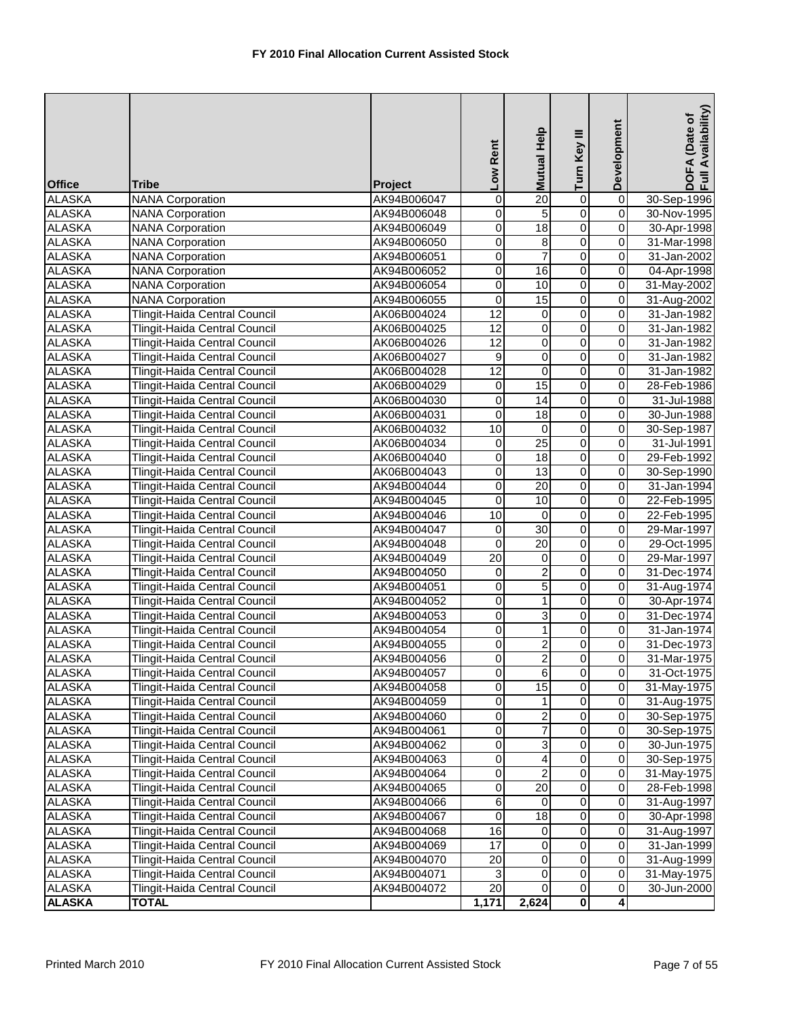| <b>Office</b> | <b>Tribe</b>                         | <b>Project</b> | Low Rent        | Mutual Help             | Turn Key III            | Development             | DOFA (Date of<br>Full Availability) |
|---------------|--------------------------------------|----------------|-----------------|-------------------------|-------------------------|-------------------------|-------------------------------------|
| <b>ALASKA</b> | <b>NANA Corporation</b>              | AK94B006047    | $\pmb{0}$       | $\overline{20}$         | 0                       | $\overline{0}$          | 30-Sep-1996                         |
| <b>ALASKA</b> | <b>NANA Corporation</b>              | AK94B006048    | 0               | 5                       | $\overline{0}$          | $\overline{0}$          | 30-Nov-1995                         |
| <b>ALASKA</b> | <b>NANA Corporation</b>              | AK94B006049    | 0               | $\overline{18}$         | $\overline{0}$          | $\mathbf 0$             | 30-Apr-1998                         |
| <b>ALASKA</b> | <b>NANA Corporation</b>              | AK94B006050    | 0               | 8                       | $\overline{0}$          | 0                       | 31-Mar-1998                         |
| <b>ALASKA</b> | <b>NANA Corporation</b>              | AK94B006051    | 0               | $\overline{7}$          | $\overline{0}$          | 0                       | 31-Jan-2002                         |
| <b>ALASKA</b> | <b>NANA Corporation</b>              | AK94B006052    | 0               | 16                      | $\overline{0}$          | 0                       | 04-Apr-1998                         |
| <b>ALASKA</b> | <b>NANA Corporation</b>              | AK94B006054    | $\overline{0}$  | 10                      | $\overline{0}$          | $\mathbf 0$             | 31-May-2002                         |
| <b>ALASKA</b> | <b>NANA Corporation</b>              | AK94B006055    | $\overline{0}$  | 15                      | $\overline{0}$          | $\overline{0}$          | 31-Aug-2002                         |
| <b>ALASKA</b> | Tlingit-Haida Central Council        | AK06B004024    | 12              | $\mathbf 0$             | $\overline{0}$          | $\pmb{0}$               | 31-Jan-1982                         |
| <b>ALASKA</b> | Tlingit-Haida Central Council        | AK06B004025    | $\overline{12}$ | $\mathbf 0$             | $\overline{0}$          | $\mathbf 0$             | 31-Jan-1982                         |
| <b>ALASKA</b> | Tlingit-Haida Central Council        | AK06B004026    | 12              | $\overline{0}$          | $\overline{0}$          | $\mathbf 0$             | 31-Jan-1982                         |
| <b>ALASKA</b> | Tlingit-Haida Central Council        | AK06B004027    | 9               | 0                       | $\overline{0}$          | 0                       | 31-Jan-1982                         |
| <b>ALASKA</b> | Tlingit-Haida Central Council        | AK06B004028    | 12              | $\mathbf 0$             | $\overline{0}$          | $\mathbf 0$             | 31-Jan-1982                         |
| <b>ALASKA</b> | Tlingit-Haida Central Council        | AK06B004029    | $\pmb{0}$       | 15                      | $\overline{0}$          | $\mathbf 0$             | 28-Feb-1986                         |
| <b>ALASKA</b> | Tlingit-Haida Central Council        | AK06B004030    | $\pmb{0}$       | 14                      | $\overline{0}$          | $\overline{0}$          | 31-Jul-1988                         |
| <b>ALASKA</b> | Tlingit-Haida Central Council        | AK06B004031    | 0               | $\overline{18}$         | 0                       | $\mathbf 0$             | 30-Jun-1988                         |
| <b>ALASKA</b> | Tlingit-Haida Central Council        | AK06B004032    | $\overline{10}$ | $\mathbf 0$             | $\overline{0}$          | $\mathbf 0$             | 30-Sep-1987                         |
| <b>ALASKA</b> | Tlingit-Haida Central Council        | AK06B004034    | $\overline{0}$  | $\overline{25}$         | $\overline{0}$          | $\mathbf 0$             | 31-Jul-1991                         |
| <b>ALASKA</b> | Tlingit-Haida Central Council        | AK06B004040    | 0               | 18                      | 0                       | 0                       | 29-Feb-1992                         |
| <b>ALASKA</b> | Tlingit-Haida Central Council        | AK06B004043    | 0               | $\overline{13}$         | 0                       | 0                       | 30-Sep-1990                         |
| <b>ALASKA</b> | Tlingit-Haida Central Council        | AK94B004044    | 0               | 20                      | $\overline{0}$          | $\mathbf 0$             | 31-Jan-1994                         |
| <b>ALASKA</b> | Tlingit-Haida Central Council        | AK94B004045    | $\overline{0}$  | 10                      | $\overline{0}$          | $\overline{0}$          | 22-Feb-1995                         |
| <b>ALASKA</b> | Tlingit-Haida Central Council        | AK94B004046    | $\overline{10}$ | $\mathbf 0$             | $\overline{0}$          | $\mathbf 0$             | 22-Feb-1995                         |
| <b>ALASKA</b> | Tlingit-Haida Central Council        | AK94B004047    | 0               | $\overline{30}$         | $\overline{0}$          | 0                       | 29-Mar-1997                         |
| <b>ALASKA</b> | Tlingit-Haida Central Council        | AK94B004048    | $\overline{0}$  | 20                      | $\overline{0}$          | $\mathbf 0$             | 29-Oct-1995                         |
| <b>ALASKA</b> | Tlingit-Haida Central Council        | AK94B004049    | $\overline{20}$ | 0                       | $\overline{0}$          | $\mathbf 0$             | 29-Mar-1997                         |
| <b>ALASKA</b> | Tlingit-Haida Central Council        | AK94B004050    | 0               | $\overline{2}$          | $\overline{0}$          | 0                       | 31-Dec-1974                         |
| <b>ALASKA</b> | Tlingit-Haida Central Council        | AK94B004051    | 0               | 5                       | 0                       | $\mathbf 0$             | 31-Aug-1974                         |
| <b>ALASKA</b> | Tlingit-Haida Central Council        | AK94B004052    | $\pmb{0}$       | 1                       | $\overline{0}$          | $\overline{0}$          | 30-Apr-1974                         |
| <b>ALASKA</b> | Tlingit-Haida Central Council        | AK94B004053    | 0               | 3                       | $\overline{0}$          | $\pmb{0}$               | 31-Dec-1974                         |
| <b>ALASKA</b> | Tlingit-Haida Central Council        | AK94B004054    | 0               | $\mathbf{1}$            | $\overline{0}$          | $\mathbf 0$             | 31-Jan-1974                         |
| <b>ALASKA</b> | Tlingit-Haida Central Council        | AK94B004055    | 0               | $\overline{2}$          | $\overline{0}$          | $\mathbf 0$             | 31-Dec-1973                         |
| <b>ALASKA</b> | Tlingit-Haida Central Council        | AK94B004056    | $\Omega$        | $\overline{2}$          | 0                       | 0                       | 31-Mar-1975                         |
| <b>ALASKA</b> | Tlingit-Haida Central Council        | AK94B004057    | $\overline{0}$  | 61                      | $\overline{0}$          | $\overline{0}$          | 31-Oct-1975                         |
| <b>ALASKA</b> | <b>Tlingit-Haida Central Council</b> | AK94B004058    | $\mathbf 0$     | 15                      | $\overline{0}$          | $\pmb{0}$               | 31-May-1975                         |
| ALASKA        | <b>Tlingit-Haida Central Council</b> | AK94B004059    | 0               |                         | $\overline{\mathsf{o}}$ | $\pmb{0}$               | 31-Aug-1975                         |
| <b>ALASKA</b> | Tlingit-Haida Central Council        | AK94B004060    | 0               | $\overline{c}$          | 0                       | $\pmb{0}$               | 30-Sep-1975                         |
| <b>ALASKA</b> | Tlingit-Haida Central Council        | AK94B004061    | 0               | $\overline{7}$          | 0                       | 0                       | 30-Sep-1975                         |
| <b>ALASKA</b> | Tlingit-Haida Central Council        | AK94B004062    | 0               | 3                       | $\overline{0}$          | $\mathbf 0$             | 30-Jun-1975                         |
| <b>ALASKA</b> | <b>Tlingit-Haida Central Council</b> | AK94B004063    | 0               | 4                       | $\overline{\mathsf{o}}$ | $\pmb{0}$               | 30-Sep-1975                         |
| <b>ALASKA</b> | Tlingit-Haida Central Council        | AK94B004064    | 0               | $\overline{c}$          | 0                       | $\pmb{0}$               | 31-May-1975                         |
| <b>ALASKA</b> | Tlingit-Haida Central Council        | AK94B004065    | 0               | 20                      | $\mathbf 0$             | 0                       | 28-Feb-1998                         |
| <b>ALASKA</b> | Tlingit-Haida Central Council        | AK94B004066    | 6               | 0                       | $\overline{\mathsf{o}}$ | $\pmb{0}$               | 31-Aug-1997                         |
| <b>ALASKA</b> | Tlingit-Haida Central Council        | AK94B004067    | $\overline{0}$  | $\overline{18}$         | $\mathsf{O}\xspace$     | $\pmb{0}$               | 30-Apr-1998                         |
| <b>ALASKA</b> | Tlingit-Haida Central Council        | AK94B004068    | 16              | 0                       | 0                       | 0                       | 31-Aug-1997                         |
| <b>ALASKA</b> | Tlingit-Haida Central Council        | AK94B004069    | 17              | 0                       | $\overline{0}$          | $\mathbf 0$             | 31-Jan-1999                         |
| <b>ALASKA</b> | Tlingit-Haida Central Council        | AK94B004070    | 20              | $\overline{\mathsf{o}}$ | $\overline{\mathsf{o}}$ | $\mathbf 0$             | 31-Aug-1999                         |
| <b>ALASKA</b> | Tlingit-Haida Central Council        | AK94B004071    | 3               | $\mathbf 0$             | $\mathsf{O}\xspace$     | $\pmb{0}$               | 31-May-1975                         |
| ALASKA        | Tlingit-Haida Central Council        | AK94B004072    | 20              | 0                       | $\overline{\mathsf{o}}$ | 0                       | 30-Jun-2000                         |
| <b>ALASKA</b> | <b>TOTAL</b>                         |                | 1,171           | 2,624                   | $\overline{\mathbf{0}}$ | $\overline{\mathbf{4}}$ |                                     |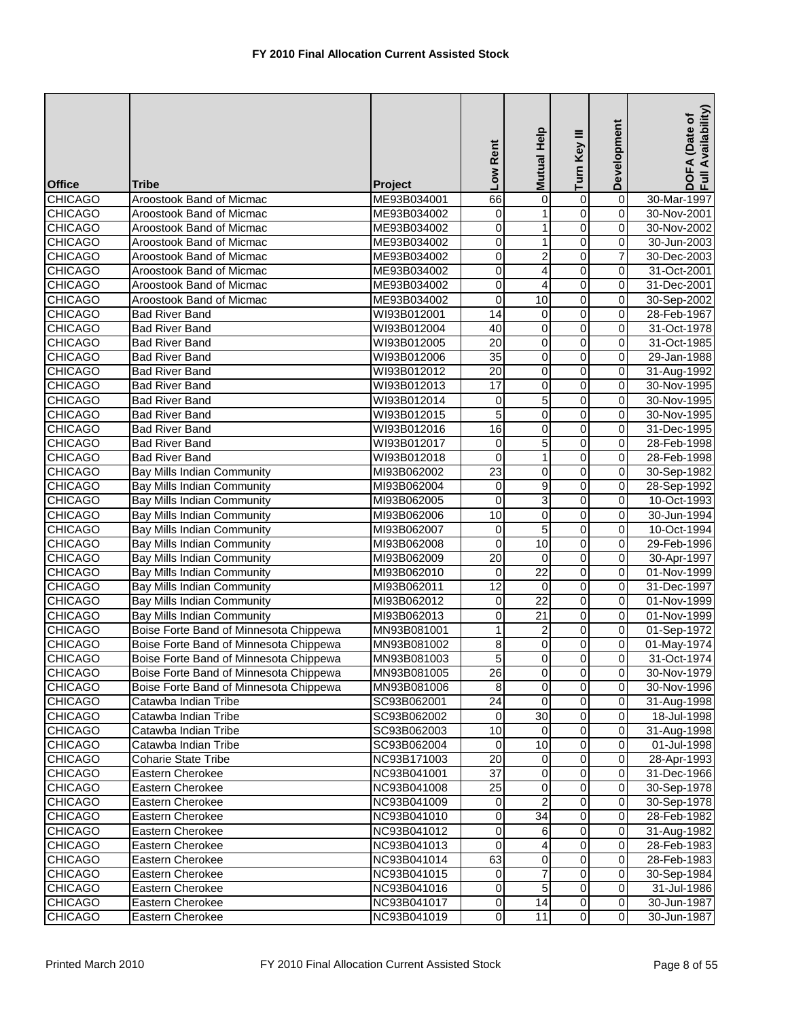|                                  |                                                                 |                            | Low Rent             | Help<br><b>Mutual</b>   | Turn Key III            | Development                  | DOFA (Date of<br>Full Availability) |
|----------------------------------|-----------------------------------------------------------------|----------------------------|----------------------|-------------------------|-------------------------|------------------------------|-------------------------------------|
| <b>Office</b>                    | Tribe                                                           |                            |                      |                         |                         |                              |                                     |
| <b>CHICAGO</b>                   | Aroostook Band of Micmac                                        | Project<br>ME93B034001     | 66                   | 0                       | 0                       | 0                            | 30-Mar-1997                         |
| <b>CHICAGO</b>                   | Aroostook Band of Micmac                                        | ME93B034002                | 0                    | $\mathbf{1}$            | $\overline{0}$          | 0                            | 30-Nov-2001                         |
| <b>CHICAGO</b>                   | Aroostook Band of Micmac                                        | ME93B034002                | 0                    | $\mathbf{1}$            | $\overline{0}$          | 0                            | 30-Nov-2002                         |
| <b>CHICAGO</b>                   | Aroostook Band of Micmac                                        | ME93B034002                | 0                    | $\mathbf{1}$            | $\overline{0}$          | 0                            | 30-Jun-2003                         |
| <b>CHICAGO</b>                   | Aroostook Band of Micmac                                        | ME93B034002                | 0                    | $\overline{\mathbf{c}}$ | 0                       | 7                            | 30-Dec-2003                         |
| <b>CHICAGO</b>                   | Aroostook Band of Micmac                                        | ME93B034002                | 0                    | 4                       | 0                       | 0                            | 31-Oct-2001                         |
| <b>CHICAGO</b>                   | Aroostook Band of Micmac                                        | ME93B034002                | 0                    | 4                       | $\overline{0}$          | 0                            | 31-Dec-2001                         |
| <b>CHICAGO</b>                   | Aroostook Band of Micmac                                        | ME93B034002                | 0                    | $\overline{10}$         | 0                       | $\overline{\mathbf{0}}$      | 30-Sep-2002                         |
| <b>CHICAGO</b>                   | <b>Bad River Band</b>                                           | WI93B012001                | $\overline{14}$      | $\pmb{0}$               | $\overline{0}$          | 0                            | 28-Feb-1967                         |
| <b>CHICAGO</b>                   | <b>Bad River Band</b>                                           | WI93B012004                | 40                   | $\pmb{0}$               | $\overline{0}$          | 0                            | 31-Oct-1978                         |
| <b>CHICAGO</b>                   | <b>Bad River Band</b>                                           | WI93B012005                | $\overline{20}$      | $\overline{0}$          | $\overline{0}$          | 0                            | 31-Oct-1985                         |
| <b>CHICAGO</b>                   | <b>Bad River Band</b>                                           | WI93B012006                | $\overline{35}$      | 0                       | 0                       | 0                            | 29-Jan-1988                         |
| <b>CHICAGO</b>                   | <b>Bad River Band</b>                                           | WI93B012012                | 20                   | 0                       | $\overline{0}$          | 0                            | 31-Aug-1992                         |
| <b>CHICAGO</b>                   | <b>Bad River Band</b>                                           | WI93B012013                | 17                   | 0                       | $\overline{0}$          | 0                            | 30-Nov-1995                         |
| <b>CHICAGO</b>                   | <b>Bad River Band</b>                                           | WI93B012014                | $\pmb{0}$            | $\overline{5}$          | $\overline{0}$          | $\overline{\mathbf{0}}$      | 30-Nov-1995                         |
| <b>CHICAGO</b>                   | <b>Bad River Band</b>                                           | WI93B012015                | $\overline{5}$       | $\mathbf 0$             | $\overline{0}$          | 0                            | 30-Nov-1995                         |
| <b>CHICAGO</b>                   | <b>Bad River Band</b>                                           | WI93B012016                | 16                   | $\mathbf 0$             | 0                       | 0                            | 31-Dec-1995                         |
| <b>CHICAGO</b>                   | <b>Bad River Band</b>                                           | WI93B012017                | 0                    | $\overline{5}$          | $\overline{0}$          | 0                            | 28-Feb-1998                         |
| <b>CHICAGO</b>                   | <b>Bad River Band</b>                                           | WI93B012018                | 0                    | $\mathbf{1}$            | 0                       | 0                            | 28-Feb-1998                         |
| <b>CHICAGO</b>                   | <b>Bay Mills Indian Community</b>                               | MI93B062002                | 23                   | 0                       | 0                       | 0                            | 30-Sep-1982                         |
| <b>CHICAGO</b>                   | Bay Mills Indian Community                                      | MI93B062004                | 0                    | 9                       | $\overline{0}$          | 0                            | 28-Sep-1992                         |
| <b>CHICAGO</b>                   | Bay Mills Indian Community                                      | MI93B062005                | 0                    | 3                       | $\overline{0}$          | 0                            | 10-Oct-1993                         |
| <b>CHICAGO</b>                   | <b>Bay Mills Indian Community</b>                               | MI93B062006                | 10                   | 0                       | $\overline{0}$          | 0                            | 30-Jun-1994                         |
| <b>CHICAGO</b>                   | <b>Bay Mills Indian Community</b>                               | MI93B062007                | 0                    | $\overline{5}$          | $\overline{0}$          | 0                            | 10-Oct-1994                         |
| <b>CHICAGO</b>                   | <b>Bay Mills Indian Community</b>                               | MI93B062008                | $\overline{0}$       | 10                      | $\overline{0}$          | 0                            | 29-Feb-1996                         |
| <b>CHICAGO</b>                   | <b>Bay Mills Indian Community</b>                               | MI93B062009                | $\overline{20}$      | $\pmb{0}$               | $\overline{0}$          | $\overline{\mathsf{o}}$      | 30-Apr-1997                         |
| <b>CHICAGO</b>                   | Bay Mills Indian Community                                      | MI93B062010                | $\mathbf 0$          | $\overline{22}$         | $\overline{0}$          | 0                            | 01-Nov-1999                         |
| <b>CHICAGO</b><br><b>CHICAGO</b> | <b>Bay Mills Indian Community</b>                               | MI93B062011                | $\overline{12}$<br>0 | 0<br>$\overline{22}$    | 0<br>$\overline{0}$     | 0<br>$\overline{\mathsf{o}}$ | 31-Dec-1997                         |
| <b>CHICAGO</b>                   | Bay Mills Indian Community<br><b>Bay Mills Indian Community</b> | MI93B062012<br>MI93B062013 | 0                    | $\overline{21}$         | 0                       | 0                            | 01-Nov-1999<br>01-Nov-1999          |
| <b>CHICAGO</b>                   | Boise Forte Band of Minnesota Chippewa                          | MN93B081001                | 1                    | $\overline{c}$          | $\overline{0}$          | 0                            | 01-Sep-1972                         |
| <b>CHICAGO</b>                   | Boise Forte Band of Minnesota Chippewa                          | MN93B081002                | 8                    | $\pmb{0}$               | 0                       | 0                            | 01-May-1974                         |
| <b>CHICAGO</b>                   | Boise Forte Band of Minnesota Chippewa                          | MN93B081003                | 5                    | $\mathbf 0$             | 0                       | 0                            | 31-Oct-1974                         |
| <b>CHICAGO</b>                   | Boise Forte Band of Minnesota Chippewa                          | MN93B081005                | 26                   | $\overline{0}$          | $\overline{0}$          | 0                            | 30-Nov-1979                         |
| <b>CHICAGO</b>                   | Boise Forte Band of Minnesota Chippewa                          | MN93B081006                | $\overline{8}$       | $\mathbf 0$             | $\overline{0}$          | $\mathbf 0$                  | 30-Nov-1996                         |
| <b>CHICAGO</b>                   | Catawba Indian Tribe                                            | SC93B062001                | $\overline{24}$      | 0                       | $\overline{0}$          | $\mathbf 0$                  | 31-Aug-1998                         |
| <b>CHICAGO</b>                   | Catawba Indian Tribe                                            | SC93B062002                | $\overline{0}$       | $\overline{30}$         | 0                       | 0                            | 18-Jul-1998                         |
| <b>CHICAGO</b>                   | Catawba Indian Tribe                                            | SC93B062003                | 10                   | $\Omega$                | 0                       | 0                            | 31-Aug-1998                         |
| <b>CHICAGO</b>                   | Catawba Indian Tribe                                            | SC93B062004                | 0                    | 10                      | $\overline{0}$          | 0                            | 01-Jul-1998                         |
| <b>CHICAGO</b>                   | <b>Coharie State Tribe</b>                                      | NC93B171003                | 20                   | 0                       | 0                       | $\mathbf 0$                  | 28-Apr-1993                         |
| <b>CHICAGO</b>                   | Eastern Cherokee                                                | NC93B041001                | $\overline{37}$      | 0                       | 0                       | $\mathbf 0$                  | 31-Dec-1966                         |
| <b>CHICAGO</b>                   | Eastern Cherokee                                                | NC93B041008                | 25                   | 0                       | 0                       | $\mathbf 0$                  | 30-Sep-1978                         |
| <b>CHICAGO</b>                   | Eastern Cherokee                                                | NC93B041009                | $\pmb{0}$            | $\overline{c}$          | $\overline{\mathbf{o}}$ | $\pmb{0}$                    | 30-Sep-1978                         |
| <b>CHICAGO</b>                   | Eastern Cherokee                                                | NC93B041010                | 0                    | $\overline{34}$         | $\mathsf{O}\xspace$     | $\mathbf 0$                  | 28-Feb-1982                         |
| <b>CHICAGO</b>                   | Eastern Cherokee                                                | NC93B041012                | 0                    | 6                       | 0                       | 0                            | 31-Aug-1982                         |
| <b>CHICAGO</b>                   | Eastern Cherokee                                                | NC93B041013                | 0                    | 4                       | $\overline{0}$          | 0                            | 28-Feb-1983                         |
| <b>CHICAGO</b>                   | Eastern Cherokee                                                | NC93B041014                | 63                   | $\mathbf 0$             | 0                       | $\mathbf 0$                  | 28-Feb-1983                         |
| <b>CHICAGO</b>                   | Eastern Cherokee                                                | NC93B041015                | 0                    | 7                       | 0                       | 0                            | 30-Sep-1984                         |
| <b>CHICAGO</b>                   | Eastern Cherokee                                                | NC93B041016                | 0                    | 5                       | 0                       | $\mathbf 0$                  | 31-Jul-1986                         |
| <b>CHICAGO</b>                   | Eastern Cherokee                                                | NC93B041017                | $\overline{0}$       | 14                      | $\overline{\mathbf{o}}$ | $\mathsf{O}\xspace$          | 30-Jun-1987                         |
| <b>CHICAGO</b>                   | Eastern Cherokee                                                | NC93B041019                | $\overline{0}$       | 11                      | $\overline{\mathsf{o}}$ | $\overline{\mathbf{0}}$      | 30-Jun-1987                         |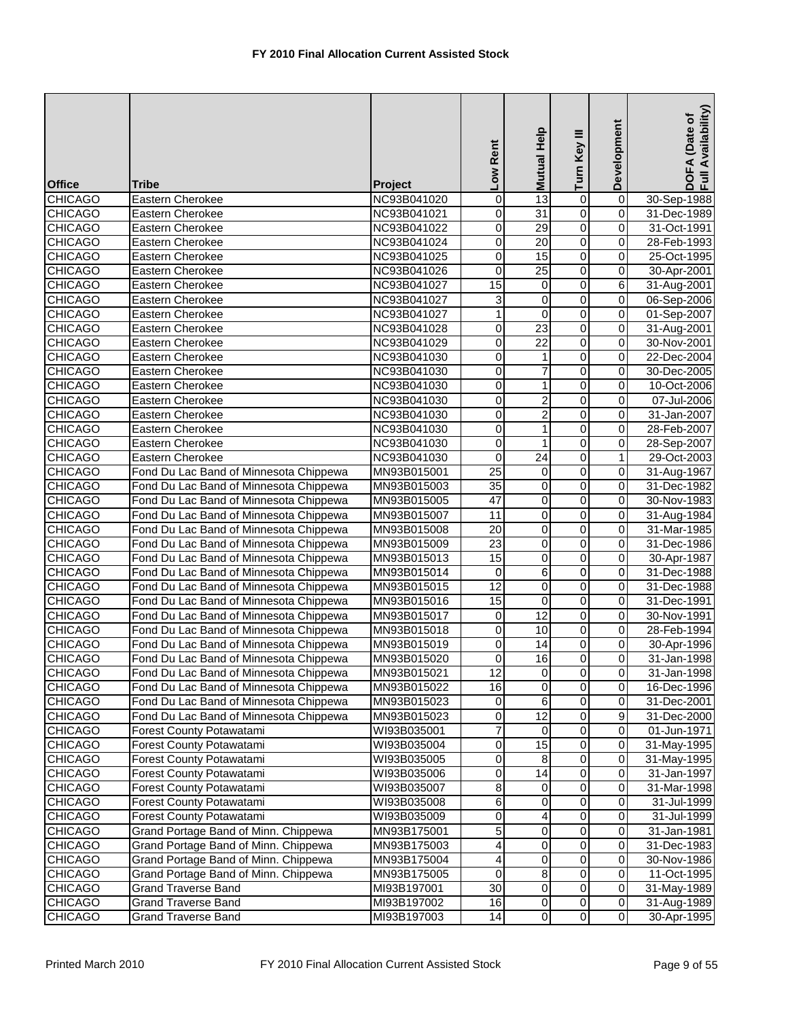| <b>Office</b>  | Tribe                                  | Project     | Low Rent        | Help<br><b>Mutual</b>   | Turn Key III            | Development             | Availability)<br>DOFA (Date of<br>Full Availability |
|----------------|----------------------------------------|-------------|-----------------|-------------------------|-------------------------|-------------------------|-----------------------------------------------------|
| <b>CHICAGO</b> | Eastern Cherokee                       | NC93B041020 | 0               | 13                      | $\mathbf 0$             | $\overline{0}$          | 30-Sep-1988                                         |
| <b>CHICAGO</b> | Eastern Cherokee                       | NC93B041021 | 0               | 31                      | $\overline{0}$          | $\overline{0}$          | 31-Dec-1989                                         |
| <b>CHICAGO</b> | Eastern Cherokee                       | NC93B041022 | 0               | 29                      | $\overline{0}$          | 0                       | 31-Oct-1991                                         |
| <b>CHICAGO</b> | Eastern Cherokee                       | NC93B041024 | 0               | $\overline{20}$         | 0                       | 0                       | 28-Feb-1993                                         |
| <b>CHICAGO</b> | Eastern Cherokee                       | NC93B041025 | $\mathbf 0$     | 15                      | $\overline{0}$          | 0                       | 25-Oct-1995                                         |
| <b>CHICAGO</b> | Eastern Cherokee                       | NC93B041026 | 0               | 25                      | 0                       | 0                       | 30-Apr-2001                                         |
| <b>CHICAGO</b> | Eastern Cherokee                       | NC93B041027 | 15              | 0                       | $\overline{0}$          | $\overline{6}$          | 31-Aug-2001                                         |
| <b>CHICAGO</b> | Eastern Cherokee                       | NC93B041027 | 3               | 0                       | $\overline{0}$          | 0                       | 06-Sep-2006                                         |
| <b>CHICAGO</b> | Eastern Cherokee                       | NC93B041027 | $\mathbf{1}$    | $\mathbf 0$             | $\overline{0}$          | 0                       | 01-Sep-2007                                         |
| <b>CHICAGO</b> | Eastern Cherokee                       | NC93B041028 | $\overline{0}$  | 23                      | $\overline{0}$          | 0                       | 31-Aug-2001                                         |
| <b>CHICAGO</b> | Eastern Cherokee                       | NC93B041029 | $\overline{0}$  | $\overline{22}$         | $\overline{0}$          | $\overline{\mathbf{0}}$ | 30-Nov-2001                                         |
| <b>CHICAGO</b> | Eastern Cherokee                       | NC93B041030 | $\mathbf 0$     | 1                       | $\overline{0}$          | 0                       | 22-Dec-2004                                         |
| <b>CHICAGO</b> | Eastern Cherokee                       | NC93B041030 | 0               | 7                       | 0                       | 0                       | 30-Dec-2005                                         |
| <b>CHICAGO</b> | Eastern Cherokee                       | NC93B041030 | $\overline{0}$  | 1                       | $\overline{0}$          | $\overline{0}$          | 10-Oct-2006                                         |
| <b>CHICAGO</b> | Eastern Cherokee                       | NC93B041030 | 0               | $\overline{\mathbf{c}}$ | $\overline{0}$          | 0                       | 07-Jul-2006                                         |
| <b>CHICAGO</b> | Eastern Cherokee                       | NC93B041030 | 0               | $\overline{c}$          | $\overline{0}$          | 0                       | 31-Jan-2007                                         |
| <b>CHICAGO</b> | Eastern Cherokee                       | NC93B041030 | 0               | $\mathbf{1}$            | $\overline{0}$          | $\overline{0}$          | 28-Feb-2007                                         |
| <b>CHICAGO</b> | Eastern Cherokee                       | NC93B041030 | 0               | $\mathbf 1$             | $\overline{0}$          | 0                       | 28-Sep-2007                                         |
| <b>CHICAGO</b> | Eastern Cherokee                       | NC93B041030 | 0               | $\overline{24}$         | 0                       | 1                       | 29-Oct-2003                                         |
| <b>CHICAGO</b> | Fond Du Lac Band of Minnesota Chippewa | MN93B015001 | 25              | 0                       | $\mathsf 0$             | 0                       | 31-Aug-1967                                         |
| <b>CHICAGO</b> | Fond Du Lac Band of Minnesota Chippewa | MN93B015003 | $\overline{35}$ | $\overline{0}$          | $\overline{0}$          | 0                       | 31-Dec-1982                                         |
| <b>CHICAGO</b> | Fond Du Lac Band of Minnesota Chippewa | MN93B015005 | $\overline{47}$ | $\pmb{0}$               | $\overline{0}$          | $\overline{\mathbf{0}}$ | 30-Nov-1983                                         |
| <b>CHICAGO</b> | Fond Du Lac Band of Minnesota Chippewa | MN93B015007 | $\overline{11}$ | $\pmb{0}$               | $\overline{0}$          | 0                       | 31-Aug-1984                                         |
| <b>CHICAGO</b> | Fond Du Lac Band of Minnesota Chippewa | MN93B015008 | $\overline{20}$ | $\pmb{0}$               | $\overline{0}$          | 0                       | 31-Mar-1985                                         |
| <b>CHICAGO</b> | Fond Du Lac Band of Minnesota Chippewa | MN93B015009 | $\overline{23}$ | $\overline{0}$          | $\overline{0}$          | 0                       | 31-Dec-1986                                         |
| <b>CHICAGO</b> | Fond Du Lac Band of Minnesota Chippewa | MN93B015013 | 15              | 0                       | $\overline{0}$          | 0                       | 30-Apr-1987                                         |
| <b>CHICAGO</b> | Fond Du Lac Band of Minnesota Chippewa | MN93B015014 | 0               | 6                       | $\overline{0}$          | 0                       | 31-Dec-1988                                         |
| <b>CHICAGO</b> | Fond Du Lac Band of Minnesota Chippewa | MN93B015015 | 12              | 0                       | $\overline{0}$          | 0                       | 31-Dec-1988                                         |
| <b>CHICAGO</b> | Fond Du Lac Band of Minnesota Chippewa | MN93B015016 | 15              | $\mathbf 0$             | 0                       | $\mathbf 0$             | 31-Dec-1991                                         |
| <b>CHICAGO</b> | Fond Du Lac Band of Minnesota Chippewa | MN93B015017 | 0               | 12                      | $\overline{0}$          | 0                       | 30-Nov-1991                                         |
| <b>CHICAGO</b> | Fond Du Lac Band of Minnesota Chippewa | MN93B015018 | 0               | 10                      | $\overline{0}$          | 0                       | 28-Feb-1994                                         |
| <b>CHICAGO</b> | Fond Du Lac Band of Minnesota Chippewa | MN93B015019 | 0               | 14                      | $\overline{0}$          | 0                       | 30-Apr-1996                                         |
| <b>CHICAGO</b> | Fond Du Lac Band of Minnesota Chippewa | MN93B015020 | 0               | 16                      | 0                       | 0                       | 31-Jan-1998                                         |
| <b>CHICAGO</b> | Fond Du Lac Band of Minnesota Chippewa | MN93B015021 | 12              | $\overline{0}$          | $\overline{0}$          | $\mathbf 0$             | 31-Jan-1998                                         |
| <b>CHICAGO</b> | Fond Du Lac Band of Minnesota Chippewa | MN93B015022 | 16              | $\mathbf 0$             | $\overline{0}$          | 0                       | 16-Dec-1996                                         |
| <b>CHICAGO</b> | Fond Du Lac Band of Minnesota Chippewa | MN93B015023 | $\overline{0}$  | 6                       | $\overline{\mathsf{o}}$ | $\pmb{0}$               | 31-Dec-2001                                         |
| <b>CHICAGO</b> | Fond Du Lac Band of Minnesota Chippewa | MN93B015023 | 0               | $\overline{12}$         | $\overline{0}$          | 9                       | 31-Dec-2000                                         |
| <b>CHICAGO</b> | Forest County Potawatami               | WI93B035001 | 7               | 0                       | 0                       | 0                       | 01-Jun-1971                                         |
| <b>CHICAGO</b> | Forest County Potawatami               | WI93B035004 | $\overline{0}$  | 15                      | $\overline{\mathsf{o}}$ | 0                       | 31-May-1995                                         |
| <b>CHICAGO</b> | Forest County Potawatami               | WI93B035005 | 0               | 8                       | 0                       | 0                       | 31-May-1995                                         |
| <b>CHICAGO</b> | Forest County Potawatami               | WI93B035006 | 0               | 14                      | 0                       | $\mathbf 0$             | 31-Jan-1997                                         |
| <b>CHICAGO</b> | <b>Forest County Potawatami</b>        | WI93B035007 | 8               | 0                       | 0                       | 0                       | 31-Mar-1998                                         |
| <b>CHICAGO</b> | Forest County Potawatami               | WI93B035008 | 6               | 0                       | 0                       | $\mathsf{O}\xspace$     | 31-Jul-1999                                         |
| <b>CHICAGO</b> | Forest County Potawatami               | WI93B035009 | 0               | 4                       | 0                       | 0                       | 31-Jul-1999                                         |
| <b>CHICAGO</b> | Grand Portage Band of Minn. Chippewa   | MN93B175001 | 5               | 0                       | 0                       | 0                       | 31-Jan-1981                                         |
| <b>CHICAGO</b> | Grand Portage Band of Minn. Chippewa   | MN93B175003 | 4               | 0                       | $\overline{0}$          | 0                       | 31-Dec-1983                                         |
| <b>CHICAGO</b> | Grand Portage Band of Minn. Chippewa   | MN93B175004 | 4               | $\mathbf 0$             | $\overline{\mathsf{o}}$ | $\mathbf 0$             | 30-Nov-1986                                         |
| <b>CHICAGO</b> | Grand Portage Band of Minn. Chippewa   | MN93B175005 | 0               | 8                       | 0                       | 0                       | 11-Oct-1995                                         |
| <b>CHICAGO</b> | <b>Grand Traverse Band</b>             | MI93B197001 | 30              | $\mathbf 0$             | 0                       | 0                       | 31-May-1989                                         |
| <b>CHICAGO</b> | <b>Grand Traverse Band</b>             | MI93B197002 | 16              | $\pmb{0}$               | $\overline{\mathbf{o}}$ | $\mathsf{O}\xspace$     | 31-Aug-1989                                         |
| <b>CHICAGO</b> | <b>Grand Traverse Band</b>             | MI93B197003 | 14              | $\overline{0}$          | $\overline{0}$          | $\overline{\mathsf{o}}$ | 30-Apr-1995                                         |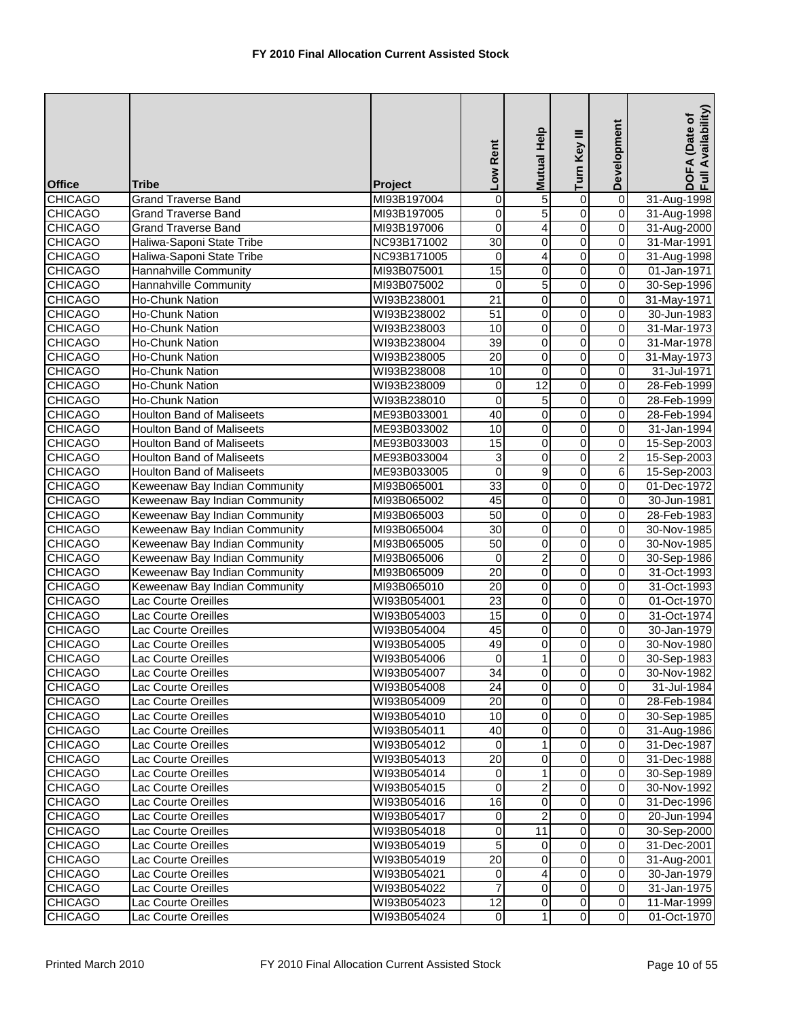|                                  |                                                                |                            | Low Rent                       | Mutual Help             | Turn Key III                  | Development             | DOFA (Date of<br>Full Availability) |
|----------------------------------|----------------------------------------------------------------|----------------------------|--------------------------------|-------------------------|-------------------------------|-------------------------|-------------------------------------|
|                                  |                                                                |                            |                                |                         |                               |                         |                                     |
| <b>Office</b>                    | Tribe                                                          | Project                    |                                |                         |                               |                         |                                     |
| <b>CHICAGO</b>                   | Grand Traverse Band                                            | MI93B197004                | 0                              | 5                       | 0                             | $\overline{\mathbf{0}}$ | 31-Aug-1998                         |
| <b>CHICAGO</b>                   | <b>Grand Traverse Band</b>                                     | MI93B197005                | 0                              | $\overline{5}$          | $\overline{0}$                | $\overline{0}$          | 31-Aug-1998                         |
| <b>CHICAGO</b>                   | <b>Grand Traverse Band</b>                                     | MI93B197006                | $\overline{0}$                 | 4                       | $\overline{0}$                | 0                       | 31-Aug-2000                         |
| <b>CHICAGO</b>                   | Haliwa-Saponi State Tribe                                      | NC93B171002                | $\overline{30}$                | 0                       | $\overline{0}$                | 0                       | 31-Mar-1991                         |
| <b>CHICAGO</b>                   | Haliwa-Saponi State Tribe                                      | NC93B171005                | 0                              | 4                       | $\overline{0}$                | 0                       | 31-Aug-1998                         |
| <b>CHICAGO</b>                   | Hannahville Community                                          | MI93B075001                | 15                             | 0                       | $\overline{0}$                | 0                       | 01-Jan-1971                         |
| <b>CHICAGO</b>                   | Hannahville Community                                          | MI93B075002                | $\mathbf 0$                    | $\overline{5}$          | $\overline{0}$                | 0                       | 30-Sep-1996                         |
| <b>CHICAGO</b>                   | <b>Ho-Chunk Nation</b>                                         | WI93B238001                | $\overline{21}$                | 0                       | $\overline{0}$                | $\overline{\mathbf{0}}$ | 31-May-1971                         |
| <b>CHICAGO</b>                   | Ho-Chunk Nation                                                | WI93B238002                | 51                             | $\pmb{0}$               | $\overline{0}$                | 0                       | 30-Jun-1983                         |
| <b>CHICAGO</b>                   | Ho-Chunk Nation                                                | WI93B238003                | 10                             | $\pmb{0}$               | $\overline{0}$                | 0                       | 31-Mar-1973                         |
| <b>CHICAGO</b>                   | <b>Ho-Chunk Nation</b>                                         | WI93B238004                | 39                             | $\overline{0}$          | $\overline{0}$                | 0                       | 31-Mar-1978                         |
| <b>CHICAGO</b>                   | <b>Ho-Chunk Nation</b>                                         | WI93B238005                | $\overline{20}$                | 0                       | $\overline{0}$                | 0                       | 31-May-1973                         |
| <b>CHICAGO</b>                   | <b>Ho-Chunk Nation</b>                                         | WI93B238008                | 10                             | $\mathbf 0$             | $\overline{0}$                | 0                       | 31-Jul-1971                         |
| <b>CHICAGO</b>                   | <b>Ho-Chunk Nation</b>                                         | WI93B238009                | $\mathbf 0$                    | $\overline{12}$         | $\overline{0}$                | 0                       | 28-Feb-1999                         |
| <b>CHICAGO</b>                   | <b>Ho-Chunk Nation</b>                                         | WI93B238010                | $\overline{0}$                 | 5                       | $\overline{0}$                | $\overline{\mathbf{0}}$ | 28-Feb-1999                         |
| <b>CHICAGO</b>                   | <b>Houlton Band of Maliseets</b>                               | ME93B033001                | 40                             | $\mathbf 0$             | $\overline{0}$                | 0                       | 28-Feb-1994                         |
| <b>CHICAGO</b>                   | <b>Houlton Band of Maliseets</b>                               | ME93B033002                | 10                             | $\pmb{0}$               | 0                             | 0                       | 31-Jan-1994                         |
| <b>CHICAGO</b>                   | <b>Houlton Band of Maliseets</b>                               | ME93B033003                | 15                             | $\overline{0}$          | $\overline{0}$                | 0                       | 15-Sep-2003                         |
| <b>CHICAGO</b>                   | <b>Houlton Band of Maliseets</b>                               | ME93B033004                | 3                              | $\pmb{0}$               | 0                             | 2                       | 15-Sep-2003                         |
| <b>CHICAGO</b><br><b>CHICAGO</b> | <b>Houlton Band of Maliseets</b>                               | ME93B033005                | $\mathbf 0$<br>$\overline{33}$ | 9<br>0                  | $\mathbf 0$<br>$\overline{0}$ | 6<br>0                  | 15-Sep-2003                         |
|                                  | Keweenaw Bay Indian Community                                  | MI93B065001                | 45                             | $\overline{0}$          | $\overline{0}$                | $\overline{\mathbf{0}}$ | 01-Dec-1972                         |
| <b>CHICAGO</b><br><b>CHICAGO</b> | Keweenaw Bay Indian Community<br>Keweenaw Bay Indian Community | MI93B065002<br>MI93B065003 | $\overline{50}$                | 0                       | $\overline{0}$                | 0                       | 30-Jun-1981<br>28-Feb-1983          |
| <b>CHICAGO</b>                   | Keweenaw Bay Indian Community                                  | MI93B065004                | 30                             | $\pmb{0}$               | $\overline{0}$                | 0                       | 30-Nov-1985                         |
| <b>CHICAGO</b>                   | Keweenaw Bay Indian Community                                  | MI93B065005                | $\overline{50}$                | $\overline{0}$          | $\overline{0}$                | 0                       | 30-Nov-1985                         |
| <b>CHICAGO</b>                   | Keweenaw Bay Indian Community                                  | MI93B065006                | 0                              | $\overline{2}$          | $\overline{0}$                | 0                       | 30-Sep-1986                         |
| <b>CHICAGO</b>                   | Keweenaw Bay Indian Community                                  | MI93B065009                | $\overline{20}$                | 0                       | $\overline{0}$                | 0                       | 31-Oct-1993                         |
| <b>CHICAGO</b>                   | Keweenaw Bay Indian Community                                  | MI93B065010                | 20                             | 0                       | 0                             | 0                       | 31-Oct-1993                         |
| <b>CHICAGO</b>                   | Lac Courte Oreilles                                            | WI93B054001                | $\overline{23}$                | $\overline{0}$          | $\overline{0}$                | 0                       | 01-Oct-1970                         |
| <b>CHICAGO</b>                   | Lac Courte Oreilles                                            | WI93B054003                | $\overline{15}$                | 0                       | $\overline{0}$                | 0                       | 31-Oct-1974                         |
| <b>CHICAGO</b>                   | Lac Courte Oreilles                                            | WI93B054004                | 45                             | $\mathbf 0$             | $\overline{0}$                | $\overline{0}$          | 30-Jan-1979                         |
| <b>CHICAGO</b>                   | Lac Courte Oreilles                                            | WI93B054005                | 49                             | $\pmb{0}$               | $\overline{0}$                | 0                       | 30-Nov-1980                         |
| <b>CHICAGO</b>                   | Lac Courte Oreilles                                            | WI93B054006                | 0                              | 1                       | 0                             | 0                       | 30-Sep-1983                         |
| <b>CHICAGO</b>                   | Lac Courte Oreilles                                            | WI93B054007                | 34                             | $\overline{0}$          | $\overline{0}$                | 0                       | 30-Nov-1982                         |
| <b>CHICAGO</b>                   | Lac Courte Oreilles                                            | WI93B054008                | 24                             | $\overline{0}$          | $\overline{0}$                | $\mathbf 0$             | 31-Jul-1984                         |
| <b>CHICAGO</b>                   | Lac Courte Oreilles                                            | WI93B054009                | 20                             | $\mathbf 0$             | $\overline{\mathbf{o}}$       | $\mathbf 0$             | 28-Feb-1984                         |
| <b>CHICAGO</b>                   | Lac Courte Oreilles                                            | WI93B054010                | 10                             | $\mathbf 0$             | 0                             | $\mathbf 0$             | 30-Sep-1985                         |
| <b>CHICAGO</b>                   | Lac Courte Oreilles                                            | WI93B054011                | 40                             | 0                       | 0                             | 0                       | 31-Aug-1986                         |
| <b>CHICAGO</b>                   | Lac Courte Oreilles                                            | WI93B054012                | $\mathbf 0$                    | $\mathbf{1}$            | 0                             | 0                       | 31-Dec-1987                         |
| <b>CHICAGO</b>                   | Lac Courte Oreilles                                            | WI93B054013                | 20                             | $\mathbf 0$             | 0                             | $\mathbf 0$             | 31-Dec-1988                         |
| <b>CHICAGO</b>                   | Lac Courte Oreilles                                            | WI93B054014                | 0                              | $\mathbf{1}$            | 0                             | $\mathbf 0$             | 30-Sep-1989                         |
| <b>CHICAGO</b>                   | Lac Courte Oreilles                                            | WI93B054015                | 0                              | $\overline{c}$          | 0                             | $\mathbf 0$             | 30-Nov-1992                         |
| <b>CHICAGO</b>                   | Lac Courte Oreilles                                            | WI93B054016                | 16                             | $\mathbf 0$             | $\overline{\mathsf{o}}$       | $\mathbf 0$             | 31-Dec-1996                         |
| <b>CHICAGO</b>                   | Lac Courte Oreilles                                            | WI93B054017                | $\overline{0}$                 | $\overline{\mathbf{c}}$ | $\mathbf 0$                   | $\mathbf 0$             | 20-Jun-1994                         |
| <b>CHICAGO</b>                   | Lac Courte Oreilles                                            | WI93B054018                | 0                              | 11                      | 0                             | $\mathbf 0$             | 30-Sep-2000                         |
| <b>CHICAGO</b>                   | Lac Courte Oreilles                                            | WI93B054019                | 5                              | 0                       | $\overline{0}$                | 0                       | 31-Dec-2001                         |
| <b>CHICAGO</b>                   | Lac Courte Oreilles                                            | WI93B054019                | 20                             | 0                       | 0                             | $\mathbf 0$             | 31-Aug-2001                         |
| <b>CHICAGO</b>                   | Lac Courte Oreilles                                            | WI93B054021                | 0                              | 4                       | 0                             | $\mathbf 0$             | 30-Jan-1979                         |
| <b>CHICAGO</b>                   | Lac Courte Oreilles                                            | WI93B054022                | $\overline{7}$                 | $\mathbf 0$             | $\overline{\mathsf{o}}$       | $\mathbf 0$             | 31-Jan-1975                         |
| <b>CHICAGO</b>                   | Lac Courte Oreilles                                            | WI93B054023                | 12                             | $\mathbf 0$             | $\overline{0}$                | $\overline{0}$          | 11-Mar-1999                         |
| <b>CHICAGO</b>                   | Lac Courte Oreilles                                            | WI93B054024                | $\overline{0}$                 | $\mathbf{1}$            | $\overline{\mathsf{o}}$       | $\overline{0}$          | 01-Oct-1970                         |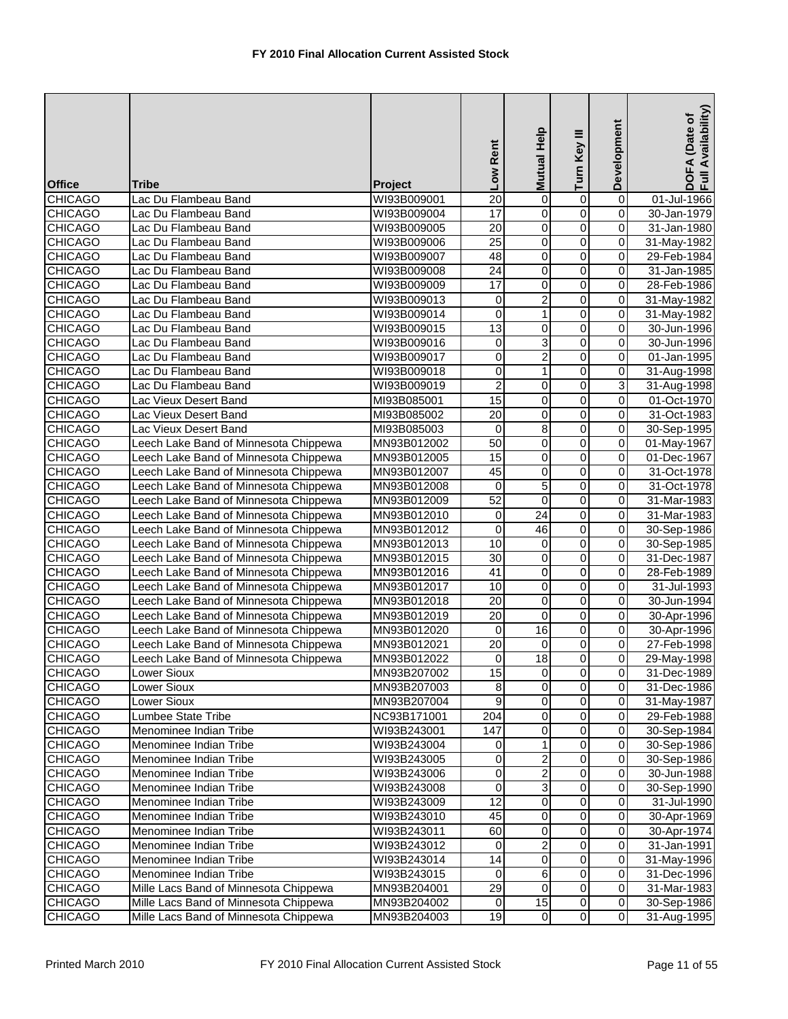|                                  |                                                                                |                            | Low Rent          | Help<br><b>Mutual</b>             | Turn Key III                              | Development                 | Availability)<br>DOFA (Date of<br>Full Availability |
|----------------------------------|--------------------------------------------------------------------------------|----------------------------|-------------------|-----------------------------------|-------------------------------------------|-----------------------------|-----------------------------------------------------|
| <b>Office</b>                    | Tribe                                                                          | Project                    |                   |                                   |                                           |                             |                                                     |
| <b>CHICAGO</b>                   | Lac Du Flambeau Band                                                           | WI93B009001                | $\overline{20}$   | $\overline{0}$                    | 0                                         | $\overline{0}$              | 01-Jul-1966                                         |
| <b>CHICAGO</b>                   | Lac Du Flambeau Band                                                           | WI93B009004                | 17                | 0                                 | $\overline{0}$                            | $\overline{0}$              | 30-Jan-1979                                         |
| <b>CHICAGO</b>                   | Lac Du Flambeau Band                                                           | WI93B009005                | $\overline{20}$   | $\overline{0}$                    | $\overline{0}$                            | $\mathbf 0$                 | 31-Jan-1980                                         |
| <b>CHICAGO</b>                   | Lac Du Flambeau Band                                                           | WI93B009006                | $\overline{25}$   | O                                 | $\overline{0}$                            | $\overline{0}$              | 31-May-1982                                         |
| <b>CHICAGO</b>                   | Lac Du Flambeau Band                                                           | WI93B009007                | 48                | 0                                 | 0                                         | $\overline{0}$              | 29-Feb-1984                                         |
| <b>CHICAGO</b>                   | Lac Du Flambeau Band                                                           | WI93B009008                | 24                | 0                                 | $\overline{0}$                            | $\pmb{0}$                   | 31-Jan-1985                                         |
| <b>CHICAGO</b>                   | Lac Du Flambeau Band                                                           | WI93B009009                | 17                | $\overline{0}$                    | $\overline{0}$                            | $\overline{0}$              | 28-Feb-1986                                         |
| <b>CHICAGO</b>                   | Lac Du Flambeau Band                                                           | WI93B009013                | 0                 | $\overline{2}$                    | $\overline{0}$                            | $\overline{0}$              | 31-May-1982                                         |
| <b>CHICAGO</b>                   | Lac Du Flambeau Band                                                           | WI93B009014                | $\overline{0}$    | $\overline{1}$                    | $\overline{0}$                            | $\overline{0}$              | 31-May-1982                                         |
| <b>CHICAGO</b>                   | Lac Du Flambeau Band                                                           | WI93B009015                | $\overline{13}$   | 0                                 | $\overline{0}$                            | $\pmb{0}$                   | 30-Jun-1996                                         |
| <b>CHICAGO</b>                   | Lac Du Flambeau Band                                                           | WI93B009016                | $\pmb{0}$         | $\overline{3}$                    | $\overline{0}$                            | $\overline{0}$              | 30-Jun-1996                                         |
| <b>CHICAGO</b>                   | Lac Du Flambeau Band                                                           | WI93B009017                | $\mathbf 0$       | $\overline{2}$                    | 0                                         | 0                           | 01-Jan-1995                                         |
| <b>CHICAGO</b>                   | Lac Du Flambeau Band                                                           | WI93B009018                | 0                 | $\mathbf{1}$                      | $\overline{0}$                            | $\pmb{0}$                   | 31-Aug-1998                                         |
| <b>CHICAGO</b>                   | Lac Du Flambeau Band                                                           | WI93B009019                | $\overline{2}$    | 0                                 | $\overline{0}$                            | $\overline{3}$              | 31-Aug-1998                                         |
| <b>CHICAGO</b>                   | Lac Vieux Desert Band                                                          | MI93B085001                | 15                | O                                 | $\overline{0}$                            | $\overline{0}$              | 01-Oct-1970                                         |
| <b>CHICAGO</b>                   | Lac Vieux Desert Band                                                          | MI93B085002                | $\overline{20}$   | $\mathsf 0$                       | $\mathsf 0$                               | $\overline{0}$              | 31-Oct-1983                                         |
| <b>CHICAGO</b>                   | Lac Vieux Desert Band                                                          | MI93B085003                | 0                 | 8                                 | $\overline{0}$                            | $\pmb{0}$                   | 30-Sep-1995                                         |
| <b>CHICAGO</b>                   | Leech Lake Band of Minnesota Chippewa                                          | MN93B012002                | $\overline{50}$   | O                                 | $\overline{0}$                            | $\overline{0}$              | 01-May-1967                                         |
| <b>CHICAGO</b>                   | Leech Lake Band of Minnesota Chippewa                                          | MN93B012005                | 15                | 0                                 | 0                                         | 0                           | 01-Dec-1967                                         |
| <b>CHICAGO</b>                   | Leech Lake Band of Minnesota Chippewa                                          | MN93B012007                | 45                | $\mathbf 0$                       | 0                                         | $\mathsf 0$                 | 31-Oct-1978                                         |
| <b>CHICAGO</b>                   | Leech Lake Band of Minnesota Chippewa                                          | MN93B012008                | $\boldsymbol{0}$  | $\overline{5}$                    | $\overline{0}$                            | $\overline{0}$              | 31-Oct-1978                                         |
| <b>CHICAGO</b>                   | Leech Lake Band of Minnesota Chippewa                                          | MN93B012009                | 52                | $\overline{0}$<br>$\overline{24}$ | $\overline{0}$                            | $\overline{0}$              | 31-Mar-1983                                         |
| <b>CHICAGO</b>                   | Leech Lake Band of Minnesota Chippewa                                          | MN93B012010                | 0                 |                                   | $\overline{0}$                            | $\overline{0}$              | 31-Mar-1983                                         |
| <b>CHICAGO</b><br><b>CHICAGO</b> | Leech Lake Band of Minnesota Chippewa<br>Leech Lake Band of Minnesota Chippewa | MN93B012012<br>MN93B012013 | $\mathbf 0$<br>10 | 46<br>$\overline{0}$              | $\overline{0}$<br>$\overline{\mathbf{0}}$ | $\pmb{0}$<br>$\overline{0}$ | 30-Sep-1986<br>30-Sep-1985                          |
| <b>CHICAGO</b>                   | Leech Lake Band of Minnesota Chippewa                                          | MN93B012015                | $\overline{30}$   | $\mathsf{O}\xspace$               | $\overline{0}$                            | $\overline{0}$              | 31-Dec-1987                                         |
| <b>CHICAGO</b>                   | Leech Lake Band of Minnesota Chippewa                                          | MN93B012016                | 41                | 0                                 | $\overline{0}$                            | 0                           | 28-Feb-1989                                         |
| <b>CHICAGO</b>                   | Leech Lake Band of Minnesota Chippewa                                          | MN93B012017                | 10                | 0                                 | 0                                         | 0                           | 31-Jul-1993                                         |
| <b>CHICAGO</b>                   | Leech Lake Band of Minnesota Chippewa                                          | MN93B012018                | 20                | O                                 | $\overline{0}$                            | $\overline{0}$              | 30-Jun-1994                                         |
| <b>CHICAGO</b>                   | Leech Lake Band of Minnesota Chippewa                                          | MN93B012019                | $\overline{20}$   | 0                                 | 0                                         | $\overline{0}$              | 30-Apr-1996                                         |
| <b>CHICAGO</b>                   | Leech Lake Band of Minnesota Chippewa                                          | MN93B012020                | 0                 | 16                                | $\overline{0}$                            | $\pmb{0}$                   | 30-Apr-1996                                         |
| <b>CHICAGO</b>                   | Leech Lake Band of Minnesota Chippewa                                          | MN93B012021                | $\overline{20}$   | $\pmb{0}$                         | 0                                         | $\overline{0}$              | 27-Feb-1998                                         |
| <b>CHICAGO</b>                   | Leech Lake Band of Minnesota Chippewa                                          | MN93B012022                | 0                 | $\overline{18}$                   | 0                                         | 0                           | 29-May-1998                                         |
| <b>CHICAGO</b>                   | Lower Sioux                                                                    | MN93B207002                | 15                | $\overline{0}$                    | $\pmb{0}$                                 | $\overline{0}$              | 31-Dec-1989                                         |
| <b>CHICAGO</b>                   | Lower Sioux                                                                    | MN93B207003                | $\overline{8}$    | $\overline{0}$                    | $\overline{0}$                            | $\overline{0}$              | 31-Dec-1986                                         |
| <b>CHICAGO</b>                   | Lower Sioux                                                                    | MN93B207004                | $\overline{9}$    | 0                                 | $\overline{0}$                            | $\overline{0}$              | 31-May-1987                                         |
| <b>CHICAGO</b>                   | <b>Lumbee State Tribe</b>                                                      | NC93B171001                | 204               | 0                                 | 0                                         | $\mathbf 0$                 | 29-Feb-1988                                         |
| <b>CHICAGO</b>                   | Menominee Indian Tribe                                                         | WI93B243001                | 147               | 0                                 | 0                                         | $\pmb{0}$                   | 30-Sep-1984                                         |
| <b>CHICAGO</b>                   | Menominee Indian Tribe                                                         | WI93B243004                | 0                 | $\mathbf{1}$                      | $\overline{0}$                            | $\mathbf 0$                 | 30-Sep-1986                                         |
| <b>CHICAGO</b>                   | Menominee Indian Tribe                                                         | WI93B243005                | 0                 | $\overline{a}$                    | $\overline{\mathsf{o}}$                   | $\pmb{0}$                   | 30-Sep-1986                                         |
| <b>CHICAGO</b>                   | Menominee Indian Tribe                                                         | WI93B243006                | $\pmb{0}$         | $\overline{a}$                    | 0                                         | $\mathbf 0$                 | 30-Jun-1988                                         |
| <b>CHICAGO</b>                   | Menominee Indian Tribe                                                         | WI93B243008                | 0                 | $\overline{3}$                    | 0                                         | 0                           | 30-Sep-1990                                         |
| <b>CHICAGO</b>                   | Menominee Indian Tribe                                                         | WI93B243009                | $\overline{12}$   | $\overline{0}$                    | $\overline{\mathsf{o}}$                   | $\overline{\mathbf{0}}$     | 31-Jul-1990                                         |
| <b>CHICAGO</b>                   | Menominee Indian Tribe                                                         | WI93B243010                | 45                | $\overline{0}$                    | $\overline{\mathsf{o}}$                   | $\pmb{0}$                   | 30-Apr-1969                                         |
| <b>CHICAGO</b>                   | Menominee Indian Tribe                                                         | WI93B243011                | 60                | 0                                 | $\mathsf 0$                               | $\mathsf 0$                 | 30-Apr-1974                                         |
| <b>CHICAGO</b>                   | Menominee Indian Tribe                                                         | WI93B243012                | 0                 | $\overline{2}$                    | $\overline{0}$                            | $\mathbf 0$                 | 31-Jan-1991                                         |
| <b>CHICAGO</b>                   | Menominee Indian Tribe                                                         | WI93B243014                | 14                | $\pmb{0}$                         | $\overline{\mathsf{o}}$                   | $\overline{\mathbf{0}}$     | 31-May-1996                                         |
| <b>CHICAGO</b>                   | Menominee Indian Tribe                                                         | WI93B243015                | 0                 | 6                                 | 0                                         | $\mathbf 0$                 | 31-Dec-1996                                         |
| <b>CHICAGO</b>                   | Mille Lacs Band of Minnesota Chippewa                                          | MN93B204001                | 29                | $\overline{0}$                    | 0                                         | $\pmb{0}$                   | 31-Mar-1983                                         |
| <b>CHICAGO</b>                   | Mille Lacs Band of Minnesota Chippewa                                          | MN93B204002                | $\pmb{0}$         | 15                                | $\overline{0}$                            | $\pmb{0}$                   | 30-Sep-1986                                         |
| CHICAGO                          | Mille Lacs Band of Minnesota Chippewa                                          | MN93B204003                | 19                | $\overline{0}$                    | $\overline{0}$                            | $\overline{\mathbf{0}}$     | 31-Aug-1995                                         |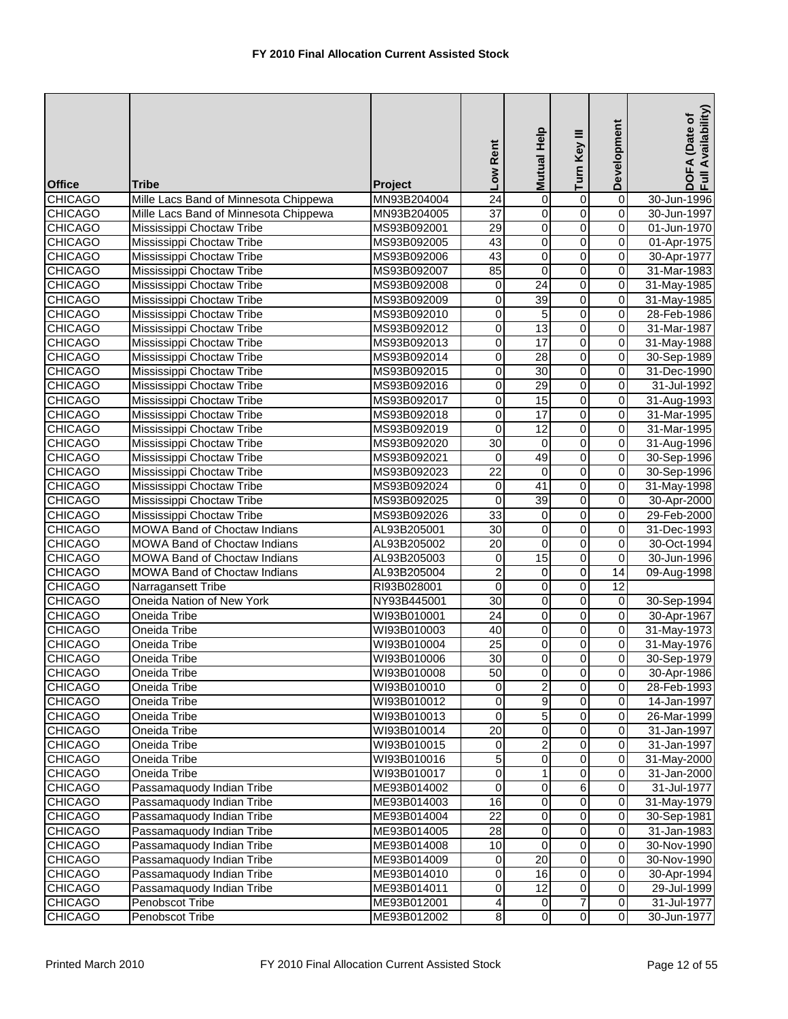| <b>Office</b>  | Tribe                                 | Project     | Low Rent         | Mutual Help             | Turn Key III            | Development             | Availability)<br>DOFA (Date of<br>Full Availability |
|----------------|---------------------------------------|-------------|------------------|-------------------------|-------------------------|-------------------------|-----------------------------------------------------|
| <b>CHICAGO</b> | Mille Lacs Band of Minnesota Chippewa | MN93B204004 | $\overline{24}$  | $\overline{0}$          | 0                       | $\overline{0}$          | 30-Jun-1996                                         |
| <b>CHICAGO</b> | Mille Lacs Band of Minnesota Chippewa | MN93B204005 | $\overline{37}$  | $\pmb{0}$               | $\overline{0}$          | $\overline{0}$          | 30-Jun-1997                                         |
| <b>CHICAGO</b> | Mississippi Choctaw Tribe             | MS93B092001 | $\overline{29}$  | 0                       | $\overline{0}$          | $\mathbf 0$             | 01-Jun-1970                                         |
| <b>CHICAGO</b> | Mississippi Choctaw Tribe             | MS93B092005 | 43               | $\mathsf{O}\xspace$     | 0                       | $\overline{0}$          | 01-Apr-1975                                         |
| <b>CHICAGO</b> | Mississippi Choctaw Tribe             | MS93B092006 | 43               | 0                       | 0                       | $\overline{0}$          | 30-Apr-1977                                         |
| <b>CHICAGO</b> | Mississippi Choctaw Tribe             | MS93B092007 | 85               | $\mathbf 0$             | $\overline{0}$          | $\overline{0}$          | 31-Mar-1983                                         |
| <b>CHICAGO</b> | Mississippi Choctaw Tribe             | MS93B092008 | $\pmb{0}$        | $\overline{24}$         | $\overline{0}$          | $\overline{0}$          | 31-May-1985                                         |
| <b>CHICAGO</b> | Mississippi Choctaw Tribe             | MS93B092009 | $\mathbf 0$      | 39                      | $\overline{0}$          | $\overline{0}$          | 31-May-1985                                         |
| <b>CHICAGO</b> | Mississippi Choctaw Tribe             | MS93B092010 | $\pmb{0}$        | $\overline{5}$          | $\overline{0}$          | $\overline{0}$          | 28-Feb-1986                                         |
| <b>CHICAGO</b> | Mississippi Choctaw Tribe             | MS93B092012 | 0                | $\overline{13}$         | $\overline{0}$          | $\pmb{0}$               | 31-Mar-1987                                         |
| <b>CHICAGO</b> | Mississippi Choctaw Tribe             | MS93B092013 | $\overline{0}$   | 17                      | $\overline{0}$          | $\overline{0}$          | 31-May-1988                                         |
| <b>CHICAGO</b> | Mississippi Choctaw Tribe             | MS93B092014 | 0                | 28                      | 0                       | $\overline{0}$          | 30-Sep-1989                                         |
| <b>CHICAGO</b> | Mississippi Choctaw Tribe             | MS93B092015 | 0                | 30                      | $\overline{0}$          | 0                       | 31-Dec-1990                                         |
| <b>CHICAGO</b> | Mississippi Choctaw Tribe             | MS93B092016 | 0                | 29                      | $\overline{0}$          | $\pmb{0}$               | 31-Jul-1992                                         |
| <b>CHICAGO</b> | Mississippi Choctaw Tribe             | MS93B092017 | $\pmb{0}$        | 15                      | $\overline{0}$          | $\overline{\mathsf{o}}$ | 31-Aug-1993                                         |
| <b>CHICAGO</b> | Mississippi Choctaw Tribe             | MS93B092018 | $\boldsymbol{0}$ | $\overline{17}$         | $\mathsf 0$             | $\overline{0}$          | 31-Mar-1995                                         |
| <b>CHICAGO</b> | Mississippi Choctaw Tribe             | MS93B092019 | $\mathbf 0$      | $\overline{12}$         | $\overline{0}$          | $\mathbf 0$             | 31-Mar-1995                                         |
| <b>CHICAGO</b> | Mississippi Choctaw Tribe             | MS93B092020 | $\overline{30}$  | $\overline{\mathsf{o}}$ | $\overline{0}$          | $\overline{0}$          | 31-Aug-1996                                         |
| <b>CHICAGO</b> | Mississippi Choctaw Tribe             | MS93B092021 | 0                | 49                      | 0                       | $\overline{0}$          | 30-Sep-1996                                         |
| <b>CHICAGO</b> | Mississippi Choctaw Tribe             | MS93B092023 | 22               | $\mathbf 0$             | $\mathbf 0$             | $\mathsf 0$             | 30-Sep-1996                                         |
| <b>CHICAGO</b> | Mississippi Choctaw Tribe             | MS93B092024 | 0                | 41                      | $\overline{0}$          | $\overline{0}$          | 31-May-1998                                         |
| <b>CHICAGO</b> | Mississippi Choctaw Tribe             | MS93B092025 | $\overline{0}$   | 39                      | $\overline{0}$          | $\overline{0}$          | 30-Apr-2000                                         |
| <b>CHICAGO</b> | Mississippi Choctaw Tribe             | MS93B092026 | $\overline{33}$  | 0                       | $\overline{0}$          | $\overline{0}$          | 29-Feb-2000                                         |
| <b>CHICAGO</b> | MOWA Band of Choctaw Indians          | AL93B205001 | 30               | 0                       | $\overline{0}$          | $\boldsymbol{0}$        | 31-Dec-1993                                         |
| <b>CHICAGO</b> | MOWA Band of Choctaw Indians          | AL93B205002 | $\overline{20}$  | $\overline{0}$          | $\overline{0}$          | $\overline{0}$          | 30-Oct-1994                                         |
| <b>CHICAGO</b> | <b>MOWA Band of Choctaw Indians</b>   | AL93B205003 | 0                | $\overline{15}$         | 0                       | $\overline{0}$          | 30-Jun-1996                                         |
| <b>CHICAGO</b> | <b>MOWA Band of Choctaw Indians</b>   | AL93B205004 | $\overline{2}$   | 0                       | $\overline{0}$          | $\overline{14}$         | 09-Aug-1998                                         |
| <b>CHICAGO</b> | Narragansett Tribe                    | RI93B028001 | $\mathbf 0$      | $\overline{0}$          | 0                       | $\overline{12}$         |                                                     |
| <b>CHICAGO</b> | Oneida Nation of New York             | NY93B445001 | 30               | O                       | $\overline{0}$          | $\overline{0}$          | 30-Sep-1994                                         |
| <b>CHICAGO</b> | Oneida Tribe                          | WI93B010001 | $\overline{24}$  | 0                       | $\overline{0}$          | $\overline{0}$          | 30-Apr-1967                                         |
| <b>CHICAGO</b> | Oneida Tribe                          | WI93B010003 | 40               | $\pmb{0}$               | $\overline{0}$          | $\overline{0}$          | 31-May-1973                                         |
| <b>CHICAGO</b> | Oneida Tribe                          | WI93B010004 | $\overline{25}$  | 0                       | 0                       | $\boldsymbol{0}$        | 31-May-1976                                         |
| <b>CHICAGO</b> | Oneida Tribe                          | WI93B010006 | 30               | $\overline{0}$          | 0                       | $\mathbf 0$             | 30-Sep-1979                                         |
| <b>CHICAGO</b> | Oneida Tribe                          | WI93B010008 | 50               | 01                      | $\pmb{0}$               | $\overline{O}$          | 30-Apr-1986                                         |
| <b>CHICAGO</b> | Oneida Tribe                          | WI93B010010 | 0                | $\overline{2}$          | $\overline{0}$          | $\overline{0}$          | 28-Feb-1993                                         |
| <b>CHICAGO</b> | Oneida Tribe                          | WI93B010012 | $\pmb{0}$        | 9                       | $\overline{\mathsf{o}}$ | $\overline{\mathbf{0}}$ | 14-Jan-1997                                         |
| <b>CHICAGO</b> | Oneida Tribe                          | WI93B010013 | $\mathbf 0$      | 5                       | 0                       | $\mathbf 0$             | 26-Mar-1999                                         |
| <b>CHICAGO</b> | Oneida Tribe                          | WI93B010014 | 20               | 0                       | 0                       | $\mathbf 0$             | 31-Jan-1997                                         |
| <b>CHICAGO</b> | Oneida Tribe                          | WI93B010015 | 0                | $\overline{2}$          | 0                       | $\mathbf 0$             | 31-Jan-1997                                         |
| <b>CHICAGO</b> | Oneida Tribe                          | WI93B010016 | 5                | $\overline{0}$          | $\overline{\mathsf{o}}$ | $\mathbf 0$             | 31-May-2000                                         |
| <b>CHICAGO</b> | Oneida Tribe                          | WI93B010017 | 0                | $\mathbf{1}$            | 0                       | $\pmb{0}$               | 31-Jan-2000                                         |
| <b>CHICAGO</b> | Passamaquody Indian Tribe             | ME93B014002 | 0                | $\overline{0}$          | 6                       | 0                       | 31-Jul-1977                                         |
| <b>CHICAGO</b> | Passamaquody Indian Tribe             | ME93B014003 | 16               | $\overline{0}$          | $\overline{\mathsf{o}}$ | $\mathbf 0$             | 31-May-1979                                         |
| <b>CHICAGO</b> | Passamaquody Indian Tribe             | ME93B014004 | $\overline{22}$  | $\overline{0}$          | $\mathsf{O}\xspace$     | $\pmb{0}$               | 30-Sep-1981                                         |
| <b>CHICAGO</b> | Passamaquody Indian Tribe             | ME93B014005 | 28               | 0                       | 0                       | $\pmb{0}$               | 31-Jan-1983                                         |
| <b>CHICAGO</b> | Passamaquody Indian Tribe             | ME93B014008 | 10               | $\mathbf 0$             | 0                       | $\mathbf 0$             | 30-Nov-1990                                         |
| <b>CHICAGO</b> | Passamaquody Indian Tribe             | ME93B014009 | 0                | 20                      | $\overline{\mathsf{o}}$ | $\mathbf 0$             | 30-Nov-1990                                         |
| <b>CHICAGO</b> | Passamaquody Indian Tribe             | ME93B014010 | 0                | 16                      | 0                       | $\mathbf 0$             | 30-Apr-1994                                         |
| <b>CHICAGO</b> | Passamaquody Indian Tribe             | ME93B014011 | 0                | 12                      | 0                       | $\pmb{0}$               | 29-Jul-1999                                         |
| <b>CHICAGO</b> | Penobscot Tribe                       | ME93B012001 | 4                | $\overline{0}$          | $\overline{7}$          | $\pmb{0}$               | 31-Jul-1977                                         |
| <b>CHICAGO</b> | Penobscot Tribe                       | ME93B012002 | $\infty$         | $\overline{0}$          | $\overline{\mathsf{o}}$ | $\overline{\mathbf{0}}$ | 30-Jun-1977                                         |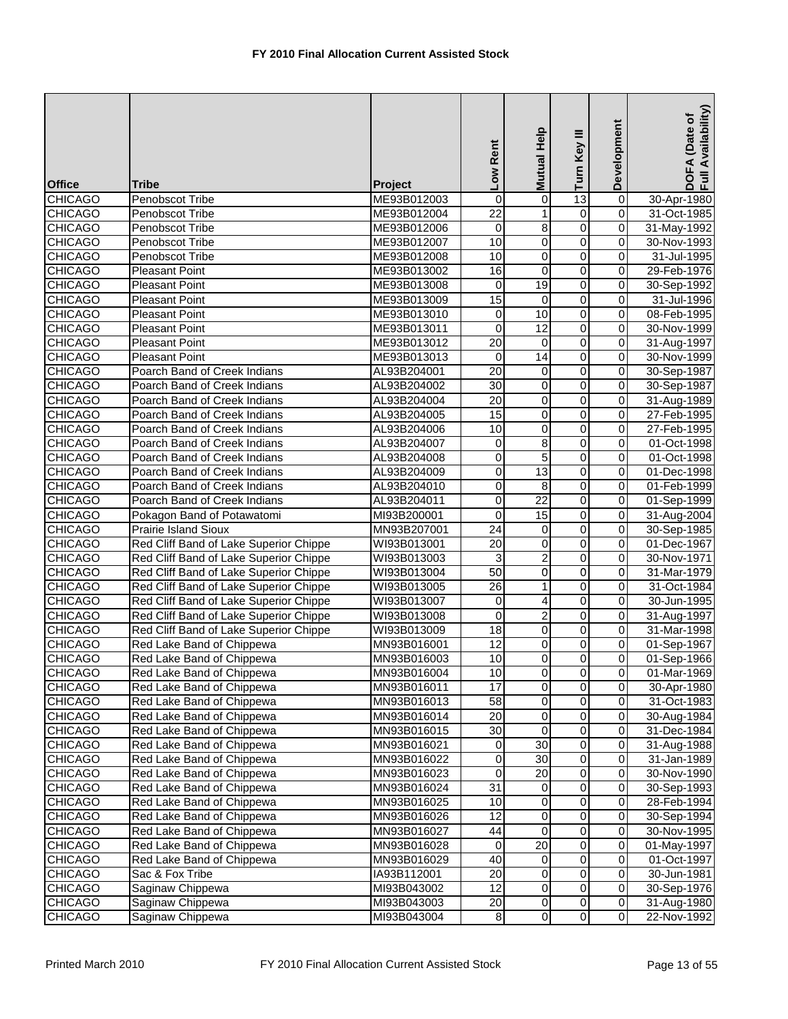| <b>Office</b>                    | <b>Tribe</b>                                                                     | Project                    | Low Rent                           | <b>Mutual Help</b>      | Turn Key III            | Development         | Availability)<br>DOFA (Date of<br>Full Availability |
|----------------------------------|----------------------------------------------------------------------------------|----------------------------|------------------------------------|-------------------------|-------------------------|---------------------|-----------------------------------------------------|
| <b>CHICAGO</b>                   | Penobscot Tribe                                                                  | ME93B012003                | $\boldsymbol{0}$                   | 0                       | $\overline{13}$         | $\overline{0}$      | 30-Apr-1980                                         |
| <b>CHICAGO</b>                   | Penobscot Tribe                                                                  | ME93B012004                | $\overline{22}$                    | $\mathbf{1}$            | 0                       | $\overline{0}$      | 31-Oct-1985                                         |
| <b>CHICAGO</b>                   | Penobscot Tribe                                                                  | ME93B012006                | $\mathbf 0$                        | 8                       | $\overline{0}$          | $\mathbf 0$         | 31-May-1992                                         |
| <b>CHICAGO</b>                   | Penobscot Tribe                                                                  | ME93B012007                | 10                                 | 0                       | $\overline{0}$          | $\overline{0}$      | 30-Nov-1993                                         |
| <b>CHICAGO</b>                   | Penobscot Tribe                                                                  | ME93B012008                | 10                                 | 0                       | 0                       | $\overline{0}$      | 31-Jul-1995                                         |
| <b>CHICAGO</b>                   | Pleasant Point                                                                   | ME93B013002                | 16                                 | $\pmb{0}$               | 0                       | 0                   | 29-Feb-1976                                         |
| <b>CHICAGO</b>                   | <b>Pleasant Point</b>                                                            | ME93B013008                | $\boldsymbol{0}$                   | 19                      | $\overline{0}$          | $\overline{0}$      | 30-Sep-1992                                         |
| <b>CHICAGO</b>                   | <b>Pleasant Point</b>                                                            | ME93B013009                | 15                                 | $\mathbf 0$             | $\overline{\mathsf{o}}$ | $\overline{0}$      | 31-Jul-1996                                         |
| <b>CHICAGO</b>                   | Pleasant Point                                                                   | ME93B013010                | $\pmb{0}$                          | 10                      | $\overline{0}$          | $\pmb{0}$           | 08-Feb-1995                                         |
| <b>CHICAGO</b>                   | <b>Pleasant Point</b>                                                            | ME93B013011                | $\mathbf 0$                        | 12                      | $\overline{0}$          | $\pmb{0}$           | 30-Nov-1999                                         |
| <b>CHICAGO</b>                   | <b>Pleasant Point</b>                                                            | ME93B013012                | $\overline{20}$                    | $\pmb{0}$               | $\overline{0}$          | $\overline{0}$      | 31-Aug-1997                                         |
| <b>CHICAGO</b>                   | <b>Pleasant Point</b>                                                            | ME93B013013                | 0                                  | 14                      | 0                       | $\overline{0}$      | 30-Nov-1999                                         |
| <b>CHICAGO</b>                   | Poarch Band of Creek Indians                                                     | AL93B204001                | 20                                 | 0                       | $\overline{0}$          | 0                   | 30-Sep-1987                                         |
| <b>CHICAGO</b>                   | Poarch Band of Creek Indians                                                     | AL93B204002                | $\overline{30}$                    | $\pmb{0}$               | $\overline{0}$          | $\overline{0}$      | 30-Sep-1987                                         |
| <b>CHICAGO</b>                   | Poarch Band of Creek Indians                                                     | AL93B204004                | $\overline{20}$                    | $\overline{0}$          | $\overline{0}$          | $\overline{0}$      | 31-Aug-1989                                         |
| <b>CHICAGO</b>                   | Poarch Band of Creek Indians                                                     | AL93B204005                | $\overline{15}$                    | $\mathsf 0$             | $\overline{0}$          | $\mathbf 0$         | 27-Feb-1995                                         |
| <b>CHICAGO</b>                   | Poarch Band of Creek Indians                                                     | AL93B204006                | 10                                 | 0                       | 0                       | 0                   | 27-Feb-1995                                         |
| <b>CHICAGO</b>                   | Poarch Band of Creek Indians                                                     | AL93B204007                | $\boldsymbol{0}$                   | $\overline{8}$          | $\overline{0}$          | $\mathbf 0$         | 01-Oct-1998                                         |
| <b>CHICAGO</b>                   | Poarch Band of Creek Indians                                                     | AL93B204008                | 0                                  | 5                       | 0                       | $\pmb{0}$           | 01-Oct-1998                                         |
| <b>CHICAGO</b>                   | Poarch Band of Creek Indians                                                     | AL93B204009                | 0                                  | $\overline{13}$         | $\mathsf 0$             | 0                   | 01-Dec-1998                                         |
| <b>CHICAGO</b>                   | Poarch Band of Creek Indians                                                     | AL93B204010                | $\boldsymbol{0}$                   | 8                       | $\overline{0}$          | $\pmb{0}$           | 01-Feb-1999                                         |
| <b>CHICAGO</b>                   | Poarch Band of Creek Indians                                                     | AL93B204011                | $\overline{0}$                     | $\overline{22}$         | $\overline{0}$          | $\overline{0}$      | 01-Sep-1999                                         |
| <b>CHICAGO</b>                   | Pokagon Band of Potawatomi                                                       | MI93B200001                | $\mathbf 0$                        | $\overline{15}$         | $\overline{0}$          | $\overline{0}$      | 31-Aug-2004                                         |
| <b>CHICAGO</b>                   | Prairie Island Sioux                                                             | MN93B207001                | $\overline{24}$                    | 0                       | $\overline{0}$          | $\boldsymbol{0}$    | 30-Sep-1985                                         |
| <b>CHICAGO</b>                   | Red Cliff Band of Lake Superior Chippe                                           | WI93B013001                | 20                                 | $\overline{0}$          | $\overline{0}$          | $\overline{0}$      | 01-Dec-1967                                         |
| <b>CHICAGO</b>                   | Red Cliff Band of Lake Superior Chippe                                           | WI93B013003                | 3                                  | $\overline{2}$          | $\overline{0}$          | $\overline{0}$      | 30-Nov-1971                                         |
| <b>CHICAGO</b>                   | Red Cliff Band of Lake Superior Chippe                                           | WI93B013004                | $\overline{50}$<br>$\overline{26}$ | 0                       | $\overline{0}$          | 0                   | 31-Mar-1979                                         |
| <b>CHICAGO</b><br><b>CHICAGO</b> | Red Cliff Band of Lake Superior Chippe<br>Red Cliff Band of Lake Superior Chippe | WI93B013005<br>WI93B013007 | $\mathbf 0$                        | $\mathbf{1}$<br>4       | 0<br>$\overline{0}$     | 0<br>$\overline{0}$ | 31-Oct-1984<br>30-Jun-1995                          |
| <b>CHICAGO</b>                   | Red Cliff Band of Lake Superior Chippe                                           | WI93B013008                | $\boldsymbol{0}$                   | $\overline{\mathbf{c}}$ | $\overline{0}$          | $\overline{0}$      | 31-Aug-1997                                         |
| <b>CHICAGO</b>                   | Red Cliff Band of Lake Superior Chippe                                           | WI93B013009                | $\overline{18}$                    | 0                       | $\overline{0}$          | $\boldsymbol{0}$    | 31-Mar-1998                                         |
| <b>CHICAGO</b>                   | Red Lake Band of Chippewa                                                        | MN93B016001                | $\overline{12}$                    | 0                       | 0                       | $\mathbf 0$         | 01-Sep-1967                                         |
| <b>CHICAGO</b>                   | Red Lake Band of Chippewa                                                        | MN93B016003                | 10                                 | 0                       | 0                       | $\mathbf 0$         | 01-Sep-1966                                         |
| <b>CHICAGO</b>                   | Red Lake Band of Chippewa                                                        | MN93B016004                | 10 <sub>1</sub>                    | $\overline{0}$          | $\pmb{0}$               | $\overline{0}$      | 01-Mar-1969                                         |
| <b>CHICAGO</b>                   | Red Lake Band of Chippewa                                                        | MN93B016011                | 17                                 | O                       | $\overline{\mathbf{0}}$ | $\overline{0}$      | 30-Apr-1980                                         |
| <b>CHICAGO</b>                   | Red Lake Band of Chippewa                                                        | MN93B016013                | 58                                 | 0                       | $\overline{0}$          | $\overline{0}$      | 31-Oct-1983                                         |
| <b>CHICAGO</b>                   | Red Lake Band of Chippewa                                                        | MN93B016014                | 20                                 | 0                       | 0                       | $\pmb{0}$           | 30-Aug-1984                                         |
| <b>CHICAGO</b>                   | Red Lake Band of Chippewa                                                        | MN93B016015                | 30                                 | 0                       | 0                       | 0                   | 31-Dec-1984                                         |
| <b>CHICAGO</b>                   | Red Lake Band of Chippewa                                                        | MN93B016021                | 0                                  | $\overline{30}$         | $\overline{0}$          | $\mathbf 0$         | 31-Aug-1988                                         |
| <b>CHICAGO</b>                   | Red Lake Band of Chippewa                                                        | MN93B016022                | $\pmb{0}$                          | 30                      | 0                       | $\pmb{0}$           | 31-Jan-1989                                         |
| <b>CHICAGO</b>                   | Red Lake Band of Chippewa                                                        | MN93B016023                | 0                                  | 20                      | 0                       | $\pmb{0}$           | 30-Nov-1990                                         |
| <b>CHICAGO</b>                   | Red Lake Band of Chippewa                                                        | MN93B016024                | 31                                 | 0                       | 0                       | $\pmb{0}$           | 30-Sep-1993                                         |
| <b>CHICAGO</b>                   | Red Lake Band of Chippewa                                                        | MN93B016025                | 10                                 | 0                       | $\overline{\mathsf{o}}$ | $\overline{0}$      | 28-Feb-1994                                         |
| <b>CHICAGO</b>                   | Red Lake Band of Chippewa                                                        | MN93B016026                | 12                                 | 0                       | $\mathsf{O}\xspace$     | $\pmb{0}$           | 30-Sep-1994                                         |
| <b>CHICAGO</b>                   | Red Lake Band of Chippewa                                                        | MN93B016027                | 44                                 | 0                       | 0                       | 0                   | 30-Nov-1995                                         |
| <b>CHICAGO</b>                   | Red Lake Band of Chippewa                                                        | MN93B016028                | 0                                  | $\overline{20}$         | $\overline{0}$          | $\overline{0}$      | 01-May-1997                                         |
| <b>CHICAGO</b>                   | Red Lake Band of Chippewa                                                        | MN93B016029                | 40                                 | 0                       | 0                       | $\pmb{0}$           | 01-Oct-1997                                         |
| <b>CHICAGO</b>                   | Sac & Fox Tribe                                                                  | IA93B112001                | 20                                 | 0                       | 0                       | $\pmb{0}$           | 30-Jun-1981                                         |
| <b>CHICAGO</b>                   | Saginaw Chippewa                                                                 | MI93B043002                | 12                                 | 0                       | 0                       | $\pmb{0}$           | 30-Sep-1976                                         |
| <b>CHICAGO</b>                   | Saginaw Chippewa                                                                 | MI93B043003                | 20                                 | 0                       | $\overline{\mathsf{o}}$ | $\overline{0}$      | 31-Aug-1980                                         |
| <b>CHICAGO</b>                   | Saginaw Chippewa                                                                 | MI93B043004                | $\,8\,$                            | $\overline{0}$          | $\overline{0}$          | $\overline{0}$      | 22-Nov-1992                                         |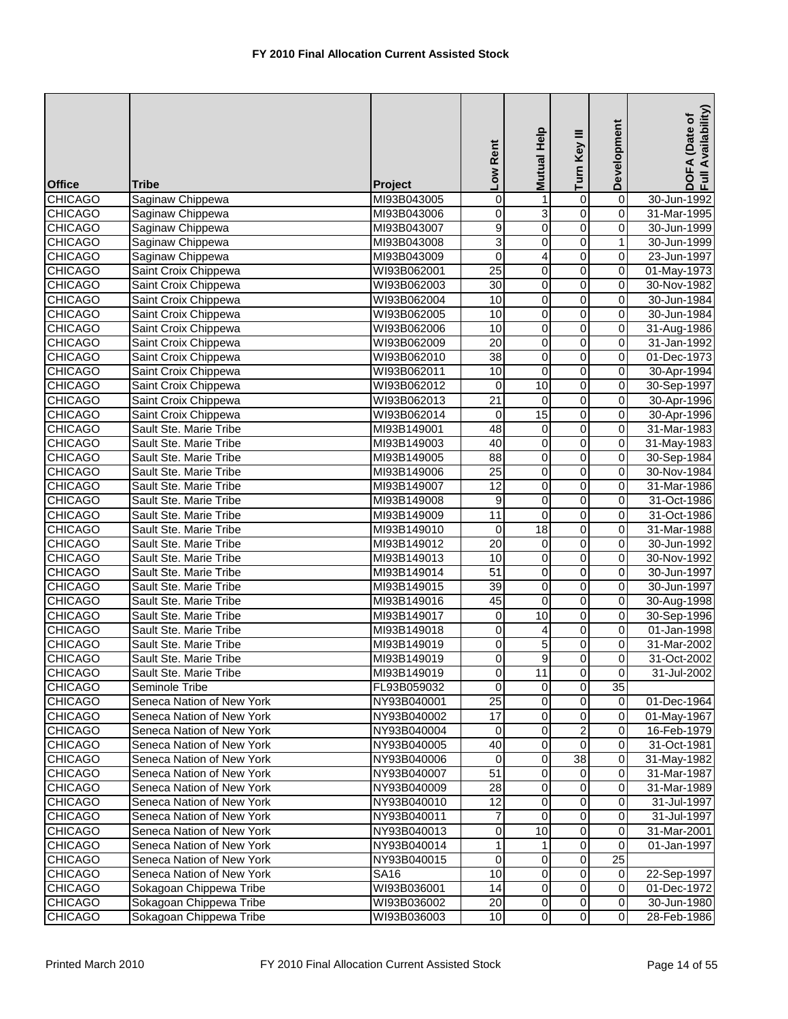| <b>Office</b>                    | Tribe                                            | Project                    | Low Rent             | Help<br><b>Mutual</b>   | Turn Key III                     | Development             | DOFA (Date of<br>Full Availability) |
|----------------------------------|--------------------------------------------------|----------------------------|----------------------|-------------------------|----------------------------------|-------------------------|-------------------------------------|
| <b>CHICAGO</b>                   | Saginaw Chippewa                                 | MI93B043005                | 0                    | $\mathbf{1}$            | $\overline{0}$                   | $\overline{0}$          | 30-Jun-1992                         |
| <b>CHICAGO</b>                   | Saginaw Chippewa                                 | MI93B043006                | 0                    | 3                       | $\overline{0}$                   | $\overline{0}$          | 31-Mar-1995                         |
| <b>CHICAGO</b>                   | Saginaw Chippewa                                 | MI93B043007                | $\overline{9}$       | $\mathbf 0$             | $\overline{0}$                   | 0                       | 30-Jun-1999                         |
| <b>CHICAGO</b>                   | Saginaw Chippewa                                 | MI93B043008                | 3                    | 0                       | 0                                | 1                       | 30-Jun-1999                         |
| <b>CHICAGO</b>                   | Saginaw Chippewa                                 | MI93B043009                | $\overline{0}$       | $\overline{\mathbf{4}}$ | $\overline{0}$                   | $\mathbf 0$             | 23-Jun-1997                         |
| <b>CHICAGO</b>                   | Saint Croix Chippewa                             | WI93B062001                | $\overline{25}$      | 0                       | $\overline{0}$                   | 0                       | 01-May-1973                         |
| <b>CHICAGO</b>                   | Saint Croix Chippewa                             | WI93B062003                | $\overline{30}$      | $\overline{0}$          | $\overline{0}$                   | $\overline{0}$          | 30-Nov-1982                         |
| <b>CHICAGO</b>                   | Saint Croix Chippewa                             | WI93B062004                | 10                   | 0                       | $\overline{0}$                   | 0                       | 30-Jun-1984                         |
| <b>CHICAGO</b>                   | Saint Croix Chippewa                             | WI93B062005                | 10                   | $\pmb{0}$               | $\overline{0}$                   | 0                       | 30-Jun-1984                         |
| <b>CHICAGO</b>                   | Saint Croix Chippewa                             | WI93B062006                | 10                   | $\overline{0}$          | $\overline{0}$                   | 0                       | 31-Aug-1986                         |
| <b>CHICAGO</b>                   | Saint Croix Chippewa                             | WI93B062009                | $\overline{20}$      | $\overline{0}$          | $\overline{0}$                   | $\overline{\mathbf{0}}$ | 31-Jan-1992                         |
| <b>CHICAGO</b>                   | Saint Croix Chippewa                             | WI93B062010                | 38                   | 0                       | $\overline{0}$                   | 0                       | 01-Dec-1973                         |
| <b>CHICAGO</b>                   | Saint Croix Chippewa                             | WI93B062011                | 10                   | 0                       | 0                                | 0                       | 30-Apr-1994                         |
| <b>CHICAGO</b>                   | Saint Croix Chippewa                             | WI93B062012                | $\mathbf 0$          | 10                      | $\overline{0}$                   | $\overline{0}$          | 30-Sep-1997                         |
| <b>CHICAGO</b>                   | Saint Croix Chippewa                             | WI93B062013                | $\overline{21}$      | 0                       | $\overline{0}$                   | $\overline{\mathbf{0}}$ | 30-Apr-1996                         |
| <b>CHICAGO</b>                   | Saint Croix Chippewa                             | WI93B062014                | 0                    | $\overline{15}$         | $\overline{0}$                   | 0                       | 30-Apr-1996                         |
| <b>CHICAGO</b>                   | Sault Ste. Marie Tribe                           | MI93B149001                | 48                   | $\mathbf 0$             | $\overline{0}$                   | $\overline{0}$          | 31-Mar-1983                         |
| <b>CHICAGO</b>                   | Sault Ste. Marie Tribe                           | MI93B149003                | 40                   | 0                       | $\overline{0}$                   | 0                       | 31-May-1983                         |
| <b>CHICAGO</b>                   | Sault Ste. Marie Tribe                           | MI93B149005                | $\overline{88}$      | 0                       | 0                                | $\mathbf 0$             | 30-Sep-1984                         |
| <b>CHICAGO</b>                   | Sault Ste. Marie Tribe                           | MI93B149006                | 25                   | 0                       | $\mathsf 0$                      | 0                       | 30-Nov-1984                         |
| <b>CHICAGO</b>                   | Sault Ste. Marie Tribe                           | MI93B149007                | 12                   | $\overline{0}$          | $\overline{0}$                   | $\overline{\mathbf{0}}$ | 31-Mar-1986                         |
| <b>CHICAGO</b>                   | Sault Ste. Marie Tribe                           | MI93B149008                | 9                    | 0                       | $\overline{0}$                   | $\overline{\mathbf{0}}$ | 31-Oct-1986                         |
| <b>CHICAGO</b>                   | Sault Ste. Marie Tribe                           | MI93B149009                | $\overline{11}$      | $\pmb{0}$               | $\overline{0}$                   | 0                       | 31-Oct-1986                         |
| <b>CHICAGO</b><br><b>CHICAGO</b> | Sault Ste. Marie Tribe<br>Sault Ste. Marie Tribe | MI93B149010<br>MI93B149012 | 0<br>$\overline{20}$ | $\overline{18}$<br>0    | $\overline{0}$<br>$\overline{0}$ | 0<br>0                  | 31-Mar-1988<br>30-Jun-1992          |
| <b>CHICAGO</b>                   | Sault Ste. Marie Tribe                           | MI93B149013                | 10                   | 0                       | $\overline{0}$                   | 0                       | 30-Nov-1992                         |
| <b>CHICAGO</b>                   | Sault Ste. Marie Tribe                           | MI93B149014                | 51                   | 0                       | $\overline{0}$                   | 0                       | 30-Jun-1997                         |
| <b>CHICAGO</b>                   | Sault Ste. Marie Tribe                           | MI93B149015                | $\overline{39}$      | 0                       | $\overline{0}$                   | 0                       | 30-Jun-1997                         |
| <b>CHICAGO</b>                   | Sault Ste. Marie Tribe                           | MI93B149016                | 45                   | $\mathbf 0$             | 0                                | $\overline{\mathbf{0}}$ | 30-Aug-1998                         |
| <b>CHICAGO</b>                   | Sault Ste. Marie Tribe                           | MI93B149017                | 0                    | $\overline{10}$         | $\overline{0}$                   | 0                       | 30-Sep-1996                         |
| <b>CHICAGO</b>                   | Sault Ste. Marie Tribe                           | MI93B149018                | 0                    | 4                       | $\overline{0}$                   | 0                       | 01-Jan-1998                         |
| <b>CHICAGO</b>                   | Sault Ste. Marie Tribe                           | MI93B149019                | 0                    | $\overline{5}$          | $\overline{0}$                   | 0                       | 31-Mar-2002                         |
| <b>CHICAGO</b>                   | Sault Ste. Marie Tribe                           | MI93B149019                | 0                    | 9                       | 0                                | 0                       | 31-Oct-2002                         |
| <b>CHICAGO</b>                   | Sault Ste. Marie Tribe                           | MI93B149019                | $\overline{0}$       | 11                      | $\overline{0}$                   | $\mathbf 0$             | 31-Jul-2002                         |
| <b>CHICAGO</b>                   | Seminole Tribe                                   | FL93B059032                | $\mathbf 0$          | $\overline{0}$          | $\overline{0}$                   | 35                      |                                     |
| <b>CHICAGO</b>                   | Seneca Nation of New York                        | NY93B040001                | 25                   | $\mathbf 0$             | $\overline{\mathsf{o}}$          | $\overline{0}$          | 01-Dec-1964                         |
| <b>CHICAGO</b>                   | Seneca Nation of New York                        | NY93B040002                | $\overline{17}$      | 0                       | $\overline{0}$                   | $\mathbf 0$             | 01-May-1967                         |
| <b>CHICAGO</b>                   | Seneca Nation of New York                        | NY93B040004                | 0                    | 0                       | $\boldsymbol{2}$                 | 0                       | 16-Feb-1979                         |
| <b>CHICAGO</b>                   | Seneca Nation of New York                        | NY93B040005                | 40                   | $\overline{\mathsf{o}}$ | $\overline{0}$                   | $\mathbf 0$             | 31-Oct-1981                         |
| <b>CHICAGO</b>                   | Seneca Nation of New York                        | NY93B040006                | 0                    | $\mathbf 0$             | 38                               | $\mathbf 0$             | 31-May-1982                         |
| <b>CHICAGO</b>                   | Seneca Nation of New York                        | NY93B040007                | 51                   | $\mathbf 0$             | 0                                | $\mathbf 0$             | 31-Mar-1987                         |
| <b>CHICAGO</b>                   | Seneca Nation of New York                        | NY93B040009                | 28                   | $\mathbf 0$             | 0                                | $\mathbf 0$             | 31-Mar-1989                         |
| <b>CHICAGO</b>                   | Seneca Nation of New York                        | NY93B040010                | 12                   | $\mathbf 0$             | 0                                | $\mathsf{O}\xspace$     | 31-Jul-1997                         |
| <b>CHICAGO</b>                   | Seneca Nation of New York                        | NY93B040011                | 7                    | 0                       | 0                                | $\mathbf 0$             | 31-Jul-1997                         |
| <b>CHICAGO</b>                   | Seneca Nation of New York                        | NY93B040013                | 0                    | 10                      | 0                                | 0                       | 31-Mar-2001                         |
| <b>CHICAGO</b>                   | Seneca Nation of New York                        | NY93B040014                | 1                    | 1                       | $\overline{0}$                   | 0                       | 01-Jan-1997                         |
| <b>CHICAGO</b>                   | Seneca Nation of New York                        | NY93B040015                | $\overline{0}$       | $\mathbf 0$             | $\overline{\mathsf{o}}$          | 25                      |                                     |
| <b>CHICAGO</b>                   | Seneca Nation of New York                        | <b>SA16</b>                | 10                   | $\mathbf 0$             | 0                                | $\mathbf 0$             | 22-Sep-1997                         |
| <b>CHICAGO</b>                   | Sokagoan Chippewa Tribe                          | WI93B036001                | 14                   | $\mathbf 0$             | 0                                | 0                       | 01-Dec-1972                         |
| <b>CHICAGO</b>                   | Sokagoan Chippewa Tribe                          | WI93B036002                | 20                   | $\mathbf 0$             | $\overline{\mathsf{o}}$          | $\mathsf{O}\xspace$     | 30-Jun-1980                         |
| <b>CHICAGO</b>                   | Sokagoan Chippewa Tribe                          | WI93B036003                | 10                   | $\overline{0}$          | $\overline{0}$                   | $\pmb{0}$               | 28-Feb-1986                         |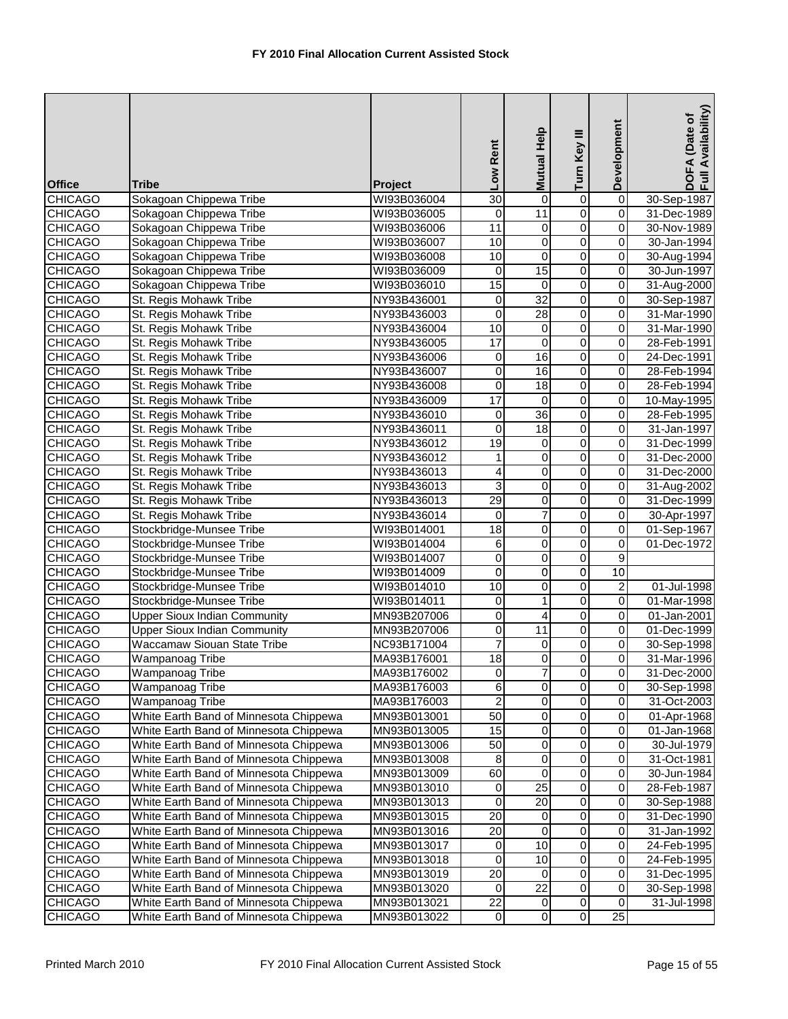|                                  |                                                                                  |                            |                   | Mutual Help          |                                  | Development              | DOFA (Date of<br>Full Availability) |
|----------------------------------|----------------------------------------------------------------------------------|----------------------------|-------------------|----------------------|----------------------------------|--------------------------|-------------------------------------|
|                                  |                                                                                  |                            | Low Rent          |                      | Turn Key III                     |                          |                                     |
|                                  |                                                                                  |                            |                   |                      |                                  |                          |                                     |
| <b>Office</b>                    | Tribe                                                                            | <b>Project</b>             |                   |                      |                                  |                          |                                     |
| <b>CHICAGO</b>                   | Sokagoan Chippewa Tribe                                                          | WI93B036004                | $\overline{30}$   | 0                    | $\overline{0}$                   | $\overline{0}$           | 30-Sep-1987                         |
| <b>CHICAGO</b>                   | Sokagoan Chippewa Tribe<br>Sokagoan Chippewa Tribe                               | WI93B036005                | 0                 | 11                   | $\overline{0}$                   | $\overline{0}$           | 31-Dec-1989                         |
| <b>CHICAGO</b><br><b>CHICAGO</b> | Sokagoan Chippewa Tribe                                                          | WI93B036006<br>WI93B036007 | 11<br>10          | 0<br>$\overline{0}$  | $\overline{0}$<br>$\overline{0}$ | $\pmb{0}$<br>$\mathbf 0$ | 30-Nov-1989<br>30-Jan-1994          |
| <b>CHICAGO</b>                   | Sokagoan Chippewa Tribe                                                          | WI93B036008                | 10                | $\mathbf 0$          | 0                                | 0                        | 30-Aug-1994                         |
| <b>CHICAGO</b>                   | Sokagoan Chippewa Tribe                                                          | WI93B036009                | $\pmb{0}$         | 15                   | $\overline{0}$                   | $\pmb{0}$                | 30-Jun-1997                         |
| <b>CHICAGO</b>                   | Sokagoan Chippewa Tribe                                                          | WI93B036010                | 15                | $\mathbf 0$          | $\overline{0}$                   | $\mathbf 0$              | 31-Aug-2000                         |
| <b>CHICAGO</b>                   | St. Regis Mohawk Tribe                                                           | NY93B436001                | $\mathbf 0$       | $\overline{32}$      | $\overline{0}$                   | $\overline{0}$           | 30-Sep-1987                         |
| <b>CHICAGO</b>                   | St. Regis Mohawk Tribe                                                           | NY93B436003                | 0                 | 28                   | $\overline{0}$                   | $\pmb{0}$                | 31-Mar-1990                         |
| <b>CHICAGO</b>                   | St. Regis Mohawk Tribe                                                           | NY93B436004                | 10                | 0                    | $\overline{0}$                   | $\pmb{0}$                | 31-Mar-1990                         |
| <b>CHICAGO</b>                   | St. Regis Mohawk Tribe                                                           | NY93B436005                | 17                | $\mathbf 0$          | $\overline{0}$                   | $\mathbf 0$              | 28-Feb-1991                         |
| <b>CHICAGO</b>                   | St. Regis Mohawk Tribe                                                           | NY93B436006                | $\overline{0}$    | 16                   | $\overline{0}$                   | $\overline{0}$           | 24-Dec-1991                         |
| <b>CHICAGO</b>                   | St. Regis Mohawk Tribe                                                           | NY93B436007                | $\overline{0}$    | 16                   | $\overline{0}$                   | 0                        | 28-Feb-1994                         |
| <b>CHICAGO</b>                   | St. Regis Mohawk Tribe                                                           | NY93B436008                | $\mathbf 0$       | $\overline{18}$      | 0                                | 0                        | 28-Feb-1994                         |
| <b>CHICAGO</b>                   | St. Regis Mohawk Tribe                                                           | NY93B436009                | 17                | 0                    | $\overline{0}$                   | $\overline{0}$           | 10-May-1995                         |
| <b>CHICAGO</b>                   | St. Regis Mohawk Tribe                                                           | NY93B436010                | 0                 | $\overline{36}$      | 0                                | $\pmb{0}$                | 28-Feb-1995                         |
| <b>CHICAGO</b>                   | St. Regis Mohawk Tribe                                                           | NY93B436011                | $\mathbf 0$       | $\overline{18}$      | $\overline{0}$                   | $\pmb{0}$                | 31-Jan-1997                         |
| <b>CHICAGO</b>                   | St. Regis Mohawk Tribe                                                           | NY93B436012                | $\overline{19}$   | $\mathbf 0$          | 0                                | 0                        | 31-Dec-1999                         |
| <b>CHICAGO</b>                   | St. Regis Mohawk Tribe                                                           | NY93B436012                | 1                 | 0                    | $\overline{0}$                   | $\overline{0}$           | 31-Dec-2000                         |
| <b>CHICAGO</b>                   | St. Regis Mohawk Tribe                                                           | NY93B436013                | 4                 | 0                    | 0                                | $\pmb{0}$                | 31-Dec-2000                         |
| <b>CHICAGO</b>                   | St. Regis Mohawk Tribe                                                           | NY93B436013                | 3                 | $\mathbf 0$          | $\overline{0}$                   | $\pmb{0}$                | 31-Aug-2002                         |
| <b>CHICAGO</b>                   | St. Regis Mohawk Tribe                                                           | NY93B436013                | 29                | $\overline{0}$       | $\overline{0}$                   | $\overline{0}$           | 31-Dec-1999                         |
| <b>CHICAGO</b>                   | St. Regis Mohawk Tribe                                                           | NY93B436014                | $\mathbf 0$       | $\overline{7}$       | $\overline{0}$                   | $\overline{0}$           | 30-Apr-1997                         |
| <b>CHICAGO</b>                   | Stockbridge-Munsee Tribe                                                         | WI93B014001                | $\overline{18}$   | $\mathbf 0$          | $\overline{0}$                   | $\pmb{0}$                | 01-Sep-1967                         |
| <b>CHICAGO</b>                   | Stockbridge-Munsee Tribe                                                         | WI93B014004                | 6                 | $\mathbf 0$          | $\overline{0}$                   | $\mathbf 0$              | 01-Dec-1972                         |
| <b>CHICAGO</b>                   | Stockbridge-Munsee Tribe                                                         | WI93B014007                | $\overline{0}$    | $\overline{0}$       | $\overline{0}$                   | 9                        |                                     |
| <b>CHICAGO</b>                   | Stockbridge-Munsee Tribe                                                         | WI93B014009                | 0                 | 0                    | $\overline{0}$                   | 10                       |                                     |
| <b>CHICAGO</b>                   | Stockbridge-Munsee Tribe                                                         | WI93B014010                | $\overline{10}$   | $\mathbf 0$          | $\overline{0}$                   | 2                        | 01-Jul-1998                         |
| <b>CHICAGO</b>                   | Stockbridge-Munsee Tribe                                                         | WI93B014011                | $\pmb{0}$         | $\mathbf{1}$         | $\overline{0}$                   | $\overline{0}$           | $\overline{01}$ -Mar-1998           |
| <b>CHICAGO</b>                   | <b>Upper Sioux Indian Community</b>                                              | MN93B207006                | $\pmb{0}$         | 4                    | $\overline{0}$                   | $\overline{0}$           | 01-Jan-2001                         |
| <b>CHICAGO</b>                   | <b>Upper Sioux Indian Community</b>                                              | MN93B207006                | $\overline{0}$    | 11                   | $\overline{0}$                   | $\pmb{0}$                | 01-Dec-1999                         |
| <b>CHICAGO</b>                   | <b>Waccamaw Siouan State Tribe</b>                                               | NC93B171004                | $\overline{7}$    | 0                    | 0                                | $\mathbf 0$              | 30-Sep-1998                         |
| <b>CHICAGO</b>                   | Wampanoag Tribe                                                                  | MA93B176001                | $\overline{18}$   | $\mathbf 0$          | $\overline{0}$                   | 0                        | 31-Mar-1996                         |
| <b>CHICAGO</b>                   | <b>Wampanoag Tribe</b>                                                           | MA93B176002                | $\overline{0}$    | 7                    | $\overline{0}$                   | 0                        | 31-Dec-2000                         |
| <b>CHICAGO</b>                   | Wampanoag Tribe                                                                  | MA93B176003                | $\overline{6}$    | 0                    | $\overline{0}$                   | $\mathbf 0$              | 30-Sep-1998                         |
| <b>CHICAGO</b>                   | Wampanoag Tribe                                                                  | MA93B176003                | $\mathbf 2$       | 0                    | 0                                | $\pmb{0}$                | 31-Oct-2003                         |
| <b>CHICAGO</b>                   | White Earth Band of Minnesota Chippewa                                           | MN93B013001                | 50                | 0                    | 0                                | $\pmb{0}$                | 01-Apr-1968                         |
| <b>CHICAGO</b>                   | White Earth Band of Minnesota Chippewa                                           | MN93B013005                | 15                | 0                    | 0                                | 0                        | 01-Jan-1968                         |
| CHICAGO                          | White Earth Band of Minnesota Chippewa                                           | MN93B013006                | 50                | 0                    | 0                                | 0                        | 30-Jul-1979                         |
| <b>CHICAGO</b>                   | White Earth Band of Minnesota Chippewa                                           | MN93B013008                | 8                 | 0                    | $\overline{0}$                   | 0                        | 31-Oct-1981                         |
| <b>CHICAGO</b>                   | White Earth Band of Minnesota Chippewa                                           | MN93B013009                | 60                | 0                    | 0                                | 0                        | 30-Jun-1984                         |
| <b>CHICAGO</b>                   | White Earth Band of Minnesota Chippewa                                           | MN93B013010                | 0                 | 25                   | 0                                | 0                        | 28-Feb-1987                         |
| <b>CHICAGO</b>                   | White Earth Band of Minnesota Chippewa                                           | MN93B013013                | 0                 | $\overline{20}$      | 0                                | 0                        | 30-Sep-1988                         |
| <b>CHICAGO</b>                   | White Earth Band of Minnesota Chippewa                                           | MN93B013015                | $\overline{20}$   | 0                    | $\overline{\mathsf{o}}$          | $\overline{0}$           | 31-Dec-1990                         |
| <b>CHICAGO</b>                   | White Earth Band of Minnesota Chippewa                                           | MN93B013016                | 20                | $\mathbf 0$          | $\mathsf 0$                      | $\mathsf 0$              | 31-Jan-1992                         |
| <b>CHICAGO</b>                   | White Earth Band of Minnesota Chippewa                                           | MN93B013017                | 0                 | 10                   | 0<br>$\overline{0}$              | 0                        | 24-Feb-1995                         |
| <b>CHICAGO</b>                   | White Earth Band of Minnesota Chippewa                                           | MN93B013018                | $\boldsymbol{0}$  | 10                   | $\overline{\mathsf{o}}$          | $\pmb{0}$<br>0           | 24-Feb-1995                         |
| <b>CHICAGO</b><br><b>CHICAGO</b> | White Earth Band of Minnesota Chippewa<br>White Earth Band of Minnesota Chippewa | MN93B013019<br>MN93B013020 | 20<br>$\mathbf 0$ | 0<br>$\overline{22}$ | 0                                | 0                        | 31-Dec-1995<br>30-Sep-1998          |
| <b>CHICAGO</b>                   | White Earth Band of Minnesota Chippewa                                           | MN93B013021                | 22                | 0                    | $\overline{\mathsf{o}}$          | $\mathbf 0$              | 31-Jul-1998                         |
| <b>CHICAGO</b>                   | White Earth Band of Minnesota Chippewa                                           | MN93B013022                | $\overline{0}$    | $\overline{0}$       | $\overline{0}$                   | $\overline{25}$          |                                     |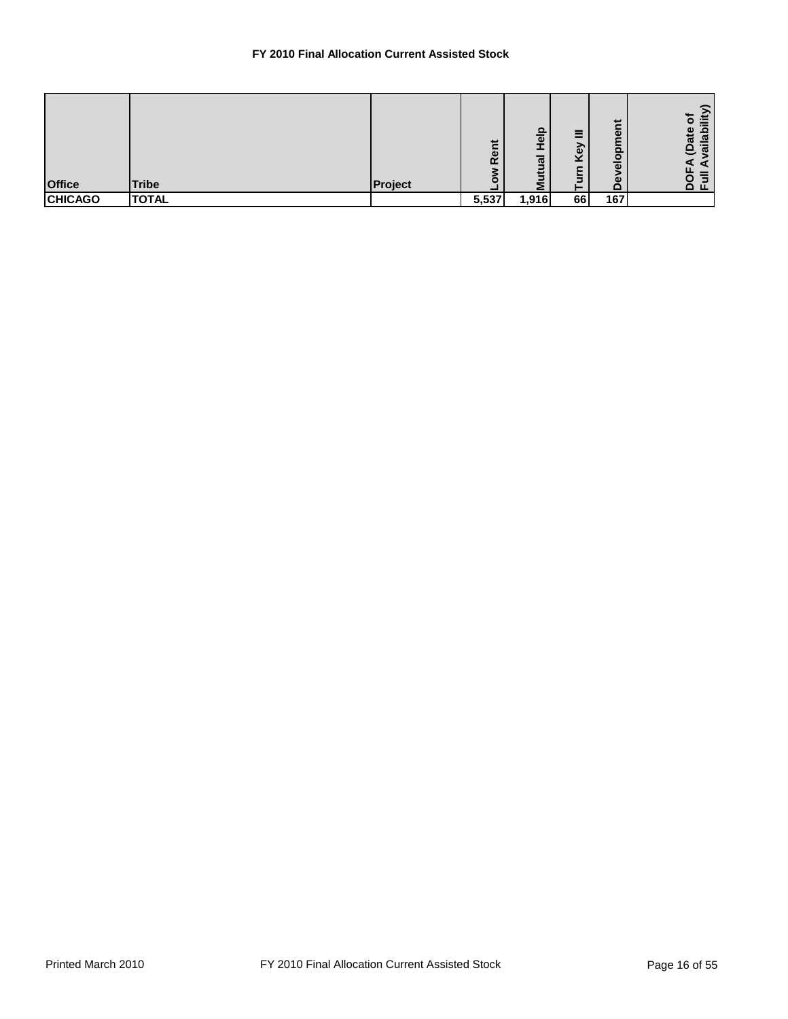## **FY 2010 Final Allocation Current Assisted Stock**

| <b>Office</b>  | <b>Tribe</b> | Project | ent<br>$\alpha$<br>с | ௨<br>$\overline{\bullet}$<br>ಸ | $=$<br>_<br>බ<br>v<br>_ | だ<br>$\omega$<br>О<br>$rac{1}{e}$<br>ω<br>$\Box$ | ىپ<br>≔<br>О<br>$\overline{ }$<br>ω<br>으<br>ಕ<br>$\overline{\omega}$<br>್<br><u>ද</u><br>$\Omega$ iii |
|----------------|--------------|---------|----------------------|--------------------------------|-------------------------|--------------------------------------------------|-------------------------------------------------------------------------------------------------------|
| <b>CHICAGO</b> | <b>TOTAL</b> |         | 5,537                | 1,916                          | 66                      | 167                                              |                                                                                                       |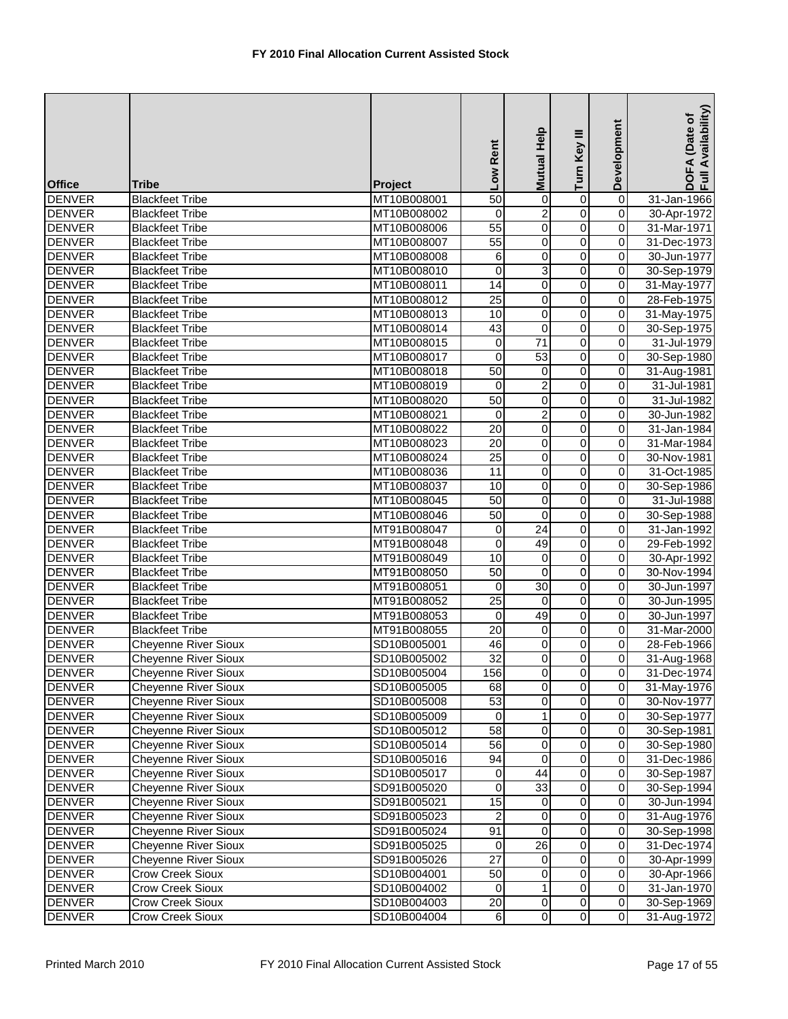| <b>Office</b> | <b>Tribe</b>                | Project     | Low Rent                | <b>Mutual Help</b> | Turn Key III            | Development    | Availability)<br>DOFA (Date of<br>Full Availability |
|---------------|-----------------------------|-------------|-------------------------|--------------------|-------------------------|----------------|-----------------------------------------------------|
| <b>DENVER</b> | <b>Blackfeet Tribe</b>      | MT10B008001 | $\overline{50}$         | 0                  | 0                       | $\overline{0}$ | 31-Jan-1966                                         |
| <b>DENVER</b> | <b>Blackfeet Tribe</b>      | MT10B008002 | $\mathbf 0$             | $\overline{2}$     | $\overline{0}$          | $\overline{0}$ | 30-Apr-1972                                         |
| <b>DENVER</b> | <b>Blackfeet Tribe</b>      | MT10B008006 | $\overline{55}$         | $\mathbf 0$        | $\overline{0}$          | $\mathbf 0$    | 31-Mar-1971                                         |
| <b>DENVER</b> | <b>Blackfeet Tribe</b>      | MT10B008007 | 55                      | 0                  | $\overline{0}$          | $\overline{0}$ | 31-Dec-1973                                         |
| <b>DENVER</b> | <b>Blackfeet Tribe</b>      | MT10B008008 | 6                       | 0                  | 0                       | $\pmb{0}$      | 30-Jun-1977                                         |
| <b>DENVER</b> | <b>Blackfeet Tribe</b>      | MT10B008010 | $\mathbf 0$             | 3                  | 0                       | $\pmb{0}$      | 30-Sep-1979                                         |
| <b>DENVER</b> | <b>Blackfeet Tribe</b>      | MT10B008011 | $\overline{14}$         | $\overline{0}$     | $\overline{0}$          | $\overline{0}$ | 31-May-1977                                         |
| <b>DENVER</b> | <b>Blackfeet Tribe</b>      | MT10B008012 | $\overline{25}$         | 0                  | $\overline{\mathsf{o}}$ | $\overline{0}$ | 28-Feb-1975                                         |
| <b>DENVER</b> | <b>Blackfeet Tribe</b>      | MT10B008013 | 10                      | $\pmb{0}$          | $\overline{0}$          | $\pmb{0}$      | 31-May-1975                                         |
| <b>DENVER</b> | <b>Blackfeet Tribe</b>      | MT10B008014 | 43                      | $\mathbf 0$        | $\overline{0}$          | $\pmb{0}$      | 30-Sep-1975                                         |
| <b>DENVER</b> | <b>Blackfeet Tribe</b>      | MT10B008015 | $\overline{0}$          | $\overline{71}$    | $\overline{0}$          | $\overline{0}$ | 31-Jul-1979                                         |
| <b>DENVER</b> | <b>Blackfeet Tribe</b>      | MT10B008017 | $\mathbf 0$             | $\overline{53}$    | 0                       | $\pmb{0}$      | 30-Sep-1980                                         |
| <b>DENVER</b> | <b>Blackfeet Tribe</b>      | MT10B008018 | 50                      | 0                  | 0                       | $\pmb{0}$      | 31-Aug-1981                                         |
| <b>DENVER</b> | <b>Blackfeet Tribe</b>      | MT10B008019 | $\mathbf 0$             | $\overline{2}$     | $\overline{0}$          | $\overline{0}$ | 31-Jul-1981                                         |
| <b>DENVER</b> | <b>Blackfeet Tribe</b>      | MT10B008020 | 50                      | 0                  | $\overline{0}$          | $\overline{0}$ | 31-Jul-1982                                         |
| <b>DENVER</b> | <b>Blackfeet Tribe</b>      | MT10B008021 | $\mathbf 0$             | $\overline{2}$     | $\overline{0}$          | $\mathbf 0$    | 30-Jun-1982                                         |
| <b>DENVER</b> | <b>Blackfeet Tribe</b>      | MT10B008022 | 20                      | 0                  | 0                       | $\mathbf 0$    | 31-Jan-1984                                         |
| <b>DENVER</b> | <b>Blackfeet Tribe</b>      | MT10B008023 | $\overline{20}$         | $\overline{0}$     | $\overline{0}$          | $\mathbf 0$    | 31-Mar-1984                                         |
| <b>DENVER</b> | <b>Blackfeet Tribe</b>      | MT10B008024 | 25                      | 0                  | 0                       | $\pmb{0}$      | 30-Nov-1981                                         |
| <b>DENVER</b> | <b>Blackfeet Tribe</b>      | MT10B008036 | 11                      | 0                  | $\mathsf 0$             | $\pmb{0}$      | 31-Oct-1985                                         |
| <b>DENVER</b> | <b>Blackfeet Tribe</b>      | MT10B008037 | 10                      | $\pmb{0}$          | $\overline{0}$          | $\pmb{0}$      | 30-Sep-1986                                         |
| <b>DENVER</b> | <b>Blackfeet Tribe</b>      | MT10B008045 | 50                      | 0                  | $\overline{0}$          | $\overline{0}$ | 31-Jul-1988                                         |
| <b>DENVER</b> | <b>Blackfeet Tribe</b>      | MT10B008046 | 50                      | $\mathbf 0$        | $\overline{0}$          | $\overline{0}$ | 30-Sep-1988                                         |
| <b>DENVER</b> | <b>Blackfeet Tribe</b>      | MT91B008047 | $\boldsymbol{0}$        | $\overline{24}$    | $\overline{0}$          | $\pmb{0}$      | 31-Jan-1992                                         |
| <b>DENVER</b> | <b>Blackfeet Tribe</b>      | MT91B008048 | $\overline{0}$          | 49                 | $\overline{0}$          | $\overline{0}$ | 29-Feb-1992                                         |
| <b>DENVER</b> | <b>Blackfeet Tribe</b>      | MT91B008049 | 10                      | $\pmb{0}$          | $\overline{0}$          | $\overline{0}$ | 30-Apr-1992                                         |
| <b>DENVER</b> | <b>Blackfeet Tribe</b>      | MT91B008050 | $\overline{50}$         | 0                  | $\overline{0}$          | 0              | 30-Nov-1994                                         |
| <b>DENVER</b> | <b>Blackfeet Tribe</b>      | MT91B008051 | 0                       | $\overline{30}$    | 0                       | 0              | 30-Jun-1997                                         |
| <b>DENVER</b> | <b>Blackfeet Tribe</b>      | MT91B008052 | $\overline{25}$         | 0                  | $\overline{0}$          | $\overline{0}$ | 30-Jun-1995                                         |
| <b>DENVER</b> | <b>Blackfeet Tribe</b>      | MT91B008053 | $\mathbf 0$             | 49                 | 0                       | $\overline{0}$ | 30-Jun-1997                                         |
| <b>DENVER</b> | <b>Blackfeet Tribe</b>      | MT91B008055 | $\overline{20}$         | 0                  | $\overline{0}$          | $\pmb{0}$      | 31-Mar-2000                                         |
| <b>DENVER</b> | Cheyenne River Sioux        | SD10B005001 | 46                      | 0                  | 0                       | $\mathbf 0$    | 28-Feb-1966                                         |
| <b>DENVER</b> | <b>Cheyenne River Sioux</b> | SD10B005002 | $\overline{32}$         | 0                  | $\overline{0}$          | $\mathbf 0$    | 31-Aug-1968                                         |
| <b>DENVER</b> | <b>Cheyenne River Sioux</b> | SD10B005004 | 156                     | $\overline{0}$     | $\pmb{0}$               | $\overline{0}$ | 31-Dec-1974                                         |
| <b>DENVER</b> | Cheyenne River Sioux        | SD10B005005 | 68                      | $\pmb{0}$          | $\overline{\mathbf{0}}$ | $\overline{0}$ | 31-May-1976                                         |
| <b>DENVER</b> | Cheyenne River Sioux        | SD10B005008 | 53                      | 0                  | $\overline{0}$          | $\overline{0}$ | 30-Nov-1977                                         |
| <b>DENVER</b> | Cheyenne River Sioux        | SD10B005009 | 0                       | $\mathbf{1}$       | $\overline{\mathsf{o}}$ | $\overline{0}$ | 30-Sep-1977                                         |
| <b>DENVER</b> | Cheyenne River Sioux        | SD10B005012 | 58                      | 0                  | 0                       | $\pmb{0}$      | 30-Sep-1981                                         |
| <b>DENVER</b> | <b>Cheyenne River Sioux</b> | SD10B005014 | 56                      | 0                  | $\overline{0}$          | $\mathbf 0$    | 30-Sep-1980                                         |
| <b>DENVER</b> | <b>Cheyenne River Sioux</b> | SD10B005016 | 94                      | 0                  | $\overline{\mathsf{o}}$ | $\overline{0}$ | 31-Dec-1986                                         |
| <b>DENVER</b> | <b>Cheyenne River Sioux</b> | SD10B005017 | 0                       | 44                 | 0                       | $\pmb{0}$      | 30-Sep-1987                                         |
| <b>DENVER</b> | Cheyenne River Sioux        | SD91B005020 | 0                       | 33                 | $\mathbf 0$             | 0              | 30-Sep-1994                                         |
| <b>DENVER</b> | Cheyenne River Sioux        | SD91B005021 | 15                      | 0                  | $\overline{\mathsf{o}}$ | $\overline{0}$ | 30-Jun-1994                                         |
| <b>DENVER</b> | Cheyenne River Sioux        | SD91B005023 | $\overline{\mathbf{c}}$ | 0                  | $\mathsf{O}\xspace$     | $\pmb{0}$      | 31-Aug-1976                                         |
| <b>DENVER</b> | <b>Cheyenne River Sioux</b> | SD91B005024 | 91                      | 0                  | $\mathsf{O}\xspace$     | $\pmb{0}$      | 30-Sep-1998                                         |
| <b>DENVER</b> | <b>Cheyenne River Sioux</b> | SD91B005025 | 0                       | $\overline{26}$    | $\overline{0}$          | $\overline{0}$ | 31-Dec-1974                                         |
| <b>DENVER</b> | <b>Cheyenne River Sioux</b> | SD91B005026 | $\overline{27}$         | $\overline{0}$     | $\overline{\mathsf{o}}$ | $\overline{0}$ | 30-Apr-1999                                         |
| <b>DENVER</b> | Crow Creek Sioux            | SD10B004001 | 50                      | 0                  | 0                       | $\overline{0}$ | 30-Apr-1966                                         |
| <b>DENVER</b> | Crow Creek Sioux            | SD10B004002 | 0                       | 1                  | 0                       | $\pmb{0}$      | 31-Jan-1970                                         |
| <b>DENVER</b> | Crow Creek Sioux            | SD10B004003 | 20                      | $\pmb{0}$          | $\overline{0}$          | $\overline{0}$ | 30-Sep-1969                                         |
| <b>DENVER</b> | Crow Creek Sioux            | SD10B004004 | $\,6$                   | $\overline{0}$     | $\overline{0}$          | $\overline{0}$ | 31-Aug-1972                                         |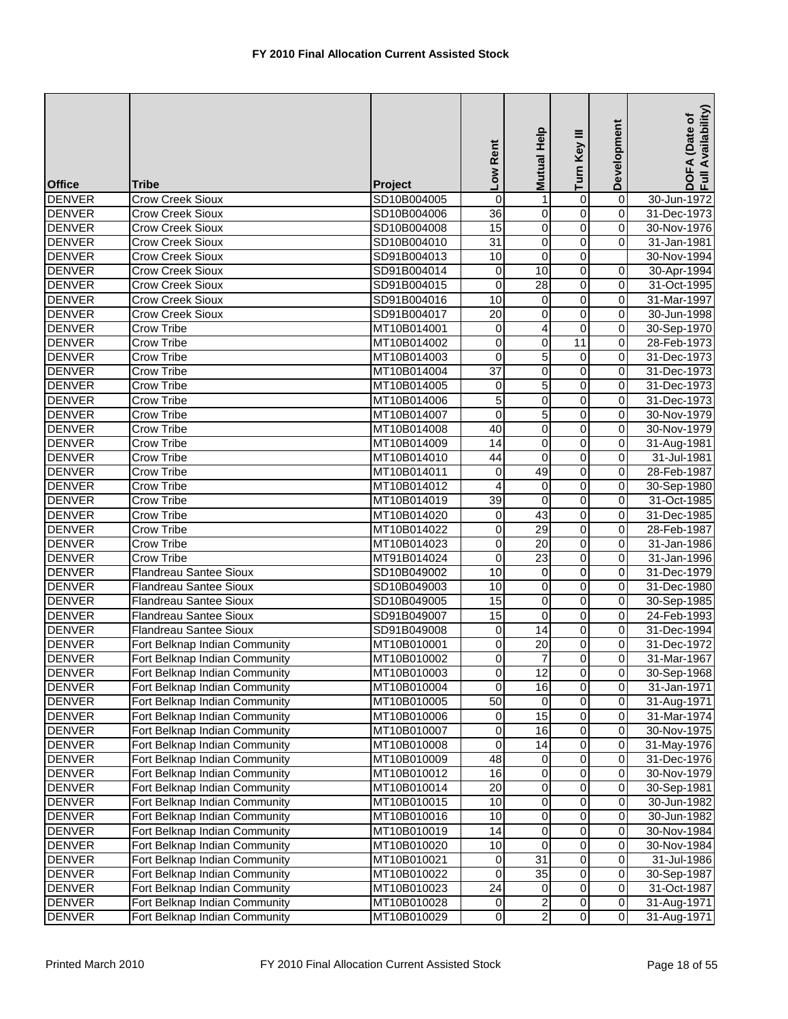| <b>Office</b>                  | Tribe                                                          | Project                    | Low Rent         | Help<br><b>Mutual</b>       | Turn Key III            | Development             | Availability)<br>DOFA (Date of<br>Full Availability |
|--------------------------------|----------------------------------------------------------------|----------------------------|------------------|-----------------------------|-------------------------|-------------------------|-----------------------------------------------------|
| <b>DENVER</b>                  | <b>Crow Creek Sioux</b>                                        | SD10B004005                | 0                | 1                           | 0                       | $\overline{0}$          | 30-Jun-1972                                         |
| <b>DENVER</b>                  | Crow Creek Sioux                                               | SD10B004006                | $\overline{36}$  | 0                           | 0                       | $\pmb{0}$               | 31-Dec-1973                                         |
| <b>DENVER</b>                  | <b>Crow Creek Sioux</b>                                        | SD10B004008                | 15               | 0                           | $\overline{0}$          | $\mathbf 0$             | 30-Nov-1976                                         |
| <b>DENVER</b>                  | <b>Crow Creek Sioux</b>                                        | SD10B004010                | 31               | $\mathsf{O}\xspace$         | 0                       | 0                       | 31-Jan-1981                                         |
| <b>DENVER</b>                  | <b>Crow Creek Sioux</b>                                        | SD91B004013                | 10               | 0                           | 0                       |                         | 30-Nov-1994                                         |
| <b>DENVER</b>                  | <b>Crow Creek Sioux</b>                                        | SD91B004014                | 0                | 10                          | 0                       | 0                       | 30-Apr-1994                                         |
| <b>DENVER</b>                  | <b>Crow Creek Sioux</b>                                        | SD91B004015                | $\boldsymbol{0}$ | 28                          | $\overline{0}$          | $\overline{0}$          | 31-Oct-1995                                         |
| <b>DENVER</b>                  | <b>Crow Creek Sioux</b>                                        | SD91B004016                | 10               | $\mathbf 0$                 | $\overline{0}$          | $\overline{0}$          | 31-Mar-1997                                         |
| <b>DENVER</b>                  | <b>Crow Creek Sioux</b>                                        | SD91B004017                | $\overline{20}$  | 0                           | $\overline{0}$          | $\overline{0}$          | 30-Jun-1998                                         |
| <b>DENVER</b>                  | Crow Tribe                                                     | MT10B014001                | 0                | 4                           | 0                       | $\boldsymbol{0}$        | 30-Sep-1970                                         |
| <b>DENVER</b>                  | <b>Crow Tribe</b>                                              | MT10B014002                | $\overline{0}$   | $\pmb{0}$                   | 11                      | $\overline{0}$          | 28-Feb-1973                                         |
| <b>DENVER</b>                  | Crow Tribe                                                     | MT10B014003                | $\mathbf 0$      | 5                           | 0                       | $\pmb{0}$               | 31-Dec-1973                                         |
| <b>DENVER</b>                  | Crow Tribe                                                     | MT10B014004                | $\overline{37}$  | 0                           | 0                       | 0                       | 31-Dec-1973                                         |
| <b>DENVER</b>                  | Crow Tribe                                                     | MT10B014005                | 0                | 5                           | 0                       | $\boldsymbol{0}$        | 31-Dec-1973                                         |
| <b>DENVER</b>                  | Crow Tribe                                                     | MT10B014006                | 5                | $\pmb{0}$                   | $\overline{\mathsf{o}}$ | $\overline{0}$          | 31-Dec-1973                                         |
| <b>DENVER</b>                  | Crow Tribe                                                     | MT10B014007                | $\mathbf 0$      | 5                           | $\mathsf 0$             | $\mathsf 0$             | 30-Nov-1979                                         |
| <b>DENVER</b>                  | Crow Tribe                                                     | MT10B014008                | 40               | $\pmb{0}$                   | $\overline{0}$          | $\mathbf 0$             | 30-Nov-1979                                         |
| <b>DENVER</b>                  | Crow Tribe                                                     | MT10B014009                | 14               | O                           | $\overline{0}$          | $\overline{0}$          | 31-Aug-1981                                         |
| <b>DENVER</b>                  | Crow Tribe                                                     | MT10B014010                | 44               | 0                           | 0                       | $\pmb{0}$               | 31-Jul-1981                                         |
| <b>DENVER</b>                  | Crow Tribe                                                     | MT10B014011                | 0                | 49                          | 0                       | $\pmb{0}$               | 28-Feb-1987                                         |
| <b>DENVER</b>                  | Crow Tribe                                                     | MT10B014012                | 4                | $\overline{\mathsf{o}}$     | $\overline{0}$          | $\overline{0}$          | 30-Sep-1980                                         |
| <b>DENVER</b>                  | Crow Tribe                                                     | MT10B014019                | $\overline{39}$  | $\mathbf 0$                 | $\overline{0}$          | $\overline{0}$          | 31-Oct-1985                                         |
| <b>DENVER</b>                  | Crow Tribe                                                     | MT10B014020                | 0                | 43                          | $\overline{0}$          | $\overline{0}$          | 31-Dec-1985                                         |
| <b>DENVER</b>                  | Crow Tribe                                                     | MT10B014022                | 0                | 29                          | $\overline{0}$          | $\pmb{0}$               | 28-Feb-1987                                         |
| <b>DENVER</b>                  | <b>Crow Tribe</b>                                              | MT10B014023                | $\overline{0}$   | $\overline{20}$             | $\overline{0}$          | $\overline{0}$          | 31-Jan-1986                                         |
| <b>DENVER</b>                  | Crow Tribe                                                     | MT91B014024                | $\boldsymbol{0}$ | 23                          | 0                       | $\overline{0}$          | 31-Jan-1996                                         |
| <b>DENVER</b>                  | Flandreau Santee Sioux                                         | SD10B049002                | 10               | 0                           | $\overline{0}$          | 0                       | 31-Dec-1979                                         |
| <b>DENVER</b><br><b>DENVER</b> | <b>Flandreau Santee Sioux</b><br><b>Flandreau Santee Sioux</b> | SD10B049003<br>SD10B049005 | 10<br>15         | $\overline{0}$<br>$\pmb{0}$ | 0<br>0                  | 0<br>$\mathbf 0$        | 31-Dec-1980<br>30-Sep-1985                          |
| <b>DENVER</b>                  | <b>Flandreau Santee Sioux</b>                                  | SD91B049007                | 15               | 0                           | 0                       | $\overline{0}$          | 24-Feb-1993                                         |
| <b>DENVER</b>                  | <b>Flandreau Santee Sioux</b>                                  | SD91B049008                | 0                | 14                          | $\overline{0}$          | 0                       | 31-Dec-1994                                         |
| <b>DENVER</b>                  | Fort Belknap Indian Community                                  | MT10B010001                | 0                | 20                          | 0                       | 0                       | 31-Dec-1972                                         |
| <b>DENVER</b>                  | Fort Belknap Indian Community                                  | MT10B010002                | 0                | $\overline{7}$              | 0                       | 0                       | 31-Mar-1967                                         |
| <b>DENVER</b>                  | Fort Belknap Indian Community                                  | MT10B010003                | $\overline{0}$   | 12                          | $\pmb{0}$               | 0                       | 30-Sep-1968                                         |
| <b>DENVER</b>                  | Fort Belknap Indian Community                                  | MT10B010004                | $\boldsymbol{0}$ | 16                          | $\overline{\mathbf{0}}$ | $\overline{0}$          | 31-Jan-1971                                         |
| <b>DENVER</b>                  | Fort Belknap Indian Community                                  | MT10B010005                | $\overline{50}$  | $\mathbf 0$                 | $\overline{\mathsf{o}}$ | $\overline{0}$          | 31-Aug-1971                                         |
| <b>DENVER</b>                  | Fort Belknap Indian Community                                  | MT10B010006                | 0                | $\overline{15}$             | 0                       | $\pmb{0}$               | 31-Mar-1974                                         |
| <b>DENVER</b>                  | Fort Belknap Indian Community                                  | MT10B010007                | 0                | 16                          | 0                       | $\pmb{0}$               | 30-Nov-1975                                         |
| <b>DENVER</b>                  | Fort Belknap Indian Community                                  | MT10B010008                | 0                | 14                          | 0                       | $\mathbf 0$             | 31-May-1976                                         |
| <b>DENVER</b>                  | Fort Belknap Indian Community                                  | MT10B010009                | 48               | $\pmb{0}$                   | $\overline{\mathsf{o}}$ | $\pmb{0}$               | 31-Dec-1976                                         |
| <b>DENVER</b>                  | Fort Belknap Indian Community                                  | MT10B010012                | 16               | 0                           | 0                       | $\mathbf 0$             | 30-Nov-1979                                         |
| <b>DENVER</b>                  | Fort Belknap Indian Community                                  | MT10B010014                | 20               | $\overline{0}$              | 0                       | 0                       | 30-Sep-1981                                         |
| <b>DENVER</b>                  | Fort Belknap Indian Community                                  | MT10B010015                | 10               | $\overline{0}$              | $\overline{\mathsf{o}}$ | $\overline{\mathsf{o}}$ | 30-Jun-1982                                         |
| <b>DENVER</b>                  | Fort Belknap Indian Community                                  | MT10B010016                | 10               | 0                           | $\mathsf{O}\xspace$     | $\mathbf 0$             | 30-Jun-1982                                         |
| <b>DENVER</b>                  | Fort Belknap Indian Community                                  | MT10B010019                | 14               | 0                           | 0                       | $\pmb{0}$               | 30-Nov-1984                                         |
| <b>DENVER</b>                  | Fort Belknap Indian Community                                  | MT10B010020                | 10               | 0                           | 0                       | $\overline{0}$          | 30-Nov-1984                                         |
| <b>DENVER</b>                  | Fort Belknap Indian Community                                  | MT10B010021                | 0                | 31                          | $\overline{\mathsf{o}}$ | $\mathbf 0$             | 31-Jul-1986                                         |
| <b>DENVER</b>                  | Fort Belknap Indian Community                                  | MT10B010022                | 0                | 35                          | 0                       | $\pmb{0}$               | 30-Sep-1987                                         |
| <b>DENVER</b>                  | Fort Belknap Indian Community                                  | MT10B010023                | 24               | 0                           | 0                       | $\pmb{0}$               | 31-Oct-1987                                         |
| <b>DENVER</b>                  | Fort Belknap Indian Community                                  | MT10B010028                | 0                | $\overline{a}$              | $\overline{\mathsf{o}}$ | $\overline{\mathsf{o}}$ | 31-Aug-1971                                         |
| <b>DENVER</b>                  | Fort Belknap Indian Community                                  | MT10B010029                | 0                | $\overline{a}$              | $\overline{\mathsf{o}}$ | $\overline{0}$          | 31-Aug-1971                                         |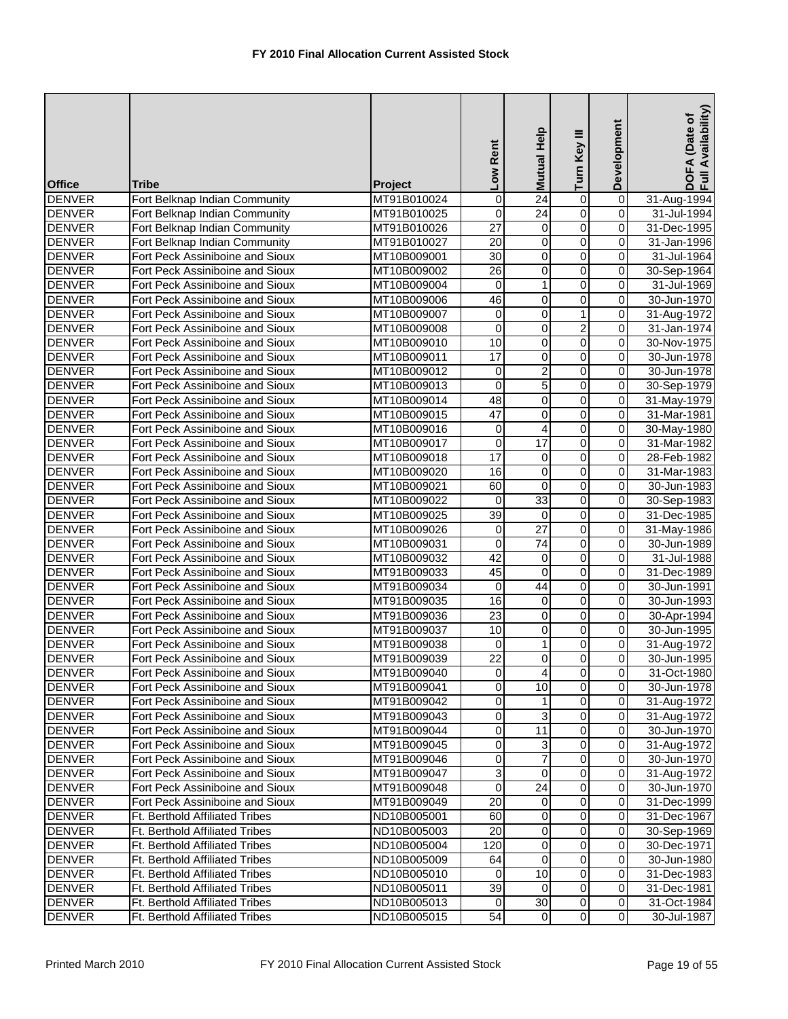| <b>Office</b>                  | <b>Tribe</b>                                                       | Project                    | Low Rent         | Help<br><b>Mutual</b> | Turn Key III            | Development      | DOFA (Date of<br>Full Availability) |
|--------------------------------|--------------------------------------------------------------------|----------------------------|------------------|-----------------------|-------------------------|------------------|-------------------------------------|
| <b>DENVER</b>                  | Fort Belknap Indian Community                                      | MT91B010024                | $\mathbf 0$      | $\overline{24}$       | 0                       | $\overline{0}$   | 31-Aug-1994                         |
| <b>DENVER</b>                  | Fort Belknap Indian Community                                      | MT91B010025                | $\boldsymbol{0}$ | $\overline{24}$       | $\overline{0}$          | $\mathbf 0$      | 31-Jul-1994                         |
| <b>DENVER</b>                  | Fort Belknap Indian Community                                      | MT91B010026                | $\overline{27}$  | $\mathbf 0$           | $\overline{0}$          | $\mathbf 0$      | 31-Dec-1995                         |
| <b>DENVER</b>                  | Fort Belknap Indian Community                                      | MT91B010027                | 20               | 0                     | 0                       | 0                | 31-Jan-1996                         |
| <b>DENVER</b>                  | Fort Peck Assiniboine and Sioux                                    | MT10B009001                | $\overline{30}$  | 0                     | 0                       | 0                | 31-Jul-1964                         |
| <b>DENVER</b>                  | Fort Peck Assiniboine and Sioux                                    | MT10B009002                | 26               | 0                     | 0                       | 0                | 30-Sep-1964                         |
| <b>DENVER</b>                  | Fort Peck Assiniboine and Sioux                                    | MT10B009004                | $\mathbf 0$      | 1                     | $\overline{0}$          | $\mathbf 0$      | 31-Jul-1969                         |
| <b>DENVER</b>                  | Fort Peck Assiniboine and Sioux                                    | MT10B009006                | 46               | 0                     | 0                       | $\overline{0}$   | 30-Jun-1970                         |
| <b>DENVER</b>                  | Fort Peck Assiniboine and Sioux                                    | MT10B009007                | $\boldsymbol{0}$ | $\mathbf 0$           | $\overline{1}$          | $\mathbf 0$      | 31-Aug-1972                         |
| <b>DENVER</b>                  | Fort Peck Assiniboine and Sioux                                    | MT10B009008                | 0                | 0                     | 2                       | $\mathbf 0$      | 31-Jan-1974                         |
| <b>DENVER</b>                  | Fort Peck Assiniboine and Sioux                                    | MT10B009010                | 10               | $\overline{0}$        | $\overline{0}$          | $\mathbf 0$      | 30-Nov-1975                         |
| <b>DENVER</b>                  | Fort Peck Assiniboine and Sioux                                    | MT10B009011                | $\overline{17}$  | 0                     | 0                       | 0                | 30-Jun-1978                         |
| <b>DENVER</b>                  | Fort Peck Assiniboine and Sioux                                    | MT10B009012                | $\mathbf 0$      | $\overline{c}$        | 0                       | $\mathbf 0$      | 30-Jun-1978                         |
| <b>DENVER</b>                  | Fort Peck Assiniboine and Sioux                                    | MT10B009013                | $\mathbf 0$      | $\overline{5}$        | 0                       | $\mathbf 0$      | 30-Sep-1979                         |
| <b>DENVER</b>                  | Fort Peck Assiniboine and Sioux                                    | MT10B009014                | 48               | 0                     | $\overline{0}$          | $\overline{0}$   | 31-May-1979                         |
| <b>DENVER</b>                  | Fort Peck Assiniboine and Sioux                                    | MT10B009015                | 47               | $\mathbf 0$           | 0                       | $\mathbf 0$      | 31-Mar-1981                         |
| <b>DENVER</b>                  | Fort Peck Assiniboine and Sioux                                    | MT10B009016                | 0                | 4                     | 0                       | $\mathbf 0$      | 30-May-1980                         |
| <b>DENVER</b>                  | Fort Peck Assiniboine and Sioux                                    | MT10B009017                | $\overline{0}$   | $\overline{17}$       | $\overline{0}$          | $\mathbf 0$      | 31-Mar-1982                         |
| <b>DENVER</b>                  | Fort Peck Assiniboine and Sioux                                    | MT10B009018                | $\overline{17}$  | 0                     | 0                       | 0                | 28-Feb-1982                         |
| <b>DENVER</b>                  | Fort Peck Assiniboine and Sioux                                    | MT10B009020                | 16               | 0                     | 0                       | 0                | 31-Mar-1983                         |
| <b>DENVER</b>                  | Fort Peck Assiniboine and Sioux                                    | MT10B009021                | 60               | $\mathbf 0$           | $\overline{0}$          | $\mathbf 0$      | 30-Jun-1983                         |
| <b>DENVER</b>                  | Fort Peck Assiniboine and Sioux                                    | MT10B009022                | $\mathbf 0$      | 33                    | $\overline{0}$          | $\pmb{0}$        | 30-Sep-1983                         |
| <b>DENVER</b>                  | Fort Peck Assiniboine and Sioux                                    | MT10B009025                | $\overline{39}$  | $\mathbf 0$           | $\overline{0}$          | $\mathbf 0$      | 31-Dec-1985                         |
| <b>DENVER</b>                  | Fort Peck Assiniboine and Sioux                                    | MT10B009026                | 0                | $\overline{27}$       | $\overline{0}$          | 0                | 31-May-1986                         |
| <b>DENVER</b>                  | Fort Peck Assiniboine and Sioux                                    | MT10B009031                | $\overline{0}$   | $\overline{74}$       | $\overline{0}$          | $\mathbf 0$      | 30-Jun-1989                         |
| <b>DENVER</b>                  | Fort Peck Assiniboine and Sioux                                    | MT10B009032                | 42               | 0                     | 0                       | $\mathbf 0$      | 31-Jul-1988                         |
| <b>DENVER</b>                  | Fort Peck Assiniboine and Sioux                                    | MT91B009033                | 45               | 0                     | $\overline{0}$<br>0     | 0<br>$\mathbf 0$ | 31-Dec-1989                         |
| <b>DENVER</b><br><b>DENVER</b> | Fort Peck Assiniboine and Sioux<br>Fort Peck Assiniboine and Sioux | MT91B009034<br>MT91B009035 | 0<br>16          | 44<br>$\mathbf 0$     | $\overline{0}$          | $\boldsymbol{0}$ | 30-Jun-1991<br>30-Jun-1993          |
| <b>DENVER</b>                  | Fort Peck Assiniboine and Sioux                                    | MT91B009036                | $\overline{23}$  | 0                     | 0                       | 0                | 30-Apr-1994                         |
| <b>DENVER</b>                  | Fort Peck Assiniboine and Sioux                                    | MT91B009037                | 10               | $\mathbf 0$           | $\overline{0}$          | $\mathbf 0$      | 30-Jun-1995                         |
| <b>DENVER</b>                  | Fort Peck Assiniboine and Sioux                                    | MT91B009038                | $\mathbf 0$      | 1                     | 0                       | $\mathbf 0$      | 31-Aug-1972                         |
| <b>DENVER</b>                  | Fort Peck Assiniboine and Sioux                                    | MT91B009039                | 22               | 0                     | 0                       | 0                | 30-Jun-1995                         |
| <b>DENVER</b>                  | Fort Peck Assiniboine and Sioux                                    | MT91B009040                | $\overline{0}$   | 4                     | $\overline{0}$          | $\mathbf{0}$     | 31-Oct-1980                         |
| <b>DENVER</b>                  | Fort Peck Assiniboine and Sioux                                    | MT91B009041                | $\mathbf 0$      | $\overline{10}$       | $\overline{0}$          | $\pmb{0}$        | 30-Jun-1978                         |
| <b>DENVER</b>                  | Fort Peck Assiniboine and Sioux                                    | MT91B009042                | 0                |                       | 0                       | $\pmb{0}$        | 31-Aug-1972                         |
| <b>DENVER</b>                  | Fort Peck Assiniboine and Sioux                                    | MT91B009043                | $\overline{0}$   | 3                     | 0                       | $\pmb{0}$        | 31-Aug-1972                         |
| <b>DENVER</b>                  | Fort Peck Assiniboine and Sioux                                    | MT91B009044                | 0                | 11                    | 0                       | 0                | 30-Jun-1970                         |
| <b>DENVER</b>                  | Fort Peck Assiniboine and Sioux                                    | MT91B009045                | 0                | 3                     | 0                       | $\mathbf 0$      | 31-Aug-1972                         |
| <b>DENVER</b>                  | Fort Peck Assiniboine and Sioux                                    | MT91B009046                | 0                | $\overline{7}$        | 0                       | $\pmb{0}$        | 30-Jun-1970                         |
| <b>DENVER</b>                  | Fort Peck Assiniboine and Sioux                                    | MT91B009047                | 3                | 0                     | 0                       | $\pmb{0}$        | 31-Aug-1972                         |
| <b>DENVER</b>                  | Fort Peck Assiniboine and Sioux                                    | MT91B009048                | 0                | 24                    | 0                       | 0                | 30-Jun-1970                         |
| <b>DENVER</b>                  | Fort Peck Assiniboine and Sioux                                    | MT91B009049                | 20               | 0                     | $\mathbf 0$             | $\pmb{0}$        | 31-Dec-1999                         |
| <b>DENVER</b>                  | Ft. Berthold Affiliated Tribes                                     | ND10B005001                | 60               | 0                     | $\mathsf{O}\xspace$     | 0                | 31-Dec-1967                         |
| <b>DENVER</b>                  | Ft. Berthold Affiliated Tribes                                     | ND10B005003                | 20               | 0                     | 0                       | 0                | 30-Sep-1969                         |
| <b>DENVER</b>                  | Ft. Berthold Affiliated Tribes                                     | ND10B005004                | 120              | 0                     | $\overline{0}$          | $\mathbf 0$      | 30-Dec-1971                         |
| <b>DENVER</b>                  | Ft. Berthold Affiliated Tribes                                     | ND10B005009                | 64               | 0                     | 0                       | $\pmb{0}$        | 30-Jun-1980                         |
| <b>DENVER</b>                  | Ft. Berthold Affiliated Tribes                                     | ND10B005010                | 0                | 10                    | 0                       | 0                | 31-Dec-1983                         |
| <b>DENVER</b>                  | Ft. Berthold Affiliated Tribes                                     | ND10B005011                | 39               | 0                     | 0                       | 0                | 31-Dec-1981                         |
| <b>DENVER</b>                  | Ft. Berthold Affiliated Tribes                                     | ND10B005013                | $\mathbf 0$      | $\overline{30}$       | $\overline{\mathsf{o}}$ | $\pmb{0}$        | 31-Oct-1984                         |
| <b>DENVER</b>                  | Ft. Berthold Affiliated Tribes                                     | ND10B005015                | 54               | $\pmb{0}$             | $\overline{\mathsf{o}}$ | $\overline{0}$   | 30-Jul-1987                         |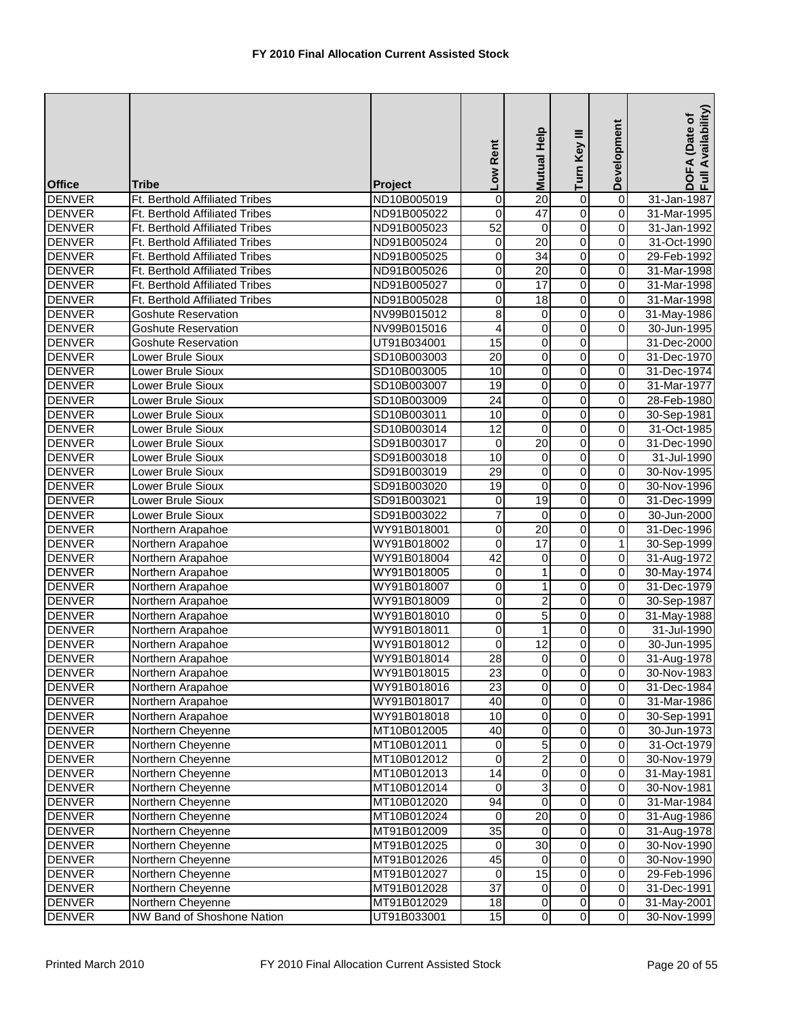| <b>Office</b>                  | Tribe                                  | Project                    | Low Rent                      | Help<br><b>Mutual</b> | Turn Key III                     | Development                 | Availability)<br>DOFA (Date of<br>Full Availability |
|--------------------------------|----------------------------------------|----------------------------|-------------------------------|-----------------------|----------------------------------|-----------------------------|-----------------------------------------------------|
| <b>DENVER</b>                  | Ft. Berthold Affiliated Tribes         | ND10B005019                | $\mathbf 0$                   | $\overline{20}$       | 0                                | $\overline{0}$              | 31-Jan-1987                                         |
| <b>DENVER</b>                  | Ft. Berthold Affiliated Tribes         | ND91B005022                | $\mathbf 0$                   | $\overline{47}$       | $\overline{0}$                   | $\overline{0}$              | 31-Mar-1995                                         |
| <b>DENVER</b>                  | Ft. Berthold Affiliated Tribes         | ND91B005023                | 52                            | $\mathbf 0$           | $\overline{0}$                   | $\mathbf 0$                 | 31-Jan-1992                                         |
| <b>DENVER</b>                  | Ft. Berthold Affiliated Tribes         | ND91B005024                | 0                             | $\overline{20}$       | $\overline{0}$                   | $\overline{0}$              | 31-Oct-1990                                         |
| <b>DENVER</b>                  | Ft. Berthold Affiliated Tribes         | ND91B005025                | $\mathbf 0$                   | $\overline{34}$       | 0                                | 0                           | 29-Feb-1992                                         |
| <b>DENVER</b>                  | Ft. Berthold Affiliated Tribes         | ND91B005026                | 0                             | $\overline{20}$       | $\overline{0}$                   | $\pmb{0}$                   | 31-Mar-1998                                         |
| <b>DENVER</b>                  | Ft. Berthold Affiliated Tribes         | ND91B005027                | 0                             | 17                    | $\overline{0}$                   | $\overline{0}$              | 31-Mar-1998                                         |
| <b>DENVER</b>                  | Ft. Berthold Affiliated Tribes         | ND91B005028                | $\mathbf 0$                   | $\overline{18}$       | $\overline{0}$                   | $\overline{0}$              | 31-Mar-1998                                         |
| <b>DENVER</b>                  | <b>Goshute Reservation</b>             | NV99B015012                | $\overline{8}$                | 0                     | $\overline{0}$                   | $\overline{0}$              | 31-May-1986                                         |
| <b>DENVER</b>                  | Goshute Reservation                    | NV99B015016                | 4                             | 0                     | $\overline{0}$                   | $\mathbf 0$                 | 30-Jun-1995                                         |
| <b>DENVER</b>                  | <b>Goshute Reservation</b>             | UT91B034001                | 15                            | O                     | $\overline{0}$                   |                             | 31-Dec-2000                                         |
| <b>DENVER</b>                  | Lower Brule Sioux                      | SD10B003003                | $\overline{20}$               | 0                     | 0                                | $\pmb{0}$                   | 31-Dec-1970                                         |
| <b>DENVER</b>                  | Lower Brule Sioux                      | SD10B003005                | 10                            | 0                     | $\overline{0}$                   | 0                           | 31-Dec-1974                                         |
| <b>DENVER</b>                  | Lower Brule Sioux                      | SD10B003007                | $\overline{19}$               | 0                     | $\overline{0}$                   | $\pmb{0}$                   | 31-Mar-1977                                         |
| <b>DENVER</b>                  | Lower Brule Sioux                      | SD10B003009                | $\overline{24}$               | O                     | $\overline{0}$                   | $\overline{0}$              | 28-Feb-1980                                         |
| <b>DENVER</b>                  | Lower Brule Sioux                      | SD10B003011                | 10                            | 0                     | $\mathsf 0$                      | $\overline{0}$              | 30-Sep-1981                                         |
| <b>DENVER</b>                  | Lower Brule Sioux                      | SD10B003014                | $\overline{12}$               | $\mathbf 0$           | $\overline{0}$                   | $\mathbf 0$                 | 31-Oct-1985                                         |
| <b>DENVER</b>                  | Lower Brule Sioux                      | SD91B003017                | $\boldsymbol{0}$              | 20                    | $\overline{0}$                   | $\mathbf 0$                 | 31-Dec-1990                                         |
| <b>DENVER</b>                  | Lower Brule Sioux                      | SD91B003018                | 10                            | 0                     | 0                                | 0                           | 31-Jul-1990                                         |
| <b>DENVER</b>                  | Lower Brule Sioux                      | SD91B003019                | 29                            | 0                     | 0                                | 0                           | 30-Nov-1995                                         |
| <b>DENVER</b>                  | Lower Brule Sioux                      | SD91B003020                | 19                            | $\overline{0}$        | $\overline{0}$                   | $\overline{0}$              | 30-Nov-1996                                         |
| <b>DENVER</b>                  | Lower Brule Sioux                      | SD91B003021                | 0                             | 19                    | $\overline{0}$                   | $\overline{0}$              | 31-Dec-1999                                         |
| <b>DENVER</b>                  | Lower Brule Sioux                      | SD91B003022                | $\overline{7}$                | $\mathbf 0$           | $\overline{0}$                   | $\overline{0}$              | 30-Jun-2000                                         |
| <b>DENVER</b><br><b>DENVER</b> | Northern Arapahoe                      | WY91B018001                | $\mathbf 0$<br>$\overline{0}$ | 20<br>17              | $\overline{0}$<br>$\overline{0}$ | $\pmb{0}$<br>$\overline{1}$ | 31-Dec-1996                                         |
| <b>DENVER</b>                  | Northern Arapahoe                      | WY91B018002<br>WY91B018004 | $\overline{42}$               | $\mathbf 0$           | 0                                | $\overline{\mathbf{0}}$     | 30-Sep-1999                                         |
| <b>DENVER</b>                  | Northern Arapahoe<br>Northern Arapahoe | WY91B018005                | $\mathsf 0$                   | $\mathbf{1}$          | $\overline{0}$                   | $\overline{0}$              | 31-Aug-1972<br>30-May-1974                          |
| <b>DENVER</b>                  | Northern Arapahoe                      | WY91B018007                | 0                             | $\mathbf{1}$          | 0                                | $\pmb{0}$                   | 31-Dec-1979                                         |
| <b>DENVER</b>                  | Northern Arapahoe                      | WY91B018009                | $\overline{0}$                | $\overline{2}$        | $\overline{0}$                   | $\overline{0}$              | 30-Sep-1987                                         |
| <b>DENVER</b>                  | Northern Arapahoe                      | WY91B018010                | 0                             | $\overline{5}$        | $\overline{0}$                   | $\overline{0}$              | 31-May-1988                                         |
| <b>DENVER</b>                  | Northern Arapahoe                      | WY91B018011                | 0                             | $\mathbf{1}$          | $\overline{0}$                   | $\pmb{0}$                   | 31-Jul-1990                                         |
| <b>DENVER</b>                  | Northern Arapahoe                      | WY91B018012                | 0                             | $\overline{12}$       | 0                                | $\mathbf 0$                 | 30-Jun-1995                                         |
| <b>DENVER</b>                  | Northern Arapahoe                      | WY91B018014                | $\overline{28}$               | $\overline{0}$        | 0                                | 0                           | 31-Aug-1978                                         |
| <b>DENVER</b>                  | Northern Arapahoe                      | WY91B018015                | 23                            | $\overline{0}$        | $\pmb{0}$                        | $\overline{0}$              | 30-Nov-1983                                         |
| <b>DENVER</b>                  | Northern Arapahoe                      | WY91B018016                | $\overline{23}$               | $\overline{0}$        | $\pmb{0}$                        | $\overline{0}$              | 31-Dec-1984                                         |
| <b>DENVER</b>                  | Northern Arapahoe                      | WY91B018017                | 40                            | 0                     | $\overline{0}$                   | $\overline{0}$              | 31-Mar-1986                                         |
| <b>DENVER</b>                  | Northern Arapahoe                      | WY91B018018                | 10                            | 0                     | 0                                | $\pmb{0}$                   | 30-Sep-1991                                         |
| <b>DENVER</b>                  | Northern Cheyenne                      | MT10B012005                | 40                            | 0                     | 0                                | $\pmb{0}$                   | 30-Jun-1973                                         |
| <b>DENVER</b>                  | Northern Cheyenne                      | MT10B012011                | 0                             | 5                     | $\overline{0}$                   | $\mathbf 0$                 | 31-Oct-1979                                         |
| <b>DENVER</b>                  | Northern Cheyenne                      | MT10B012012                | $\boldsymbol{0}$              | $\overline{2}$        | $\overline{\mathsf{o}}$          | $\pmb{0}$                   | 30-Nov-1979                                         |
| <b>DENVER</b>                  | Northern Cheyenne                      | MT10B012013                | 14                            | $\mathbf 0$           | 0                                | $\mathbf 0$                 | 31-May-1981                                         |
| <b>DENVER</b>                  | Northern Cheyenne                      | MT10B012014                | 0                             | $\overline{3}$        | 0                                | $\pmb{0}$                   | 30-Nov-1981                                         |
| <b>DENVER</b>                  | Northern Cheyenne                      | MT10B012020                | 94                            | $\overline{0}$        | $\overline{\mathsf{o}}$          | $\overline{\mathbf{0}}$     | 31-Mar-1984                                         |
| <b>DENVER</b>                  | Northern Cheyenne                      | MT10B012024                | 0                             | $\overline{20}$       | $\overline{\mathsf{o}}$          | $\overline{\mathsf{o}}$     | 31-Aug-1986                                         |
| <b>DENVER</b>                  | Northern Cheyenne                      | MT91B012009                | $\overline{35}$               | 0                     | $\overline{\mathsf{o}}$          | $\mathsf 0$                 | 31-Aug-1978                                         |
| <b>DENVER</b>                  | Northern Cheyenne                      | MT91B012025                | 0                             | 30                    | $\overline{0}$                   | $\overline{0}$              | 30-Nov-1990                                         |
| <b>DENVER</b>                  | Northern Cheyenne                      | MT91B012026                | 45                            | 0                     | $\overline{\mathsf{o}}$          | $\overline{\mathbf{0}}$     | 30-Nov-1990                                         |
| <b>DENVER</b>                  | Northern Cheyenne                      | MT91B012027                | 0                             | 15                    | 0                                | $\mathbf 0$                 | 29-Feb-1996                                         |
| <b>DENVER</b>                  | Northern Cheyenne                      | MT91B012028                | $\overline{37}$               | $\overline{0}$        | $\mathsf{O}\xspace$              | $\pmb{0}$                   | 31-Dec-1991                                         |
| <b>DENVER</b>                  | Northern Cheyenne                      | MT91B012029                | $\frac{1}{8}$                 | $\overline{0}$        | $\overline{0}$                   | $\overline{\mathsf{o}}$     | 31-May-2001                                         |
| <b>DENVER</b>                  | NW Band of Shoshone Nation             | UT91B033001                | 15                            | $\overline{0}$        | $\overline{0}$                   | $\overline{\mathbf{0}}$     | 30-Nov-1999                                         |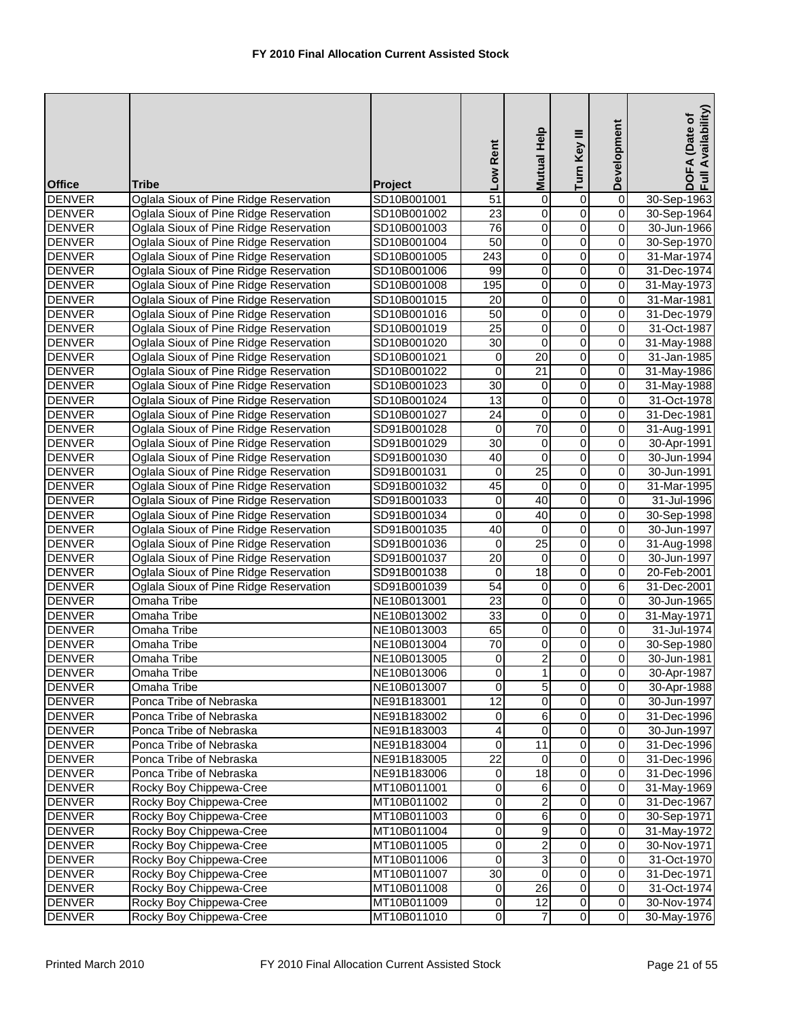| <b>Office</b>                  | Tribe                                                 | Project                    | Low Rent              | Mutual Help             | Turn Key III            | Development                               | Availability)<br>DOFA (Date of<br>Full Availability |
|--------------------------------|-------------------------------------------------------|----------------------------|-----------------------|-------------------------|-------------------------|-------------------------------------------|-----------------------------------------------------|
| <b>DENVER</b>                  | Oglala Sioux of Pine Ridge Reservation                | SD10B001001                | $\overline{51}$       | $\overline{0}$          | 0                       | $\overline{0}$                            | 30-Sep-1963                                         |
| <b>DENVER</b>                  | Oglala Sioux of Pine Ridge Reservation                | SD10B001002                | $\overline{23}$       | 0                       | $\overline{0}$          | $\overline{0}$                            | 30-Sep-1964                                         |
| <b>DENVER</b>                  | Oglala Sioux of Pine Ridge Reservation                | SD10B001003                | 76                    | O                       | $\overline{0}$          | $\mathbf 0$                               | 30-Jun-1966                                         |
| <b>DENVER</b>                  | Oglala Sioux of Pine Ridge Reservation                | SD10B001004                | 50                    | $\mathsf{O}\xspace$     | 0                       | $\overline{0}$                            | 30-Sep-1970                                         |
| <b>DENVER</b>                  | Oglala Sioux of Pine Ridge Reservation                | SD10B001005                | $\sqrt{243}$          | 0                       | 0                       | $\overline{0}$                            | 31-Mar-1974                                         |
| <b>DENVER</b>                  | Oglala Sioux of Pine Ridge Reservation                | SD10B001006                | 99                    | $\pmb{0}$               | $\overline{0}$          | $\pmb{0}$                                 | 31-Dec-1974                                         |
| <b>DENVER</b>                  | Oglala Sioux of Pine Ridge Reservation                | SD10B001008                | 195                   | $\overline{0}$          | $\overline{0}$          | $\overline{0}$                            | 31-May-1973                                         |
| <b>DENVER</b>                  | Oglala Sioux of Pine Ridge Reservation                | SD10B001015                | 20                    | $\overline{0}$          | $\overline{0}$          | $\overline{0}$                            | 31-Mar-1981                                         |
| <b>DENVER</b>                  | Oglala Sioux of Pine Ridge Reservation                | SD10B001016                | 50                    | $\pmb{0}$               | $\overline{0}$          | $\overline{0}$                            | 31-Dec-1979                                         |
| <b>DENVER</b>                  | Oglala Sioux of Pine Ridge Reservation                | SD10B001019                | $\overline{25}$       | 0                       | 0                       | $\pmb{0}$                                 | 31-Oct-1987                                         |
| <b>DENVER</b>                  | Oglala Sioux of Pine Ridge Reservation                | SD10B001020                | $\overline{30}$       | $\overline{0}$          | $\overline{0}$          | $\overline{0}$                            | 31-May-1988                                         |
| <b>DENVER</b>                  | Oglala Sioux of Pine Ridge Reservation                | SD10B001021                | $\pmb{0}$             | 20                      | 0                       | $\overline{0}$                            | 31-Jan-1985                                         |
| <b>DENVER</b>                  | Oglala Sioux of Pine Ridge Reservation                | SD10B001022                | $\mathbf 0$           | 21                      | $\overline{0}$          | $\overline{0}$                            | 31-May-1986                                         |
| <b>DENVER</b>                  | Oglala Sioux of Pine Ridge Reservation                | SD10B001023                | $\overline{30}$       | 0                       | 0                       | $\pmb{0}$                                 | 31-May-1988                                         |
| <b>DENVER</b>                  | Oglala Sioux of Pine Ridge Reservation                | SD10B001024                | $\overline{13}$       | $\overline{\mathsf{o}}$ | $\overline{0}$          | $\overline{0}$                            | 31-Oct-1978                                         |
| <b>DENVER</b>                  | Oglala Sioux of Pine Ridge Reservation                | SD10B001027                | 24                    | $\mathbf 0$             | $\mathsf 0$             | $\overline{0}$                            | 31-Dec-1981                                         |
| <b>DENVER</b>                  | Oglala Sioux of Pine Ridge Reservation                | SD91B001028                | 0                     | 70                      | $\overline{0}$          | $\pmb{0}$                                 | 31-Aug-1991                                         |
| <b>DENVER</b>                  | Oglala Sioux of Pine Ridge Reservation                | SD91B001029                | $\overline{30}$       | $\overline{\mathsf{o}}$ | $\overline{0}$          | $\overline{0}$                            | 30-Apr-1991                                         |
| <b>DENVER</b>                  | Oglala Sioux of Pine Ridge Reservation                | SD91B001030                | 40                    | 0                       | 0                       | $\overline{0}$                            | 30-Jun-1994                                         |
| <b>DENVER</b>                  | Oglala Sioux of Pine Ridge Reservation                | SD91B001031                | 0                     | $\overline{25}$         | $\mathsf 0$             | $\pmb{0}$                                 | 30-Jun-1991                                         |
| <b>DENVER</b>                  | Oglala Sioux of Pine Ridge Reservation                | SD91B001032                | 45                    | $\mathbf 0$             | $\overline{0}$          | $\overline{0}$                            | 31-Mar-1995                                         |
| <b>DENVER</b>                  | Oglala Sioux of Pine Ridge Reservation                | SD91B001033                | $\mathbf 0$           | 40                      | $\overline{0}$          | $\overline{0}$                            | 31-Jul-1996                                         |
| <b>DENVER</b>                  | Oglala Sioux of Pine Ridge Reservation                | SD91B001034                | 0                     | 40                      | $\overline{0}$          | $\overline{0}$                            | 30-Sep-1998                                         |
| <b>DENVER</b>                  | Oglala Sioux of Pine Ridge Reservation                | SD91B001035                | 40                    | $\pmb{0}$               | $\overline{0}$          | $\overline{0}$                            | 30-Jun-1997                                         |
| <b>DENVER</b>                  | Oglala Sioux of Pine Ridge Reservation                | SD91B001036                | $\boldsymbol{0}$      | $\overline{25}$         | $\overline{0}$          | $\overline{0}$                            | 31-Aug-1998                                         |
| <b>DENVER</b>                  | Oglala Sioux of Pine Ridge Reservation                | SD91B001037                | $\overline{20}$       | $\mathbf 0$             | 0                       | $\overline{\mathbf{0}}$                   | 30-Jun-1997                                         |
| <b>DENVER</b>                  | Oglala Sioux of Pine Ridge Reservation                | SD91B001038                | $\mathbf 0$           | 18                      | $\overline{0}$          | $\overline{0}$                            | 20-Feb-2001                                         |
| <b>DENVER</b><br><b>DENVER</b> | Oglala Sioux of Pine Ridge Reservation<br>Omaha Tribe | SD91B001039                | 54<br>$\overline{23}$ | $\mathbf 0$<br>O        | 0<br>$\overline{0}$     | $\overline{6}$<br>$\overline{\mathbf{0}}$ | 31-Dec-2001                                         |
| <b>DENVER</b>                  | Omaha Tribe                                           | NE10B013001<br>NE10B013002 | $\overline{33}$       | $\pmb{0}$               | $\overline{0}$          | $\overline{0}$                            | 30-Jun-1965<br>31-May-1971                          |
| <b>DENVER</b>                  | Omaha Tribe                                           | NE10B013003                | 65                    | $\pmb{0}$               | $\overline{0}$          | $\pmb{0}$                                 | 31-Jul-1974                                         |
| <b>DENVER</b>                  | Omaha Tribe                                           | NE10B013004                | $\overline{70}$       | $\mathbf 0$             | 0                       | $\overline{0}$                            | 30-Sep-1980                                         |
| <b>DENVER</b>                  | Omaha Tribe                                           | NE10B013005                | 0                     | $\overline{2}$          | $\overline{0}$          | $\mathbf 0$                               | 30-Jun-1981                                         |
| <b>DENVER</b>                  | Omaha Tribe                                           | NE10B013006                | $\overline{0}$        | $1 \mid$                | $\pmb{0}$               | $\overline{0}$                            | 30-Apr-1987                                         |
| <b>DENVER</b>                  | Omaha Tribe                                           | NE10B013007                | $\boldsymbol{0}$      | 5                       | $\overline{\mathbf{0}}$ | $\overline{0}$                            | 30-Apr-1988                                         |
| <b>DENVER</b>                  | Ponca Tribe of Nebraska                               | NE91B183001                | 12                    | $\mathsf{O}\xspace$     | $\overline{0}$          | $\overline{\mathbf{0}}$                   | 30-Jun-1997                                         |
| <b>DENVER</b>                  | Ponca Tribe of Nebraska                               | NE91B183002                | 0                     | 6                       | 0                       | $\mathbf 0$                               | 31-Dec-1996                                         |
| <b>DENVER</b>                  | Ponca Tribe of Nebraska                               | NE91B183003                | 4                     | 0                       | 0                       | $\pmb{0}$                                 | 30-Jun-1997                                         |
| <b>DENVER</b>                  | Ponca Tribe of Nebraska                               | NE91B183004                | $\mathbf 0$           | $\overline{11}$         | $\overline{0}$          | $\mathbf 0$                               | 31-Dec-1996                                         |
| <b>DENVER</b>                  | Ponca Tribe of Nebraska                               | NE91B183005                | $\overline{22}$       | $\pmb{0}$               | $\overline{\mathsf{o}}$ | $\mathbf 0$                               | 31-Dec-1996                                         |
| <b>DENVER</b>                  | Ponca Tribe of Nebraska                               | NE91B183006                | 0                     | 18                      | 0                       | $\pmb{0}$                                 | 31-Dec-1996                                         |
| <b>DENVER</b>                  | Rocky Boy Chippewa-Cree                               | MT10B011001                | 0                     | 6                       | 0                       | 0                                         | 31-May-1969                                         |
| <b>DENVER</b>                  | Rocky Boy Chippewa-Cree                               | MT10B011002                | $\mathbf 0$           | $\overline{2}$          | $\overline{\mathsf{o}}$ | $\overline{\mathbf{0}}$                   | 31-Dec-1967                                         |
| <b>DENVER</b>                  | Rocky Boy Chippewa-Cree                               | MT10B011003                | 0                     | 6                       | $\overline{\mathsf{o}}$ | $\pmb{0}$                                 | 30-Sep-1971                                         |
| <b>DENVER</b>                  | Rocky Boy Chippewa-Cree                               | MT10B011004                | 0                     | 9                       | $\overline{\mathsf{o}}$ | $\mathsf 0$                               | 31-May-1972                                         |
| <b>DENVER</b>                  | Rocky Boy Chippewa-Cree                               | MT10B011005                | 0                     | $\overline{2}$          | $\overline{0}$          | $\mathbf 0$                               | 30-Nov-1971                                         |
| <b>DENVER</b>                  | Rocky Boy Chippewa-Cree                               | MT10B011006                | $\mathbf 0$           | ω                       | $\overline{\mathsf{o}}$ | $\mathbf 0$                               | 31-Oct-1970                                         |
| <b>DENVER</b>                  | Rocky Boy Chippewa-Cree                               | MT10B011007                | 30                    | 0                       | 0                       | $\mathbf 0$                               | 31-Dec-1971                                         |
| <b>DENVER</b>                  | Rocky Boy Chippewa-Cree                               | MT10B011008                | $\mathbf 0$           | $\overline{26}$         | $\overline{\mathsf{o}}$ | $\pmb{0}$                                 | 31-Oct-1974                                         |
| <b>DENVER</b>                  | Rocky Boy Chippewa-Cree                               | MT10B011009                | $\mathbf 0$           | 12                      | $\overline{0}$          | $\overline{\mathsf{o}}$                   | 30-Nov-1974                                         |
| <b>DENVER</b>                  | Rocky Boy Chippewa-Cree                               | MT10B011010                | $\mathsf{O}\xspace$   | $\overline{7}$          | $\overline{0}$          | $\overline{\mathbf{0}}$                   | 30-May-1976                                         |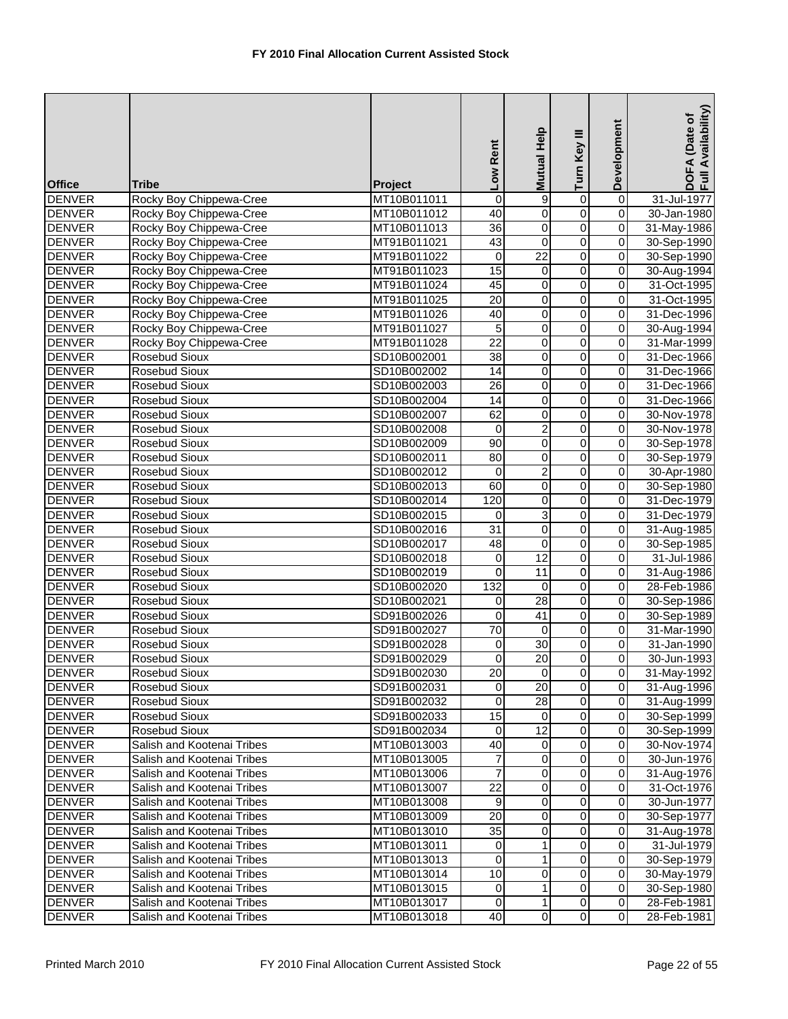| <b>Office</b>                  | <b>Tribe</b>                   | Project                    | Low Rent            | Help<br><b>Mutual</b> | Turn Key III                     | Development             | Availability)<br>DOFA (Date of<br>Full Availability |
|--------------------------------|--------------------------------|----------------------------|---------------------|-----------------------|----------------------------------|-------------------------|-----------------------------------------------------|
| <b>DENVER</b>                  | Rocky Boy Chippewa-Cree        | MT10B011011                | $\boldsymbol{0}$    | 9                     | 0                                | $\overline{0}$          | 31-Jul-1977                                         |
| <b>DENVER</b>                  | Rocky Boy Chippewa-Cree        | MT10B011012                | 40                  | $\pmb{0}$             | $\overline{0}$                   | $\overline{0}$          | 30-Jan-1980                                         |
| <b>DENVER</b>                  | Rocky Boy Chippewa-Cree        | MT10B011013                | $\overline{36}$     | $\overline{0}$        | $\overline{0}$                   | $\mathbf 0$             | 31-May-1986                                         |
| <b>DENVER</b>                  | Rocky Boy Chippewa-Cree        | MT91B011021                | 43                  | $\pmb{0}$             | $\overline{0}$                   | $\overline{0}$          | 30-Sep-1990                                         |
| <b>DENVER</b>                  | Rocky Boy Chippewa-Cree        | MT91B011022                | 0                   | $\overline{22}$       | 0                                | $\overline{0}$          | 30-Sep-1990                                         |
| <b>DENVER</b>                  | Rocky Boy Chippewa-Cree        | MT91B011023                | $\overline{15}$     | $\mathbf 0$           | $\overline{0}$                   | $\overline{0}$          | 30-Aug-1994                                         |
| <b>DENVER</b>                  | Rocky Boy Chippewa-Cree        | MT91B011024                | 45                  | $\overline{0}$        | $\overline{0}$                   | $\overline{0}$          | 31-Oct-1995                                         |
| <b>DENVER</b>                  | Rocky Boy Chippewa-Cree        | MT91B011025                | $\overline{20}$     | $\pmb{0}$             | $\overline{0}$                   | $\overline{0}$          | 31-Oct-1995                                         |
| <b>DENVER</b>                  | Rocky Boy Chippewa-Cree        | MT91B011026                | 40                  | $\pmb{0}$             | $\overline{0}$                   | $\overline{0}$          | 31-Dec-1996                                         |
| <b>DENVER</b>                  | Rocky Boy Chippewa-Cree        | MT91B011027                | 5                   | 0                     | $\overline{0}$                   | $\boldsymbol{0}$        | 30-Aug-1994                                         |
| <b>DENVER</b>                  | Rocky Boy Chippewa-Cree        | MT91B011028                | $\overline{22}$     | O                     | $\overline{0}$                   | $\overline{0}$          | 31-Mar-1999                                         |
| <b>DENVER</b>                  | <b>Rosebud Sioux</b>           | SD10B002001                | $\overline{38}$     | 0                     | 0                                | $\overline{0}$          | 31-Dec-1966                                         |
| <b>DENVER</b>                  | Rosebud Sioux                  | SD10B002002                | 14                  | $\pmb{0}$             | $\overline{0}$                   | 0                       | 31-Dec-1966                                         |
| <b>DENVER</b>                  | Rosebud Sioux                  | SD10B002003                | $\overline{26}$     | 0                     | $\overline{0}$                   | $\boldsymbol{0}$        | 31-Dec-1966                                         |
| <b>DENVER</b>                  | Rosebud Sioux                  | SD10B002004                | 14                  | O                     | $\overline{0}$                   | $\overline{0}$          | 31-Dec-1966                                         |
| <b>DENVER</b>                  | Rosebud Sioux                  | SD10B002007                | 62                  | $\mathsf 0$           | $\overline{0}$                   | $\overline{0}$          | 30-Nov-1978                                         |
| <b>DENVER</b>                  | <b>Rosebud Sioux</b>           | SD10B002008                | 0                   | $\overline{2}$        | $\overline{0}$                   | $\mathbf 0$             | 30-Nov-1978                                         |
| <b>DENVER</b>                  | <b>Rosebud Sioux</b>           | SD10B002009                | $\overline{90}$     | O                     | $\overline{0}$                   | $\mathbf 0$             | 30-Sep-1978                                         |
| <b>DENVER</b>                  | Rosebud Sioux                  | SD10B002011                | 80                  | $\pmb{0}$             | 0                                | 0                       | 30-Sep-1979                                         |
| <b>DENVER</b>                  | Rosebud Sioux                  | SD10B002012                | $\mathbf 0$         | $\overline{2}$        | $\mathbf 0$                      | $\mathsf 0$             | 30-Apr-1980                                         |
| <b>DENVER</b>                  | Rosebud Sioux                  | SD10B002013                | 60                  | $\overline{0}$        | $\overline{0}$                   | $\overline{0}$          | 30-Sep-1980                                         |
| <b>DENVER</b>                  | Rosebud Sioux                  | SD10B002014                | 120                 | O                     | $\overline{0}$                   | $\overline{0}$          | 31-Dec-1979                                         |
| <b>DENVER</b>                  | <b>Rosebud Sioux</b>           | SD10B002015                | 0                   | 3                     | $\overline{0}$                   | $\overline{0}$          | 31-Dec-1979                                         |
| <b>DENVER</b>                  | Rosebud Sioux                  | SD10B002016                | $\overline{31}$     | $\mathbf 0$           | $\overline{0}$                   | $\overline{0}$          | 31-Aug-1985                                         |
| <b>DENVER</b>                  | <b>Rosebud Sioux</b>           | SD10B002017                | 48                  | $\overline{0}$        | $\overline{0}$                   | $\overline{0}$          | 30-Sep-1985                                         |
| <b>DENVER</b>                  | Rosebud Sioux                  | SD10B002018                | 0                   | $\overline{12}$       | $\overline{0}$                   | $\overline{0}$          | 31-Jul-1986                                         |
| <b>DENVER</b>                  | Rosebud Sioux                  | SD10B002019                | 0                   | 11                    | $\overline{0}$                   | 0                       | 31-Aug-1986                                         |
| <b>DENVER</b>                  | Rosebud Sioux                  | SD10B002020                | 132                 | 0                     | 0                                | $\pmb{0}$               | 28-Feb-1986                                         |
| <b>DENVER</b>                  | Rosebud Sioux                  | SD10B002021                | 0                   | 28                    | $\overline{0}$                   | $\overline{0}$          | 30-Sep-1986                                         |
| <b>DENVER</b>                  | <b>Rosebud Sioux</b>           | SD91B002026                | $\boldsymbol{0}$    | $\overline{41}$       | $\overline{0}$                   | $\overline{0}$          | 30-Sep-1989                                         |
| <b>DENVER</b>                  | Rosebud Sioux                  | SD91B002027                | $\overline{70}$     | 0                     | $\overline{0}$                   | $\pmb{0}$               | 31-Mar-1990                                         |
| <b>DENVER</b><br><b>DENVER</b> | Rosebud Sioux                  | SD91B002028                | 0<br>$\overline{0}$ | $\overline{30}$<br>20 | 0                                | $\mathbf 0$<br>0        | 31-Jan-1990                                         |
| <b>DENVER</b>                  | Rosebud Sioux                  | SD91B002029                |                     |                       | 0                                |                         | 30-Jun-1993<br>31-May-1992                          |
| <b>DENVER</b>                  | Rosebud Sioux<br>Rosebud Sioux | SD91B002030                | 20<br>$\mathbf 0$   | οı<br>20              | $\overline{0}$<br>$\overline{0}$ | ΟI<br>$\mathbf 0$       |                                                     |
| <b>DENVER</b>                  | Rosebud Sioux                  | SD91B002031<br>SD91B002032 | $\overline{0}$      | 28                    | $\overline{\mathsf{o}}$          | $\overline{\mathbf{0}}$ | 31-Aug-1996<br>31-Aug-1999                          |
| <b>DENVER</b>                  | Rosebud Sioux                  | SD91B002033                | 15                  | $\overline{0}$        | $\overline{\mathsf{o}}$          | $\mathbf 0$             | 30-Sep-1999                                         |
| <b>DENVER</b>                  | Rosebud Sioux                  | SD91B002034                | 0                   | $\overline{12}$       | $\overline{\mathsf{o}}$          | $\mathbf 0$             | 30-Sep-1999                                         |
| <b>DENVER</b>                  | Salish and Kootenai Tribes     | MT10B013003                | 40                  | $\overline{0}$        | $\overline{0}$                   | $\mathbf 0$             | 30-Nov-1974                                         |
| <b>DENVER</b>                  | Salish and Kootenai Tribes     | MT10B013005                | $\overline{7}$      | $\overline{0}$        | $\overline{\mathsf{o}}$          | $\mathbf 0$             | 30-Jun-1976                                         |
| <b>DENVER</b>                  | Salish and Kootenai Tribes     | MT10B013006                | $\overline{7}$      | $\overline{0}$        | 0                                | $\pmb{0}$               | 31-Aug-1976                                         |
| <b>DENVER</b>                  | Salish and Kootenai Tribes     | MT10B013007                | 22                  | $\overline{0}$        | 0                                | 0                       | 31-Oct-1976                                         |
| <b>DENVER</b>                  | Salish and Kootenai Tribes     | MT10B013008                | $\boldsymbol{9}$    | $\overline{0}$        | $\overline{\mathsf{o}}$          | $\overline{\mathbf{0}}$ | 30-Jun-1977                                         |
| <b>DENVER</b>                  | Salish and Kootenai Tribes     | MT10B013009                | $\overline{20}$     | $\overline{0}$        | $\overline{\mathsf{o}}$          | $\overline{\mathsf{o}}$ | 30-Sep-1977                                         |
| <b>DENVER</b>                  | Salish and Kootenai Tribes     | MT10B013010                | 35                  | 0                     | $\overline{\mathsf{o}}$          | $\mathsf 0$             | 31-Aug-1978                                         |
| <b>DENVER</b>                  | Salish and Kootenai Tribes     | MT10B013011                | 0                   | $\mathbf{1}$          | $\overline{0}$                   | $\mathbf 0$             | 31-Jul-1979                                         |
| <b>DENVER</b>                  | Salish and Kootenai Tribes     | MT10B013013                | $\mathbf 0$         | $\mathbf{1}$          | $\overline{\mathsf{o}}$          | $\overline{\mathbf{0}}$ | 30-Sep-1979                                         |
| <b>DENVER</b>                  | Salish and Kootenai Tribes     | MT10B013014                | 10                  | 0                     | 0                                | $\mathbf 0$             | 30-May-1979                                         |
| <b>DENVER</b>                  | Salish and Kootenai Tribes     | MT10B013015                | $\mathbf 0$         | $\mathbf{1}$          | $\overline{\mathsf{o}}$          | $\mathbf 0$             | 30-Sep-1980                                         |
| <b>DENVER</b>                  | Salish and Kootenai Tribes     | MT10B013017                | $\pmb{0}$           | $\mathbf{1}$          | $\overline{0}$                   | $\overline{\mathsf{o}}$ | 28-Feb-1981                                         |
| <b>DENVER</b>                  | Salish and Kootenai Tribes     | MT10B013018                | 40                  | $\overline{0}$        | $\overline{0}$                   | $\overline{\mathbf{0}}$ | 28-Feb-1981                                         |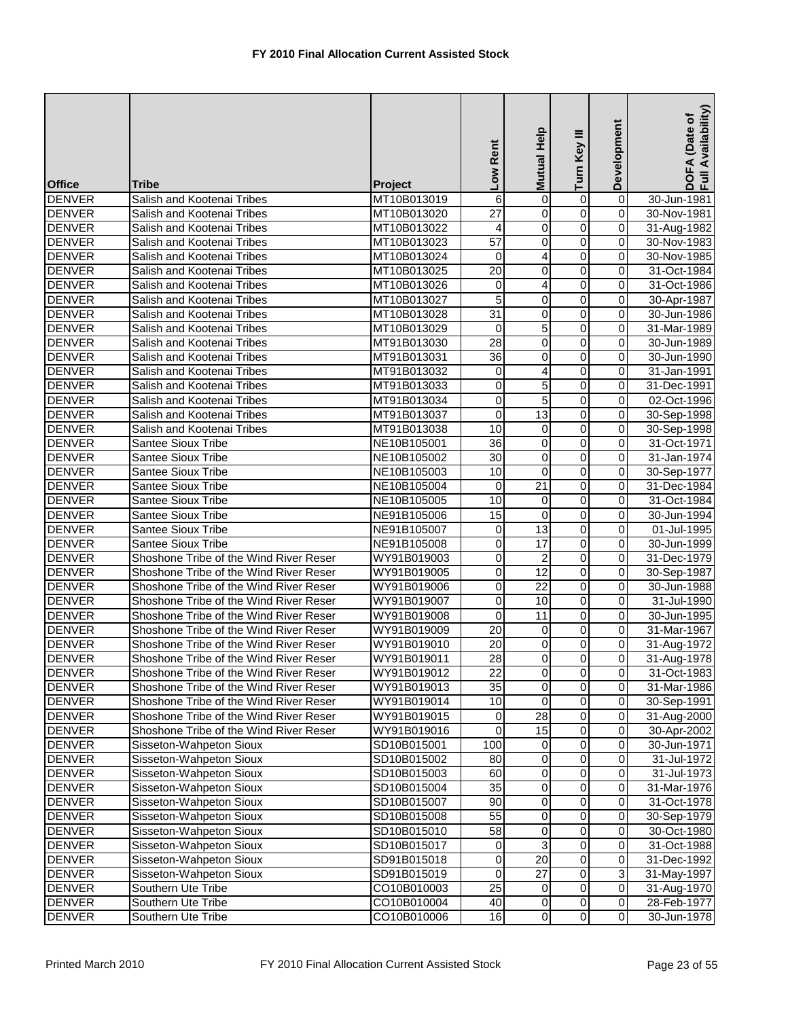| <b>Office</b>                  | Tribe                                                                            | Project                    | Low Rent         | Help<br><b>Mutual</b>   | Turn Key III                 | Development                            | Availability)<br>DOFA (Date of<br>Full Availability |
|--------------------------------|----------------------------------------------------------------------------------|----------------------------|------------------|-------------------------|------------------------------|----------------------------------------|-----------------------------------------------------|
| <b>DENVER</b>                  | Salish and Kootenai Tribes                                                       | MT10B013019                | 6                | $\overline{0}$          | 0                            | $\overline{0}$                         | 30-Jun-1981                                         |
| <b>DENVER</b>                  | Salish and Kootenai Tribes                                                       | MT10B013020                | $\overline{27}$  | 0                       | $\overline{0}$               | $\pmb{0}$                              | 30-Nov-1981                                         |
| <b>DENVER</b>                  | Salish and Kootenai Tribes                                                       | MT10B013022                | 4                | 0                       | $\overline{0}$               | $\mathbf 0$                            | 31-Aug-1982                                         |
| <b>DENVER</b>                  | Salish and Kootenai Tribes                                                       | MT10B013023                | $\overline{57}$  | $\pmb{0}$               | 0                            | $\pmb{0}$                              | 30-Nov-1983                                         |
| <b>DENVER</b>                  | Salish and Kootenai Tribes                                                       | MT10B013024                | $\mathbf 0$      | 4                       | 0                            | $\pmb{0}$                              | 30-Nov-1985                                         |
| <b>DENVER</b>                  | Salish and Kootenai Tribes                                                       | MT10B013025                | 20               | 0                       | 0                            | $\pmb{0}$                              | 31-Oct-1984                                         |
| <b>DENVER</b>                  | Salish and Kootenai Tribes                                                       | MT10B013026                | 0                | 4                       | $\overline{0}$               | $\overline{0}$                         | 31-Oct-1986                                         |
| <b>DENVER</b>                  | Salish and Kootenai Tribes                                                       | MT10B013027                | 5                | $\overline{0}$          | $\overline{\mathsf{o}}$      | $\overline{0}$                         | 30-Apr-1987                                         |
| <b>DENVER</b>                  | Salish and Kootenai Tribes                                                       | MT10B013028                | $\overline{31}$  | 0                       | $\overline{0}$               | $\overline{0}$                         | 30-Jun-1986                                         |
| <b>DENVER</b>                  | Salish and Kootenai Tribes                                                       | MT10B013029                | 0                | 5                       | 0                            | $\boldsymbol{0}$                       | 31-Mar-1989                                         |
| <b>DENVER</b>                  | Salish and Kootenai Tribes                                                       | MT91B013030                | $\overline{28}$  | O                       | $\overline{0}$               | $\overline{0}$                         | 30-Jun-1989                                         |
| <b>DENVER</b>                  | Salish and Kootenai Tribes                                                       | MT91B013031                | $\overline{36}$  | 0                       | 0                            | $\pmb{0}$                              | 30-Jun-1990                                         |
| <b>DENVER</b>                  | Salish and Kootenai Tribes                                                       | MT91B013032                | 0                | 4                       | 0                            | $\pmb{0}$                              | 31-Jan-1991                                         |
| <b>DENVER</b>                  | Salish and Kootenai Tribes                                                       | MT91B013033                | 0                | 5                       | 0                            | $\boldsymbol{0}$                       | 31-Dec-1991                                         |
| <b>DENVER</b>                  | Salish and Kootenai Tribes                                                       | MT91B013034                | $\boldsymbol{0}$ | $\overline{5}$          | $\overline{\mathsf{o}}$      | $\overline{\mathbf{0}}$                | 02-Oct-1996                                         |
| <b>DENVER</b>                  | Salish and Kootenai Tribes                                                       | MT91B013037                | $\boldsymbol{0}$ | $\overline{13}$         | $\mathsf 0$                  | $\mathsf 0$                            | 30-Sep-1998                                         |
| <b>DENVER</b>                  | Salish and Kootenai Tribes                                                       | MT91B013038                | 10               | $\mathbf 0$             | 0                            | $\boldsymbol{0}$                       | 30-Sep-1998                                         |
| <b>DENVER</b>                  | Santee Sioux Tribe                                                               | NE10B105001                | 36               | $\pmb{0}$               | $\overline{0}$               | $\mathbf 0$                            | 31-Oct-1971                                         |
| <b>DENVER</b>                  | Santee Sioux Tribe                                                               | NE10B105002                | 30               | $\pmb{0}$               | 0                            | 0                                      | 31-Jan-1974                                         |
| <b>DENVER</b>                  | <b>Santee Sioux Tribe</b>                                                        | NE10B105003                | 10               | 0                       | 0                            | $\pmb{0}$                              | 30-Sep-1977                                         |
| <b>DENVER</b>                  | <b>Santee Sioux Tribe</b>                                                        | NE10B105004                | 0                | 21                      | $\overline{0}$               | $\overline{0}$                         | 31-Dec-1984                                         |
| <b>DENVER</b>                  | <b>Santee Sioux Tribe</b>                                                        | NE10B105005                | 10               | $\overline{\mathsf{o}}$ | $\overline{0}$               | $\overline{0}$                         | 31-Oct-1984                                         |
| <b>DENVER</b>                  | <b>Santee Sioux Tribe</b>                                                        | NE91B105006                | $\overline{15}$  | 0                       | $\overline{0}$               | $\overline{0}$                         | 30-Jun-1994                                         |
| <b>DENVER</b>                  | <b>Santee Sioux Tribe</b>                                                        | NE91B105007                | 0                | $\overline{13}$         | $\overline{0}$               | $\boldsymbol{0}$                       | 01-Jul-1995                                         |
| <b>DENVER</b>                  | Santee Sioux Tribe                                                               | NE91B105008                | $\overline{0}$   | $\overline{17}$         | $\overline{0}$               | $\overline{0}$                         | 30-Jun-1999                                         |
| <b>DENVER</b>                  | Shoshone Tribe of the Wind River Reser                                           | WY91B019003                | $\boldsymbol{0}$ | $\overline{\mathbf{c}}$ | 0                            | $\overline{0}$                         | 31-Dec-1979                                         |
| <b>DENVER</b>                  | Shoshone Tribe of the Wind River Reser                                           | WY91B019005                | $\mathsf 0$      | 12                      | $\overline{0}$               | $\overline{0}$                         | 30-Sep-1987                                         |
| <b>DENVER</b>                  | Shoshone Tribe of the Wind River Reser                                           | WY91B019006                | 0                | 22                      | 0                            | $\pmb{0}$                              | 30-Jun-1988                                         |
| <b>DENVER</b>                  | Shoshone Tribe of the Wind River Reser                                           | WY91B019007                | $\boldsymbol{0}$ | 10                      | $\overline{\mathsf{o}}$      | $\pmb{0}$                              | 31-Jul-1990                                         |
| <b>DENVER</b>                  | Shoshone Tribe of the Wind River Reser                                           | WY91B019008                | 0                | $\overline{11}$         | 0                            | $\overline{0}$                         | 30-Jun-1995                                         |
| <b>DENVER</b>                  | Shoshone Tribe of the Wind River Reser                                           | WY91B019009                | 20               | $\mathbf 0$             | $\overline{0}$               | $\boldsymbol{0}$                       | 31-Mar-1967                                         |
| <b>DENVER</b>                  | Shoshone Tribe of the Wind River Reser                                           | WY91B019010                | 20               | 0                       | 0                            | $\mathbf 0$                            | 31-Aug-1972                                         |
| <b>DENVER</b>                  | Shoshone Tribe of the Wind River Reser                                           | WY91B019011                | 28               | $\overline{0}$          | 0                            | $\mathbf 0$                            | 31-Aug-1978                                         |
| <b>DENVER</b>                  | Shoshone Tribe of the Wind River Reser                                           | WY91B019012                | 22               | $\overline{0}$          | $\pmb{0}$                    | $\overline{0}$                         | 31-Oct-1983                                         |
| <b>DENVER</b>                  | Shoshone Tribe of the Wind River Reser                                           | WY91B019013                | 35               | $\overline{0}$          | $\overline{\mathbf{0}}$      | $\overline{0}$                         | 31-Mar-1986                                         |
| <b>DENVER</b>                  | Shoshone Tribe of the Wind River Reser<br>Shoshone Tribe of the Wind River Reser | WY91B019014                | $\overline{10}$  | $\mathbf 0$<br>28       | $\overline{\mathsf{o}}$<br>0 | $\overline{\mathbf{0}}$<br>$\mathbf 0$ | 30-Sep-1991                                         |
| <b>DENVER</b>                  | Shoshone Tribe of the Wind River Reser                                           | WY91B019015<br>WY91B019016 | 0<br>0           | 15                      | 0                            | $\pmb{0}$                              | 31-Aug-2000                                         |
| <b>DENVER</b><br><b>DENVER</b> | Sisseton-Wahpeton Sioux                                                          | SD10B015001                | 100              | $\overline{0}$          | $\overline{0}$               | $\mathbf 0$                            | 30-Apr-2002<br>30-Jun-1971                          |
| <b>DENVER</b>                  | Sisseton-Wahpeton Sioux                                                          | SD10B015002                | 80               | $\overline{0}$          | $\overline{\mathsf{o}}$      | $\pmb{0}$                              | 31-Jul-1972                                         |
| <b>DENVER</b>                  | Sisseton-Wahpeton Sioux                                                          | SD10B015003                | 60               | $\pmb{0}$               | 0                            | $\mathbf 0$                            | 31-Jul-1973                                         |
| <b>DENVER</b>                  | Sisseton-Wahpeton Sioux                                                          | SD10B015004                | 35               | $\overline{0}$          | 0                            | 0                                      | 31-Mar-1976                                         |
| <b>DENVER</b>                  | Sisseton-Wahpeton Sioux                                                          | SD10B015007                | 90               | $\overline{0}$          | $\overline{\mathsf{o}}$      | $\overline{\mathbf{0}}$                | 31-Oct-1978                                         |
| <b>DENVER</b>                  | Sisseton-Wahpeton Sioux                                                          | SD10B015008                | 55               | $\overline{0}$          | $\overline{\mathsf{o}}$      | $\pmb{0}$                              | 30-Sep-1979                                         |
| <b>DENVER</b>                  | Sisseton-Wahpeton Sioux                                                          | SD10B015010                | 58               | 0                       | $\overline{\mathsf{o}}$      | $\mathsf 0$                            | 30-Oct-1980                                         |
| <b>DENVER</b>                  | Sisseton-Wahpeton Sioux                                                          | SD10B015017                | 0                | ω                       | $\overline{0}$               | $\mathbf 0$                            | 31-Oct-1988                                         |
| <b>DENVER</b>                  | Sisseton-Wahpeton Sioux                                                          | SD91B015018                | 0                | 20                      | $\overline{\mathsf{o}}$      | $\mathbf 0$                            | 31-Dec-1992                                         |
| <b>DENVER</b>                  | Sisseton-Wahpeton Sioux                                                          | SD91B015019                | 0                | $\overline{27}$         | 0                            | ω                                      | 31-May-1997                                         |
| <b>DENVER</b>                  | Southern Ute Tribe                                                               | CO10B010003                | 25               | $\overline{0}$          | $\mathsf{O}\xspace$          | $\mathbf 0$                            | 31-Aug-1970                                         |
| <b>DENVER</b>                  | Southern Ute Tribe                                                               | CO10B010004                | $\overline{40}$  | $\overline{0}$          | $\overline{0}$               | $\overline{\mathsf{o}}$                | 28-Feb-1977                                         |
| <b>DENVER</b>                  | Southern Ute Tribe                                                               | CO10B010006                | 16               | $\overline{0}$          | $\overline{0}$               | $\overline{\mathsf{o}}$                | 30-Jun-1978                                         |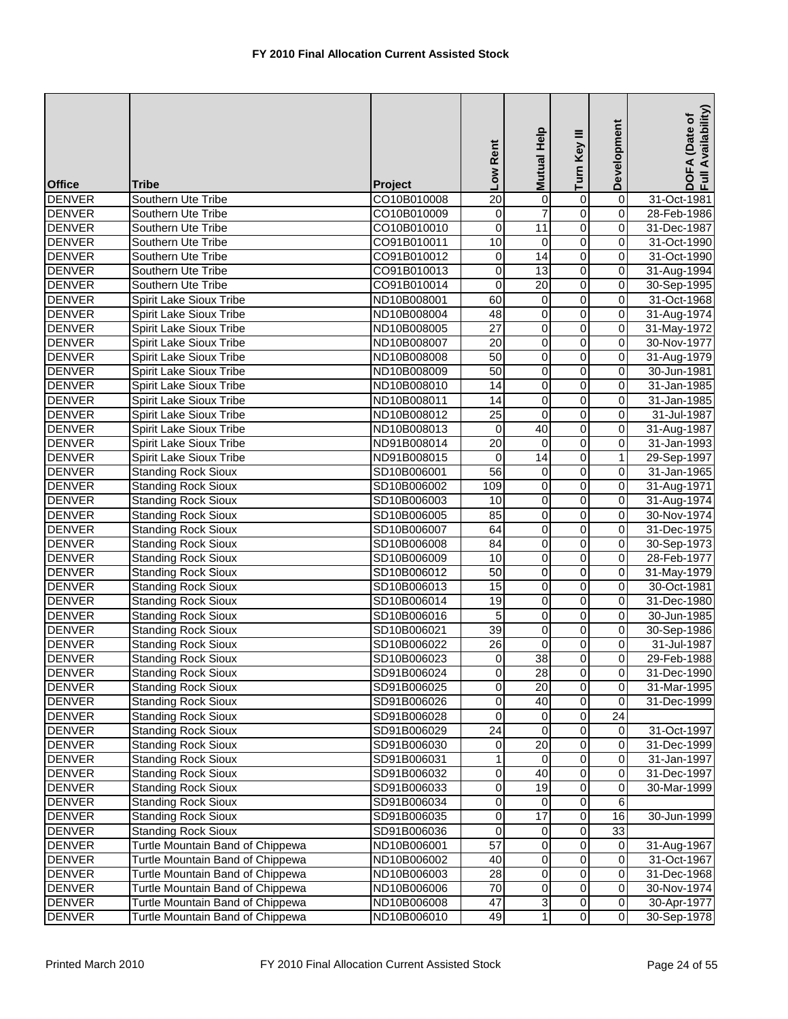| <b>Office</b>                  | <b>Tribe</b>                                             | Project                    | Low Rent              | Mutual Help         | Turn Key III                     | Development             | DOFA (Date of<br>Full Availability) |
|--------------------------------|----------------------------------------------------------|----------------------------|-----------------------|---------------------|----------------------------------|-------------------------|-------------------------------------|
| <b>DENVER</b>                  | Southern Ute Tribe                                       | CO10B010008                | $\overline{20}$       | 0                   | $\overline{0}$                   | $\overline{0}$          | 31-Oct-1981                         |
| <b>DENVER</b>                  | Southern Ute Tribe                                       | CO10B010009                | 0                     | $\overline{7}$      | $\overline{0}$                   | $\overline{0}$          | 28-Feb-1986                         |
| <b>DENVER</b>                  | Southern Ute Tribe                                       | CO10B010010                | $\mathbf 0$           | $\overline{11}$     | $\overline{0}$                   | 0                       | 31-Dec-1987                         |
| <b>DENVER</b>                  | Southern Ute Tribe                                       | CO91B010011                | 10                    | 0                   | $\overline{0}$                   | 0                       | 31-Oct-1990                         |
| <b>DENVER</b>                  | Southern Ute Tribe                                       | CO91B010012                | $\pmb{0}$             | 14                  | $\overline{0}$                   | 0                       | 31-Oct-1990                         |
| <b>DENVER</b>                  | Southern Ute Tribe                                       | CO91B010013                | 0                     | 13                  | $\overline{0}$                   | 0                       | 31-Aug-1994                         |
| <b>DENVER</b>                  | Southern Ute Tribe                                       | CO91B010014                | 0                     | 20                  | $\overline{0}$                   | 0                       | 30-Sep-1995                         |
| <b>DENVER</b>                  | Spirit Lake Sioux Tribe                                  | ND10B008001                | 60                    | 0                   | $\overline{0}$                   | $\overline{\mathbf{0}}$ | 31-Oct-1968                         |
| <b>DENVER</b>                  | Spirit Lake Sioux Tribe                                  | ND10B008004                | 48                    | $\mathbf 0$         | $\overline{0}$                   | 0                       | 31-Aug-1974                         |
| <b>DENVER</b>                  | Spirit Lake Sioux Tribe                                  | ND10B008005                | $\overline{27}$       | $\pmb{0}$           | $\overline{0}$                   | 0                       | 31-May-1972                         |
| <b>DENVER</b>                  | Spirit Lake Sioux Tribe                                  | ND10B008007                | $\overline{20}$       | $\overline{0}$      | $\overline{0}$                   | $\overline{0}$          | 30-Nov-1977                         |
| <b>DENVER</b>                  | Spirit Lake Sioux Tribe                                  | ND10B008008                | $\overline{50}$       | 0                   | $\overline{0}$                   | 0                       | 31-Aug-1979                         |
| <b>DENVER</b>                  | Spirit Lake Sioux Tribe                                  | ND10B008009                | $\overline{50}$       | 0                   | $\overline{0}$                   | 0                       | 30-Jun-1981                         |
| <b>DENVER</b>                  | Spirit Lake Sioux Tribe                                  | ND10B008010                | $\overline{14}$       | 0                   | $\overline{0}$                   | 0                       | 31-Jan-1985                         |
| <b>DENVER</b>                  | Spirit Lake Sioux Tribe                                  | ND10B008011                | 14                    | $\overline{0}$      | $\overline{0}$                   | $\overline{\mathsf{o}}$ | 31-Jan-1985                         |
| <b>DENVER</b>                  | Spirit Lake Sioux Tribe                                  | ND10B008012                | $\overline{25}$       | $\mathbf 0$         | $\overline{0}$                   | $\mathsf 0$             | 31-Jul-1987                         |
| <b>DENVER</b>                  | Spirit Lake Sioux Tribe                                  | ND10B008013                | 0                     | 40                  | $\overline{0}$                   | 0                       | 31-Aug-1987                         |
| <b>DENVER</b>                  | Spirit Lake Sioux Tribe                                  | ND91B008014                | $\overline{20}$       | $\mathbf 0$         | $\overline{0}$                   | 0                       | 31-Jan-1993                         |
| <b>DENVER</b>                  | Spirit Lake Sioux Tribe                                  | ND91B008015                | 0                     | 14                  | 0                                | $\mathbf{1}$            | 29-Sep-1997                         |
| <b>DENVER</b>                  | <b>Standing Rock Sioux</b>                               | SD10B006001                | 56                    | 0                   | $\mathsf 0$                      | $\overline{0}$          | 31-Jan-1965                         |
| <b>DENVER</b>                  | <b>Standing Rock Sioux</b>                               | SD10B006002                | 109                   | 0                   | $\overline{0}$                   | 0                       | 31-Aug-1971                         |
| <b>DENVER</b>                  | <b>Standing Rock Sioux</b>                               | SD10B006003                | 10                    | $\overline{0}$      | $\overline{0}$                   | $\overline{\mathbf{0}}$ | 31-Aug-1974                         |
| <b>DENVER</b>                  | <b>Standing Rock Sioux</b>                               | SD10B006005                | 85                    | 0                   | $\overline{0}$                   | 0                       | 30-Nov-1974                         |
| <b>DENVER</b>                  | <b>Standing Rock Sioux</b>                               | SD10B006007                | 64                    | $\pmb{0}$           | $\overline{0}$                   | 0                       | 31-Dec-1975                         |
| <b>DENVER</b>                  | <b>Standing Rock Sioux</b>                               | SD10B006008                | $\overline{84}$       | $\overline{0}$      | $\overline{0}$                   | 0                       | 30-Sep-1973                         |
| <b>DENVER</b>                  | <b>Standing Rock Sioux</b>                               | SD10B006009                | 10<br>$\overline{50}$ | $\pmb{0}$           | $\overline{0}$<br>$\overline{0}$ | $\overline{\mathbf{0}}$ | 28-Feb-1977                         |
| <b>DENVER</b>                  | <b>Standing Rock Sioux</b>                               | SD10B006012                | 15                    | 0                   | $\overline{0}$                   | 0<br>0                  | 31-May-1979<br>30-Oct-1981          |
| <b>DENVER</b><br><b>DENVER</b> | <b>Standing Rock Sioux</b><br><b>Standing Rock Sioux</b> | SD10B006013<br>SD10B006014 | 19                    | 0<br>$\overline{0}$ | $\overline{0}$                   | $\overline{\mathbf{0}}$ | 31-Dec-1980                         |
| <b>DENVER</b>                  | <b>Standing Rock Sioux</b>                               | SD10B006016                | 5                     | 0                   | $\overline{0}$                   | 0                       | 30-Jun-1985                         |
| <b>DENVER</b>                  | <b>Standing Rock Sioux</b>                               | SD10B006021                | $\overline{39}$       | $\overline{0}$      | $\overline{0}$                   | 0                       | 30-Sep-1986                         |
| <b>DENVER</b>                  | <b>Standing Rock Sioux</b>                               | SD10B006022                | 26                    | $\mathbf 0$         | $\overline{0}$                   | 0                       | 31-Jul-1987                         |
| <b>DENVER</b>                  | <b>Standing Rock Sioux</b>                               | SD10B006023                | 0                     | $\overline{38}$     | $\overline{0}$                   | 0                       | 29-Feb-1988                         |
| <b>DENVER</b>                  | <b>Standing Rock Sioux</b>                               | SD91B006024                | $\overline{0}$        | 28                  | $\overline{0}$                   | $\mathbf 0$             | 31-Dec-1990                         |
| <b>DENVER</b>                  | <b>Standing Rock Sioux</b>                               | SD91B006025                | $\overline{0}$        | 20                  | $\overline{0}$                   | 0                       | 31-Mar-1995                         |
| <b>DENVER</b>                  | <b>Standing Rock Sioux</b>                               | SD91B006026                | $\mathbf 0$           | 40                  | $\overline{\mathbf{o}}$          | $\mathbf 0$             | 31-Dec-1999                         |
| <b>DENVER</b>                  | <b>Standing Rock Sioux</b>                               | SD91B006028                | 0                     | 0                   | 0                                | $\overline{24}$         |                                     |
| <b>DENVER</b>                  | <b>Standing Rock Sioux</b>                               | SD91B006029                | 24                    | 0                   | 0                                | 0                       | 31-Oct-1997                         |
| <b>DENVER</b>                  | <b>Standing Rock Sioux</b>                               | SD91B006030                | 0                     | 20                  | $\overline{0}$                   | 0                       | 31-Dec-1999                         |
| <b>DENVER</b>                  | <b>Standing Rock Sioux</b>                               | SD91B006031                | 1                     | 0                   | 0                                | $\pmb{0}$               | 31-Jan-1997                         |
| <b>DENVER</b>                  | <b>Standing Rock Sioux</b>                               | SD91B006032                | 0                     | 40                  | 0                                | $\pmb{0}$               | 31-Dec-1997                         |
| <b>DENVER</b>                  | <b>Standing Rock Sioux</b>                               | SD91B006033                | 0                     | 19                  | 0                                | 0                       | 30-Mar-1999                         |
| <b>DENVER</b>                  | <b>Standing Rock Sioux</b>                               | SD91B006034                | 0                     | 0                   | $\overline{\mathbf{o}}$          | 6                       |                                     |
| <b>DENVER</b>                  | <b>Standing Rock Sioux</b>                               | SD91B006035                | 0                     | $\overline{17}$     | $\mathsf{O}\xspace$              | 16                      | 30-Jun-1999                         |
| <b>DENVER</b>                  | <b>Standing Rock Sioux</b>                               | SD91B006036                | 0                     | 0                   | $\mathsf 0$                      | 33                      |                                     |
| <b>DENVER</b>                  | Turtle Mountain Band of Chippewa                         | ND10B006001                | 57                    | 0                   | $\overline{0}$                   | $\mathbf 0$             | 31-Aug-1967                         |
| <b>DENVER</b>                  | Turtle Mountain Band of Chippewa                         | ND10B006002                | 40                    | 0                   | 0                                | 0                       | 31-Oct-1967                         |
| <b>DENVER</b>                  | Turtle Mountain Band of Chippewa                         | ND10B006003                | $\overline{28}$       | 0                   | 0                                | 0                       | 31-Dec-1968                         |
| <b>DENVER</b>                  | Turtle Mountain Band of Chippewa                         | ND10B006006                | 70                    | 0                   | 0                                | 0                       | 30-Nov-1974                         |
| <b>DENVER</b>                  | Turtle Mountain Band of Chippewa                         | ND10B006008                | 47                    | 3                   | $\overline{\mathsf{o}}$          | $\mathsf{O}\xspace$     | 30-Apr-1977                         |
| <b>DENVER</b>                  | Turtle Mountain Band of Chippewa                         | ND10B006010                | 49                    | $\mathbf{1}$        | $\overline{0}$                   | $\overline{0}$          | 30-Sep-1978                         |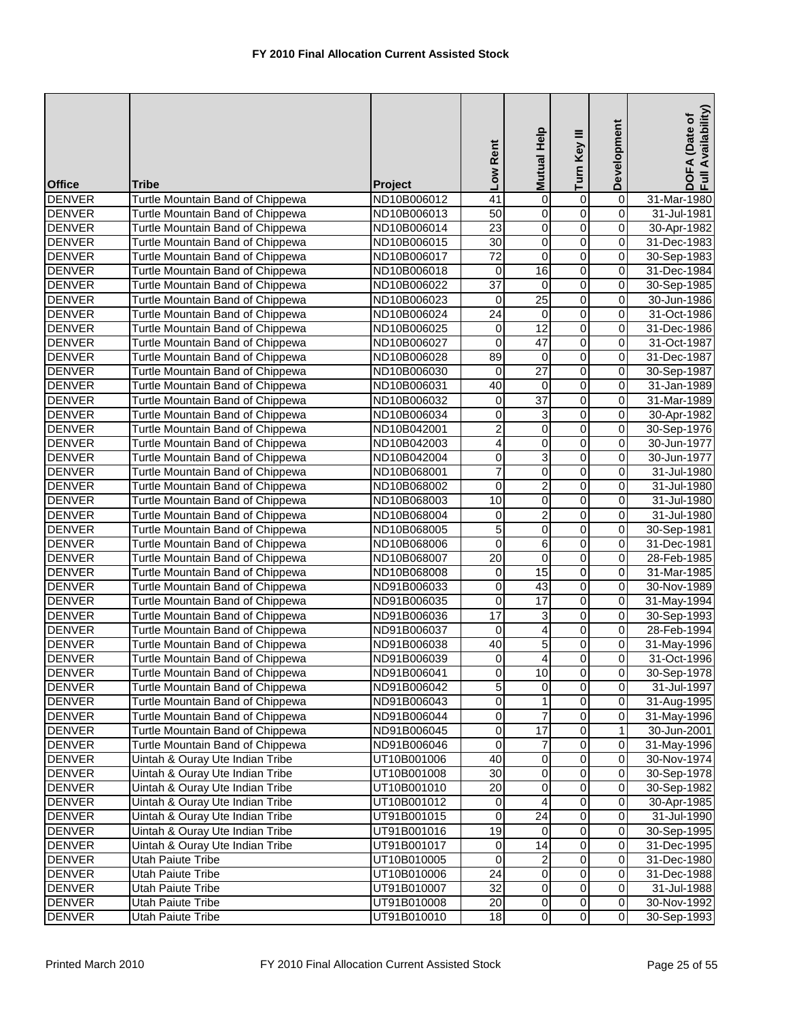| <b>Tribe</b><br><b>Office</b><br><b>Project</b><br>0<br>$\overline{0}$<br><b>DENVER</b><br>Turtle Mountain Band of Chippewa<br>ND10B006012<br>41<br>$\overline{0}$<br>31-Mar-1980<br>$\overline{0}$<br>$\overline{0}$<br>$\overline{50}$<br>0<br><b>DENVER</b><br>Turtle Mountain Band of Chippewa<br>ND10B006013<br>31-Jul-1981<br>$\overline{0}$<br>$\overline{23}$<br>0<br>$\pmb{0}$<br><b>DENVER</b><br>Turtle Mountain Band of Chippewa<br>ND10B006014<br>30-Apr-1982<br>O<br>$\overline{0}$<br><b>DENVER</b><br>$\overline{30}$<br>0<br>Turtle Mountain Band of Chippewa<br>ND10B006015<br>31-Dec-1983<br><b>DENVER</b><br>$\overline{72}$<br>0<br>0<br>0<br>Turtle Mountain Band of Chippewa<br>ND10B006017<br>30-Sep-1983<br>16<br>$\overline{0}$<br><b>DENVER</b><br><b>Turtle Mountain Band of Chippewa</b><br>ND10B006018<br>0<br>0<br>31-Dec-1984<br>$\overline{37}$<br>$\overline{0}$<br>$\mathbf 0$<br>$\pmb{0}$<br><b>DENVER</b><br>Turtle Mountain Band of Chippewa<br>ND10B006022<br>30-Sep-1985<br>$\overline{25}$<br>$\overline{0}$<br>$\overline{0}$<br><b>DENVER</b><br>Turtle Mountain Band of Chippewa<br>0<br>ND10B006023<br>30-Jun-1986<br>$\overline{0}$<br>$\overline{24}$<br>$\pmb{0}$<br>$\overline{0}$<br><b>DENVER</b><br>31-Oct-1986<br>Turtle Mountain Band of Chippewa<br>ND10B006024<br>12<br>$\overline{0}$<br>0<br><b>DENVER</b><br>Turtle Mountain Band of Chippewa<br>0<br>31-Dec-1986<br>ND10B006025<br>$\overline{0}$<br>$\overline{0}$<br>47<br>$\mathbf 0$<br><b>DENVER</b><br>Turtle Mountain Band of Chippewa<br>ND10B006027<br>31-Oct-1987<br><b>DENVER</b><br>89<br>$\pmb{0}$<br>0<br>0<br>Turtle Mountain Band of Chippewa<br>ND10B006028<br>31-Dec-1987<br>$\overline{27}$<br>$\overline{0}$<br>$\pmb{0}$<br><b>DENVER</b><br>Turtle Mountain Band of Chippewa<br>ND10B006030<br>0<br>30-Sep-1987<br>0<br>$\overline{0}$<br><b>DENVER</b><br>Turtle Mountain Band of Chippewa<br>40<br>$\mathbf 0$<br>31-Jan-1989<br>ND10B006031<br>$\overline{37}$<br>$\overline{0}$<br>$\overline{0}$<br>$\overline{0}$<br><b>DENVER</b><br>Turtle Mountain Band of Chippewa<br>ND10B006032<br>31-Mar-1989<br>0<br>0<br>3<br>$\mathsf 0$<br><b>DENVER</b><br>Turtle Mountain Band of Chippewa<br>30-Apr-1982<br>ND10B006034<br>$\overline{2}$<br>$\overline{0}$<br>$\overline{0}$<br>$\pmb{0}$<br><b>DENVER</b><br>Turtle Mountain Band of Chippewa<br>ND10B042001<br>30-Sep-1976<br>$\overline{0}$<br><b>DENVER</b><br>4<br>0<br>0<br>Turtle Mountain Band of Chippewa<br>ND10B042003<br>30-Jun-1977<br>$\overline{0}$<br>3<br>$\overline{0}$<br>0<br><b>DENVER</b><br>Turtle Mountain Band of Chippewa<br>ND10B042004<br>30-Jun-1977<br>$\overline{7}$<br>0<br><b>DENVER</b><br>$\mathbf 0$<br>0<br>Turtle Mountain Band of Chippewa<br>ND10B068001<br>31-Jul-1980<br>$\overline{2}$<br>0<br>$\pmb{0}$<br><b>DENVER</b><br>Turtle Mountain Band of Chippewa<br>0<br>31-Jul-1980<br>ND10B068002<br>$\overline{0}$<br>$\overline{0}$<br>10<br>$\overline{0}$<br><b>DENVER</b><br>Turtle Mountain Band of Chippewa<br>ND10B068003<br>31-Jul-1980<br>$\overline{2}$<br>0<br>$\overline{0}$<br><b>DENVER</b><br>Turtle Mountain Band of Chippewa<br>0<br>31-Jul-1980<br>ND10B068004<br>5<br>$\overline{0}$<br>$\overline{0}$<br><b>DENVER</b><br>0<br>Turtle Mountain Band of Chippewa<br>ND10B068005<br>30-Sep-1981<br>$\overline{0}$<br>$\overline{6}$<br>$\mathbf 0$<br><b>DENVER</b><br>0<br>Turtle Mountain Band of Chippewa<br>ND10B068006<br>31-Dec-1981<br>$\overline{0}$<br>$\overline{0}$<br>$\overline{20}$<br>0<br><b>DENVER</b><br>Turtle Mountain Band of Chippewa<br>28-Feb-1985<br>ND10B068007<br>15<br><b>DENVER</b><br>0<br>$\overline{0}$<br>Turtle Mountain Band of Chippewa<br>ND10B068008<br>0<br>31-Mar-1985<br>43<br>$\overline{0}$<br><b>DENVER</b><br>Turtle Mountain Band of Chippewa<br>0<br>0<br>30-Nov-1989<br>ND91B006033<br>$\overline{0}$<br>17<br>$\overline{0}$<br>$\overline{0}$<br><b>DENVER</b><br>Turtle Mountain Band of Chippewa<br>ND91B006035<br>31-May-1994<br>17<br>3<br>0<br>$\overline{0}$<br><b>DENVER</b><br>Turtle Mountain Band of Chippewa<br>ND91B006036<br>30-Sep-1993<br>$\overline{0}$<br>4<br>$\overline{0}$<br><b>DENVER</b><br><b>Turtle Mountain Band of Chippewa</b><br>28-Feb-1994<br>ND91B006037<br>0<br>5<br>0<br>$\mathbf 0$<br><b>DENVER</b><br>Turtle Mountain Band of Chippewa<br>40<br>ND91B006038<br>31-May-1996<br>$\overline{0}$<br>$\overline{4}$<br>0<br><b>DENVER</b><br>Turtle Mountain Band of Chippewa<br>0<br>31-Oct-1996<br>ND91B006039<br><b>DENVER</b><br>Turtle Mountain Band of Chippewa<br>ND91B006041<br>$\overline{0}$<br>$\overline{0}$<br>10<br>$\overline{0}$<br>$\overline{0}$<br>$\overline{5}$<br>$\mathbf 0$<br><b>DENVER</b><br>Turtle Mountain Band of Chippewa<br>ND91B006042<br>$\overline{0}$<br>0<br>0<br>$\pmb{0}$<br><b>DENVER</b><br>Turtle Mountain Band of Chippewa<br>$\mathbf{1}$<br>ND91B006043<br>$\overline{7}$<br>$\overline{\mathsf{o}}$<br>0<br>$\pmb{0}$<br><b>DENVER</b><br>Turtle Mountain Band of Chippewa<br>ND91B006044<br>17<br>$\pmb{0}$<br>$\mathbf{1}$<br>0<br><b>DENVER</b><br>Turtle Mountain Band of Chippewa<br>30-Jun-2001<br>ND91B006045<br>$\overline{7}$<br>$\overline{\mathsf{o}}$<br>Turtle Mountain Band of Chippewa<br>$\mathbf 0$<br>$\pmb{0}$<br><b>DENVER</b><br>ND91B006046<br>$\overline{0}$<br>Uintah & Ouray Ute Indian Tribe<br>$\pmb{0}$<br>$\overline{0}$<br><b>DENVER</b><br>40<br>UT10B001006<br>0<br>Uintah & Ouray Ute Indian Tribe<br>0<br>$\pmb{0}$<br><b>DENVER</b><br>UT10B001008<br>30<br>30-Sep-1978<br>20<br>0<br><b>DENVER</b><br>Uintah & Ouray Ute Indian Tribe<br>UT10B001010<br>0<br>0<br>$\overline{\mathsf{o}}$<br>$\overline{0}$<br>$\overline{4}$<br><b>DENVER</b><br>Uintah & Ouray Ute Indian Tribe<br>UT10B001012<br>0<br>24<br>$\overline{\mathsf{o}}$<br>$\overline{\mathsf{o}}$<br>Uintah & Ouray Ute Indian Tribe<br>0<br><b>DENVER</b><br>UT91B001015<br>$\overline{\mathsf{o}}$<br>$\overline{0}$<br>19<br>Uintah & Ouray Ute Indian Tribe<br>0<br><b>DENVER</b><br>UT91B001016<br>30-Sep-1995<br>Uintah & Ouray Ute Indian Tribe<br>14<br>$\mathsf{O}\xspace$<br>$\pmb{0}$<br><b>DENVER</b><br>0<br>UT91B001017<br>31-Dec-1995<br>$\overline{0}$<br>$\boldsymbol{0}$<br>$\overline{\mathbf{c}}$<br>$\overline{\mathbf{0}}$<br><b>DENVER</b><br>Utah Paiute Tribe<br>UT10B010005<br>31-Dec-1980<br><b>DENVER</b><br>24<br>0<br>$\mathbf 0$<br>$\pmb{0}$<br>Utah Paiute Tribe<br>UT10B010006<br>31-Dec-1988<br>$\overline{32}$<br>0<br>0<br>$\pmb{0}$<br><b>DENVER</b><br>Utah Paiute Tribe<br>UT91B010007<br>31-Jul-1988<br>$\mathsf{O}\xspace$<br>$\pmb{0}$<br><b>DENVER</b><br>20<br>$\overline{0}$<br>Utah Paiute Tribe<br>UT91B010008<br>$\overline{0}$<br>$\overline{0}$<br>$\overline{0}$<br><b>DENVER</b><br>18<br>Utah Paiute Tribe<br>UT91B010010 |  | Low Rent | <b>Mutual Help</b> | Turn Key III | Development | Full Availability)<br>DOFA (Date of |
|--------------------------------------------------------------------------------------------------------------------------------------------------------------------------------------------------------------------------------------------------------------------------------------------------------------------------------------------------------------------------------------------------------------------------------------------------------------------------------------------------------------------------------------------------------------------------------------------------------------------------------------------------------------------------------------------------------------------------------------------------------------------------------------------------------------------------------------------------------------------------------------------------------------------------------------------------------------------------------------------------------------------------------------------------------------------------------------------------------------------------------------------------------------------------------------------------------------------------------------------------------------------------------------------------------------------------------------------------------------------------------------------------------------------------------------------------------------------------------------------------------------------------------------------------------------------------------------------------------------------------------------------------------------------------------------------------------------------------------------------------------------------------------------------------------------------------------------------------------------------------------------------------------------------------------------------------------------------------------------------------------------------------------------------------------------------------------------------------------------------------------------------------------------------------------------------------------------------------------------------------------------------------------------------------------------------------------------------------------------------------------------------------------------------------------------------------------------------------------------------------------------------------------------------------------------------------------------------------------------------------------------------------------------------------------------------------------------------------------------------------------------------------------------------------------------------------------------------------------------------------------------------------------------------------------------------------------------------------------------------------------------------------------------------------------------------------------------------------------------------------------------------------------------------------------------------------------------------------------------------------------------------------------------------------------------------------------------------------------------------------------------------------------------------------------------------------------------------------------------------------------------------------------------------------------------------------------------------------------------------------------------------------------------------------------------------------------------------------------------------------------------------------------------------------------------------------------------------------------------------------------------------------------------------------------------------------------------------------------------------------------------------------------------------------------------------------------------------------------------------------------------------------------------------------------------------------------------------------------------------------------------------------------------------------------------------------------------------------------------------------------------------------------------------------------------------------------------------------------------------------------------------------------------------------------------------------------------------------------------------------------------------------------------------------------------------------------------------------------------------------------------------------------------------------------------------------------------------------------------------------------------------------------------------------------------------------------------------------------------------------------------------------------------------------------------------------------------------------------------------------------------------------------------------------------------------------------------------------------------------------------------------------------------------------------------------------------------------------------------------------------------------------------------------------------------------------------------------------------------------------------------------------------------------------------------------------------------------------------------------------------------------------------------------------------------------------------------------------------------------------------------------------------------------------------------------------------------------------------------------------------------------------------------------------------------------------------------------------------------------------------------------------------------------------------------------------------------------------------------------------------------------------------------------------------------------------------------------------------------------------------------------------------------------------------------------------------------------------------------------------------------------------------------------------------------------------------------------------------------------------------------------------------------------------------------------------------------------------------------------------------------------------------------------------------------------------------------------------------------------------------------------------------------------------------------------------------------------------------------------------|--|----------|--------------------|--------------|-------------|-------------------------------------|
| 30-Sep-1978<br>31-Jul-1997<br>31-Aug-1995<br>31-May-1996<br>31-May-1996<br>30-Nov-1974<br>30-Sep-1982<br>30-Apr-1985<br>31-Jul-1990<br>30-Nov-1992<br>30-Sep-1993                                                                                                                                                                                                                                                                                                                                                                                                                                                                                                                                                                                                                                                                                                                                                                                                                                                                                                                                                                                                                                                                                                                                                                                                                                                                                                                                                                                                                                                                                                                                                                                                                                                                                                                                                                                                                                                                                                                                                                                                                                                                                                                                                                                                                                                                                                                                                                                                                                                                                                                                                                                                                                                                                                                                                                                                                                                                                                                                                                                                                                                                                                                                                                                                                                                                                                                                                                                                                                                                                                                                                                                                                                                                                                                                                                                                                                                                                                                                                                                                                                                                                                                                                                                                                                                                                                                                                                                                                                                                                                                                                                                                                                                                                                                                                                                                                                                                                                                                                                                                                                                                                                                                                                                                                                                                                                                                                                                                                                                                                                                                                                                                                                                                                                                                                                                                                                                                                                                                                                                                                                                                                                                                                                                                                                                                                                                                                                                                                                                                                                                                                                                                                                                                                                        |  |          |                    |              |             |                                     |
|                                                                                                                                                                                                                                                                                                                                                                                                                                                                                                                                                                                                                                                                                                                                                                                                                                                                                                                                                                                                                                                                                                                                                                                                                                                                                                                                                                                                                                                                                                                                                                                                                                                                                                                                                                                                                                                                                                                                                                                                                                                                                                                                                                                                                                                                                                                                                                                                                                                                                                                                                                                                                                                                                                                                                                                                                                                                                                                                                                                                                                                                                                                                                                                                                                                                                                                                                                                                                                                                                                                                                                                                                                                                                                                                                                                                                                                                                                                                                                                                                                                                                                                                                                                                                                                                                                                                                                                                                                                                                                                                                                                                                                                                                                                                                                                                                                                                                                                                                                                                                                                                                                                                                                                                                                                                                                                                                                                                                                                                                                                                                                                                                                                                                                                                                                                                                                                                                                                                                                                                                                                                                                                                                                                                                                                                                                                                                                                                                                                                                                                                                                                                                                                                                                                                                                                                                                                                          |  |          |                    |              |             |                                     |
|                                                                                                                                                                                                                                                                                                                                                                                                                                                                                                                                                                                                                                                                                                                                                                                                                                                                                                                                                                                                                                                                                                                                                                                                                                                                                                                                                                                                                                                                                                                                                                                                                                                                                                                                                                                                                                                                                                                                                                                                                                                                                                                                                                                                                                                                                                                                                                                                                                                                                                                                                                                                                                                                                                                                                                                                                                                                                                                                                                                                                                                                                                                                                                                                                                                                                                                                                                                                                                                                                                                                                                                                                                                                                                                                                                                                                                                                                                                                                                                                                                                                                                                                                                                                                                                                                                                                                                                                                                                                                                                                                                                                                                                                                                                                                                                                                                                                                                                                                                                                                                                                                                                                                                                                                                                                                                                                                                                                                                                                                                                                                                                                                                                                                                                                                                                                                                                                                                                                                                                                                                                                                                                                                                                                                                                                                                                                                                                                                                                                                                                                                                                                                                                                                                                                                                                                                                                                          |  |          |                    |              |             |                                     |
|                                                                                                                                                                                                                                                                                                                                                                                                                                                                                                                                                                                                                                                                                                                                                                                                                                                                                                                                                                                                                                                                                                                                                                                                                                                                                                                                                                                                                                                                                                                                                                                                                                                                                                                                                                                                                                                                                                                                                                                                                                                                                                                                                                                                                                                                                                                                                                                                                                                                                                                                                                                                                                                                                                                                                                                                                                                                                                                                                                                                                                                                                                                                                                                                                                                                                                                                                                                                                                                                                                                                                                                                                                                                                                                                                                                                                                                                                                                                                                                                                                                                                                                                                                                                                                                                                                                                                                                                                                                                                                                                                                                                                                                                                                                                                                                                                                                                                                                                                                                                                                                                                                                                                                                                                                                                                                                                                                                                                                                                                                                                                                                                                                                                                                                                                                                                                                                                                                                                                                                                                                                                                                                                                                                                                                                                                                                                                                                                                                                                                                                                                                                                                                                                                                                                                                                                                                                                          |  |          |                    |              |             |                                     |
|                                                                                                                                                                                                                                                                                                                                                                                                                                                                                                                                                                                                                                                                                                                                                                                                                                                                                                                                                                                                                                                                                                                                                                                                                                                                                                                                                                                                                                                                                                                                                                                                                                                                                                                                                                                                                                                                                                                                                                                                                                                                                                                                                                                                                                                                                                                                                                                                                                                                                                                                                                                                                                                                                                                                                                                                                                                                                                                                                                                                                                                                                                                                                                                                                                                                                                                                                                                                                                                                                                                                                                                                                                                                                                                                                                                                                                                                                                                                                                                                                                                                                                                                                                                                                                                                                                                                                                                                                                                                                                                                                                                                                                                                                                                                                                                                                                                                                                                                                                                                                                                                                                                                                                                                                                                                                                                                                                                                                                                                                                                                                                                                                                                                                                                                                                                                                                                                                                                                                                                                                                                                                                                                                                                                                                                                                                                                                                                                                                                                                                                                                                                                                                                                                                                                                                                                                                                                          |  |          |                    |              |             |                                     |
|                                                                                                                                                                                                                                                                                                                                                                                                                                                                                                                                                                                                                                                                                                                                                                                                                                                                                                                                                                                                                                                                                                                                                                                                                                                                                                                                                                                                                                                                                                                                                                                                                                                                                                                                                                                                                                                                                                                                                                                                                                                                                                                                                                                                                                                                                                                                                                                                                                                                                                                                                                                                                                                                                                                                                                                                                                                                                                                                                                                                                                                                                                                                                                                                                                                                                                                                                                                                                                                                                                                                                                                                                                                                                                                                                                                                                                                                                                                                                                                                                                                                                                                                                                                                                                                                                                                                                                                                                                                                                                                                                                                                                                                                                                                                                                                                                                                                                                                                                                                                                                                                                                                                                                                                                                                                                                                                                                                                                                                                                                                                                                                                                                                                                                                                                                                                                                                                                                                                                                                                                                                                                                                                                                                                                                                                                                                                                                                                                                                                                                                                                                                                                                                                                                                                                                                                                                                                          |  |          |                    |              |             |                                     |
|                                                                                                                                                                                                                                                                                                                                                                                                                                                                                                                                                                                                                                                                                                                                                                                                                                                                                                                                                                                                                                                                                                                                                                                                                                                                                                                                                                                                                                                                                                                                                                                                                                                                                                                                                                                                                                                                                                                                                                                                                                                                                                                                                                                                                                                                                                                                                                                                                                                                                                                                                                                                                                                                                                                                                                                                                                                                                                                                                                                                                                                                                                                                                                                                                                                                                                                                                                                                                                                                                                                                                                                                                                                                                                                                                                                                                                                                                                                                                                                                                                                                                                                                                                                                                                                                                                                                                                                                                                                                                                                                                                                                                                                                                                                                                                                                                                                                                                                                                                                                                                                                                                                                                                                                                                                                                                                                                                                                                                                                                                                                                                                                                                                                                                                                                                                                                                                                                                                                                                                                                                                                                                                                                                                                                                                                                                                                                                                                                                                                                                                                                                                                                                                                                                                                                                                                                                                                          |  |          |                    |              |             |                                     |
|                                                                                                                                                                                                                                                                                                                                                                                                                                                                                                                                                                                                                                                                                                                                                                                                                                                                                                                                                                                                                                                                                                                                                                                                                                                                                                                                                                                                                                                                                                                                                                                                                                                                                                                                                                                                                                                                                                                                                                                                                                                                                                                                                                                                                                                                                                                                                                                                                                                                                                                                                                                                                                                                                                                                                                                                                                                                                                                                                                                                                                                                                                                                                                                                                                                                                                                                                                                                                                                                                                                                                                                                                                                                                                                                                                                                                                                                                                                                                                                                                                                                                                                                                                                                                                                                                                                                                                                                                                                                                                                                                                                                                                                                                                                                                                                                                                                                                                                                                                                                                                                                                                                                                                                                                                                                                                                                                                                                                                                                                                                                                                                                                                                                                                                                                                                                                                                                                                                                                                                                                                                                                                                                                                                                                                                                                                                                                                                                                                                                                                                                                                                                                                                                                                                                                                                                                                                                          |  |          |                    |              |             |                                     |
|                                                                                                                                                                                                                                                                                                                                                                                                                                                                                                                                                                                                                                                                                                                                                                                                                                                                                                                                                                                                                                                                                                                                                                                                                                                                                                                                                                                                                                                                                                                                                                                                                                                                                                                                                                                                                                                                                                                                                                                                                                                                                                                                                                                                                                                                                                                                                                                                                                                                                                                                                                                                                                                                                                                                                                                                                                                                                                                                                                                                                                                                                                                                                                                                                                                                                                                                                                                                                                                                                                                                                                                                                                                                                                                                                                                                                                                                                                                                                                                                                                                                                                                                                                                                                                                                                                                                                                                                                                                                                                                                                                                                                                                                                                                                                                                                                                                                                                                                                                                                                                                                                                                                                                                                                                                                                                                                                                                                                                                                                                                                                                                                                                                                                                                                                                                                                                                                                                                                                                                                                                                                                                                                                                                                                                                                                                                                                                                                                                                                                                                                                                                                                                                                                                                                                                                                                                                                          |  |          |                    |              |             |                                     |
|                                                                                                                                                                                                                                                                                                                                                                                                                                                                                                                                                                                                                                                                                                                                                                                                                                                                                                                                                                                                                                                                                                                                                                                                                                                                                                                                                                                                                                                                                                                                                                                                                                                                                                                                                                                                                                                                                                                                                                                                                                                                                                                                                                                                                                                                                                                                                                                                                                                                                                                                                                                                                                                                                                                                                                                                                                                                                                                                                                                                                                                                                                                                                                                                                                                                                                                                                                                                                                                                                                                                                                                                                                                                                                                                                                                                                                                                                                                                                                                                                                                                                                                                                                                                                                                                                                                                                                                                                                                                                                                                                                                                                                                                                                                                                                                                                                                                                                                                                                                                                                                                                                                                                                                                                                                                                                                                                                                                                                                                                                                                                                                                                                                                                                                                                                                                                                                                                                                                                                                                                                                                                                                                                                                                                                                                                                                                                                                                                                                                                                                                                                                                                                                                                                                                                                                                                                                                          |  |          |                    |              |             |                                     |
|                                                                                                                                                                                                                                                                                                                                                                                                                                                                                                                                                                                                                                                                                                                                                                                                                                                                                                                                                                                                                                                                                                                                                                                                                                                                                                                                                                                                                                                                                                                                                                                                                                                                                                                                                                                                                                                                                                                                                                                                                                                                                                                                                                                                                                                                                                                                                                                                                                                                                                                                                                                                                                                                                                                                                                                                                                                                                                                                                                                                                                                                                                                                                                                                                                                                                                                                                                                                                                                                                                                                                                                                                                                                                                                                                                                                                                                                                                                                                                                                                                                                                                                                                                                                                                                                                                                                                                                                                                                                                                                                                                                                                                                                                                                                                                                                                                                                                                                                                                                                                                                                                                                                                                                                                                                                                                                                                                                                                                                                                                                                                                                                                                                                                                                                                                                                                                                                                                                                                                                                                                                                                                                                                                                                                                                                                                                                                                                                                                                                                                                                                                                                                                                                                                                                                                                                                                                                          |  |          |                    |              |             |                                     |
|                                                                                                                                                                                                                                                                                                                                                                                                                                                                                                                                                                                                                                                                                                                                                                                                                                                                                                                                                                                                                                                                                                                                                                                                                                                                                                                                                                                                                                                                                                                                                                                                                                                                                                                                                                                                                                                                                                                                                                                                                                                                                                                                                                                                                                                                                                                                                                                                                                                                                                                                                                                                                                                                                                                                                                                                                                                                                                                                                                                                                                                                                                                                                                                                                                                                                                                                                                                                                                                                                                                                                                                                                                                                                                                                                                                                                                                                                                                                                                                                                                                                                                                                                                                                                                                                                                                                                                                                                                                                                                                                                                                                                                                                                                                                                                                                                                                                                                                                                                                                                                                                                                                                                                                                                                                                                                                                                                                                                                                                                                                                                                                                                                                                                                                                                                                                                                                                                                                                                                                                                                                                                                                                                                                                                                                                                                                                                                                                                                                                                                                                                                                                                                                                                                                                                                                                                                                                          |  |          |                    |              |             |                                     |
|                                                                                                                                                                                                                                                                                                                                                                                                                                                                                                                                                                                                                                                                                                                                                                                                                                                                                                                                                                                                                                                                                                                                                                                                                                                                                                                                                                                                                                                                                                                                                                                                                                                                                                                                                                                                                                                                                                                                                                                                                                                                                                                                                                                                                                                                                                                                                                                                                                                                                                                                                                                                                                                                                                                                                                                                                                                                                                                                                                                                                                                                                                                                                                                                                                                                                                                                                                                                                                                                                                                                                                                                                                                                                                                                                                                                                                                                                                                                                                                                                                                                                                                                                                                                                                                                                                                                                                                                                                                                                                                                                                                                                                                                                                                                                                                                                                                                                                                                                                                                                                                                                                                                                                                                                                                                                                                                                                                                                                                                                                                                                                                                                                                                                                                                                                                                                                                                                                                                                                                                                                                                                                                                                                                                                                                                                                                                                                                                                                                                                                                                                                                                                                                                                                                                                                                                                                                                          |  |          |                    |              |             |                                     |
|                                                                                                                                                                                                                                                                                                                                                                                                                                                                                                                                                                                                                                                                                                                                                                                                                                                                                                                                                                                                                                                                                                                                                                                                                                                                                                                                                                                                                                                                                                                                                                                                                                                                                                                                                                                                                                                                                                                                                                                                                                                                                                                                                                                                                                                                                                                                                                                                                                                                                                                                                                                                                                                                                                                                                                                                                                                                                                                                                                                                                                                                                                                                                                                                                                                                                                                                                                                                                                                                                                                                                                                                                                                                                                                                                                                                                                                                                                                                                                                                                                                                                                                                                                                                                                                                                                                                                                                                                                                                                                                                                                                                                                                                                                                                                                                                                                                                                                                                                                                                                                                                                                                                                                                                                                                                                                                                                                                                                                                                                                                                                                                                                                                                                                                                                                                                                                                                                                                                                                                                                                                                                                                                                                                                                                                                                                                                                                                                                                                                                                                                                                                                                                                                                                                                                                                                                                                                          |  |          |                    |              |             |                                     |
|                                                                                                                                                                                                                                                                                                                                                                                                                                                                                                                                                                                                                                                                                                                                                                                                                                                                                                                                                                                                                                                                                                                                                                                                                                                                                                                                                                                                                                                                                                                                                                                                                                                                                                                                                                                                                                                                                                                                                                                                                                                                                                                                                                                                                                                                                                                                                                                                                                                                                                                                                                                                                                                                                                                                                                                                                                                                                                                                                                                                                                                                                                                                                                                                                                                                                                                                                                                                                                                                                                                                                                                                                                                                                                                                                                                                                                                                                                                                                                                                                                                                                                                                                                                                                                                                                                                                                                                                                                                                                                                                                                                                                                                                                                                                                                                                                                                                                                                                                                                                                                                                                                                                                                                                                                                                                                                                                                                                                                                                                                                                                                                                                                                                                                                                                                                                                                                                                                                                                                                                                                                                                                                                                                                                                                                                                                                                                                                                                                                                                                                                                                                                                                                                                                                                                                                                                                                                          |  |          |                    |              |             |                                     |
|                                                                                                                                                                                                                                                                                                                                                                                                                                                                                                                                                                                                                                                                                                                                                                                                                                                                                                                                                                                                                                                                                                                                                                                                                                                                                                                                                                                                                                                                                                                                                                                                                                                                                                                                                                                                                                                                                                                                                                                                                                                                                                                                                                                                                                                                                                                                                                                                                                                                                                                                                                                                                                                                                                                                                                                                                                                                                                                                                                                                                                                                                                                                                                                                                                                                                                                                                                                                                                                                                                                                                                                                                                                                                                                                                                                                                                                                                                                                                                                                                                                                                                                                                                                                                                                                                                                                                                                                                                                                                                                                                                                                                                                                                                                                                                                                                                                                                                                                                                                                                                                                                                                                                                                                                                                                                                                                                                                                                                                                                                                                                                                                                                                                                                                                                                                                                                                                                                                                                                                                                                                                                                                                                                                                                                                                                                                                                                                                                                                                                                                                                                                                                                                                                                                                                                                                                                                                          |  |          |                    |              |             |                                     |
|                                                                                                                                                                                                                                                                                                                                                                                                                                                                                                                                                                                                                                                                                                                                                                                                                                                                                                                                                                                                                                                                                                                                                                                                                                                                                                                                                                                                                                                                                                                                                                                                                                                                                                                                                                                                                                                                                                                                                                                                                                                                                                                                                                                                                                                                                                                                                                                                                                                                                                                                                                                                                                                                                                                                                                                                                                                                                                                                                                                                                                                                                                                                                                                                                                                                                                                                                                                                                                                                                                                                                                                                                                                                                                                                                                                                                                                                                                                                                                                                                                                                                                                                                                                                                                                                                                                                                                                                                                                                                                                                                                                                                                                                                                                                                                                                                                                                                                                                                                                                                                                                                                                                                                                                                                                                                                                                                                                                                                                                                                                                                                                                                                                                                                                                                                                                                                                                                                                                                                                                                                                                                                                                                                                                                                                                                                                                                                                                                                                                                                                                                                                                                                                                                                                                                                                                                                                                          |  |          |                    |              |             |                                     |
|                                                                                                                                                                                                                                                                                                                                                                                                                                                                                                                                                                                                                                                                                                                                                                                                                                                                                                                                                                                                                                                                                                                                                                                                                                                                                                                                                                                                                                                                                                                                                                                                                                                                                                                                                                                                                                                                                                                                                                                                                                                                                                                                                                                                                                                                                                                                                                                                                                                                                                                                                                                                                                                                                                                                                                                                                                                                                                                                                                                                                                                                                                                                                                                                                                                                                                                                                                                                                                                                                                                                                                                                                                                                                                                                                                                                                                                                                                                                                                                                                                                                                                                                                                                                                                                                                                                                                                                                                                                                                                                                                                                                                                                                                                                                                                                                                                                                                                                                                                                                                                                                                                                                                                                                                                                                                                                                                                                                                                                                                                                                                                                                                                                                                                                                                                                                                                                                                                                                                                                                                                                                                                                                                                                                                                                                                                                                                                                                                                                                                                                                                                                                                                                                                                                                                                                                                                                                          |  |          |                    |              |             |                                     |
|                                                                                                                                                                                                                                                                                                                                                                                                                                                                                                                                                                                                                                                                                                                                                                                                                                                                                                                                                                                                                                                                                                                                                                                                                                                                                                                                                                                                                                                                                                                                                                                                                                                                                                                                                                                                                                                                                                                                                                                                                                                                                                                                                                                                                                                                                                                                                                                                                                                                                                                                                                                                                                                                                                                                                                                                                                                                                                                                                                                                                                                                                                                                                                                                                                                                                                                                                                                                                                                                                                                                                                                                                                                                                                                                                                                                                                                                                                                                                                                                                                                                                                                                                                                                                                                                                                                                                                                                                                                                                                                                                                                                                                                                                                                                                                                                                                                                                                                                                                                                                                                                                                                                                                                                                                                                                                                                                                                                                                                                                                                                                                                                                                                                                                                                                                                                                                                                                                                                                                                                                                                                                                                                                                                                                                                                                                                                                                                                                                                                                                                                                                                                                                                                                                                                                                                                                                                                          |  |          |                    |              |             |                                     |
|                                                                                                                                                                                                                                                                                                                                                                                                                                                                                                                                                                                                                                                                                                                                                                                                                                                                                                                                                                                                                                                                                                                                                                                                                                                                                                                                                                                                                                                                                                                                                                                                                                                                                                                                                                                                                                                                                                                                                                                                                                                                                                                                                                                                                                                                                                                                                                                                                                                                                                                                                                                                                                                                                                                                                                                                                                                                                                                                                                                                                                                                                                                                                                                                                                                                                                                                                                                                                                                                                                                                                                                                                                                                                                                                                                                                                                                                                                                                                                                                                                                                                                                                                                                                                                                                                                                                                                                                                                                                                                                                                                                                                                                                                                                                                                                                                                                                                                                                                                                                                                                                                                                                                                                                                                                                                                                                                                                                                                                                                                                                                                                                                                                                                                                                                                                                                                                                                                                                                                                                                                                                                                                                                                                                                                                                                                                                                                                                                                                                                                                                                                                                                                                                                                                                                                                                                                                                          |  |          |                    |              |             |                                     |
|                                                                                                                                                                                                                                                                                                                                                                                                                                                                                                                                                                                                                                                                                                                                                                                                                                                                                                                                                                                                                                                                                                                                                                                                                                                                                                                                                                                                                                                                                                                                                                                                                                                                                                                                                                                                                                                                                                                                                                                                                                                                                                                                                                                                                                                                                                                                                                                                                                                                                                                                                                                                                                                                                                                                                                                                                                                                                                                                                                                                                                                                                                                                                                                                                                                                                                                                                                                                                                                                                                                                                                                                                                                                                                                                                                                                                                                                                                                                                                                                                                                                                                                                                                                                                                                                                                                                                                                                                                                                                                                                                                                                                                                                                                                                                                                                                                                                                                                                                                                                                                                                                                                                                                                                                                                                                                                                                                                                                                                                                                                                                                                                                                                                                                                                                                                                                                                                                                                                                                                                                                                                                                                                                                                                                                                                                                                                                                                                                                                                                                                                                                                                                                                                                                                                                                                                                                                                          |  |          |                    |              |             |                                     |
|                                                                                                                                                                                                                                                                                                                                                                                                                                                                                                                                                                                                                                                                                                                                                                                                                                                                                                                                                                                                                                                                                                                                                                                                                                                                                                                                                                                                                                                                                                                                                                                                                                                                                                                                                                                                                                                                                                                                                                                                                                                                                                                                                                                                                                                                                                                                                                                                                                                                                                                                                                                                                                                                                                                                                                                                                                                                                                                                                                                                                                                                                                                                                                                                                                                                                                                                                                                                                                                                                                                                                                                                                                                                                                                                                                                                                                                                                                                                                                                                                                                                                                                                                                                                                                                                                                                                                                                                                                                                                                                                                                                                                                                                                                                                                                                                                                                                                                                                                                                                                                                                                                                                                                                                                                                                                                                                                                                                                                                                                                                                                                                                                                                                                                                                                                                                                                                                                                                                                                                                                                                                                                                                                                                                                                                                                                                                                                                                                                                                                                                                                                                                                                                                                                                                                                                                                                                                          |  |          |                    |              |             |                                     |
|                                                                                                                                                                                                                                                                                                                                                                                                                                                                                                                                                                                                                                                                                                                                                                                                                                                                                                                                                                                                                                                                                                                                                                                                                                                                                                                                                                                                                                                                                                                                                                                                                                                                                                                                                                                                                                                                                                                                                                                                                                                                                                                                                                                                                                                                                                                                                                                                                                                                                                                                                                                                                                                                                                                                                                                                                                                                                                                                                                                                                                                                                                                                                                                                                                                                                                                                                                                                                                                                                                                                                                                                                                                                                                                                                                                                                                                                                                                                                                                                                                                                                                                                                                                                                                                                                                                                                                                                                                                                                                                                                                                                                                                                                                                                                                                                                                                                                                                                                                                                                                                                                                                                                                                                                                                                                                                                                                                                                                                                                                                                                                                                                                                                                                                                                                                                                                                                                                                                                                                                                                                                                                                                                                                                                                                                                                                                                                                                                                                                                                                                                                                                                                                                                                                                                                                                                                                                          |  |          |                    |              |             |                                     |
|                                                                                                                                                                                                                                                                                                                                                                                                                                                                                                                                                                                                                                                                                                                                                                                                                                                                                                                                                                                                                                                                                                                                                                                                                                                                                                                                                                                                                                                                                                                                                                                                                                                                                                                                                                                                                                                                                                                                                                                                                                                                                                                                                                                                                                                                                                                                                                                                                                                                                                                                                                                                                                                                                                                                                                                                                                                                                                                                                                                                                                                                                                                                                                                                                                                                                                                                                                                                                                                                                                                                                                                                                                                                                                                                                                                                                                                                                                                                                                                                                                                                                                                                                                                                                                                                                                                                                                                                                                                                                                                                                                                                                                                                                                                                                                                                                                                                                                                                                                                                                                                                                                                                                                                                                                                                                                                                                                                                                                                                                                                                                                                                                                                                                                                                                                                                                                                                                                                                                                                                                                                                                                                                                                                                                                                                                                                                                                                                                                                                                                                                                                                                                                                                                                                                                                                                                                                                          |  |          |                    |              |             |                                     |
|                                                                                                                                                                                                                                                                                                                                                                                                                                                                                                                                                                                                                                                                                                                                                                                                                                                                                                                                                                                                                                                                                                                                                                                                                                                                                                                                                                                                                                                                                                                                                                                                                                                                                                                                                                                                                                                                                                                                                                                                                                                                                                                                                                                                                                                                                                                                                                                                                                                                                                                                                                                                                                                                                                                                                                                                                                                                                                                                                                                                                                                                                                                                                                                                                                                                                                                                                                                                                                                                                                                                                                                                                                                                                                                                                                                                                                                                                                                                                                                                                                                                                                                                                                                                                                                                                                                                                                                                                                                                                                                                                                                                                                                                                                                                                                                                                                                                                                                                                                                                                                                                                                                                                                                                                                                                                                                                                                                                                                                                                                                                                                                                                                                                                                                                                                                                                                                                                                                                                                                                                                                                                                                                                                                                                                                                                                                                                                                                                                                                                                                                                                                                                                                                                                                                                                                                                                                                          |  |          |                    |              |             |                                     |
|                                                                                                                                                                                                                                                                                                                                                                                                                                                                                                                                                                                                                                                                                                                                                                                                                                                                                                                                                                                                                                                                                                                                                                                                                                                                                                                                                                                                                                                                                                                                                                                                                                                                                                                                                                                                                                                                                                                                                                                                                                                                                                                                                                                                                                                                                                                                                                                                                                                                                                                                                                                                                                                                                                                                                                                                                                                                                                                                                                                                                                                                                                                                                                                                                                                                                                                                                                                                                                                                                                                                                                                                                                                                                                                                                                                                                                                                                                                                                                                                                                                                                                                                                                                                                                                                                                                                                                                                                                                                                                                                                                                                                                                                                                                                                                                                                                                                                                                                                                                                                                                                                                                                                                                                                                                                                                                                                                                                                                                                                                                                                                                                                                                                                                                                                                                                                                                                                                                                                                                                                                                                                                                                                                                                                                                                                                                                                                                                                                                                                                                                                                                                                                                                                                                                                                                                                                                                          |  |          |                    |              |             |                                     |
|                                                                                                                                                                                                                                                                                                                                                                                                                                                                                                                                                                                                                                                                                                                                                                                                                                                                                                                                                                                                                                                                                                                                                                                                                                                                                                                                                                                                                                                                                                                                                                                                                                                                                                                                                                                                                                                                                                                                                                                                                                                                                                                                                                                                                                                                                                                                                                                                                                                                                                                                                                                                                                                                                                                                                                                                                                                                                                                                                                                                                                                                                                                                                                                                                                                                                                                                                                                                                                                                                                                                                                                                                                                                                                                                                                                                                                                                                                                                                                                                                                                                                                                                                                                                                                                                                                                                                                                                                                                                                                                                                                                                                                                                                                                                                                                                                                                                                                                                                                                                                                                                                                                                                                                                                                                                                                                                                                                                                                                                                                                                                                                                                                                                                                                                                                                                                                                                                                                                                                                                                                                                                                                                                                                                                                                                                                                                                                                                                                                                                                                                                                                                                                                                                                                                                                                                                                                                          |  |          |                    |              |             |                                     |
|                                                                                                                                                                                                                                                                                                                                                                                                                                                                                                                                                                                                                                                                                                                                                                                                                                                                                                                                                                                                                                                                                                                                                                                                                                                                                                                                                                                                                                                                                                                                                                                                                                                                                                                                                                                                                                                                                                                                                                                                                                                                                                                                                                                                                                                                                                                                                                                                                                                                                                                                                                                                                                                                                                                                                                                                                                                                                                                                                                                                                                                                                                                                                                                                                                                                                                                                                                                                                                                                                                                                                                                                                                                                                                                                                                                                                                                                                                                                                                                                                                                                                                                                                                                                                                                                                                                                                                                                                                                                                                                                                                                                                                                                                                                                                                                                                                                                                                                                                                                                                                                                                                                                                                                                                                                                                                                                                                                                                                                                                                                                                                                                                                                                                                                                                                                                                                                                                                                                                                                                                                                                                                                                                                                                                                                                                                                                                                                                                                                                                                                                                                                                                                                                                                                                                                                                                                                                          |  |          |                    |              |             |                                     |
|                                                                                                                                                                                                                                                                                                                                                                                                                                                                                                                                                                                                                                                                                                                                                                                                                                                                                                                                                                                                                                                                                                                                                                                                                                                                                                                                                                                                                                                                                                                                                                                                                                                                                                                                                                                                                                                                                                                                                                                                                                                                                                                                                                                                                                                                                                                                                                                                                                                                                                                                                                                                                                                                                                                                                                                                                                                                                                                                                                                                                                                                                                                                                                                                                                                                                                                                                                                                                                                                                                                                                                                                                                                                                                                                                                                                                                                                                                                                                                                                                                                                                                                                                                                                                                                                                                                                                                                                                                                                                                                                                                                                                                                                                                                                                                                                                                                                                                                                                                                                                                                                                                                                                                                                                                                                                                                                                                                                                                                                                                                                                                                                                                                                                                                                                                                                                                                                                                                                                                                                                                                                                                                                                                                                                                                                                                                                                                                                                                                                                                                                                                                                                                                                                                                                                                                                                                                                          |  |          |                    |              |             |                                     |
|                                                                                                                                                                                                                                                                                                                                                                                                                                                                                                                                                                                                                                                                                                                                                                                                                                                                                                                                                                                                                                                                                                                                                                                                                                                                                                                                                                                                                                                                                                                                                                                                                                                                                                                                                                                                                                                                                                                                                                                                                                                                                                                                                                                                                                                                                                                                                                                                                                                                                                                                                                                                                                                                                                                                                                                                                                                                                                                                                                                                                                                                                                                                                                                                                                                                                                                                                                                                                                                                                                                                                                                                                                                                                                                                                                                                                                                                                                                                                                                                                                                                                                                                                                                                                                                                                                                                                                                                                                                                                                                                                                                                                                                                                                                                                                                                                                                                                                                                                                                                                                                                                                                                                                                                                                                                                                                                                                                                                                                                                                                                                                                                                                                                                                                                                                                                                                                                                                                                                                                                                                                                                                                                                                                                                                                                                                                                                                                                                                                                                                                                                                                                                                                                                                                                                                                                                                                                          |  |          |                    |              |             |                                     |
|                                                                                                                                                                                                                                                                                                                                                                                                                                                                                                                                                                                                                                                                                                                                                                                                                                                                                                                                                                                                                                                                                                                                                                                                                                                                                                                                                                                                                                                                                                                                                                                                                                                                                                                                                                                                                                                                                                                                                                                                                                                                                                                                                                                                                                                                                                                                                                                                                                                                                                                                                                                                                                                                                                                                                                                                                                                                                                                                                                                                                                                                                                                                                                                                                                                                                                                                                                                                                                                                                                                                                                                                                                                                                                                                                                                                                                                                                                                                                                                                                                                                                                                                                                                                                                                                                                                                                                                                                                                                                                                                                                                                                                                                                                                                                                                                                                                                                                                                                                                                                                                                                                                                                                                                                                                                                                                                                                                                                                                                                                                                                                                                                                                                                                                                                                                                                                                                                                                                                                                                                                                                                                                                                                                                                                                                                                                                                                                                                                                                                                                                                                                                                                                                                                                                                                                                                                                                          |  |          |                    |              |             |                                     |
|                                                                                                                                                                                                                                                                                                                                                                                                                                                                                                                                                                                                                                                                                                                                                                                                                                                                                                                                                                                                                                                                                                                                                                                                                                                                                                                                                                                                                                                                                                                                                                                                                                                                                                                                                                                                                                                                                                                                                                                                                                                                                                                                                                                                                                                                                                                                                                                                                                                                                                                                                                                                                                                                                                                                                                                                                                                                                                                                                                                                                                                                                                                                                                                                                                                                                                                                                                                                                                                                                                                                                                                                                                                                                                                                                                                                                                                                                                                                                                                                                                                                                                                                                                                                                                                                                                                                                                                                                                                                                                                                                                                                                                                                                                                                                                                                                                                                                                                                                                                                                                                                                                                                                                                                                                                                                                                                                                                                                                                                                                                                                                                                                                                                                                                                                                                                                                                                                                                                                                                                                                                                                                                                                                                                                                                                                                                                                                                                                                                                                                                                                                                                                                                                                                                                                                                                                                                                          |  |          |                    |              |             |                                     |
|                                                                                                                                                                                                                                                                                                                                                                                                                                                                                                                                                                                                                                                                                                                                                                                                                                                                                                                                                                                                                                                                                                                                                                                                                                                                                                                                                                                                                                                                                                                                                                                                                                                                                                                                                                                                                                                                                                                                                                                                                                                                                                                                                                                                                                                                                                                                                                                                                                                                                                                                                                                                                                                                                                                                                                                                                                                                                                                                                                                                                                                                                                                                                                                                                                                                                                                                                                                                                                                                                                                                                                                                                                                                                                                                                                                                                                                                                                                                                                                                                                                                                                                                                                                                                                                                                                                                                                                                                                                                                                                                                                                                                                                                                                                                                                                                                                                                                                                                                                                                                                                                                                                                                                                                                                                                                                                                                                                                                                                                                                                                                                                                                                                                                                                                                                                                                                                                                                                                                                                                                                                                                                                                                                                                                                                                                                                                                                                                                                                                                                                                                                                                                                                                                                                                                                                                                                                                          |  |          |                    |              |             |                                     |
|                                                                                                                                                                                                                                                                                                                                                                                                                                                                                                                                                                                                                                                                                                                                                                                                                                                                                                                                                                                                                                                                                                                                                                                                                                                                                                                                                                                                                                                                                                                                                                                                                                                                                                                                                                                                                                                                                                                                                                                                                                                                                                                                                                                                                                                                                                                                                                                                                                                                                                                                                                                                                                                                                                                                                                                                                                                                                                                                                                                                                                                                                                                                                                                                                                                                                                                                                                                                                                                                                                                                                                                                                                                                                                                                                                                                                                                                                                                                                                                                                                                                                                                                                                                                                                                                                                                                                                                                                                                                                                                                                                                                                                                                                                                                                                                                                                                                                                                                                                                                                                                                                                                                                                                                                                                                                                                                                                                                                                                                                                                                                                                                                                                                                                                                                                                                                                                                                                                                                                                                                                                                                                                                                                                                                                                                                                                                                                                                                                                                                                                                                                                                                                                                                                                                                                                                                                                                          |  |          |                    |              |             |                                     |
|                                                                                                                                                                                                                                                                                                                                                                                                                                                                                                                                                                                                                                                                                                                                                                                                                                                                                                                                                                                                                                                                                                                                                                                                                                                                                                                                                                                                                                                                                                                                                                                                                                                                                                                                                                                                                                                                                                                                                                                                                                                                                                                                                                                                                                                                                                                                                                                                                                                                                                                                                                                                                                                                                                                                                                                                                                                                                                                                                                                                                                                                                                                                                                                                                                                                                                                                                                                                                                                                                                                                                                                                                                                                                                                                                                                                                                                                                                                                                                                                                                                                                                                                                                                                                                                                                                                                                                                                                                                                                                                                                                                                                                                                                                                                                                                                                                                                                                                                                                                                                                                                                                                                                                                                                                                                                                                                                                                                                                                                                                                                                                                                                                                                                                                                                                                                                                                                                                                                                                                                                                                                                                                                                                                                                                                                                                                                                                                                                                                                                                                                                                                                                                                                                                                                                                                                                                                                          |  |          |                    |              |             |                                     |
|                                                                                                                                                                                                                                                                                                                                                                                                                                                                                                                                                                                                                                                                                                                                                                                                                                                                                                                                                                                                                                                                                                                                                                                                                                                                                                                                                                                                                                                                                                                                                                                                                                                                                                                                                                                                                                                                                                                                                                                                                                                                                                                                                                                                                                                                                                                                                                                                                                                                                                                                                                                                                                                                                                                                                                                                                                                                                                                                                                                                                                                                                                                                                                                                                                                                                                                                                                                                                                                                                                                                                                                                                                                                                                                                                                                                                                                                                                                                                                                                                                                                                                                                                                                                                                                                                                                                                                                                                                                                                                                                                                                                                                                                                                                                                                                                                                                                                                                                                                                                                                                                                                                                                                                                                                                                                                                                                                                                                                                                                                                                                                                                                                                                                                                                                                                                                                                                                                                                                                                                                                                                                                                                                                                                                                                                                                                                                                                                                                                                                                                                                                                                                                                                                                                                                                                                                                                                          |  |          |                    |              |             |                                     |
|                                                                                                                                                                                                                                                                                                                                                                                                                                                                                                                                                                                                                                                                                                                                                                                                                                                                                                                                                                                                                                                                                                                                                                                                                                                                                                                                                                                                                                                                                                                                                                                                                                                                                                                                                                                                                                                                                                                                                                                                                                                                                                                                                                                                                                                                                                                                                                                                                                                                                                                                                                                                                                                                                                                                                                                                                                                                                                                                                                                                                                                                                                                                                                                                                                                                                                                                                                                                                                                                                                                                                                                                                                                                                                                                                                                                                                                                                                                                                                                                                                                                                                                                                                                                                                                                                                                                                                                                                                                                                                                                                                                                                                                                                                                                                                                                                                                                                                                                                                                                                                                                                                                                                                                                                                                                                                                                                                                                                                                                                                                                                                                                                                                                                                                                                                                                                                                                                                                                                                                                                                                                                                                                                                                                                                                                                                                                                                                                                                                                                                                                                                                                                                                                                                                                                                                                                                                                          |  |          |                    |              |             |                                     |
|                                                                                                                                                                                                                                                                                                                                                                                                                                                                                                                                                                                                                                                                                                                                                                                                                                                                                                                                                                                                                                                                                                                                                                                                                                                                                                                                                                                                                                                                                                                                                                                                                                                                                                                                                                                                                                                                                                                                                                                                                                                                                                                                                                                                                                                                                                                                                                                                                                                                                                                                                                                                                                                                                                                                                                                                                                                                                                                                                                                                                                                                                                                                                                                                                                                                                                                                                                                                                                                                                                                                                                                                                                                                                                                                                                                                                                                                                                                                                                                                                                                                                                                                                                                                                                                                                                                                                                                                                                                                                                                                                                                                                                                                                                                                                                                                                                                                                                                                                                                                                                                                                                                                                                                                                                                                                                                                                                                                                                                                                                                                                                                                                                                                                                                                                                                                                                                                                                                                                                                                                                                                                                                                                                                                                                                                                                                                                                                                                                                                                                                                                                                                                                                                                                                                                                                                                                                                          |  |          |                    |              |             |                                     |
|                                                                                                                                                                                                                                                                                                                                                                                                                                                                                                                                                                                                                                                                                                                                                                                                                                                                                                                                                                                                                                                                                                                                                                                                                                                                                                                                                                                                                                                                                                                                                                                                                                                                                                                                                                                                                                                                                                                                                                                                                                                                                                                                                                                                                                                                                                                                                                                                                                                                                                                                                                                                                                                                                                                                                                                                                                                                                                                                                                                                                                                                                                                                                                                                                                                                                                                                                                                                                                                                                                                                                                                                                                                                                                                                                                                                                                                                                                                                                                                                                                                                                                                                                                                                                                                                                                                                                                                                                                                                                                                                                                                                                                                                                                                                                                                                                                                                                                                                                                                                                                                                                                                                                                                                                                                                                                                                                                                                                                                                                                                                                                                                                                                                                                                                                                                                                                                                                                                                                                                                                                                                                                                                                                                                                                                                                                                                                                                                                                                                                                                                                                                                                                                                                                                                                                                                                                                                          |  |          |                    |              |             |                                     |
|                                                                                                                                                                                                                                                                                                                                                                                                                                                                                                                                                                                                                                                                                                                                                                                                                                                                                                                                                                                                                                                                                                                                                                                                                                                                                                                                                                                                                                                                                                                                                                                                                                                                                                                                                                                                                                                                                                                                                                                                                                                                                                                                                                                                                                                                                                                                                                                                                                                                                                                                                                                                                                                                                                                                                                                                                                                                                                                                                                                                                                                                                                                                                                                                                                                                                                                                                                                                                                                                                                                                                                                                                                                                                                                                                                                                                                                                                                                                                                                                                                                                                                                                                                                                                                                                                                                                                                                                                                                                                                                                                                                                                                                                                                                                                                                                                                                                                                                                                                                                                                                                                                                                                                                                                                                                                                                                                                                                                                                                                                                                                                                                                                                                                                                                                                                                                                                                                                                                                                                                                                                                                                                                                                                                                                                                                                                                                                                                                                                                                                                                                                                                                                                                                                                                                                                                                                                                          |  |          |                    |              |             |                                     |
|                                                                                                                                                                                                                                                                                                                                                                                                                                                                                                                                                                                                                                                                                                                                                                                                                                                                                                                                                                                                                                                                                                                                                                                                                                                                                                                                                                                                                                                                                                                                                                                                                                                                                                                                                                                                                                                                                                                                                                                                                                                                                                                                                                                                                                                                                                                                                                                                                                                                                                                                                                                                                                                                                                                                                                                                                                                                                                                                                                                                                                                                                                                                                                                                                                                                                                                                                                                                                                                                                                                                                                                                                                                                                                                                                                                                                                                                                                                                                                                                                                                                                                                                                                                                                                                                                                                                                                                                                                                                                                                                                                                                                                                                                                                                                                                                                                                                                                                                                                                                                                                                                                                                                                                                                                                                                                                                                                                                                                                                                                                                                                                                                                                                                                                                                                                                                                                                                                                                                                                                                                                                                                                                                                                                                                                                                                                                                                                                                                                                                                                                                                                                                                                                                                                                                                                                                                                                          |  |          |                    |              |             |                                     |
|                                                                                                                                                                                                                                                                                                                                                                                                                                                                                                                                                                                                                                                                                                                                                                                                                                                                                                                                                                                                                                                                                                                                                                                                                                                                                                                                                                                                                                                                                                                                                                                                                                                                                                                                                                                                                                                                                                                                                                                                                                                                                                                                                                                                                                                                                                                                                                                                                                                                                                                                                                                                                                                                                                                                                                                                                                                                                                                                                                                                                                                                                                                                                                                                                                                                                                                                                                                                                                                                                                                                                                                                                                                                                                                                                                                                                                                                                                                                                                                                                                                                                                                                                                                                                                                                                                                                                                                                                                                                                                                                                                                                                                                                                                                                                                                                                                                                                                                                                                                                                                                                                                                                                                                                                                                                                                                                                                                                                                                                                                                                                                                                                                                                                                                                                                                                                                                                                                                                                                                                                                                                                                                                                                                                                                                                                                                                                                                                                                                                                                                                                                                                                                                                                                                                                                                                                                                                          |  |          |                    |              |             |                                     |
|                                                                                                                                                                                                                                                                                                                                                                                                                                                                                                                                                                                                                                                                                                                                                                                                                                                                                                                                                                                                                                                                                                                                                                                                                                                                                                                                                                                                                                                                                                                                                                                                                                                                                                                                                                                                                                                                                                                                                                                                                                                                                                                                                                                                                                                                                                                                                                                                                                                                                                                                                                                                                                                                                                                                                                                                                                                                                                                                                                                                                                                                                                                                                                                                                                                                                                                                                                                                                                                                                                                                                                                                                                                                                                                                                                                                                                                                                                                                                                                                                                                                                                                                                                                                                                                                                                                                                                                                                                                                                                                                                                                                                                                                                                                                                                                                                                                                                                                                                                                                                                                                                                                                                                                                                                                                                                                                                                                                                                                                                                                                                                                                                                                                                                                                                                                                                                                                                                                                                                                                                                                                                                                                                                                                                                                                                                                                                                                                                                                                                                                                                                                                                                                                                                                                                                                                                                                                          |  |          |                    |              |             |                                     |
|                                                                                                                                                                                                                                                                                                                                                                                                                                                                                                                                                                                                                                                                                                                                                                                                                                                                                                                                                                                                                                                                                                                                                                                                                                                                                                                                                                                                                                                                                                                                                                                                                                                                                                                                                                                                                                                                                                                                                                                                                                                                                                                                                                                                                                                                                                                                                                                                                                                                                                                                                                                                                                                                                                                                                                                                                                                                                                                                                                                                                                                                                                                                                                                                                                                                                                                                                                                                                                                                                                                                                                                                                                                                                                                                                                                                                                                                                                                                                                                                                                                                                                                                                                                                                                                                                                                                                                                                                                                                                                                                                                                                                                                                                                                                                                                                                                                                                                                                                                                                                                                                                                                                                                                                                                                                                                                                                                                                                                                                                                                                                                                                                                                                                                                                                                                                                                                                                                                                                                                                                                                                                                                                                                                                                                                                                                                                                                                                                                                                                                                                                                                                                                                                                                                                                                                                                                                                          |  |          |                    |              |             |                                     |
|                                                                                                                                                                                                                                                                                                                                                                                                                                                                                                                                                                                                                                                                                                                                                                                                                                                                                                                                                                                                                                                                                                                                                                                                                                                                                                                                                                                                                                                                                                                                                                                                                                                                                                                                                                                                                                                                                                                                                                                                                                                                                                                                                                                                                                                                                                                                                                                                                                                                                                                                                                                                                                                                                                                                                                                                                                                                                                                                                                                                                                                                                                                                                                                                                                                                                                                                                                                                                                                                                                                                                                                                                                                                                                                                                                                                                                                                                                                                                                                                                                                                                                                                                                                                                                                                                                                                                                                                                                                                                                                                                                                                                                                                                                                                                                                                                                                                                                                                                                                                                                                                                                                                                                                                                                                                                                                                                                                                                                                                                                                                                                                                                                                                                                                                                                                                                                                                                                                                                                                                                                                                                                                                                                                                                                                                                                                                                                                                                                                                                                                                                                                                                                                                                                                                                                                                                                                                          |  |          |                    |              |             |                                     |
|                                                                                                                                                                                                                                                                                                                                                                                                                                                                                                                                                                                                                                                                                                                                                                                                                                                                                                                                                                                                                                                                                                                                                                                                                                                                                                                                                                                                                                                                                                                                                                                                                                                                                                                                                                                                                                                                                                                                                                                                                                                                                                                                                                                                                                                                                                                                                                                                                                                                                                                                                                                                                                                                                                                                                                                                                                                                                                                                                                                                                                                                                                                                                                                                                                                                                                                                                                                                                                                                                                                                                                                                                                                                                                                                                                                                                                                                                                                                                                                                                                                                                                                                                                                                                                                                                                                                                                                                                                                                                                                                                                                                                                                                                                                                                                                                                                                                                                                                                                                                                                                                                                                                                                                                                                                                                                                                                                                                                                                                                                                                                                                                                                                                                                                                                                                                                                                                                                                                                                                                                                                                                                                                                                                                                                                                                                                                                                                                                                                                                                                                                                                                                                                                                                                                                                                                                                                                          |  |          |                    |              |             |                                     |
|                                                                                                                                                                                                                                                                                                                                                                                                                                                                                                                                                                                                                                                                                                                                                                                                                                                                                                                                                                                                                                                                                                                                                                                                                                                                                                                                                                                                                                                                                                                                                                                                                                                                                                                                                                                                                                                                                                                                                                                                                                                                                                                                                                                                                                                                                                                                                                                                                                                                                                                                                                                                                                                                                                                                                                                                                                                                                                                                                                                                                                                                                                                                                                                                                                                                                                                                                                                                                                                                                                                                                                                                                                                                                                                                                                                                                                                                                                                                                                                                                                                                                                                                                                                                                                                                                                                                                                                                                                                                                                                                                                                                                                                                                                                                                                                                                                                                                                                                                                                                                                                                                                                                                                                                                                                                                                                                                                                                                                                                                                                                                                                                                                                                                                                                                                                                                                                                                                                                                                                                                                                                                                                                                                                                                                                                                                                                                                                                                                                                                                                                                                                                                                                                                                                                                                                                                                                                          |  |          |                    |              |             |                                     |
|                                                                                                                                                                                                                                                                                                                                                                                                                                                                                                                                                                                                                                                                                                                                                                                                                                                                                                                                                                                                                                                                                                                                                                                                                                                                                                                                                                                                                                                                                                                                                                                                                                                                                                                                                                                                                                                                                                                                                                                                                                                                                                                                                                                                                                                                                                                                                                                                                                                                                                                                                                                                                                                                                                                                                                                                                                                                                                                                                                                                                                                                                                                                                                                                                                                                                                                                                                                                                                                                                                                                                                                                                                                                                                                                                                                                                                                                                                                                                                                                                                                                                                                                                                                                                                                                                                                                                                                                                                                                                                                                                                                                                                                                                                                                                                                                                                                                                                                                                                                                                                                                                                                                                                                                                                                                                                                                                                                                                                                                                                                                                                                                                                                                                                                                                                                                                                                                                                                                                                                                                                                                                                                                                                                                                                                                                                                                                                                                                                                                                                                                                                                                                                                                                                                                                                                                                                                                          |  |          |                    |              |             |                                     |
|                                                                                                                                                                                                                                                                                                                                                                                                                                                                                                                                                                                                                                                                                                                                                                                                                                                                                                                                                                                                                                                                                                                                                                                                                                                                                                                                                                                                                                                                                                                                                                                                                                                                                                                                                                                                                                                                                                                                                                                                                                                                                                                                                                                                                                                                                                                                                                                                                                                                                                                                                                                                                                                                                                                                                                                                                                                                                                                                                                                                                                                                                                                                                                                                                                                                                                                                                                                                                                                                                                                                                                                                                                                                                                                                                                                                                                                                                                                                                                                                                                                                                                                                                                                                                                                                                                                                                                                                                                                                                                                                                                                                                                                                                                                                                                                                                                                                                                                                                                                                                                                                                                                                                                                                                                                                                                                                                                                                                                                                                                                                                                                                                                                                                                                                                                                                                                                                                                                                                                                                                                                                                                                                                                                                                                                                                                                                                                                                                                                                                                                                                                                                                                                                                                                                                                                                                                                                          |  |          |                    |              |             |                                     |
|                                                                                                                                                                                                                                                                                                                                                                                                                                                                                                                                                                                                                                                                                                                                                                                                                                                                                                                                                                                                                                                                                                                                                                                                                                                                                                                                                                                                                                                                                                                                                                                                                                                                                                                                                                                                                                                                                                                                                                                                                                                                                                                                                                                                                                                                                                                                                                                                                                                                                                                                                                                                                                                                                                                                                                                                                                                                                                                                                                                                                                                                                                                                                                                                                                                                                                                                                                                                                                                                                                                                                                                                                                                                                                                                                                                                                                                                                                                                                                                                                                                                                                                                                                                                                                                                                                                                                                                                                                                                                                                                                                                                                                                                                                                                                                                                                                                                                                                                                                                                                                                                                                                                                                                                                                                                                                                                                                                                                                                                                                                                                                                                                                                                                                                                                                                                                                                                                                                                                                                                                                                                                                                                                                                                                                                                                                                                                                                                                                                                                                                                                                                                                                                                                                                                                                                                                                                                          |  |          |                    |              |             |                                     |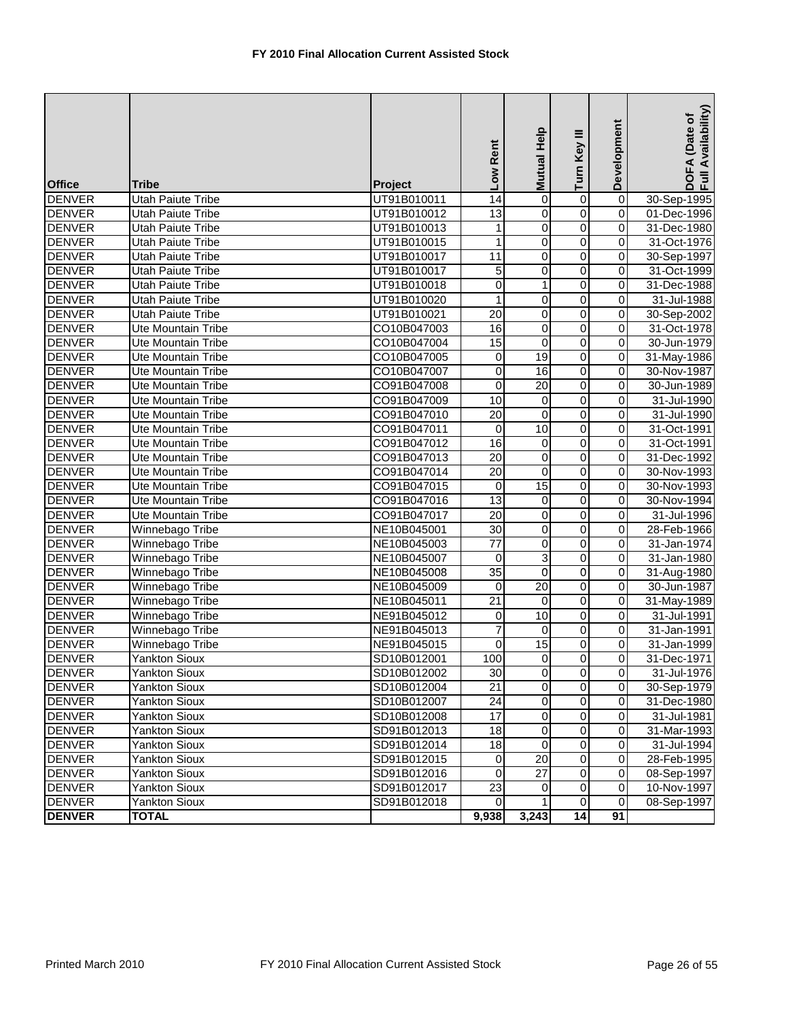| <b>Office</b> | <b>Tribe</b>              | Project     | Low Rent         | Mutual Help             | Turn Key III            | Development             | DOFA (Date of<br>Full Availability) |
|---------------|---------------------------|-------------|------------------|-------------------------|-------------------------|-------------------------|-------------------------------------|
| <b>DENVER</b> | <b>Utah Paiute Tribe</b>  | UT91B010011 | $\overline{14}$  | $\overline{0}$          | 0                       | $\overline{0}$          | 30-Sep-1995                         |
| <b>DENVER</b> | Utah Paiute Tribe         | UT91B010012 | 13               | $\pmb{0}$               | $\overline{0}$          | $\overline{0}$          | 01-Dec-1996                         |
| <b>DENVER</b> | <b>Utah Paiute Tribe</b>  | UT91B010013 | 1                | $\pmb{0}$               | $\overline{0}$          | $\mathbf 0$             | 31-Dec-1980                         |
| <b>DENVER</b> | Utah Paiute Tribe         | UT91B010015 | 1                | $\mathsf{O}\xspace$     | 0                       | $\pmb{0}$               | 31-Oct-1976                         |
| <b>DENVER</b> | Utah Paiute Tribe         | UT91B010017 | $\overline{11}$  | 0                       | 0                       | $\overline{0}$          | 30-Sep-1997                         |
| <b>DENVER</b> | <b>Utah Paiute Tribe</b>  | UT91B010017 | 5                | 0                       | 0                       | $\pmb{0}$               | 31-Oct-1999                         |
| <b>DENVER</b> | Utah Paiute Tribe         | UT91B010018 | $\overline{0}$   | $\mathbf{1}$            | $\overline{0}$          | $\overline{0}$          | 31-Dec-1988                         |
| <b>DENVER</b> | Utah Paiute Tribe         | UT91B010020 | $\mathbf{1}$     | $\overline{0}$          | $\overline{0}$          | $\overline{0}$          | 31-Jul-1988                         |
| <b>DENVER</b> | <b>Utah Paiute Tribe</b>  | UT91B010021 | $\overline{20}$  | $\pmb{0}$               | $\overline{0}$          | $\overline{0}$          | 30-Sep-2002                         |
| <b>DENVER</b> | <b>Ute Mountain Tribe</b> | CO10B047003 | 16               | 0                       | 0                       | $\pmb{0}$               | 31-Oct-1978                         |
| <b>DENVER</b> | Ute Mountain Tribe        | CO10B047004 | 15               | $\overline{0}$          | $\overline{0}$          | $\overline{0}$          | 30-Jun-1979                         |
| <b>DENVER</b> | <b>Ute Mountain Tribe</b> | CO10B047005 | 0                | $\overline{19}$         | 0                       | $\overline{0}$          | 31-May-1986                         |
| <b>DENVER</b> | Ute Mountain Tribe        | CO10B047007 | $\pmb{0}$        | 16                      | 0                       | $\pmb{0}$               | 30-Nov-1987                         |
| <b>DENVER</b> | <b>Ute Mountain Tribe</b> | CO91B047008 | $\boldsymbol{0}$ | $\overline{20}$         | 0                       | $\pmb{0}$               | 30-Jun-1989                         |
| <b>DENVER</b> | Ute Mountain Tribe        | CO91B047009 | 10               | $\mathbf 0$             | $\overline{0}$          | $\overline{\mathbf{0}}$ | 31-Jul-1990                         |
| <b>DENVER</b> | Ute Mountain Tribe        | CO91B047010 | $\overline{20}$  | $\pmb{0}$               | $\mathsf 0$             | $\mathbf 0$             | 31-Jul-1990                         |
| <b>DENVER</b> | Ute Mountain Tribe        | CO91B047011 | 0                | 10                      | $\overline{0}$          | $\mathbf 0$             | 31-Oct-1991                         |
| <b>DENVER</b> | Ute Mountain Tribe        | CO91B047012 | 16               | $\overline{\mathsf{o}}$ | $\overline{0}$          | $\mathbf 0$             | 31-Oct-1991                         |
| <b>DENVER</b> | Ute Mountain Tribe        | CO91B047013 | 20               | $\pmb{0}$               | 0                       | $\pmb{0}$               | 31-Dec-1992                         |
| <b>DENVER</b> | Ute Mountain Tribe        | CO91B047014 | 20               | 0                       | $\mathsf 0$             | $\pmb{0}$               | 30-Nov-1993                         |
| <b>DENVER</b> | Ute Mountain Tribe        | CO91B047015 | 0                | 15                      | $\overline{0}$          | $\overline{0}$          | 30-Nov-1993                         |
| <b>DENVER</b> | Ute Mountain Tribe        | CO91B047016 | 13               | $\overline{\mathsf{o}}$ | $\overline{0}$          | $\overline{0}$          | 30-Nov-1994                         |
| <b>DENVER</b> | Ute Mountain Tribe        | CO91B047017 | $\overline{20}$  | 0                       | $\overline{0}$          | $\overline{0}$          | 31-Jul-1996                         |
| <b>DENVER</b> | Winnebago Tribe           | NE10B045001 | 30               | 0                       | $\overline{0}$          | $\pmb{0}$               | 28-Feb-1966                         |
| <b>DENVER</b> | Winnebago Tribe           | NE10B045003 | $\overline{77}$  | O                       | $\overline{0}$          | $\overline{0}$          | 31-Jan-1974                         |
| <b>DENVER</b> | Winnebago Tribe           | NE10B045007 | 0                | 3                       | 0                       | $\overline{0}$          | 31-Jan-1980                         |
| <b>DENVER</b> | Winnebago Tribe           | NE10B045008 | $\overline{35}$  | 0                       | $\overline{0}$          | $\overline{0}$          | 31-Aug-1980                         |
| <b>DENVER</b> | Winnebago Tribe           | NE10B045009 | 0                | $\overline{20}$         | 0                       | $\overline{0}$          | 30-Jun-1987                         |
| <b>DENVER</b> | Winnebago Tribe           | NE10B045011 | 21               | $\overline{0}$          | $\overline{0}$          | $\overline{\mathbf{0}}$ | 31-May-1989                         |
| <b>DENVER</b> | Winnebago Tribe           | NE91B045012 | 0                | 10                      | 0                       | $\overline{0}$          | 31-Jul-1991                         |
| <b>DENVER</b> | Winnebago Tribe           | NE91B045013 | $\overline{7}$   | 0                       | $\overline{0}$          | $\mathbf 0$             | 31-Jan-1991                         |
| <b>DENVER</b> | Winnebago Tribe           | NE91B045015 | 0                | 15                      | 0                       | $\mathbf 0$             | 31-Jan-1999                         |
| <b>DENVER</b> | <b>Yankton Sioux</b>      | SD10B012001 | 100              | $\overline{0}$          | 0                       | $\mathbf 0$             | 31-Dec-1971                         |
| <b>DENVER</b> | <b>Yankton Sioux</b>      | SD10B012002 | 30               | $\overline{0}$          | $\pmb{0}$               | $\overline{O}$          | 31-Jul-1976                         |
| <b>DENVER</b> | Yankton Sioux             | SD10B012004 | 21               | $\overline{0}$          | $\overline{0}$          | $\mathbf 0$             | 30-Sep-1979                         |
| <b>DENVER</b> | <b>Yankton Sioux</b>      | SD10B012007 | 24               | 0                       | $\overline{\mathsf{o}}$ | $\overline{0}$          | 31-Dec-1980                         |
| <b>DENVER</b> | <b>Yankton Sioux</b>      | SD10B012008 | 17               | 0                       | 0                       | $\pmb{0}$               | 31-Jul-1981                         |
| <b>DENVER</b> | <b>Yankton Sioux</b>      | SD91B012013 | 18               | 0                       | 0                       | $\mathbf 0$             | $\overline{31}$ -Mar-1993           |
| <b>DENVER</b> | <b>Yankton Sioux</b>      | SD91B012014 | 18               | $\mathbf 0$             | $\overline{0}$          | $\mathbf 0$             | 31-Jul-1994                         |
| <b>DENVER</b> | <b>Yankton Sioux</b>      | SD91B012015 | $\mathbf 0$      | 20                      | $\overline{\mathsf{o}}$ | $\mathbf 0$             | 28-Feb-1995                         |
| <b>DENVER</b> | <b>Yankton Sioux</b>      | SD91B012016 | $\mathbf 0$      | $\overline{27}$         | 0                       | $\mathbf 0$             | 08-Sep-1997                         |
| <b>DENVER</b> | <b>Yankton Sioux</b>      | SD91B012017 | 23               | 0                       | 0                       | 0                       | 10-Nov-1997                         |
| <b>DENVER</b> | <b>Yankton Sioux</b>      | SD91B012018 | $\mathbf 0$      | 1                       | $\overline{\mathbf{o}}$ | $\overline{0}$          | 08-Sep-1997                         |
| <b>DENVER</b> | <b>TOTAL</b>              |             | 9,938            | 3,243                   | 14                      | 91                      |                                     |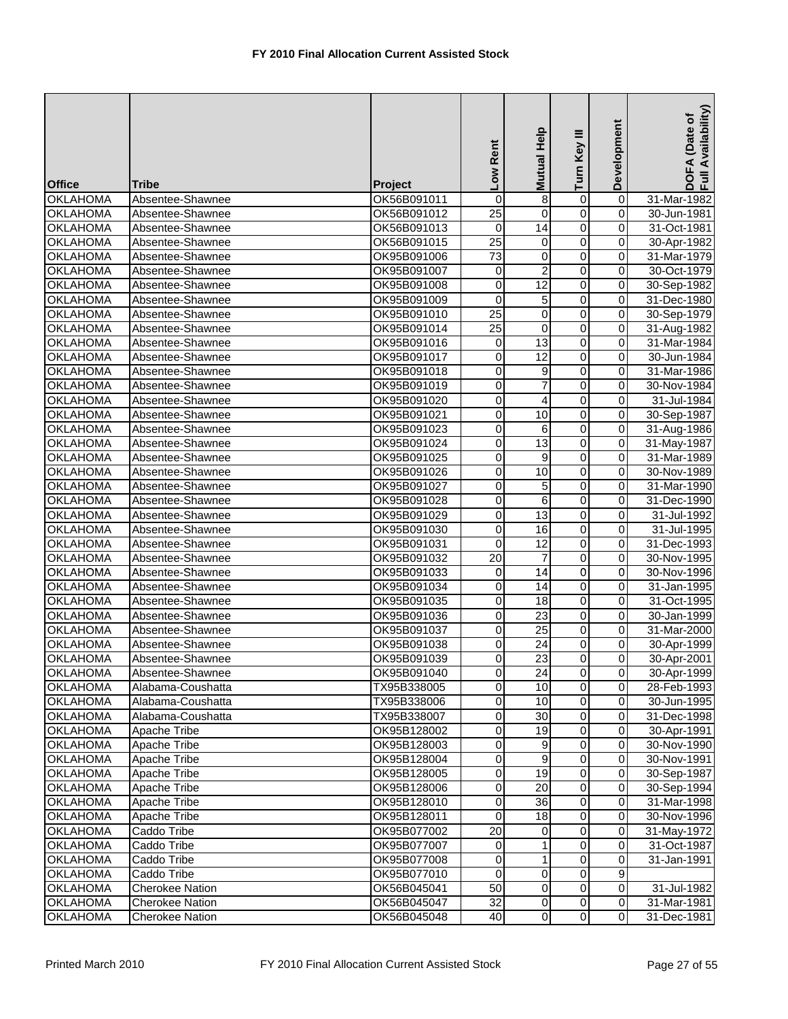| <b>Office</b>                      | <b>Tribe</b>                         | Project                    | Low Rent        | Help<br><b>Mutual</b> | Turn Key III            | Development             | Availability)<br>DOFA (Date of<br>Full Availability |
|------------------------------------|--------------------------------------|----------------------------|-----------------|-----------------------|-------------------------|-------------------------|-----------------------------------------------------|
| <b>OKLAHOMA</b>                    | Absentee-Shawnee                     | OK56B091011                | 0               | 8                     | $\overline{0}$          | $\overline{0}$          | 31-Mar-1982                                         |
| <b>OKLAHOMA</b>                    | Absentee-Shawnee                     | OK56B091012                | $\overline{25}$ | $\Omega$              | $\overline{0}$          | 0                       | 30-Jun-1981                                         |
| <b>OKLAHOMA</b>                    | Absentee-Shawnee                     | OK56B091013                | $\mathbf 0$     | $\overline{14}$       | $\overline{0}$          | 0                       | 31-Oct-1981                                         |
| <b>OKLAHOMA</b>                    | Absentee-Shawnee                     | OK56B091015                | $\overline{25}$ | 0                     | 0                       | 0                       | 30-Apr-1982                                         |
| <b>OKLAHOMA</b>                    | Absentee-Shawnee                     | OK95B091006                | $\overline{73}$ | 0                     | $\overline{0}$          | 0                       | 31-Mar-1979                                         |
| <b>OKLAHOMA</b>                    | Absentee-Shawnee                     | OK95B091007                | 0               | $\overline{c}$        | 0                       | 0                       | 30-Oct-1979                                         |
| OKLAHOMA                           | Absentee-Shawnee                     | OK95B091008                | $\mathbf 0$     | $\overline{12}$       | $\overline{0}$          | 0                       | 30-Sep-1982                                         |
| <b>OKLAHOMA</b>                    | Absentee-Shawnee                     | OK95B091009                | 0               | 5                     | 0                       | 0                       | 31-Dec-1980                                         |
| <b>OKLAHOMA</b>                    | Absentee-Shawnee                     | OK95B091010                | $\overline{25}$ | $\pmb{0}$             | $\overline{0}$          | 0                       | 30-Sep-1979                                         |
| <b>OKLAHOMA</b>                    | Absentee-Shawnee                     | OK95B091014                | $\overline{25}$ | $\mathbf 0$           | $\overline{0}$          | 0                       | 31-Aug-1982                                         |
| <b>OKLAHOMA</b>                    | Absentee-Shawnee                     | OK95B091016                | 0               | 13                    | $\overline{0}$          | $\overline{\mathsf{o}}$ | 31-Mar-1984                                         |
| <b>OKLAHOMA</b>                    | Absentee-Shawnee                     | OK95B091017                | $\mathbf 0$     | $\overline{12}$       | 0                       | 0                       | 30-Jun-1984                                         |
| <b>OKLAHOMA</b>                    | Absentee-Shawnee                     | OK95B091018                | 0               | 9                     | 0                       | 0                       | 31-Mar-1986                                         |
| <b>OKLAHOMA</b>                    | Absentee-Shawnee                     | OK95B091019                | $\overline{0}$  | $\overline{7}$        | $\overline{0}$          | 0                       | 30-Nov-1984                                         |
| <b>OKLAHOMA</b>                    | Absentee-Shawnee                     | OK95B091020                | 0               | 4                     | $\overline{0}$          | 0                       | 31-Jul-1984                                         |
| <b>OKLAHOMA</b>                    | Absentee-Shawnee                     | OK95B091021                | 0               | 10                    | $\mathsf 0$             | 0                       | 30-Sep-1987                                         |
| <b>OKLAHOMA</b>                    | Absentee-Shawnee                     | OK95B091023                | 0               | 6                     | $\overline{0}$          | 0                       | 31-Aug-1986                                         |
| <b>OKLAHOMA</b>                    | Absentee-Shawnee                     | OK95B091024                | 0               | $\overline{13}$       | $\overline{0}$          | 0                       | 31-May-1987                                         |
| <b>OKLAHOMA</b>                    | Absentee-Shawnee                     | OK95B091025                | 0               | 9                     | 0                       | 0                       | 31-Mar-1989                                         |
| <b>OKLAHOMA</b>                    | Absentee-Shawnee                     | OK95B091026                | 0               | 10                    | 0                       | 0                       | 30-Nov-1989                                         |
| <b>OKLAHOMA</b>                    | Absentee-Shawnee                     | OK95B091027                | $\overline{0}$  | 5                     | $\overline{0}$          | 0                       | 31-Mar-1990                                         |
| <b>OKLAHOMA</b>                    | Absentee-Shawnee                     | OK95B091028                | 0               | 6                     | $\overline{0}$          | 0                       | 31-Dec-1990                                         |
| <b>OKLAHOMA</b>                    | Absentee-Shawnee                     | OK95B091029                | 0               | $\overline{13}$       | $\overline{0}$          | 0                       | 31-Jul-1992                                         |
| <b>OKLAHOMA</b>                    | Absentee-Shawnee                     | OK95B091030                | 0               | 16                    | $\overline{0}$          | 0                       | 31-Jul-1995                                         |
| <b>OKLAHOMA</b>                    | Absentee-Shawnee                     | OK95B091031                | 0               | 12                    | $\overline{0}$          | 0                       | 31-Dec-1993                                         |
| <b>OKLAHOMA</b>                    | Absentee-Shawnee                     | OK95B091032                | $\overline{20}$ | $\overline{7}$        | 0                       | 0                       | 30-Nov-1995                                         |
| <b>OKLAHOMA</b>                    | Absentee-Shawnee                     | OK95B091033                | 0               | 14                    | 0                       | 0                       | 30-Nov-1996                                         |
| <b>OKLAHOMA</b><br><b>OKLAHOMA</b> | Absentee-Shawnee<br>Absentee-Shawnee | OK95B091034<br>OK95B091035 | $\mathbf 0$     | 14<br>18              | $\overline{0}$<br>0     | 0<br>$\mathbf 0$        | 31-Jan-1995                                         |
| <b>OKLAHOMA</b>                    | Absentee-Shawnee                     | OK95B091036                | 0<br>0          | $\overline{23}$       | $\overline{0}$          | 0                       | 31-Oct-1995<br>30-Jan-1999                          |
| <b>OKLAHOMA</b>                    | Absentee-Shawnee                     | OK95B091037                | 0               | 25                    | $\overline{0}$          | 0                       | 31-Mar-2000                                         |
| <b>OKLAHOMA</b>                    | Absentee-Shawnee                     | OK95B091038                | 0               | 24                    | $\overline{0}$          | 0                       | 30-Apr-1999                                         |
| <b>OKLAHOMA</b>                    | Absentee-Shawnee                     | OK95B091039                | 0               | 23                    | 0                       | 0                       | 30-Apr-2001                                         |
| <b>OKLAHOMA</b>                    | Absentee-Shawnee                     | OK95B091040                | $\overline{0}$  | 24                    | $\overline{0}$          | $\overline{0}$          | 30-Apr-1999                                         |
| <b>OKLAHOMA</b>                    | Alabama-Coushatta                    | TX95B338005                | $\mathbf 0$     | 10                    | $\overline{0}$          | 0                       | 28-Feb-1993                                         |
| <b>OKLAHOMA</b>                    | Alabama-Coushatta                    | TX95B338006                | $\overline{0}$  | 10                    | $\mathsf{O}\xspace$     | $\mathbf 0$             | 30-Jun-1995                                         |
| <b>OKLAHOMA</b>                    | Alabama-Coushatta                    | TX95B338007                | $\mathbf 0$     | $\overline{30}$       | 0                       | 0                       | 31-Dec-1998                                         |
| <b>OKLAHOMA</b>                    | Apache Tribe                         | OK95B128002                | 0               | 19                    | 0                       | 0                       | 30-Apr-1991                                         |
| <b>OKLAHOMA</b>                    | Apache Tribe                         | OK95B128003                | 0               | 9                     | $\overline{\mathsf{o}}$ | $\overline{0}$          | 30-Nov-1990                                         |
| <b>OKLAHOMA</b>                    | Apache Tribe                         | OK95B128004                | 0               | 9                     | 0                       | $\mathbf 0$             | 30-Nov-1991                                         |
| <b>OKLAHOMA</b>                    | Apache Tribe                         | OK95B128005                | 0               | 19                    | 0                       | 0                       | 30-Sep-1987                                         |
| <b>OKLAHOMA</b>                    | Apache Tribe                         | OK95B128006                | 0               | 20                    | 0                       | $\mathbf 0$             | 30-Sep-1994                                         |
| <b>OKLAHOMA</b>                    | Apache Tribe                         | OK95B128010                | 0               | 36                    | $\overline{\mathsf{o}}$ | $\mathsf{O}\xspace$     | 31-Mar-1998                                         |
| <b>OKLAHOMA</b>                    | Apache Tribe                         | OK95B128011                | 0               | 18                    | 0                       | $\mathbf 0$             | 30-Nov-1996                                         |
| <b>OKLAHOMA</b>                    | Caddo Tribe                          | OK95B077002                | 20              | 0                     | 0                       | 0                       | 31-May-1972                                         |
| <b>OKLAHOMA</b>                    | Caddo Tribe                          | OK95B077007                | $\mathbf 0$     | 1                     | $\overline{\mathsf{o}}$ | $\mathbf 0$             | 31-Oct-1987                                         |
| <b>OKLAHOMA</b>                    | Caddo Tribe                          | OK95B077008                | 0               | $\mathbf{1}$          | $\overline{\mathsf{o}}$ | $\mathbf 0$             | $\overline{31}$ -Jan-1991                           |
| <b>OKLAHOMA</b>                    | Caddo Tribe                          | OK95B077010                | $\mathbf 0$     | $\mathbf 0$           | 0                       | 9                       |                                                     |
| <b>OKLAHOMA</b>                    | <b>Cherokee Nation</b>               | OK56B045041                | 50              | $\mathbf 0$           | 0                       | $\mathbf 0$             | 31-Jul-1982                                         |
| <b>OKLAHOMA</b>                    | <b>Cherokee Nation</b>               | OK56B045047                | 32              | $\mathbf 0$           | $\pmb{0}$               | $\mathbf 0$             | 31-Mar-1981                                         |
| <b>OKLAHOMA</b>                    | <b>Cherokee Nation</b>               | OK56B045048                | 40              | $\overline{0}$        | $\overline{0}$          | $\mathbf 0$             | 31-Dec-1981                                         |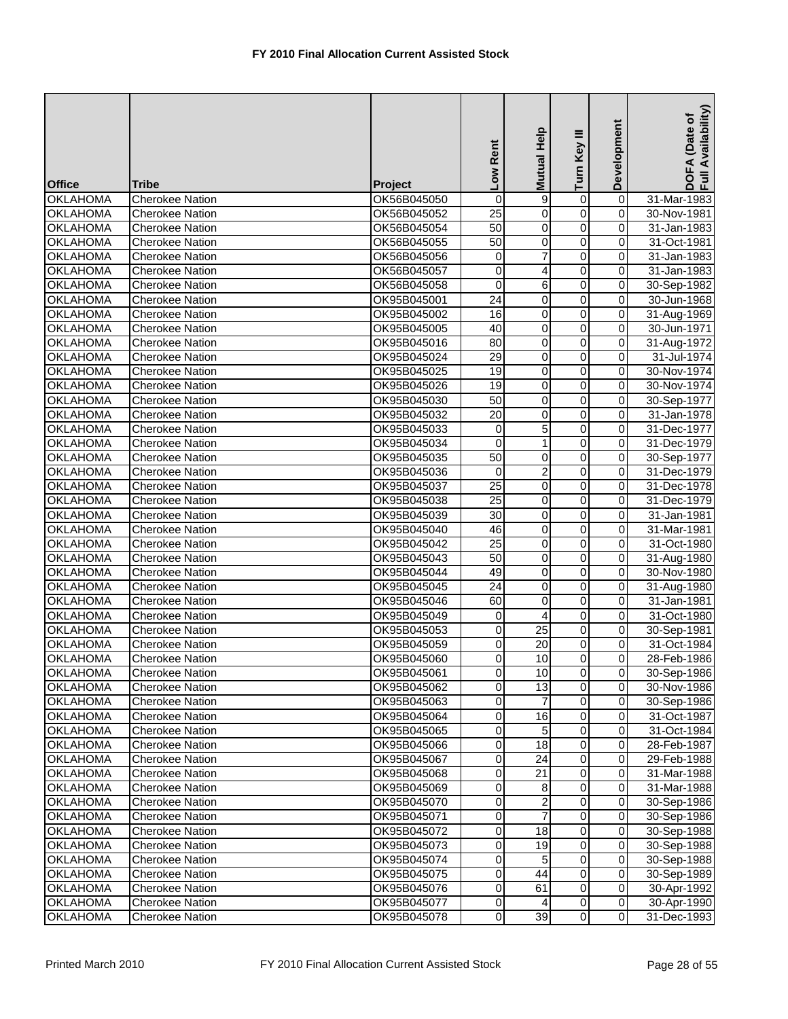| <b>Office</b>   | <b>Tribe</b>           | Project     | Low Rent            | Mutual Help    | Turn Key III   | Development             | DOFA (Date of<br>Full Availability) |
|-----------------|------------------------|-------------|---------------------|----------------|----------------|-------------------------|-------------------------------------|
| <b>OKLAHOMA</b> | <b>Cherokee Nation</b> | OK56B045050 | $\pmb{0}$           | 9              | $\pmb{0}$      | $\overline{\mathsf{o}}$ | 31-Mar-1983                         |
| <b>OKLAHOMA</b> | <b>Cherokee Nation</b> | OK56B045052 | $\overline{25}$     | $\mathbf 0$    | $\overline{0}$ | 0                       | 30-Nov-1981                         |
| <b>OKLAHOMA</b> | <b>Cherokee Nation</b> | OK56B045054 | 50                  | $\mathbf 0$    | $\overline{0}$ | 0                       | 31-Jan-1983                         |
| <b>OKLAHOMA</b> | <b>Cherokee Nation</b> | OK56B045055 | 50                  | 0              | $\overline{0}$ | 0                       | 31-Oct-1981                         |
| <b>OKLAHOMA</b> | <b>Cherokee Nation</b> | OK56B045056 | 0                   | 7              | 0              | 0                       | 31-Jan-1983                         |
| <b>OKLAHOMA</b> | <b>Cherokee Nation</b> | OK56B045057 | 0                   | 4              | 0              | 0                       | 31-Jan-1983                         |
| <b>OKLAHOMA</b> | <b>Cherokee Nation</b> | OK56B045058 | 0                   | 6              | $\overline{0}$ | 0                       | 30-Sep-1982                         |
| <b>OKLAHOMA</b> | <b>Cherokee Nation</b> | OK95B045001 | $\overline{24}$     | 0              | $\overline{0}$ | $\overline{\mathsf{o}}$ | 30-Jun-1968                         |
| <b>OKLAHOMA</b> | <b>Cherokee Nation</b> | OK95B045002 | 16                  | 0              | $\overline{0}$ | 0                       | 31-Aug-1969                         |
| <b>OKLAHOMA</b> | <b>Cherokee Nation</b> | OK95B045005 | 40                  | $\pmb{0}$      | $\overline{0}$ | 0                       | 30-Jun-1971                         |
| <b>OKLAHOMA</b> | <b>Cherokee Nation</b> | OK95B045016 | 80                  | $\overline{0}$ | $\overline{0}$ | 0                       | 31-Aug-1972                         |
| <b>OKLAHOMA</b> | <b>Cherokee Nation</b> | OK95B045024 | $\overline{29}$     | 0              | 0              | 0                       | 31-Jul-1974                         |
| <b>OKLAHOMA</b> | <b>Cherokee Nation</b> | OK95B045025 | 19                  | 0              | 0              | 0                       | 30-Nov-1974                         |
| <b>OKLAHOMA</b> | Cherokee Nation        | OK95B045026 | 19                  | 0              | 0              | 0                       | 30-Nov-1974                         |
| <b>OKLAHOMA</b> | <b>Cherokee Nation</b> | OK95B045030 | 50                  | 0              | $\overline{0}$ | $\mathbf 0$             | 30-Sep-1977                         |
| <b>OKLAHOMA</b> | <b>Cherokee Nation</b> | OK95B045032 | 20                  | $\pmb{0}$      | 0              | 0                       | 31-Jan-1978                         |
| <b>OKLAHOMA</b> | <b>Cherokee Nation</b> | OK95B045033 | 0                   | $\overline{5}$ | 0              | 0                       | 31-Dec-1977                         |
| <b>OKLAHOMA</b> | <b>Cherokee Nation</b> | OK95B045034 | $\overline{0}$      | $\mathbf{1}$   | $\overline{0}$ | 0                       | 31-Dec-1979                         |
| <b>OKLAHOMA</b> | <b>Cherokee Nation</b> | OK95B045035 | 50                  | 0              | 0              | $\mathbf 0$             | 30-Sep-1977                         |
| <b>OKLAHOMA</b> | <b>Cherokee Nation</b> | OK95B045036 | 0                   | $\overline{c}$ | 0              | 0                       | 31-Dec-1979                         |
| <b>OKLAHOMA</b> | <b>Cherokee Nation</b> | OK95B045037 | $\overline{25}$     | $\mathbf 0$    | $\overline{0}$ | 0                       | 31-Dec-1978                         |
| <b>OKLAHOMA</b> | <b>Cherokee Nation</b> | OK95B045038 | 25                  | $\mathbf 0$    | $\overline{0}$ | 0                       | 31-Dec-1979                         |
| <b>OKLAHOMA</b> | <b>Cherokee Nation</b> | OK95B045039 | $\overline{30}$     | $\pmb{0}$      | 0              | 0                       | 31-Jan-1981                         |
| <b>OKLAHOMA</b> | <b>Cherokee Nation</b> | OK95B045040 | 46                  | $\pmb{0}$      | $\overline{0}$ | 0                       | 31-Mar-1981                         |
| <b>OKLAHOMA</b> | <b>Cherokee Nation</b> | OK95B045042 | $\overline{25}$     | $\overline{0}$ | $\overline{0}$ | 0                       | 31-Oct-1980                         |
| <b>OKLAHOMA</b> | <b>Cherokee Nation</b> | OK95B045043 | 50                  | 0              | 0              | 0                       | 31-Aug-1980                         |
| <b>OKLAHOMA</b> | <b>Cherokee Nation</b> | OK95B045044 | 49                  | 0              | 0              | 0                       | 30-Nov-1980                         |
| <b>OKLAHOMA</b> | <b>Cherokee Nation</b> | OK95B045045 | 24                  | 0              | 0              | 0                       | 31-Aug-1980                         |
| <b>OKLAHOMA</b> | <b>Cherokee Nation</b> | OK95B045046 | 60                  | $\mathbf 0$    | $\overline{0}$ | $\overline{\mathsf{o}}$ | 31-Jan-1981                         |
| <b>OKLAHOMA</b> | <b>Cherokee Nation</b> | OK95B045049 | 0                   | 4              | 0              | 0                       | 31-Oct-1980                         |
| <b>OKLAHOMA</b> | <b>Cherokee Nation</b> | OK95B045053 | 0                   | 25             | 0              | 0                       | 30-Sep-1981                         |
| <b>OKLAHOMA</b> | <b>Cherokee Nation</b> | OK95B045059 | 0                   | 20             | 0              | 0                       | 31-Oct-1984                         |
| <b>OKLAHOMA</b> | <b>Cherokee Nation</b> | OK95B045060 | 0                   | 10             | 0              | 0                       | 28-Feb-1986                         |
| <b>OKLAHOMA</b> | <b>Cherokee Nation</b> | OK95B045061 | $\overline{0}$      | 10             | $\overline{0}$ | $\overline{0}$          | 30-Sep-1986                         |
| <b>OKLAHOMA</b> | <b>Cherokee Nation</b> | OK95B045062 | $\pmb{0}$           | 13             | $\overline{0}$ | $\mathbf 0$             | 30-Nov-1986                         |
| <b>OKLAHOMA</b> | <b>Cherokee Nation</b> | OK95B045063 | 0                   |                | $\overline{0}$ | $\mathbf 0$             | 30-Sep-1986                         |
| <b>OKLAHOMA</b> | <b>Cherokee Nation</b> | OK95B045064 | 0                   | 16             | 0              | $\mathbf 0$             | 31-Oct-1987                         |
| <b>OKLAHOMA</b> | <b>Cherokee Nation</b> | OK95B045065 | 0                   | 5              | 0              | 0                       | 31-Oct-1984                         |
| <b>OKLAHOMA</b> | <b>Cherokee Nation</b> | OK95B045066 | 0                   | 18             | 0              | 0                       | 28-Feb-1987                         |
| <b>OKLAHOMA</b> | <b>Cherokee Nation</b> | OK95B045067 | $\mathsf{O}\xspace$ | 24             | 0              | $\mathbf 0$             | 29-Feb-1988                         |
| <b>OKLAHOMA</b> | <b>Cherokee Nation</b> | OK95B045068 | 0                   | 21             | 0              | $\mathbf 0$             | 31-Mar-1988                         |
| <b>OKLAHOMA</b> | <b>Cherokee Nation</b> | OK95B045069 | 0                   | 8              | $\mathbf 0$    | 0                       | 31-Mar-1988                         |
| <b>OKLAHOMA</b> | <b>Cherokee Nation</b> | OK95B045070 | 0                   | 2              | $\overline{0}$ | $\mathbf 0$             | 30-Sep-1986                         |
| <b>OKLAHOMA</b> | <b>Cherokee Nation</b> | OK95B045071 | 0                   | $\overline{7}$ | 0              | $\mathbf 0$             | 30-Sep-1986                         |
| <b>OKLAHOMA</b> | <b>Cherokee Nation</b> | OK95B045072 | 0                   | 18             | 0              | $\mathbf 0$             | 30-Sep-1988                         |
| <b>OKLAHOMA</b> | <b>Cherokee Nation</b> | OK95B045073 | 0                   | 19             | 0              | 0                       | 30-Sep-1988                         |
| <b>OKLAHOMA</b> | Cherokee Nation        | OK95B045074 | $\mathsf{O}\xspace$ | 5              | $\overline{0}$ | $\mathbf 0$             | 30-Sep-1988                         |
| <b>OKLAHOMA</b> | <b>Cherokee Nation</b> | OK95B045075 | 0                   | 44             | 0              | $\mathbf 0$             | 30-Sep-1989                         |
| <b>OKLAHOMA</b> | <b>Cherokee Nation</b> | OK95B045076 | 0                   | 61             | 0              | $\mathbf 0$             | 30-Apr-1992                         |
| <b>OKLAHOMA</b> | <b>Cherokee Nation</b> | OK95B045077 | $\overline{0}$      | 4              | $\overline{0}$ | $\mathsf{O}\xspace$     | 30-Apr-1990                         |
| <b>OKLAHOMA</b> | <b>Cherokee Nation</b> | OK95B045078 | $\overline{O}$      | 39             | $\overline{0}$ | $\mathsf{O}\xspace$     | 31-Dec-1993                         |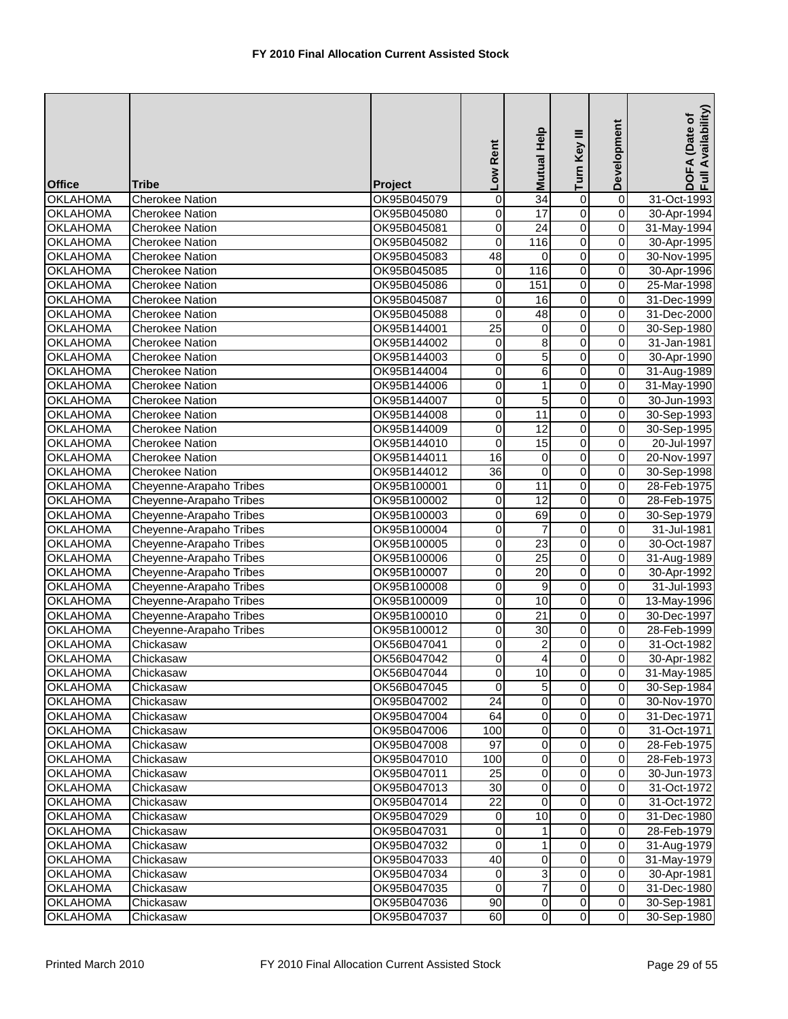|                 |                         |             | Low Rent         | <b>Mutual Help</b> | Turn Key III            | Development    | Availability)<br>DOFA (Date of<br>Full Availability |
|-----------------|-------------------------|-------------|------------------|--------------------|-------------------------|----------------|-----------------------------------------------------|
| <b>Office</b>   | <b>Tribe</b>            | Project     |                  |                    |                         |                |                                                     |
| <b>OKLAHOMA</b> | <b>Cherokee Nation</b>  | OK95B045079 | $\boldsymbol{0}$ | 34                 | 0                       | $\overline{0}$ | 31-Oct-1993                                         |
| <b>OKLAHOMA</b> | <b>Cherokee Nation</b>  | OK95B045080 | $\mathbf 0$      | 17                 | $\overline{0}$          | $\overline{0}$ | 30-Apr-1994                                         |
| <b>OKLAHOMA</b> | <b>Cherokee Nation</b>  | OK95B045081 | $\mathbf 0$      | $\overline{24}$    | $\overline{0}$          | $\mathbf 0$    | 31-May-1994                                         |
| <b>OKLAHOMA</b> | <b>Cherokee Nation</b>  | OK95B045082 | $\mathbf 0$      | 116                | $\overline{0}$          | $\pmb{0}$      | 30-Apr-1995                                         |
| <b>OKLAHOMA</b> | <b>Cherokee Nation</b>  | OK95B045083 | 48               | 0                  | 0                       | $\pmb{0}$      | 30-Nov-1995                                         |
| <b>OKLAHOMA</b> | <b>Cherokee Nation</b>  | OK95B045085 | $\mathbf 0$      | 116                | 0                       | $\pmb{0}$      | 30-Apr-1996                                         |
| <b>OKLAHOMA</b> | <b>Cherokee Nation</b>  | OK95B045086 | $\boldsymbol{0}$ | 151                | $\overline{0}$          | $\mathbf 0$    | 25-Mar-1998                                         |
| <b>OKLAHOMA</b> | <b>Cherokee Nation</b>  | OK95B045087 | $\boldsymbol{0}$ | 16                 | $\overline{\mathsf{o}}$ | $\overline{0}$ | 31-Dec-1999                                         |
| <b>OKLAHOMA</b> | <b>Cherokee Nation</b>  | OK95B045088 | $\mathbf 0$      | 48                 | $\overline{0}$          | $\pmb{0}$      | 31-Dec-2000                                         |
| <b>OKLAHOMA</b> | <b>Cherokee Nation</b>  | OK95B144001 | $\overline{25}$  | $\pmb{0}$          | $\overline{0}$          | $\pmb{0}$      | 30-Sep-1980                                         |
| <b>OKLAHOMA</b> | <b>Cherokee Nation</b>  | OK95B144002 | $\overline{0}$   | $\overline{8}$     | $\overline{0}$          | $\overline{0}$ | 31-Jan-1981                                         |
| <b>OKLAHOMA</b> | <b>Cherokee Nation</b>  | OK95B144003 | 0                | 5                  | 0                       | $\pmb{0}$      | 30-Apr-1990                                         |
| <b>OKLAHOMA</b> | <b>Cherokee Nation</b>  | OK95B144004 | $\mathbf 0$      | 6                  | 0                       | $\pmb{0}$      | 31-Aug-1989                                         |
| <b>OKLAHOMA</b> | <b>Cherokee Nation</b>  | OK95B144006 | $\overline{0}$   | $\mathbf{1}$       | $\overline{0}$          | $\overline{0}$ | 31-May-1990                                         |
| <b>OKLAHOMA</b> | <b>Cherokee Nation</b>  | OK95B144007 | $\boldsymbol{0}$ | $\overline{5}$     | $\overline{0}$          | $\overline{0}$ | 30-Jun-1993                                         |
| <b>OKLAHOMA</b> | <b>Cherokee Nation</b>  | OK95B144008 | $\mathbf 0$      | 11                 | $\overline{0}$          | $\overline{0}$ | 30-Sep-1993                                         |
| <b>OKLAHOMA</b> | <b>Cherokee Nation</b>  | OK95B144009 | $\mathbf 0$      | 12                 | 0                       | $\mathbf 0$    | 30-Sep-1995                                         |
| <b>OKLAHOMA</b> | <b>Cherokee Nation</b>  | OK95B144010 | $\overline{0}$   | $\overline{15}$    | $\overline{0}$          | $\mathbf 0$    | 20-Jul-1997                                         |
| <b>OKLAHOMA</b> | <b>Cherokee Nation</b>  | OK95B144011 | 16               | 0                  | 0                       | $\mathbf 0$    | 20-Nov-1997                                         |
| <b>OKLAHOMA</b> | <b>Cherokee Nation</b>  | OK95B144012 | 36               | 0                  | $\mathsf 0$             | $\pmb{0}$      | 30-Sep-1998                                         |
| <b>OKLAHOMA</b> | Cheyenne-Arapaho Tribes | OK95B100001 | 0                | $\overline{11}$    | $\overline{0}$          | $\mathbf 0$    | 28-Feb-1975                                         |
| <b>OKLAHOMA</b> | Cheyenne-Arapaho Tribes | OK95B100002 | $\boldsymbol{0}$ | 12                 | $\overline{0}$          | $\overline{0}$ | 28-Feb-1975                                         |
| <b>OKLAHOMA</b> | Cheyenne-Arapaho Tribes | OK95B100003 | $\mathbf 0$      | 69                 | $\overline{0}$          | $\overline{0}$ | 30-Sep-1979                                         |
| <b>OKLAHOMA</b> | Cheyenne-Arapaho Tribes | OK95B100004 | $\mathbf 0$      | $\overline{7}$     | $\overline{0}$          | $\pmb{0}$      | 31-Jul-1981                                         |
| <b>OKLAHOMA</b> | Cheyenne-Arapaho Tribes | OK95B100005 | $\overline{0}$   | $\overline{23}$    | $\overline{0}$          | $\mathbf 0$    | 30-Oct-1987                                         |
| <b>OKLAHOMA</b> | Cheyenne-Arapaho Tribes | OK95B100006 | $\overline{0}$   | $\overline{25}$    | $\overline{0}$          | $\overline{0}$ | 31-Aug-1989                                         |
| <b>OKLAHOMA</b> | Cheyenne-Arapaho Tribes | OK95B100007 | $\mathbf 0$      | $\overline{20}$    | $\overline{0}$          | $\overline{0}$ | 30-Apr-1992                                         |
| <b>OKLAHOMA</b> | Cheyenne-Arapaho Tribes | OK95B100008 | $\mathbf 0$      | 9                  | 0                       | $\mathbf 0$    | 31-Jul-1993                                         |
| <b>OKLAHOMA</b> | Cheyenne-Arapaho Tribes | OK95B100009 | $\overline{0}$   | 10                 | $\overline{0}$          | $\overline{0}$ | 13-May-1996                                         |
| <b>OKLAHOMA</b> | Cheyenne-Arapaho Tribes | OK95B100010 | $\mathbf 0$      | 21                 | 0                       | $\overline{0}$ | 30-Dec-1997                                         |
| <b>OKLAHOMA</b> | Cheyenne-Arapaho Tribes | OK95B100012 | $\mathbf 0$      | 30                 | $\overline{0}$          | $\mathbf 0$    | 28-Feb-1999                                         |
| <b>OKLAHOMA</b> | Chickasaw               | OK56B047041 | 0                | $\overline{2}$     | 0                       | $\mathbf 0$    | 31-Oct-1982                                         |
| <b>OKLAHOMA</b> | Chickasaw               | OK56B047042 | $\Omega$         | $\overline{4}$     | $\overline{0}$          | $\mathbf 0$    | 30-Apr-1982                                         |
| <b>OKLAHOMA</b> | Chickasaw               | OK56B047044 | $\overline{0}$   | 10                 | $\pmb{0}$               | $\overline{O}$ | 31-May-1985                                         |
| <b>OKLAHOMA</b> | Chickasaw               | OK56B047045 | $\mathbf 0$      | 5                  | $\overline{0}$          | $\mathbf 0$    | 30-Sep-1984                                         |
| <b>OKLAHOMA</b> | Chickasaw               | OK95B047002 | 24               | 0                  | $\overline{\mathsf{o}}$ | $\overline{0}$ | 30-Nov-1970                                         |
| <b>OKLAHOMA</b> | Chickasaw               | OK95B047004 | 64               | 0                  | 0                       | $\overline{0}$ | 31-Dec-1971                                         |
| <b>OKLAHOMA</b> | Chickasaw               | OK95B047006 | 100              | 0                  | 0                       | 0              | 31-Oct-1971                                         |
| <b>OKLAHOMA</b> | Chickasaw               | OK95B047008 | $\overline{97}$  | 0                  | 0                       | $\mathbf 0$    | 28-Feb-1975                                         |
| <b>OKLAHOMA</b> | Chickasaw               | OK95B047010 | 100              | 0                  | 0                       | $\overline{0}$ | 28-Feb-1973                                         |
| <b>OKLAHOMA</b> | Chickasaw               | OK95B047011 | 25               | 0                  | 0                       | $\overline{0}$ | 30-Jun-1973                                         |
| <b>OKLAHOMA</b> | Chickasaw               | OK95B047013 | 30               | 0                  | 0                       | 0              | 31-Oct-1972                                         |
| <b>OKLAHOMA</b> | Chickasaw               | OK95B047014 | $\overline{22}$  | 0                  | $\mathsf{O}\xspace$     | $\overline{0}$ | 31-Oct-1972                                         |
| <b>OKLAHOMA</b> | Chickasaw               | OK95B047029 | 0                | 10                 | $\mathbf 0$             | $\pmb{0}$      | 31-Dec-1980                                         |
| <b>OKLAHOMA</b> | Chickasaw               | OK95B047031 | 0                | 1                  | 0                       | $\pmb{0}$      | 28-Feb-1979                                         |
| <b>OKLAHOMA</b> | Chickasaw               | OK95B047032 | $\mathbf 0$      | $\mathbf{1}$       | $\overline{0}$          | $\mathbf 0$    | 31-Aug-1979                                         |
| <b>OKLAHOMA</b> | Chickasaw               | OK95B047033 | 40               | 0                  | 0                       | $\overline{0}$ | 31-May-1979                                         |
| <b>OKLAHOMA</b> | Chickasaw               | OK95B047034 | 0                | 3                  | 0                       | $\overline{0}$ | 30-Apr-1981                                         |
| <b>OKLAHOMA</b> | Chickasaw               | OK95B047035 | 0                | 7                  | 0                       | 0              | 31-Dec-1980                                         |
| <b>OKLAHOMA</b> | Chickasaw               | OK95B047036 | 90               | $\overline{0}$     | $\overline{0}$          | $\overline{0}$ | 30-Sep-1981                                         |
| <b>OKLAHOMA</b> | Chickasaw               | OK95B047037 | 60               | $\overline{0}$     | $\overline{0}$          | $\overline{0}$ | 30-Sep-1980                                         |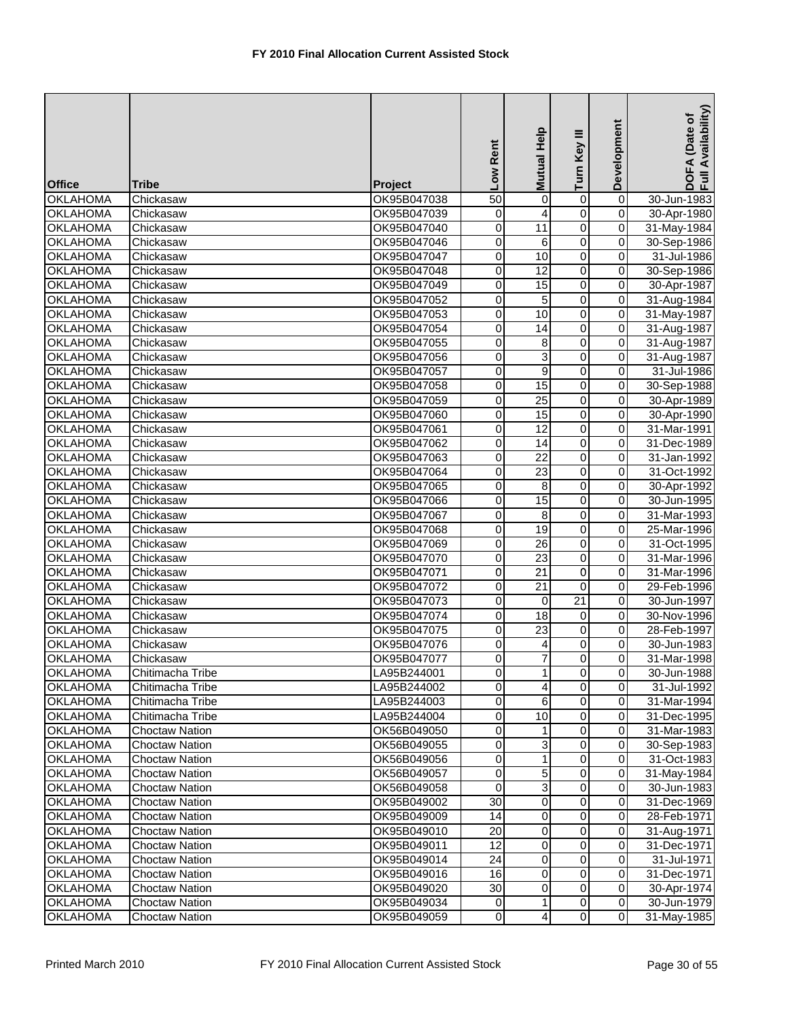| <b>Office</b>                      | <b>Tribe</b>           | <b>Project</b>             | Low Rent            | Help<br><b>Mutual</b>   | Key III<br>Turn | Development             | Availability)<br>DOFA (Date of<br>Full Availability |
|------------------------------------|------------------------|----------------------------|---------------------|-------------------------|-----------------|-------------------------|-----------------------------------------------------|
| <b>OKLAHOMA</b>                    | Chickasaw              | OK95B047038                | 50                  | 0                       | $\pmb{0}$       | $\overline{\mathsf{o}}$ | 30-Jun-1983                                         |
| <b>OKLAHOMA</b>                    | Chickasaw              | OK95B047039                | 0                   | $\overline{4}$          | $\overline{0}$  | 0                       | 30-Apr-1980                                         |
| <b>OKLAHOMA</b>                    | Chickasaw              | OK95B047040                | 0                   | 11                      | 0               | 0                       | 31-May-1984                                         |
| <b>OKLAHOMA</b>                    | Chickasaw              | OK95B047046                | 0                   | 6                       | $\overline{0}$  | 0                       | 30-Sep-1986                                         |
| <b>OKLAHOMA</b>                    | Chickasaw              | OK95B047047                | 0                   | 10                      | 0               | 0                       | 31-Jul-1986                                         |
| <b>OKLAHOMA</b>                    | Chickasaw              | OK95B047048                | 0                   | 12                      | 0               | 0                       | 30-Sep-1986                                         |
| <b>OKLAHOMA</b>                    | Chickasaw              | OK95B047049                | 0                   | 15                      | 0               | 0                       | 30-Apr-1987                                         |
| <b>OKLAHOMA</b>                    | Chickasaw              | OK95B047052                | 0                   | 5                       | $\overline{0}$  | $\mathbf 0$             | 31-Aug-1984                                         |
| <b>OKLAHOMA</b>                    | Chickasaw              | OK95B047053                | 0                   | 10                      | $\overline{0}$  | 0                       | 31-May-1987                                         |
| <b>OKLAHOMA</b>                    | Chickasaw              | OK95B047054                | 0                   | 14                      | $\overline{0}$  | 0                       | 31-Aug-1987                                         |
| <b>OKLAHOMA</b>                    | Chickasaw              | OK95B047055                | $\overline{0}$      | 8                       | $\overline{0}$  | 0                       | 31-Aug-1987                                         |
| <b>OKLAHOMA</b>                    | Chickasaw              | OK95B047056                | 0                   | 3                       | 0               | 0                       | 31-Aug-1987                                         |
| <b>OKLAHOMA</b>                    | Chickasaw              | OK95B047057                | 0                   | 9                       | 0               | 0                       | 31-Jul-1986                                         |
| <b>OKLAHOMA</b>                    | Chickasaw              | OK95B047058                | 0                   | $\overline{15}$         | 0               | 0                       | 30-Sep-1988                                         |
| <b>OKLAHOMA</b>                    | Chickasaw              | OK95B047059                | $\mathsf{O}\xspace$ | $\overline{25}$         | $\overline{0}$  | $\overline{\mathsf{o}}$ | 30-Apr-1989                                         |
| <b>OKLAHOMA</b>                    | Chickasaw              | OK95B047060                | 0                   | 15                      | 0               | 0                       | 30-Apr-1990                                         |
| <b>OKLAHOMA</b>                    | Chickasaw              | OK95B047061                | 0                   | 12                      | 0               | 0                       | 31-Mar-1991                                         |
| <b>OKLAHOMA</b>                    | Chickasaw              | OK95B047062                | $\overline{0}$      | 14                      | $\overline{0}$  | 0                       | 31-Dec-1989                                         |
| <b>OKLAHOMA</b>                    | Chickasaw              | OK95B047063                | 0                   | 22                      | 0               | 0                       | 31-Jan-1992                                         |
| <b>OKLAHOMA</b>                    | Chickasaw              | OK95B047064                | 0                   | 23                      | 0               | 0                       | 31-Oct-1992                                         |
| <b>OKLAHOMA</b>                    | Chickasaw              | OK95B047065                | 0                   | 8                       | 0               | 0                       | 30-Apr-1992                                         |
| <b>OKLAHOMA</b>                    | Chickasaw              | OK95B047066                | $\mathsf{O}\xspace$ | $\overline{15}$         | $\overline{0}$  | 0                       | 30-Jun-1995                                         |
| <b>OKLAHOMA</b>                    | Chickasaw              | OK95B047067                | 0                   | 8                       | 0               | 0                       | 31-Mar-1993                                         |
| <b>OKLAHOMA</b>                    | Chickasaw              | OK95B047068                | 0                   | 19                      | $\overline{0}$  | 0                       | 25-Mar-1996                                         |
| <b>OKLAHOMA</b>                    | Chickasaw              | OK95B047069                | O                   | $\overline{26}$         | $\overline{0}$  | 0                       | 31-Oct-1995                                         |
| <b>OKLAHOMA</b>                    | Chickasaw              | OK95B047070                | 0                   | 23                      | 0               | 0                       | 31-Mar-1996                                         |
| <b>OKLAHOMA</b>                    | Chickasaw              | OK95B047071                | 0                   | 21                      | 0               | 0                       | 31-Mar-1996                                         |
| <b>OKLAHOMA</b>                    | Chickasaw              | OK95B047072                | 0                   | 21                      | $\mathbf 0$     | 0                       | 29-Feb-1996                                         |
| <b>OKLAHOMA</b>                    | Chickasaw              | OK95B047073                | $\mathsf{O}\xspace$ | $\mathbf 0$             | $\overline{21}$ | 0                       | 30-Jun-1997                                         |
| <b>OKLAHOMA</b>                    | Chickasaw              | OK95B047074                | 0                   | 18                      | 0               | 0                       | 30-Nov-1996                                         |
| <b>OKLAHOMA</b>                    | Chickasaw              | OK95B047075                | 0                   | 23                      | $\overline{0}$  | 0<br>0                  | 28-Feb-1997                                         |
| <b>OKLAHOMA</b><br><b>OKLAHOMA</b> | Chickasaw<br>Chickasaw | OK95B047076<br>OK95B047077 | 0<br>0              | 4<br>$\overline{7}$     | 0<br>0          | 0                       | 30-Jun-1983<br>31-Mar-1998                          |
| <b>OKLAHOMA</b>                    | Chitimacha Tribe       | LA95B244001                | $\overline{0}$      | 11                      | $\overline{0}$  | 0                       | 30-Jun-1988                                         |
| <b>OKLAHOMA</b>                    | Chitimacha Tribe       | LA95B244002                | $\pmb{0}$           | $\overline{\mathbf{A}}$ | $\overline{0}$  | $\mathbf 0$             | 31-Jul-1992                                         |
| <b>OKLAHOMA</b>                    | Chitimacha Tribe       | LA95B244003                | 0                   | 6                       | $\overline{0}$  | $\mathbf 0$             | 31-Mar-1994                                         |
| <b>OKLAHOMA</b>                    | Chitimacha Tribe       | LA95B244004                | 0                   | 10                      | 0               | $\mathbf 0$             | 31-Dec-1995                                         |
| <b>OKLAHOMA</b>                    | <b>Choctaw Nation</b>  | OK56B049050                | 0                   |                         | 0               | 0                       | 31-Mar-1983                                         |
| <b>OKLAHOMA</b>                    | Choctaw Nation         | OK56B049055                | 0                   | 3                       | 0               | 0                       | 30-Sep-1983                                         |
| <b>OKLAHOMA</b>                    | <b>Choctaw Nation</b>  | OK56B049056                | 0                   | 1                       | 0               | $\mathbf 0$             | 31-Oct-1983                                         |
| <b>OKLAHOMA</b>                    | <b>Choctaw Nation</b>  | OK56B049057                | 0                   | 5                       | 0               | $\mathbf 0$             | 31-May-1984                                         |
| <b>OKLAHOMA</b>                    | Choctaw Nation         | OK56B049058                | $\mathbf 0$         | 3                       | 0               | 0                       | 30-Jun-1983                                         |
| <b>OKLAHOMA</b>                    | <b>Choctaw Nation</b>  | OK95B049002                | 30                  | 0                       | $\overline{0}$  | $\mathbf 0$             | 31-Dec-1969                                         |
| <b>OKLAHOMA</b>                    | Choctaw Nation         | OK95B049009                | 14                  | 0                       | 0               | $\mathbf 0$             | 28-Feb-1971                                         |
| <b>OKLAHOMA</b>                    | <b>Choctaw Nation</b>  | OK95B049010                | 20                  | 0                       | 0               | $\mathbf 0$             | 31-Aug-1971                                         |
| <b>OKLAHOMA</b>                    | Choctaw Nation         | OK95B049011                | 12                  | $\mathbf 0$             | 0               | 0                       | 31-Dec-1971                                         |
| <b>OKLAHOMA</b>                    | <b>Choctaw Nation</b>  | OK95B049014                | 24                  | 0                       | $\overline{0}$  | $\mathbf 0$             | 31-Jul-1971                                         |
| <b>OKLAHOMA</b>                    | <b>Choctaw Nation</b>  | OK95B049016                | 16                  | 0                       | 0               | $\mathbf 0$             | 31-Dec-1971                                         |
| <b>OKLAHOMA</b>                    | Choctaw Nation         | OK95B049020                | 30                  | 0                       | 0               | $\mathbf 0$             | 30-Apr-1974                                         |
| <b>OKLAHOMA</b>                    | Choctaw Nation         | OK95B049034                | $\overline{0}$      | 1                       | $\overline{0}$  | $\mathbf 0$             | 30-Jun-1979                                         |
| <b>OKLAHOMA</b>                    | Choctaw Nation         | OK95B049059                | $\overline{O}$      | $\overline{\mathbf{r}}$ | $\overline{0}$  | $\mathbf 0$             | 31-May-1985                                         |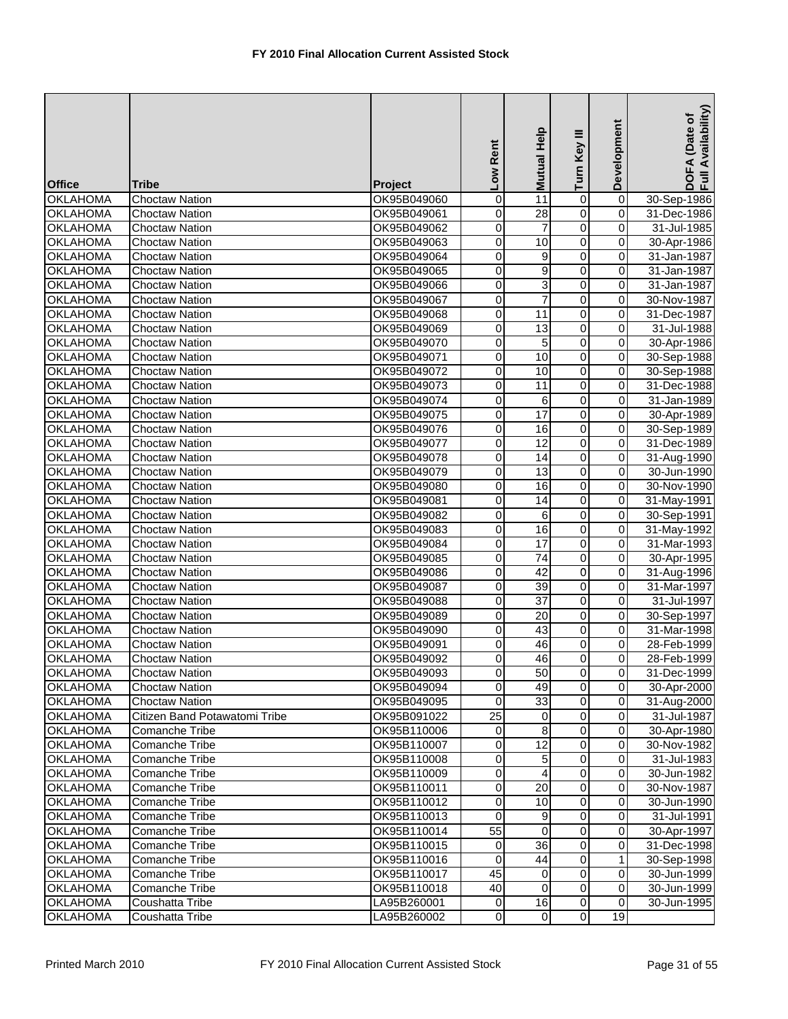| <b>Office</b>   | <b>Tribe</b>                  | Project     | Low Rent            | <b>Mutual Help</b> | Turn Key III   | Development             | DOFA (Date of<br>Full Availability) |
|-----------------|-------------------------------|-------------|---------------------|--------------------|----------------|-------------------------|-------------------------------------|
| <b>OKLAHOMA</b> | <b>Choctaw Nation</b>         | OK95B049060 | 0                   | 11                 | $\overline{0}$ | $\overline{\mathsf{o}}$ | 30-Sep-1986                         |
| <b>OKLAHOMA</b> | <b>Choctaw Nation</b>         | OK95B049061 | 0                   | 28                 | $\overline{0}$ | 0                       | 31-Dec-1986                         |
| <b>OKLAHOMA</b> | <b>Choctaw Nation</b>         | OK95B049062 | 0                   | $\overline{7}$     | 0              | 0                       | 31-Jul-1985                         |
| <b>OKLAHOMA</b> | <b>Choctaw Nation</b>         | OK95B049063 | 0                   | 10                 | $\overline{0}$ | 0                       | 30-Apr-1986                         |
| <b>OKLAHOMA</b> | <b>Choctaw Nation</b>         | OK95B049064 | 0                   | 9                  | 0              | 0                       | 31-Jan-1987                         |
| <b>OKLAHOMA</b> | <b>Choctaw Nation</b>         | OK95B049065 | 0                   | 9                  | 0              | 0                       | 31-Jan-1987                         |
| <b>OKLAHOMA</b> | <b>Choctaw Nation</b>         | OK95B049066 | 0                   | 3                  | $\overline{0}$ | 0                       | 31-Jan-1987                         |
| <b>OKLAHOMA</b> | <b>Choctaw Nation</b>         | OK95B049067 | 0                   | $\overline{7}$     | $\overline{0}$ | $\overline{\mathsf{o}}$ | 30-Nov-1987                         |
| <b>OKLAHOMA</b> | <b>Choctaw Nation</b>         | OK95B049068 | 0                   | $\overline{11}$    | $\overline{0}$ | 0                       | 31-Dec-1987                         |
| <b>OKLAHOMA</b> | <b>Choctaw Nation</b>         | OK95B049069 | 0                   | 13                 | $\overline{0}$ | 0                       | 31-Jul-1988                         |
| <b>OKLAHOMA</b> | <b>Choctaw Nation</b>         | OK95B049070 | $\overline{0}$      | 5                  | $\overline{0}$ | 0                       | 30-Apr-1986                         |
| <b>OKLAHOMA</b> | <b>Choctaw Nation</b>         | OK95B049071 | 0                   | 10                 | 0              | 0                       | 30-Sep-1988                         |
| <b>OKLAHOMA</b> | <b>Choctaw Nation</b>         | OK95B049072 | 0                   | 10                 | 0              | 0                       | 30-Sep-1988                         |
| <b>OKLAHOMA</b> | <b>Choctaw Nation</b>         | OK95B049073 | 0                   | 11                 | 0              | 0                       | 31-Dec-1988                         |
| <b>OKLAHOMA</b> | <b>Choctaw Nation</b>         | OK95B049074 | $\overline{0}$      | 6                  | $\overline{0}$ | $\overline{\mathsf{o}}$ | 31-Jan-1989                         |
| <b>OKLAHOMA</b> | <b>Choctaw Nation</b>         | OK95B049075 | 0                   | 17                 | 0              | 0                       | 30-Apr-1989                         |
| <b>OKLAHOMA</b> | <b>Choctaw Nation</b>         | OK95B049076 | 0                   | 16                 | $\overline{0}$ | 0                       | 30-Sep-1989                         |
| <b>OKLAHOMA</b> | <b>Choctaw Nation</b>         | OK95B049077 | $\overline{0}$      | $\overline{12}$    | $\overline{0}$ | 0                       | 31-Dec-1989                         |
| <b>OKLAHOMA</b> | <b>Choctaw Nation</b>         | OK95B049078 | 0                   | 14                 | 0              | 0                       | 31-Aug-1990                         |
| <b>OKLAHOMA</b> | <b>Choctaw Nation</b>         | OK95B049079 | 0                   | 13                 | 0              | 0                       | 30-Jun-1990                         |
| <b>OKLAHOMA</b> | <b>Choctaw Nation</b>         | OK95B049080 | 0                   | 16                 | $\overline{0}$ | 0                       | 30-Nov-1990                         |
| <b>OKLAHOMA</b> | <b>Choctaw Nation</b>         | OK95B049081 | $\mathsf{O}\xspace$ | $\overline{14}$    | $\overline{0}$ | $\overline{\mathsf{o}}$ | 31-May-1991                         |
| <b>OKLAHOMA</b> | <b>Choctaw Nation</b>         | OK95B049082 | 0                   | 6                  | $\overline{0}$ | $\overline{\mathsf{o}}$ | 30-Sep-1991                         |
| <b>OKLAHOMA</b> | <b>Choctaw Nation</b>         | OK95B049083 | 0                   | 16                 | $\overline{0}$ | 0                       | 31-May-1992                         |
| <b>OKLAHOMA</b> | <b>Choctaw Nation</b>         | OK95B049084 | O                   | 17                 | $\overline{0}$ | 0                       | 31-Mar-1993                         |
| <b>OKLAHOMA</b> | <b>Choctaw Nation</b>         | OK95B049085 | 0                   | 74                 | 0              | $\mathbf 0$             | 30-Apr-1995                         |
| <b>OKLAHOMA</b> | <b>Choctaw Nation</b>         | OK95B049086 | 0                   | $\overline{42}$    | 0              | 0                       | 31-Aug-1996                         |
| <b>OKLAHOMA</b> | <b>Choctaw Nation</b>         | OK95B049087 | 0                   | 39                 | 0              | 0                       | 31-Mar-1997                         |
| <b>OKLAHOMA</b> | Choctaw Nation                | OK95B049088 | $\mathsf{O}\xspace$ | 37                 | $\overline{0}$ | $\overline{\mathsf{o}}$ | 31-Jul-1997                         |
| <b>OKLAHOMA</b> | <b>Choctaw Nation</b>         | OK95B049089 | 0                   | 20                 | 0              | 0                       | 30-Sep-1997                         |
| <b>OKLAHOMA</b> | <b>Choctaw Nation</b>         | OK95B049090 | 0                   | 43                 | $\overline{0}$ | 0                       | 31-Mar-1998                         |
| <b>OKLAHOMA</b> | <b>Choctaw Nation</b>         | OK95B049091 | 0                   | 46                 | 0              | 0                       | 28-Feb-1999                         |
| <b>OKLAHOMA</b> | <b>Choctaw Nation</b>         | OK95B049092 | $\overline{0}$      | 46                 | 0              | 0                       | 28-Feb-1999                         |
| <b>OKLAHOMA</b> | <b>Choctaw Nation</b>         | OK95B049093 | $\overline{0}$      | 50                 | $\overline{0}$ | 0                       | 31-Dec-1999                         |
| <b>OKLAHOMA</b> | <b>Choctaw Nation</b>         | OK95B049094 | $\overline{0}$      | 49                 | $\overline{0}$ | $\mathbf 0$             | 30-Apr-2000                         |
| <b>OKLAHOMA</b> | <b>Choctaw Nation</b>         | OK95B049095 | $\pmb{0}$           | 33                 | $\overline{0}$ | $\mathbf 0$             | 31-Aug-2000                         |
| <b>OKLAHOMA</b> | Citizen Band Potawatomi Tribe | OK95B091022 | $\overline{25}$     | 0                  | 0              | $\mathbf 0$             | 31-Jul-1987                         |
| <b>OKLAHOMA</b> | <b>Comanche Tribe</b>         | OK95B110006 | 0                   | 8                  | 0              | 0                       | 30-Apr-1980                         |
| <b>OKLAHOMA</b> | <b>Comanche Tribe</b>         | OK95B110007 | 0                   | 12                 | 0              | 0                       | 30-Nov-1982                         |
| <b>OKLAHOMA</b> | Comanche Tribe                | OK95B110008 | $\pmb{0}$           | 5                  | 0              | $\mathbf 0$             | 31-Jul-1983                         |
| <b>OKLAHOMA</b> | <b>Comanche Tribe</b>         | OK95B110009 | 0                   | 4                  | 0              | $\mathbf 0$             | 30-Jun-1982                         |
| <b>OKLAHOMA</b> | Comanche Tribe                | OK95B110011 | $\mathbf 0$         | 20                 | $\pmb{0}$      | $\mathbf 0$             | 30-Nov-1987                         |
| <b>OKLAHOMA</b> | Comanche Tribe                | OK95B110012 | $\overline{0}$      | 10                 | $\overline{0}$ | $\mathsf{O}\xspace$     | 30-Jun-1990                         |
| <b>OKLAHOMA</b> | Comanche Tribe                | OK95B110013 | $\overline{0}$      | 9                  | 0              | $\mathbf 0$             | 31-Jul-1991                         |
| <b>OKLAHOMA</b> | Comanche Tribe                | OK95B110014 | 55                  | $\Omega$           | 0              | 0                       | 30-Apr-1997                         |
| <b>OKLAHOMA</b> | <b>Comanche Tribe</b>         | OK95B110015 | $\pmb{0}$           | 36                 | $\overline{0}$ | 0                       | 31-Dec-1998                         |
| <b>OKLAHOMA</b> | Comanche Tribe                | OK95B110016 | $\pmb{0}$           | 44                 | $\overline{0}$ | 1                       | 30-Sep-1998                         |
| <b>OKLAHOMA</b> | Comanche Tribe                | OK95B110017 | 45                  | 0                  | 0              | $\mathbf 0$             | 30-Jun-1999                         |
| <b>OKLAHOMA</b> | Comanche Tribe                | OK95B110018 | 40                  | 0                  | $\pmb{0}$      | $\mathbf 0$             | 30-Jun-1999                         |
| <b>OKLAHOMA</b> | Coushatta Tribe               | LA95B260001 | $\overline{0}$      | 16                 | $\overline{0}$ | $\mathbf 0$             | 30-Jun-1995                         |
| <b>OKLAHOMA</b> | Coushatta Tribe               | LA95B260002 | $\overline{O}$      | $\overline{0}$     | $\overline{0}$ | 19                      |                                     |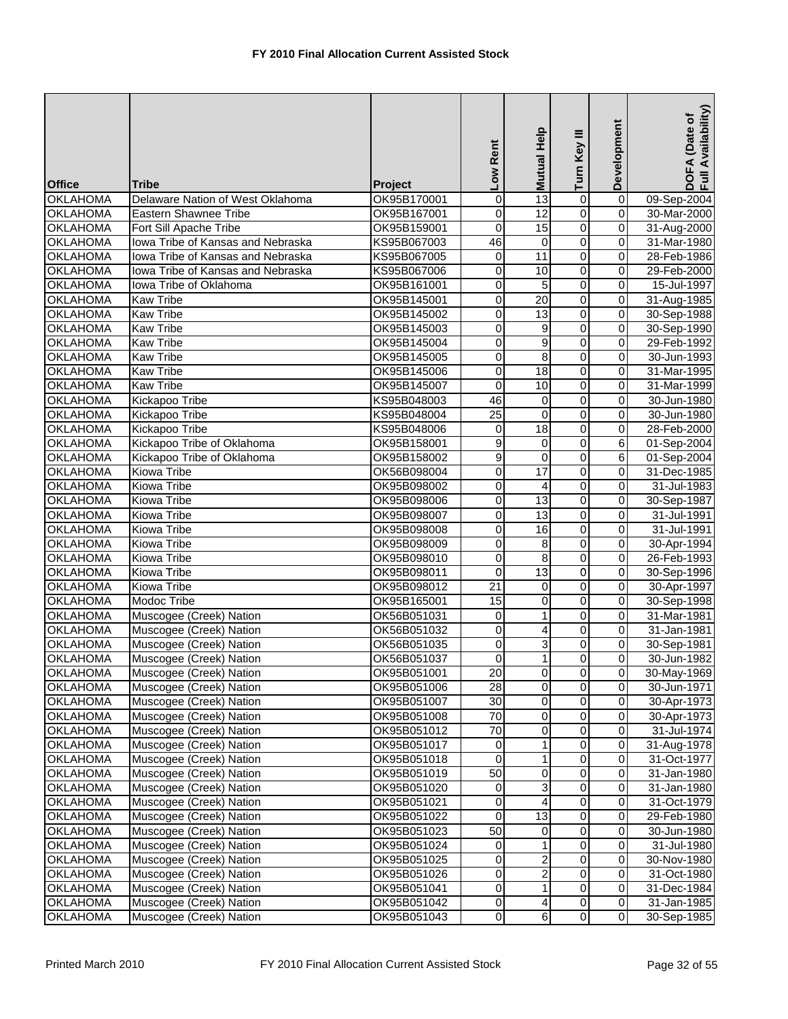| <b>Office</b>   | <b>Tribe</b>                      | Project     | Low Rent            | Mutual Help      | Turn Key III   | Development             | DOFA (Date of<br>Full Availability) |
|-----------------|-----------------------------------|-------------|---------------------|------------------|----------------|-------------------------|-------------------------------------|
| <b>OKLAHOMA</b> | Delaware Nation of West Oklahoma  | OK95B170001 | $\pmb{0}$           | $\overline{13}$  | $\pmb{0}$      | $\overline{\mathbf{0}}$ | 09-Sep-2004                         |
| <b>OKLAHOMA</b> | Eastern Shawnee Tribe             | OK95B167001 | 0                   | 12               | $\overline{0}$ | 0                       | 30-Mar-2000                         |
| <b>OKLAHOMA</b> | Fort Sill Apache Tribe            | OK95B159001 | 0                   | 15               | $\overline{0}$ | 0                       | 31-Aug-2000                         |
| <b>OKLAHOMA</b> | Iowa Tribe of Kansas and Nebraska | KS95B067003 | 46                  | $\mathbf 0$      | $\overline{0}$ | 0                       | 31-Mar-1980                         |
| <b>OKLAHOMA</b> | Iowa Tribe of Kansas and Nebraska | KS95B067005 | 0                   | 11               | 0              | 0                       | 28-Feb-1986                         |
| <b>OKLAHOMA</b> | Iowa Tribe of Kansas and Nebraska | KS95B067006 | 0                   | 10               | $\overline{0}$ | 0                       | 29-Feb-2000                         |
| <b>OKLAHOMA</b> | Iowa Tribe of Oklahoma            | OK95B161001 | 0                   | 5                | $\overline{0}$ | $\mathbf 0$             | 15-Jul-1997                         |
| <b>OKLAHOMA</b> | <b>Kaw Tribe</b>                  | OK95B145001 | $\pmb{0}$           | $\overline{20}$  | $\overline{0}$ | $\overline{\mathsf{o}}$ | 31-Aug-1985                         |
| <b>OKLAHOMA</b> | <b>Kaw Tribe</b>                  | OK95B145002 | 0                   | 13               | $\overline{0}$ | 0                       | 30-Sep-1988                         |
| <b>OKLAHOMA</b> | <b>Kaw Tribe</b>                  | OK95B145003 | 0                   | 9                | $\overline{0}$ | 0                       | 30-Sep-1990                         |
| <b>OKLAHOMA</b> | <b>Kaw Tribe</b>                  | OK95B145004 | $\overline{0}$      | $\overline{9}$   | $\overline{0}$ | 0                       | 29-Feb-1992                         |
| <b>OKLAHOMA</b> | <b>Kaw Tribe</b>                  | OK95B145005 | 0                   | 8                | 0              | 0                       | 30-Jun-1993                         |
| <b>OKLAHOMA</b> | <b>Kaw Tribe</b>                  | OK95B145006 | 0                   | 18               | 0              | 0                       | 31-Mar-1995                         |
| <b>OKLAHOMA</b> | <b>Kaw Tribe</b>                  | OK95B145007 | 0                   | 10               | 0              | 0                       | 31-Mar-1999                         |
| <b>OKLAHOMA</b> | Kickapoo Tribe                    | KS95B048003 | 46                  | 0                | $\overline{0}$ | $\overline{\mathsf{o}}$ | 30-Jun-1980                         |
| <b>OKLAHOMA</b> | Kickapoo Tribe                    | KS95B048004 | 25                  | $\mathbf 0$      | 0              | 0                       | 30-Jun-1980                         |
| <b>OKLAHOMA</b> | Kickapoo Tribe                    | KS95B048006 | 0                   | 18               | 0              | 0                       | 28-Feb-2000                         |
| <b>OKLAHOMA</b> | Kickapoo Tribe of Oklahoma        | OK95B158001 | $\overline{9}$      | 0                | $\overline{0}$ | 6                       | 01-Sep-2004                         |
| <b>OKLAHOMA</b> | Kickapoo Tribe of Oklahoma        | OK95B158002 | 9                   | 0                | 0              | 6                       | 01-Sep-2004                         |
| <b>OKLAHOMA</b> | Kiowa Tribe                       | OK56B098004 | 0                   | 17               | 0              | 0                       | 31-Dec-1985                         |
| <b>OKLAHOMA</b> | Kiowa Tribe                       | OK95B098002 | 0                   | 4                | $\overline{0}$ | 0                       | 31-Jul-1983                         |
| <b>OKLAHOMA</b> | <b>Kiowa Tribe</b>                | OK95B098006 | O                   | $\overline{13}$  | $\overline{0}$ | $\overline{\mathsf{o}}$ | 30-Sep-1987                         |
| <b>OKLAHOMA</b> | Kiowa Tribe                       | OK95B098007 | 0                   | 13               | $\overline{0}$ | 0                       | 31-Jul-1991                         |
| <b>OKLAHOMA</b> | <b>Kiowa Tribe</b>                | OK95B098008 | 0                   | 16               | $\overline{0}$ | 0                       | 31-Jul-1991                         |
| <b>OKLAHOMA</b> | <b>Kiowa Tribe</b>                | OK95B098009 | $\overline{0}$      | 8                | $\overline{0}$ | 0                       | 30-Apr-1994                         |
| <b>OKLAHOMA</b> | <b>Kiowa Tribe</b>                | OK95B098010 | $\pmb{0}$           | 8                | 0              | 0                       | 26-Feb-1993                         |
| <b>OKLAHOMA</b> | <b>Kiowa Tribe</b>                | OK95B098011 | 0                   | $\overline{13}$  | 0              | 0                       | 30-Sep-1996                         |
| <b>OKLAHOMA</b> | <b>Kiowa Tribe</b>                | OK95B098012 | $\overline{21}$     | 0                | 0              | 0                       | 30-Apr-1997                         |
| <b>OKLAHOMA</b> | Modoc Tribe                       | OK95B165001 | 15                  | $\mathbf 0$      | $\overline{0}$ | $\overline{\mathsf{o}}$ | 30-Sep-1998                         |
| <b>OKLAHOMA</b> | Muscogee (Creek) Nation           | OK56B051031 | 0                   | 1                | $\overline{0}$ | 0                       | 31-Mar-1981                         |
| <b>OKLAHOMA</b> | Muscogee (Creek) Nation           | OK56B051032 | 0                   | 4                | $\overline{0}$ | 0                       | 31-Jan-1981                         |
| <b>OKLAHOMA</b> | Muscogee (Creek) Nation           | OK56B051035 | 0                   | 3                | 0              | 0                       | 30-Sep-1981                         |
| <b>OKLAHOMA</b> | Muscogee (Creek) Nation           | OK56B051037 | 0                   | 1                | 0              | 0                       | 30-Jun-1982                         |
| <b>OKLAHOMA</b> | Muscogee (Creek) Nation           | OK95B051001 | 20                  | 0                | $\overline{0}$ | 0                       | 30-May-1969                         |
| <b>OKLAHOMA</b> | Muscogee (Creek) Nation           | OK95B051006 | 28                  | $\mathbf 0$      | $\overline{0}$ | $\mathbf 0$             | 30-Jun-1971                         |
| <b>OKLAHOMA</b> | Muscogee (Creek) Nation           | OK95B051007 | 30                  | 0                | $\overline{0}$ | $\mathbf 0$             | 30-Apr-1973                         |
| <b>OKLAHOMA</b> | Muscogee (Creek) Nation           | OK95B051008 | 70                  | 0                | 0              | $\mathbf 0$             | 30-Apr-1973                         |
| <b>OKLAHOMA</b> | Muscogee (Creek) Nation           | OK95B051012 | 70                  | 0                | 0              | 0                       | 31-Jul-1974                         |
| <b>OKLAHOMA</b> | Muscogee (Creek) Nation           | OK95B051017 | 0                   | 1                | 0              | 0                       | 31-Aug-1978                         |
| <b>OKLAHOMA</b> | Muscogee (Creek) Nation           | OK95B051018 | 0                   | 1                | 0              | $\mathbf 0$             | 31-Oct-1977                         |
| <b>OKLAHOMA</b> | Muscogee (Creek) Nation           | OK95B051019 | 50                  | 0                | 0              | $\mathbf 0$             | 31-Jan-1980                         |
| <b>OKLAHOMA</b> | Muscogee (Creek) Nation           | OK95B051020 | $\mathbf 0$         | 3                | $\pmb{0}$      | $\mathbf 0$             | 31-Jan-1980                         |
| <b>OKLAHOMA</b> | Muscogee (Creek) Nation           | OK95B051021 | $\mathsf{O}\xspace$ | $\overline{4}$   | $\overline{0}$ | $\mathsf{O}\xspace$     | 31-Oct-1979                         |
| <b>OKLAHOMA</b> | Muscogee (Creek) Nation           | OK95B051022 | 0                   | $\overline{13}$  | 0              | $\mathbf 0$             | 29-Feb-1980                         |
| <b>OKLAHOMA</b> | Muscogee (Creek) Nation           | OK95B051023 | 50                  | 0                | 0              | 0                       | 30-Jun-1980                         |
| <b>OKLAHOMA</b> | Muscogee (Creek) Nation           | OK95B051024 | 0                   | 1                | $\overline{0}$ | $\mathbf 0$             | 31-Jul-1980                         |
| <b>OKLAHOMA</b> | Muscogee (Creek) Nation           | OK95B051025 | $\mathsf{O}\xspace$ | $\boldsymbol{2}$ | $\overline{0}$ | 0                       | 30-Nov-1980                         |
| <b>OKLAHOMA</b> | Muscogee (Creek) Nation           | OK95B051026 | 0                   | 2                | 0              | $\mathbf 0$             | 31-Oct-1980                         |
| <b>OKLAHOMA</b> | Muscogee (Creek) Nation           | OK95B051041 | 0                   | 1                | 0              | 0                       | 31-Dec-1984                         |
| <b>OKLAHOMA</b> | Muscogee (Creek) Nation           | OK95B051042 | $\overline{0}$      | 4                | $\overline{0}$ | $\mathsf{O}\xspace$     | 31-Jan-1985                         |
| <b>OKLAHOMA</b> | Muscogee (Creek) Nation           | OK95B051043 | $\overline{0}$      | 6                | $\overline{0}$ | $\mathbf 0$             | 30-Sep-1985                         |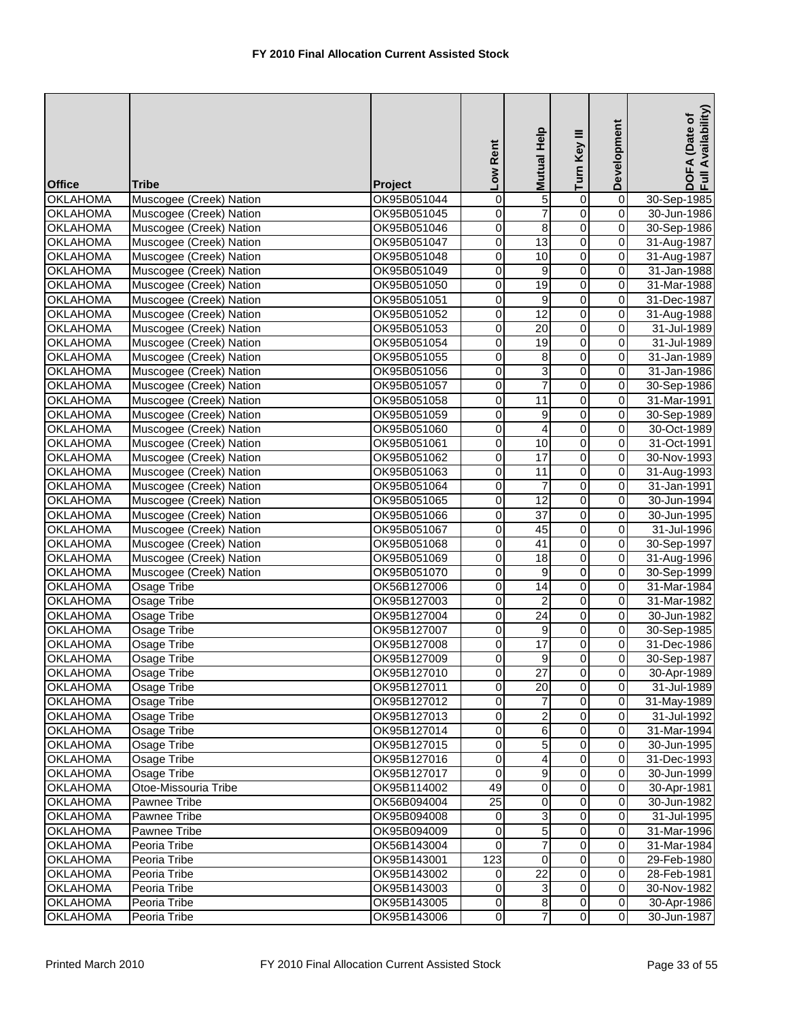|                                    |                                                    |                            |                     | <b>Mutual Help</b>      | Turn Key III            | Development                 | DOFA (Date of<br>Full Availability) |
|------------------------------------|----------------------------------------------------|----------------------------|---------------------|-------------------------|-------------------------|-----------------------------|-------------------------------------|
|                                    |                                                    |                            | Low Rent            |                         |                         |                             |                                     |
| <b>Office</b>                      | Tribe                                              | Project                    |                     |                         |                         |                             |                                     |
| <b>OKLAHOMA</b>                    | Muscogee (Creek) Nation                            | OK95B051044                | $\boldsymbol{0}$    | 5                       | 0                       | $\overline{0}$              | 30-Sep-1985                         |
| <b>OKLAHOMA</b>                    | Muscogee (Creek) Nation                            | OK95B051045                | 0                   | $\overline{7}$          | $\overline{0}$          | $\overline{0}$              | 30-Jun-1986                         |
| <b>OKLAHOMA</b>                    | Muscogee (Creek) Nation                            | OK95B051046                | 0                   | $\overline{8}$          | $\overline{0}$          | $\overline{0}$              | 30-Sep-1986                         |
| <b>OKLAHOMA</b>                    | Muscogee (Creek) Nation                            | OK95B051047                | $\overline{0}$      | $\overline{13}$         | $\overline{0}$          | 0                           | 31-Aug-1987                         |
| <b>OKLAHOMA</b>                    | Muscogee (Creek) Nation                            | OK95B051048                | 0                   | 10                      | 0                       | $\overline{\mathbf{0}}$     | 31-Aug-1987                         |
| <b>OKLAHOMA</b>                    | Muscogee (Creek) Nation                            | OK95B051049                | 0                   | 9                       | 0                       | $\pmb{0}$                   | 31-Jan-1988                         |
| <b>OKLAHOMA</b>                    | Muscogee (Creek) Nation                            | OK95B051050                | 0                   | 19                      | 0                       | $\mathbf 0$                 | 31-Mar-1988                         |
| <b>OKLAHOMA</b>                    | Muscogee (Creek) Nation                            | OK95B051051                | $\overline{0}$      | 9                       | $\overline{0}$          | $\overline{\mathbf{0}}$     | 31-Dec-1987                         |
| <b>OKLAHOMA</b>                    | Muscogee (Creek) Nation                            | OK95B051052                | 0                   | 12                      | $\overline{0}$          | $\overline{0}$              | 31-Aug-1988                         |
| <b>OKLAHOMA</b>                    | Muscogee (Creek) Nation                            | OK95B051053                | $\mathbf 0$         | $\overline{20}$         | $\overline{0}$          | $\overline{0}$              | 31-Jul-1989                         |
| <b>OKLAHOMA</b>                    | Muscogee (Creek) Nation                            | OK95B051054                | 0                   | 19                      | $\overline{0}$          | $\overline{0}$              | 31-Jul-1989                         |
| <b>OKLAHOMA</b>                    | Muscogee (Creek) Nation                            | OK95B051055                | 0                   | 8                       | 0                       | $\overline{0}$              | 31-Jan-1989                         |
| <b>OKLAHOMA</b>                    | Muscogee (Creek) Nation                            | OK95B051056                | $\boldsymbol{0}$    | 3                       | $\overline{0}$          | $\overline{0}$              | 31-Jan-1986                         |
| <b>OKLAHOMA</b>                    | Muscogee (Creek) Nation                            | OK95B051057                | 0                   | 7                       | 0                       | $\pmb{0}$                   | 30-Sep-1986                         |
| <b>OKLAHOMA</b>                    | Muscogee (Creek) Nation                            | OK95B051058                | $\overline{0}$      | 11                      | $\overline{0}$          | $\overline{0}$              | 31-Mar-1991                         |
| <b>OKLAHOMA</b>                    | Muscogee (Creek) Nation                            | OK95B051059                | 0                   | 9                       | $\mathsf 0$             | $\mathsf 0$                 | 30-Sep-1989                         |
| <b>OKLAHOMA</b>                    | Muscogee (Creek) Nation                            | OK95B051060                | 0                   | $\overline{4}$          | $\overline{0}$          | $\pmb{0}$                   | 30-Oct-1989                         |
| <b>OKLAHOMA</b>                    | Muscogee (Creek) Nation                            | OK95B051061                | 0                   | 10                      | $\overline{0}$          | $\mathbf 0$                 | 31-Oct-1991                         |
| <b>OKLAHOMA</b>                    | Muscogee (Creek) Nation                            | OK95B051062                | $\overline{0}$      | $\overline{17}$         | 0                       | $\overline{\mathbf{0}}$     | 30-Nov-1993                         |
| <b>OKLAHOMA</b>                    | Muscogee (Creek) Nation                            | OK95B051063                | 0                   | 11                      | 0                       | $\mathsf 0$                 | 31-Aug-1993                         |
| <b>OKLAHOMA</b>                    | Muscogee (Creek) Nation                            | OK95B051064                | 0<br>$\overline{0}$ | $\overline{7}$<br>12    | 0<br>$\overline{0}$     | $\pmb{0}$<br>$\overline{0}$ | 31-Jan-1991                         |
| <b>OKLAHOMA</b>                    | Muscogee (Creek) Nation                            | OK95B051065                |                     | $\overline{37}$         |                         | $\overline{\mathbf{0}}$     | 30-Jun-1994                         |
| <b>OKLAHOMA</b><br><b>OKLAHOMA</b> | Muscogee (Creek) Nation<br>Muscogee (Creek) Nation | OK95B051066<br>OK95B051067 | 0<br>$\mathbf 0$    | $\overline{45}$         | 0<br>$\overline{0}$     | $\overline{0}$              | 30-Jun-1995<br>31-Jul-1996          |
| <b>OKLAHOMA</b>                    | Muscogee (Creek) Nation                            | OK95B051068                | 0                   | $\overline{41}$         | $\overline{0}$          | $\mathbf 0$                 | 30-Sep-1997                         |
| <b>OKLAHOMA</b>                    | Muscogee (Creek) Nation                            | OK95B051069                | $\overline{0}$      | 18                      | $\overline{0}$          | $\overline{\mathbf{0}}$     | 31-Aug-1996                         |
| <b>OKLAHOMA</b>                    | Muscogee (Creek) Nation                            | OK95B051070                | 0                   | 9                       | $\overline{0}$          | $\overline{0}$              | 30-Sep-1999                         |
| <b>OKLAHOMA</b>                    | Osage Tribe                                        | OK56B127006                | 0                   | $\overline{14}$         | $\overline{0}$          | $\pmb{0}$                   | 31-Mar-1984                         |
| <b>OKLAHOMA</b>                    | Osage Tribe                                        | OK95B127003                | $\overline{0}$      | $\overline{2}$          | $\overline{0}$          | $\overline{\mathbf{0}}$     | 31-Mar-1982                         |
| <b>OKLAHOMA</b>                    | Osage Tribe                                        | OK95B127004                | $\pmb{0}$           | $\overline{24}$         | $\overline{0}$          | $\overline{\mathbf{0}}$     | 30-Jun-1982                         |
| <b>OKLAHOMA</b>                    | <b>Osage Tribe</b>                                 | OK95B127007                | $\boldsymbol{0}$    | 9                       | $\overline{0}$          | $\overline{0}$              | 30-Sep-1985                         |
| <b>OKLAHOMA</b>                    | Osage Tribe                                        | OK95B127008                | 0                   | $\overline{17}$         | 0                       | $\mathbf 0$                 | 31-Dec-1986                         |
| <b>OKLAHOMA</b>                    | Osage Tribe                                        | OK95B127009                | $\overline{0}$      | 9                       | O                       | $\mathbf 0$                 | 30-Sep-1987                         |
| <b>OKLAHOMA</b>                    | Osage Tribe                                        | OK95B127010                | $\overline{O}$      | 27                      | $\overline{0}$          | $\overline{0}$              | 30-Apr-1989                         |
| <b>OKLAHOMA</b>                    | Osage Tribe                                        | OK95B127011                | $\mathbf 0$         | 20                      | $\overline{0}$          | $\mathbf 0$                 | 31-Jul-1989                         |
| <b>OKLAHOMA</b>                    | Osage Tribe                                        | OK95B127012                | 0                   | 7                       | 0                       | $\pmb{0}$                   | 31-May-1989                         |
| <b>OKLAHOMA</b>                    | Osage Tribe                                        | OK95B127013                | 0                   | $\overline{a}$          | $\overline{\mathsf{o}}$ | $\mathbf 0$                 | 31-Jul-1992                         |
| <b>OKLAHOMA</b>                    | Osage Tribe                                        | OK95B127014                | 0                   | 6                       | $\overline{\mathsf{o}}$ | $\pmb{0}$                   | 31-Mar-1994                         |
| <b>OKLAHOMA</b>                    | <b>Osage Tribe</b>                                 | OK95B127015                | 0                   | 5                       | $\overline{\mathsf{o}}$ | $\mathbf 0$                 | 30-Jun-1995                         |
| <b>OKLAHOMA</b>                    | Osage Tribe                                        | OK95B127016                | $\mathbf 0$         | $\overline{4}$          | $\overline{\mathsf{o}}$ | $\pmb{0}$                   | 31-Dec-1993                         |
| <b>OKLAHOMA</b>                    | Osage Tribe                                        | OK95B127017                | $\mathbf 0$         | 9                       | 0                       | $\mathbf 0$                 | 30-Jun-1999                         |
| <b>OKLAHOMA</b>                    | Otoe-Missouria Tribe                               | OK95B114002                | 49                  | $\overline{0}$          | 0                       | 0                           | 30-Apr-1981                         |
| <b>OKLAHOMA</b>                    | Pawnee Tribe                                       | OK56B094004                | $\overline{25}$     | 0                       | $\overline{\mathsf{o}}$ | $\mathbf 0$                 | 30-Jun-1982                         |
| <b>OKLAHOMA</b>                    | Pawnee Tribe                                       | OK95B094008                | $\mathbf 0$         | 3                       | $\overline{\mathsf{o}}$ | $\overline{\mathsf{o}}$     | 31-Jul-1995                         |
| <b>OKLAHOMA</b>                    | Pawnee Tribe                                       | OK95B094009                | $\boldsymbol{0}$    | 5                       | $\overline{\mathsf{o}}$ | $\overline{\mathbf{0}}$     | 31-Mar-1996                         |
| <b>OKLAHOMA</b>                    | Peoria Tribe                                       | OK56B143004                | 0                   | $\overline{7}$          | 0                       | $\pmb{0}$                   | 31-Mar-1984                         |
| <b>OKLAHOMA</b>                    | Peoria Tribe                                       | OK95B143001                | 123                 | $\overline{\mathsf{o}}$ | $\overline{\mathsf{o}}$ | $\overline{\mathbf{0}}$     | 29-Feb-1980                         |
| <b>OKLAHOMA</b>                    | Peoria Tribe                                       | OK95B143002                | $\mathbf 0$         | 22                      | 0                       | $\mathbf 0$                 | 28-Feb-1981                         |
| <b>OKLAHOMA</b>                    | Peoria Tribe                                       | OK95B143003                | 0                   | 3                       | $\pmb{0}$               | $\mathbf 0$                 | 30-Nov-1982                         |
| <b>OKLAHOMA</b>                    | Peoria Tribe                                       | OK95B143005                | $\pmb{0}$           | 8                       | $\pmb{0}$               | $\mathbf 0$                 | 30-Apr-1986                         |
| <b>OKLAHOMA</b>                    | Peoria Tribe                                       | OK95B143006                | $\boldsymbol{0}$    | $\overline{7}$          | $\overline{0}$          | $\overline{\mathsf{o}}$     | 30-Jun-1987                         |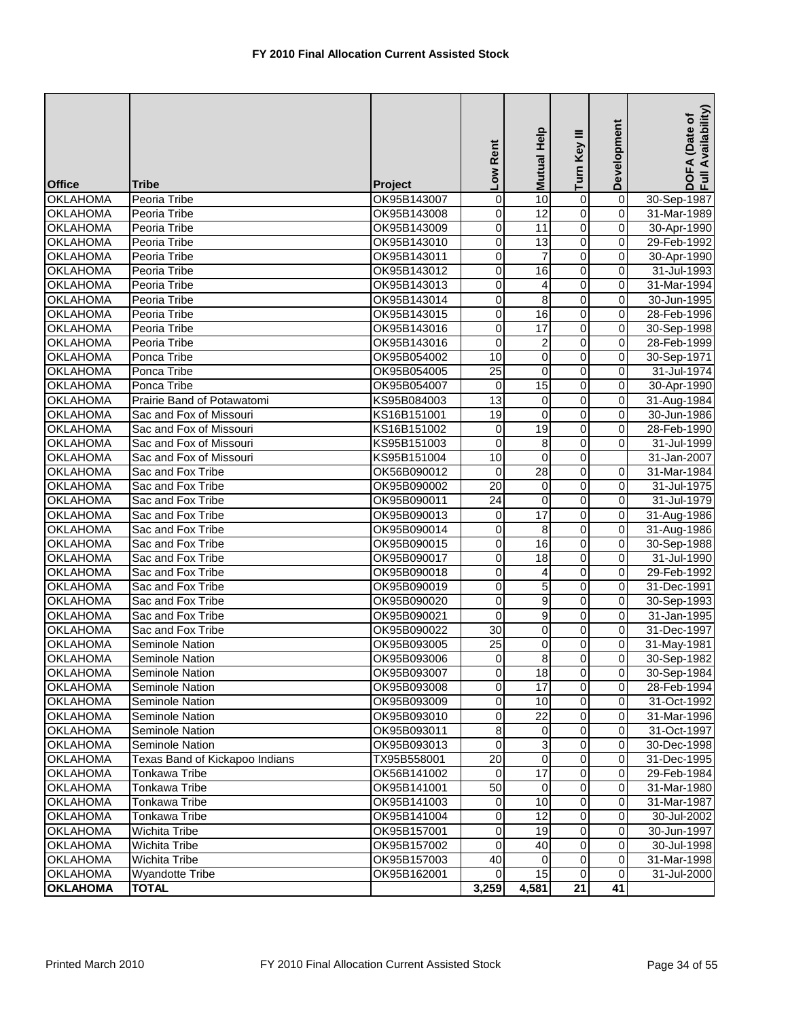| <b>Office</b>                      | <b>Tribe</b>                          | Project                    | Low Rent          | Mutual Help     | Turn Key III            | Development                | DOFA (Date of<br>Full Availability) |
|------------------------------------|---------------------------------------|----------------------------|-------------------|-----------------|-------------------------|----------------------------|-------------------------------------|
| <b>OKLAHOMA</b>                    | Peoria Tribe                          | OK95B143007                | $\overline{0}$    | 10              | 0                       | $\overline{\mathsf{o}}$    | 30-Sep-1987                         |
| <b>OKLAHOMA</b>                    | Peoria Tribe                          | OK95B143008                | 0                 | 12              | $\overline{0}$          | $\overline{0}$             | 31-Mar-1989                         |
| <b>OKLAHOMA</b>                    | Peoria Tribe                          | OK95B143009                | 0                 | $\overline{11}$ | $\overline{0}$          | 0                          | 30-Apr-1990                         |
| <b>OKLAHOMA</b>                    | Peoria Tribe                          | OK95B143010                | 0                 | 13              | $\overline{0}$          | 0                          | 29-Feb-1992                         |
| <b>OKLAHOMA</b>                    | Peoria Tribe                          | OK95B143011                | 0                 | $\overline{7}$  | $\overline{0}$          | 0                          | 30-Apr-1990                         |
| <b>OKLAHOMA</b>                    | Peoria Tribe                          | OK95B143012                | 0                 | 16              | 0                       | 0                          | 31-Jul-1993                         |
| <b>OKLAHOMA</b>                    | Peoria Tribe                          | OK95B143013                | 0                 | 4               | $\overline{0}$          | 0                          | 31-Mar-1994                         |
| <b>OKLAHOMA</b>                    | Peoria Tribe                          | OK95B143014                | $\overline{0}$    | $\infty$        | $\overline{\mathsf{o}}$ | $\overline{\mathsf{o}}$    | 30-Jun-1995                         |
| <b>OKLAHOMA</b>                    | Peoria Tribe                          | OK95B143015                | 0                 | 16              | $\overline{0}$          | 0                          | 28-Feb-1996                         |
| <b>OKLAHOMA</b>                    | Peoria Tribe                          | OK95B143016                | 0                 | $\overline{17}$ | $\overline{0}$          | 0                          | 30-Sep-1998                         |
| <b>OKLAHOMA</b>                    | Peoria Tribe                          | OK95B143016                | $\overline{0}$    | $\overline{c}$  | $\overline{0}$          | $\overline{\mathsf{o}}$    | 28-Feb-1999                         |
| <b>OKLAHOMA</b>                    | Ponca Tribe                           | OK95B054002                | 10                | 0               | $\overline{0}$          | 0                          | 30-Sep-1971                         |
| <b>OKLAHOMA</b>                    | Ponca Tribe                           | OK95B054005                | $\overline{25}$   | 0               | $\overline{0}$          | 0                          | 31-Jul-1974                         |
| <b>OKLAHOMA</b>                    | Ponca Tribe                           | OK95B054007                | $\mathbf 0$       | 15              | $\overline{0}$          | 0                          | 30-Apr-1990                         |
| <b>OKLAHOMA</b>                    | Prairie Band of Potawatomi            | KS95B084003                | 13                | $\mathbf 0$     | $\overline{0}$          | $\overline{\mathsf{o}}$    | 31-Aug-1984                         |
| <b>OKLAHOMA</b>                    | Sac and Fox of Missouri               | KS16B151001                | $\overline{19}$   | $\mathbf 0$     | $\overline{0}$          | $\mathsf 0$                | 30-Jun-1986                         |
| <b>OKLAHOMA</b>                    | Sac and Fox of Missouri               | KS16B151002                | 0                 | 19              | 0                       | 0                          | 28-Feb-1990                         |
| <b>OKLAHOMA</b>                    | Sac and Fox of Missouri               | KS95B151003                | $\overline{0}$    | 8               | $\overline{0}$          | 0                          | 31-Jul-1999                         |
| <b>OKLAHOMA</b>                    | Sac and Fox of Missouri               | KS95B151004                | 10                | 0               | 0                       |                            | 31-Jan-2007                         |
| <b>OKLAHOMA</b>                    | Sac and Fox Tribe                     | OK56B090012                | $\mathbf 0$       | 28              | $\mathsf 0$             | 0                          | 31-Mar-1984                         |
| <b>OKLAHOMA</b>                    | Sac and Fox Tribe                     | OK95B090002                | $\overline{20}$   | 0               | $\overline{0}$          | 0                          | 31-Jul-1975                         |
| <b>OKLAHOMA</b>                    | Sac and Fox Tribe                     | OK95B090011                | $\overline{24}$   | $\mathbf 0$     | $\overline{0}$          | $\overline{\mathsf{o}}$    | 31-Jul-1979                         |
| <b>OKLAHOMA</b>                    | Sac and Fox Tribe                     | OK95B090013                | $\pmb{0}$         | $\overline{17}$ | $\overline{0}$          | 0                          | 31-Aug-1986                         |
| <b>OKLAHOMA</b>                    | Sac and Fox Tribe                     | OK95B090014                | 0                 | 8               | $\overline{0}$          | 0                          | 31-Aug-1986                         |
| <b>OKLAHOMA</b>                    | Sac and Fox Tribe                     | OK95B090015                | $\overline{0}$    | 16              | $\overline{0}$          | $\overline{\mathbf{0}}$    | 30-Sep-1988                         |
| <b>OKLAHOMA</b>                    | Sac and Fox Tribe                     | OK95B090017                | 0                 | 18              | $\overline{0}$          | $\mathbf 0$                | 31-Jul-1990                         |
| <b>OKLAHOMA</b>                    | Sac and Fox Tribe                     | OK95B090018                | 0                 | 4               | $\overline{0}$          | 0                          | 29-Feb-1992                         |
| <b>OKLAHOMA</b>                    | Sac and Fox Tribe                     | OK95B090019                | 0                 | 5               | 0                       | 0                          | 31-Dec-1991                         |
| <b>OKLAHOMA</b>                    | Sac and Fox Tribe                     | OK95B090020                | 0                 | 9               | $\overline{0}$          | $\mathbf 0$                | 30-Sep-1993                         |
| <b>OKLAHOMA</b>                    | Sac and Fox Tribe                     | OK95B090021                | 0                 | 9               | $\overline{0}$          | 0                          | 31-Jan-1995                         |
| <b>OKLAHOMA</b>                    | Sac and Fox Tribe                     | OK95B090022                | 30                | $\mathbf 0$     | $\overline{0}$          | 0                          | 31-Dec-1997                         |
| <b>OKLAHOMA</b>                    | Seminole Nation                       | OK95B093005                | 25                | 0               | $\overline{0}$          | 0                          | 31-May-1981                         |
| <b>OKLAHOMA</b>                    | <b>Seminole Nation</b>                | OK95B093006                | 0                 | 8               | 0                       | $\overline{0}$             | 30-Sep-1982                         |
| <b>OKLAHOMA</b>                    | Seminole Nation                       | OK95B093007                | $\overline{0}$    | 18              | $\overline{0}$          | 0                          | 30-Sep-1984                         |
| <b>OKLAHOMA</b>                    | Seminole Nation                       | OK95B093008                | 0                 | $\overline{17}$ | $\overline{0}$          | $\mathbf 0$                | 28-Feb-1994                         |
| <b>OKLAHOMA</b>                    | <b>Seminole Nation</b>                | OK95B093009                | $\mathbf 0$       | 10<br>22        | $\overline{0}$          | $\mathbf 0$                | 31-Oct-1992                         |
| <b>OKLAHOMA</b>                    | Seminole Nation                       | OK95B093010                | 0                 |                 | 0<br>0                  | $\mathbf 0$                | 31-Mar-1996                         |
| <b>OKLAHOMA</b>                    | Seminole Nation                       | OK95B093011                | 8<br>0            | 0               | 0                       | 0<br>0                     | 31-Oct-1997                         |
| <b>OKLAHOMA</b>                    | Seminole Nation                       | OK95B093013                |                   | 3<br>0          | 0                       |                            | 30-Dec-1998                         |
| <b>OKLAHOMA</b><br><b>OKLAHOMA</b> | Texas Band of Kickapoo Indians        | TX95B558001                | 20                | 17              | 0                       | $\mathbf 0$                | 31-Dec-1995                         |
| <b>OKLAHOMA</b>                    | Tonkawa Tribe<br><b>Tonkawa Tribe</b> | OK56B141002<br>OK95B141001 | $\mathbf 0$<br>50 | 0               | 0                       | $\mathbf 0$<br>$\mathbf 0$ | 29-Feb-1984<br>31-Mar-1980          |
| <b>OKLAHOMA</b>                    | Tonkawa Tribe                         | OK95B141003                | $\pmb{0}$         | 10              | $\overline{\mathsf{o}}$ | $\mathbf 0$                | 31-Mar-1987                         |
| <b>OKLAHOMA</b>                    | Tonkawa Tribe                         | OK95B141004                | 0                 | 12              | $\mathbf 0$             | $\mathbf 0$                | 30-Jul-2002                         |
| <b>OKLAHOMA</b>                    | Wichita Tribe                         | OK95B157001                | 0                 | 19              | 0                       | 0                          | 30-Jun-1997                         |
| <b>OKLAHOMA</b>                    | <b>Wichita Tribe</b>                  | OK95B157002                | $\overline{0}$    | 40              | 0                       | 0                          | 30-Jul-1998                         |
| <b>OKLAHOMA</b>                    | <b>Wichita Tribe</b>                  | OK95B157003                | 40                | $\Omega$        | 0                       | $\mathbf 0$                | 31-Mar-1998                         |
| <b>OKLAHOMA</b>                    | Wyandotte Tribe                       | OK95B162001                | $\Omega$          | 15              | 0                       | 0                          | 31-Jul-2000                         |
| <b>OKLAHOMA</b>                    | <b>TOTAL</b>                          |                            | 3,259             | 4,581           | $\overline{21}$         | 41                         |                                     |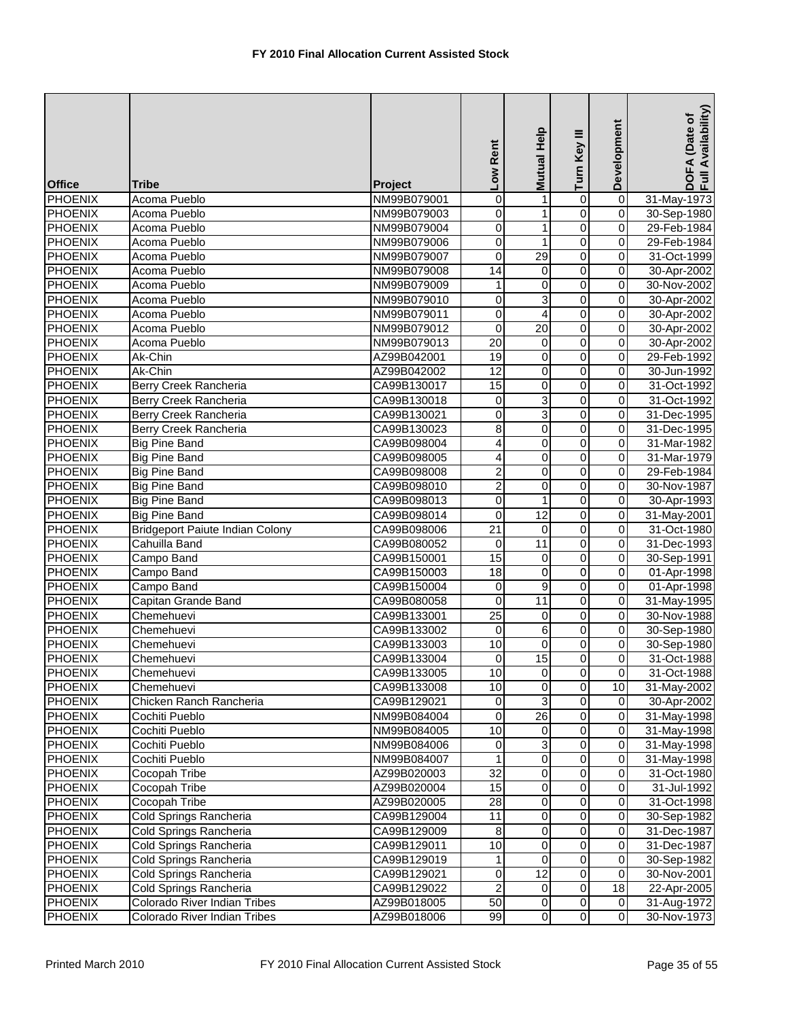| <b>Office</b>                    | <b>Tribe</b>                           | Project                    | Low Rent                | Mutual Help             | Turn Key III                     | Development                | DOFA (Date of<br>Full Availability) |
|----------------------------------|----------------------------------------|----------------------------|-------------------------|-------------------------|----------------------------------|----------------------------|-------------------------------------|
| <b>PHOENIX</b>                   | <b>Acoma Pueblo</b>                    | NM99B079001                | 0                       | $\mathbf{1}$            | $\overline{0}$                   | $\overline{0}$             | 31-May-1973                         |
| <b>PHOENIX</b>                   | Acoma Pueblo                           | NM99B079003                | $\mathbf 0$             | $\mathbf{1}$            | $\overline{0}$                   | $\overline{0}$             | 30-Sep-1980                         |
| <b>PHOENIX</b>                   | Acoma Pueblo                           | NM99B079004                | 0                       | $\mathbf{1}$            | $\overline{0}$                   | 0                          | 29-Feb-1984                         |
| <b>PHOENIX</b>                   | Acoma Pueblo                           | NM99B079006                | 0                       | 1                       | $\overline{0}$                   | 0                          | 29-Feb-1984                         |
| <b>PHOENIX</b>                   | Acoma Pueblo                           | NM99B079007                | $\mathbf 0$             | $\overline{29}$         | $\overline{0}$                   | 0                          | 31-Oct-1999                         |
| PHOENIX                          | Acoma Pueblo                           | NM99B079008                | 14                      | 0                       | $\overline{0}$                   | 0                          | 30-Apr-2002                         |
| <b>PHOENIX</b>                   | Acoma Pueblo                           | NM99B079009                | 1                       | $\pmb{0}$               | $\overline{0}$                   | 0                          | 30-Nov-2002                         |
| <b>PHOENIX</b>                   | Acoma Pueblo                           | NM99B079010                | 0                       | 3                       | $\overline{0}$                   | $\overline{\mathbf{0}}$    | 30-Apr-2002                         |
| <b>PHOENIX</b>                   | Acoma Pueblo                           | NM99B079011                | $\mathbf 0$             | $\overline{4}$          | $\overline{0}$                   | 0                          | 30-Apr-2002                         |
| <b>PHOENIX</b>                   | Acoma Pueblo                           | NM99B079012                | 0                       | $\overline{20}$         | $\overline{0}$                   | 0                          | 30-Apr-2002                         |
| <b>PHOENIX</b>                   | Acoma Pueblo                           | NM99B079013                | 20                      | 0                       | $\overline{0}$                   | 0                          | 30-Apr-2002                         |
| <b>PHOENIX</b>                   | Ak-Chin                                | AZ99B042001                | 19                      | 0                       | $\overline{0}$                   | 0                          | 29-Feb-1992                         |
| PHOENIX                          | Ak-Chin                                | AZ99B042002                | $\overline{12}$         | 0                       | $\overline{0}$                   | 0                          | 30-Jun-1992                         |
| PHOENIX                          | Berry Creek Rancheria                  | CA99B130017                | 15                      | 0                       | $\overline{0}$                   | 0                          | 31-Oct-1992                         |
| PHOENIX                          | Berry Creek Rancheria                  | CA99B130018                | $\pmb{0}$               | 3                       | $\overline{0}$                   | $\overline{\mathbf{0}}$    | 31-Oct-1992                         |
| <b>PHOENIX</b>                   | Berry Creek Rancheria                  | CA99B130021                | $\mathbf 0$             | $\overline{3}$          | $\overline{0}$                   | 0                          | 31-Dec-1995                         |
| PHOENIX                          | Berry Creek Rancheria                  | CA99B130023                | 8                       | $\pmb{0}$               | $\overline{0}$                   | 0                          | 31-Dec-1995                         |
| <b>PHOENIX</b>                   | <b>Big Pine Band</b>                   | CA99B098004                | $\overline{4}$          | $\overline{0}$          | $\overline{0}$                   | 0                          | 31-Mar-1982                         |
| <b>PHOENIX</b>                   | <b>Big Pine Band</b>                   | CA99B098005                | 4                       | 0                       | 0                                | 0                          | 31-Mar-1979                         |
| <b>PHOENIX</b>                   | <b>Big Pine Band</b>                   | CA99B098008                | $\overline{\mathbf{c}}$ | 0                       | $\mathsf 0$                      | 0                          | 29-Feb-1984                         |
| <b>PHOENIX</b>                   | <b>Big Pine Band</b>                   | CA99B098010                | $\overline{2}$          | $\pmb{0}$               | $\overline{0}$                   | 0                          | 30-Nov-1987                         |
| <b>PHOENIX</b>                   | <b>Big Pine Band</b>                   | CA99B098013                | $\overline{0}$          | $\mathbf{1}$            | $\overline{0}$                   | $\overline{\mathbf{0}}$    | 30-Apr-1993                         |
| <b>PHOENIX</b>                   | <b>Big Pine Band</b>                   | CA99B098014                | 0                       | $\overline{12}$         | $\overline{0}$                   | 0                          | 31-May-2001                         |
| <b>PHOENIX</b>                   | <b>Bridgeport Paiute Indian Colony</b> | CA99B098006                | $\overline{21}$         | 0                       | $\overline{0}$                   | 0                          | 31-Oct-1980                         |
| <b>PHOENIX</b>                   | Cahuilla Band                          | CA99B080052                | $\overline{0}$          | $\overline{11}$         | $\overline{0}$                   | 0                          | 31-Dec-1993                         |
| <b>PHOENIX</b>                   | Campo Band                             | CA99B150001                | 15                      | 0                       | $\overline{0}$                   | $\overline{\mathbf{0}}$    | 30-Sep-1991                         |
| <b>PHOENIX</b>                   | Campo Band                             | CA99B150003                | $\overline{18}$         | 0                       | $\overline{0}$                   | $\mathbf 0$                | 01-Apr-1998                         |
| <b>PHOENIX</b>                   | Campo Band                             | CA99B150004                | $\mathbf 0$             | 9                       | 0                                | 0                          | 01-Apr-1998                         |
| <b>PHOENIX</b>                   | Capitan Grande Band                    | CA99B080058                | 0                       | 11                      | $\overline{0}$                   | $\overline{\mathbf{0}}$    | 31-May-1995                         |
| <b>PHOENIX</b>                   | Chemehuevi                             | CA99B133001                | $\overline{25}$         | 0                       | $\overline{0}$                   | 0                          | 30-Nov-1988                         |
| <b>PHOENIX</b>                   | Chemehuevi                             | CA99B133002                | 0                       | $\overline{6}$          | $\overline{0}$                   | 0                          | 30-Sep-1980                         |
| <b>PHOENIX</b>                   | Chemehuevi                             | CA99B133003                | 10                      | $\mathbf 0$             | $\overline{0}$                   | 0                          | 30-Sep-1980                         |
| PHOENIX                          | Chemehuevi                             | CA99B133004                | 0                       | $\overline{15}$         | 0                                | $\overline{0}$             | 31-Oct-1988                         |
| <b>PHOENIX</b>                   | Chemehuevi                             | CA99B133005                | 10 <sub>1</sub>         | $\overline{0}$          | $\overline{0}$<br>$\overline{0}$ | $\overline{0}$             | 31-Oct-1988                         |
| <b>PHOENIX</b>                   | Chemehuevi                             | CA99B133008                | 10                      | 0                       |                                  | 10                         | 31-May-2002                         |
| <b>PHOENIX</b>                   | Chicken Ranch Rancheria                | CA99B129021                | $\pmb{0}$<br>0          | 3<br>26                 | $\overline{0}$<br>0              | $\mathbf 0$<br>$\mathbf 0$ | 30-Apr-2002<br>31-May-1998          |
| PHOENIX                          | Cochiti Pueblo                         | NM99B084004                | 10                      | 0                       | 0                                | 0                          |                                     |
| <b>PHOENIX</b><br><b>PHOENIX</b> | Cochiti Pueblo<br>Cochiti Pueblo       | NM99B084005<br>NM99B084006 | $\mathbf 0$             | 3                       | $\overline{0}$                   | 0                          | 31-May-1998<br>31-May-1998          |
| <b>PHOENIX</b>                   | Cochiti Pueblo                         | NM99B084007                | 1                       | $\overline{\mathsf{o}}$ | 0                                | $\mathbf 0$                | 31-May-1998                         |
| <b>PHOENIX</b>                   | Cocopah Tribe                          | AZ99B020003                | 32                      | $\pmb{0}$               | $\mathsf 0$                      | $\mathbf 0$                | 31-Oct-1980                         |
| <b>PHOENIX</b>                   | Cocopah Tribe                          | AZ99B020004                | 15                      | 0                       | 0                                | $\mathbf 0$                | 31-Jul-1992                         |
| <b>PHOENIX</b>                   | Cocopah Tribe                          | AZ99B020005                | $\overline{28}$         | $\mathbf 0$             | $\overline{\mathbf{o}}$          | $\mathsf{O}\xspace$        | 31-Oct-1998                         |
| <b>PHOENIX</b>                   | Cold Springs Rancheria                 | CA99B129004                | 11                      | $\pmb{0}$               | $\overline{\mathsf{o}}$          | $\pmb{0}$                  | 30-Sep-1982                         |
| <b>PHOENIX</b>                   | Cold Springs Rancheria                 | CA99B129009                | 8                       | 0                       | $\mathsf 0$                      | 0                          | 31-Dec-1987                         |
| <b>PHOENIX</b>                   | Cold Springs Rancheria                 | CA99B129011                | 10                      | 0                       | $\overline{0}$                   | $\overline{0}$             | 31-Dec-1987                         |
| <b>PHOENIX</b>                   | Cold Springs Rancheria                 | CA99B129019                | 1                       | $\mathbf 0$             | 0                                | 0                          | 30-Sep-1982                         |
| <b>PHOENIX</b>                   | Cold Springs Rancheria                 | CA99B129021                | 0                       | $\overline{12}$         | 0                                | 0                          | 30-Nov-2001                         |
| <b>PHOENIX</b>                   | Cold Springs Rancheria                 | CA99B129022                | $\overline{c}$          | 0                       | 0                                | 18                         | 22-Apr-2005                         |
| <b>PHOENIX</b>                   | Colorado River Indian Tribes           | AZ99B018005                | 50                      | $\mathbf 0$             | $\overline{\mathsf{o}}$          | $\mathbf 0$                | 31-Aug-1972                         |
| <b>PHOENIX</b>                   | Colorado River Indian Tribes           | AZ99B018006                | 99                      | $\overline{0}$          | $\overline{0}$                   | $\overline{\mathbf{o}}$    | 30-Nov-1973                         |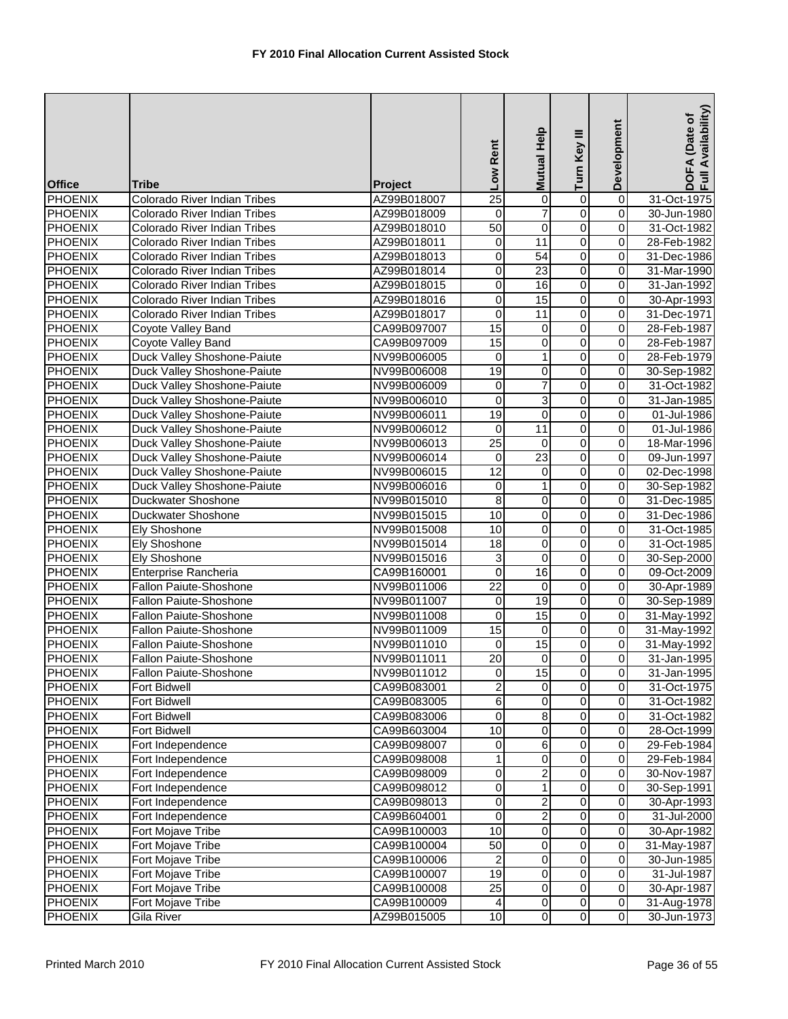| <b>Office</b>  | Tribe                               | Project     | Low Rent                | Mutual Help             | Turn Key III            | Development             | Availability)<br>DOFA (Date of<br>Full Availability |
|----------------|-------------------------------------|-------------|-------------------------|-------------------------|-------------------------|-------------------------|-----------------------------------------------------|
| PHOENIX        | Colorado River Indian Tribes        | AZ99B018007 | $\overline{25}$         | $\overline{0}$          | 0                       | $\overline{0}$          | 31-Oct-1975                                         |
| <b>PHOENIX</b> | Colorado River Indian Tribes        | AZ99B018009 | $\mathbf 0$             | $\overline{7}$          | $\overline{0}$          | $\overline{0}$          | 30-Jun-1980                                         |
| <b>PHOENIX</b> | Colorado River Indian Tribes        | AZ99B018010 | $\overline{50}$         | $\mathbf 0$             | $\overline{0}$          | $\mathbf 0$             | 31-Oct-1982                                         |
| <b>PHOENIX</b> | Colorado River Indian Tribes        | AZ99B018011 | 0                       | 11                      | 0                       | $\pmb{0}$               | 28-Feb-1982                                         |
| <b>PHOENIX</b> | Colorado River Indian Tribes        | AZ99B018013 | 0                       | 54                      | 0                       | $\mathbf 0$             | 31-Dec-1986                                         |
| PHOENIX        | <b>Colorado River Indian Tribes</b> | AZ99B018014 | 0                       | 23                      | 0                       | $\mathbf 0$             | 31-Mar-1990                                         |
| <b>PHOENIX</b> | Colorado River Indian Tribes        | AZ99B018015 | $\boldsymbol{0}$        | 16                      | $\overline{0}$          | $\overline{0}$          | 31-Jan-1992                                         |
| <b>PHOENIX</b> | Colorado River Indian Tribes        | AZ99B018016 | $\mathbf 0$             | $\overline{15}$         | $\overline{0}$          | $\overline{\mathsf{o}}$ | 30-Apr-1993                                         |
| <b>PHOENIX</b> | Colorado River Indian Tribes        | AZ99B018017 | $\overline{0}$          | 11                      | $\overline{0}$          | $\overline{0}$          | 31-Dec-1971                                         |
| <b>PHOENIX</b> | Coyote Valley Band                  | CA99B097007 | 15                      | 0                       | 0                       | $\mathbf 0$             | 28-Feb-1987                                         |
| <b>PHOENIX</b> | Coyote Valley Band                  | CA99B097009 | 15                      | $\overline{0}$          | $\overline{0}$          | $\overline{0}$          | 28-Feb-1987                                         |
| PHOENIX        | Duck Valley Shoshone-Paiute         | NV99B006005 | 0                       | $\mathbf{1}$            | 0                       | $\pmb{0}$               | 28-Feb-1979                                         |
| <b>PHOENIX</b> | Duck Valley Shoshone-Paiute         | NV99B006008 | $\overline{19}$         | 0                       | 0                       | $\pmb{0}$               | 30-Sep-1982                                         |
| PHOENIX        | Duck Valley Shoshone-Paiute         | NV99B006009 | 0                       | $\overline{7}$          | 0                       | $\pmb{0}$               | 31-Oct-1982                                         |
| <b>PHOENIX</b> | Duck Valley Shoshone-Paiute         | NV99B006010 | $\pmb{0}$               | 3                       | $\overline{0}$          | $\overline{\mathbf{0}}$ | 31-Jan-1985                                         |
| <b>PHOENIX</b> | Duck Valley Shoshone-Paiute         | NV99B006011 | 19                      | $\mathbf 0$             | $\mathsf 0$             | $\mathsf 0$             | 01-Jul-1986                                         |
| <b>PHOENIX</b> | Duck Valley Shoshone-Paiute         | NV99B006012 | 0                       | $\overline{11}$         | $\overline{0}$          | $\mathbf 0$             | 01-Jul-1986                                         |
| <b>PHOENIX</b> | Duck Valley Shoshone-Paiute         | NV99B006013 | $\overline{25}$         | $\overline{\mathsf{o}}$ | $\overline{0}$          | $\mathbf 0$             | 18-Mar-1996                                         |
| PHOENIX        | <b>Duck Valley Shoshone-Paiute</b>  | NV99B006014 | 0                       | $\overline{23}$         | 0                       | $\mathbf 0$             | 09-Jun-1997                                         |
| <b>PHOENIX</b> | Duck Valley Shoshone-Paiute         | NV99B006015 | 12                      | 0                       | 0                       | $\mathbf 0$             | 02-Dec-1998                                         |
| <b>PHOENIX</b> | Duck Valley Shoshone-Paiute         | NV99B006016 | 0                       | $\mathbf{1}$            | $\overline{0}$          | $\mathbf 0$             | 30-Sep-1982                                         |
| <b>PHOENIX</b> | Duckwater Shoshone                  | NV99B015010 | $\overline{8}$          | $\pmb{0}$               | $\overline{0}$          | $\overline{0}$          | 31-Dec-1985                                         |
| PHOENIX        | Duckwater Shoshone                  | NV99B015015 | 10                      | 0                       | $\overline{0}$          | $\overline{0}$          | 31-Dec-1986                                         |
| <b>PHOENIX</b> | Ely Shoshone                        | NV99B015008 | 10                      | 0                       | $\overline{0}$          | $\overline{0}$          | 31-Oct-1985                                         |
| <b>PHOENIX</b> | Ely Shoshone                        | NV99B015014 | $\overline{18}$         | O                       | $\overline{0}$          | $\overline{0}$          | 31-Oct-1985                                         |
| <b>PHOENIX</b> | Ely Shoshone                        | NV99B015016 | 3                       | $\pmb{0}$               | 0                       | $\overline{0}$          | 30-Sep-2000                                         |
| <b>PHOENIX</b> | Enterprise Rancheria                | CA99B160001 | $\overline{0}$          | 16                      | $\overline{0}$          | $\overline{0}$          | 09-Oct-2009                                         |
| PHOENIX        | Fallon Paiute-Shoshone              | NV99B011006 | 22                      | 0                       | 0                       | $\mathbf 0$             | 30-Apr-1989                                         |
| PHOENIX        | <b>Fallon Paiute-Shoshone</b>       | NV99B011007 | 0                       | 19                      | $\overline{0}$          | $\overline{\mathbf{0}}$ | 30-Sep-1989                                         |
| <b>PHOENIX</b> | Fallon Paiute-Shoshone              | NV99B011008 | 0                       | $\overline{15}$         | 0                       | $\overline{0}$          | 31-May-1992                                         |
| <b>PHOENIX</b> | Fallon Paiute-Shoshone              | NV99B011009 | $\overline{15}$         | $\mathbf 0$             | $\overline{0}$          | $\overline{0}$          | 31-May-1992                                         |
| <b>PHOENIX</b> | <b>Fallon Paiute-Shoshone</b>       | NV99B011010 | 0                       | $\overline{15}$         | 0                       | $\mathbf 0$             | 31-May-1992                                         |
| PHOENIX        | <b>Fallon Paiute-Shoshone</b>       | NV99B011011 | 20                      | $\overline{0}$          | 0                       | $\mathbf 0$             | 31-Jan-1995                                         |
| <b>PHOENIX</b> | Fallon Paiute-Shoshone              | NV99B011012 | $\overline{0}$          | 15                      | $\pmb{0}$               | $\overline{0}$          | 31-Jan-1995                                         |
| <b>PHOENIX</b> | Fort Bidwell                        | CA99B083001 | $\overline{2}$          | $\overline{0}$          | $\overline{\mathbf{0}}$ | $\overline{0}$          | 31-Oct-1975                                         |
| PHOENIX        | Fort Bidwell                        | CA99B083005 | $\overline{6}$          | 0                       | $\overline{\mathsf{o}}$ | $\overline{\mathbf{0}}$ | 31-Oct-1982                                         |
| PHOENIX        | Fort Bidwell                        | CA99B083006 | 0                       | 8                       | 0                       | $\mathbf 0$             | 31-Oct-1982                                         |
| <b>PHOENIX</b> | <b>Fort Bidwell</b>                 | CA99B603004 | 10                      | 0                       | 0                       | $\pmb{0}$               | 28-Oct-1999                                         |
| <b>PHOENIX</b> | Fort Independence                   | CA99B098007 | 0                       | 6                       | $\overline{0}$          | $\mathbf 0$             | 29-Feb-1984                                         |
| <b>PHOENIX</b> | Fort Independence                   | CA99B098008 | 1                       | $\mathsf{O}\xspace$     | $\overline{\mathsf{o}}$ | $\pmb{0}$               | 29-Feb-1984                                         |
| <b>PHOENIX</b> | Fort Independence                   | CA99B098009 | 0                       | $\overline{a}$          | 0                       | $\pmb{0}$               | 30-Nov-1987                                         |
| <b>PHOENIX</b> | Fort Independence                   | CA99B098012 | 0                       | $1 \mid$                | 0                       | 0                       | 30-Sep-1991                                         |
| <b>PHOENIX</b> | Fort Independence                   | CA99B098013 | $\mathbf 0$             | $\overline{c}$          | $\overline{\mathsf{o}}$ | $\overline{\mathbf{0}}$ | 30-Apr-1993                                         |
| <b>PHOENIX</b> | Fort Independence                   | CA99B604001 | 0                       | $\overline{2}$          | $\mathsf{O}\xspace$     | $\pmb{0}$               | 31-Jul-2000                                         |
| <b>PHOENIX</b> | Fort Mojave Tribe                   | CA99B100003 | 10                      | 0                       | $\pmb{0}$               | $\mathsf 0$             | 30-Apr-1982                                         |
| <b>PHOENIX</b> | Fort Mojave Tribe                   | CA99B100004 | 50                      | $\pmb{0}$               | $\overline{0}$          | $\overline{0}$          | 31-May-1987                                         |
| <b>PHOENIX</b> | Fort Mojave Tribe                   | CA99B100006 | $\overline{\mathbf{c}}$ | $\pmb{0}$               | $\overline{\mathsf{o}}$ | $\overline{\mathsf{o}}$ | 30-Jun-1985                                         |
| <b>PHOENIX</b> | Fort Mojave Tribe                   | CA99B100007 | 19                      | 0                       | 0                       | $\mathbf 0$             | 31-Jul-1987                                         |
| <b>PHOENIX</b> | Fort Mojave Tribe                   | CA99B100008 | 25                      | $\overline{0}$          | $\mathsf{O}\xspace$     | $\mathbf 0$             | 30-Apr-1987                                         |
| <b>PHOENIX</b> | Fort Mojave Tribe                   | CA99B100009 | 4                       | $\overline{0}$          | $\overline{0}$          | $\overline{\mathsf{o}}$ | 31-Aug-1978                                         |
| <b>PHOENIX</b> | Gila River                          | AZ99B015005 | $\overline{10}$         | $\overline{0}$          | $\overline{0}$          | $\overline{\mathsf{o}}$ | 30-Jun-1973                                         |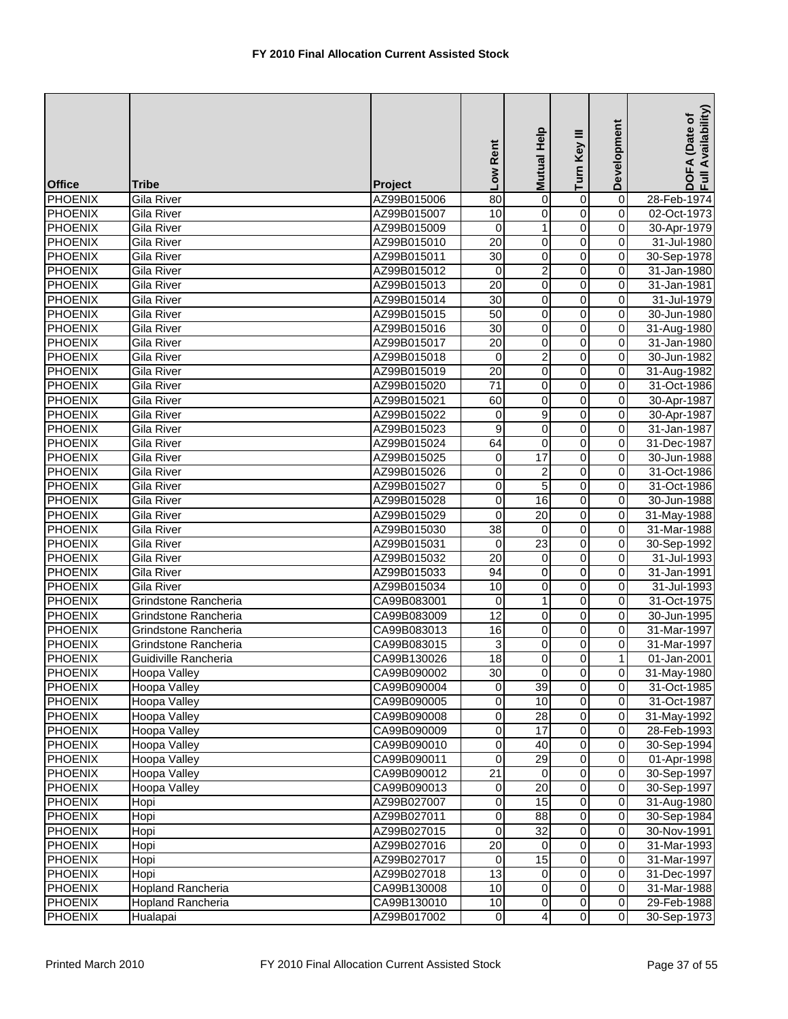| <b>Office</b>                    | <b>Tribe</b>                                 | Project                    | Low Rent          | <b>Mutual Help</b> | Turn Key III            | Development                          | Availability)<br>DOFA (Date of<br>Full Availability |
|----------------------------------|----------------------------------------------|----------------------------|-------------------|--------------------|-------------------------|--------------------------------------|-----------------------------------------------------|
| <b>PHOENIX</b>                   | Gila River                                   | AZ99B015006                | $\overline{80}$   | 0                  | 0                       | $\overline{0}$                       | 28-Feb-1974                                         |
| <b>PHOENIX</b>                   | Gila River                                   | AZ99B015007                | 10                | 0                  | $\overline{0}$          | $\overline{0}$                       | 02-Oct-1973                                         |
| <b>PHOENIX</b>                   | <b>Gila River</b>                            | AZ99B015009                | $\mathbf 0$       | $\mathbf{1}$       | $\overline{0}$          | $\mathbf 0$                          | 30-Apr-1979                                         |
| <b>PHOENIX</b>                   | Gila River                                   | AZ99B015010                | 20                | 0                  | 0                       | $\pmb{0}$                            | 31-Jul-1980                                         |
| <b>PHOENIX</b>                   | Gila River                                   | AZ99B015011                | $\overline{30}$   | 0                  | 0                       | $\pmb{0}$                            | 30-Sep-1978                                         |
| <b>PHOENIX</b>                   | Gila River                                   | AZ99B015012                | 0                 | $\overline{c}$     | 0                       | $\pmb{0}$                            | 31-Jan-1980                                         |
| <b>PHOENIX</b>                   | Gila River                                   | AZ99B015013                | $\overline{20}$   | $\pmb{0}$          | $\overline{0}$          | $\overline{0}$                       | 31-Jan-1981                                         |
| <b>PHOENIX</b>                   | Gila River                                   | AZ99B015014                | 30                | 0                  | $\overline{\mathsf{o}}$ | $\overline{0}$                       | 31-Jul-1979                                         |
| <b>PHOENIX</b>                   | Gila River                                   | AZ99B015015                | $\overline{50}$   | 0                  | $\overline{0}$          | $\pmb{0}$                            | 30-Jun-1980                                         |
| <b>PHOENIX</b>                   | Gila River                                   | AZ99B015016                | $\overline{30}$   | 0                  | $\overline{0}$          | $\pmb{0}$                            | 31-Aug-1980                                         |
| <b>PHOENIX</b>                   | Gila River                                   | AZ99B015017                | $\overline{20}$   | $\mathbf 0$        | $\overline{0}$          | $\overline{0}$                       | 31-Jan-1980                                         |
| <b>PHOENIX</b>                   | Gila River                                   | AZ99B015018                | 0                 | $\overline{c}$     | 0                       | $\pmb{0}$                            | 30-Jun-1982                                         |
| <b>PHOENIX</b>                   | Gila River                                   | AZ99B015019                | 20                | 0                  | 0                       | 0                                    | 31-Aug-1982                                         |
| <b>PHOENIX</b>                   | Gila River                                   | AZ99B015020                | $\overline{71}$   | 0                  | $\overline{0}$          | $\overline{0}$                       | 31-Oct-1986                                         |
| <b>PHOENIX</b>                   | Gila River                                   | AZ99B015021                | 60                | 0                  | $\overline{0}$          | $\overline{0}$                       | 30-Apr-1987                                         |
| <b>PHOENIX</b>                   | Gila River                                   | AZ99B015022                | $\mathbf 0$       | 9                  | $\overline{0}$          | $\mathbf 0$                          | 30-Apr-1987                                         |
| <b>PHOENIX</b>                   | Gila River                                   | AZ99B015023                | 9                 | 0                  | 0                       | $\mathbf 0$                          | 31-Jan-1987                                         |
| <b>PHOENIX</b>                   | <b>Gila River</b>                            | AZ99B015024                | 64                | $\pmb{0}$          | $\overline{0}$          | $\mathbf 0$                          | 31-Dec-1987                                         |
| <b>PHOENIX</b>                   | <b>Gila River</b>                            | AZ99B015025                | 0                 | 17                 | 0                       | $\pmb{0}$                            | 30-Jun-1988                                         |
| <b>PHOENIX</b>                   | Gila River                                   | AZ99B015026                | 0                 | $\boldsymbol{2}$   | 0                       | 0                                    | 31-Oct-1986                                         |
| <b>PHOENIX</b>                   | Gila River                                   | AZ99B015027                | $\boldsymbol{0}$  | $\overline{5}$     | $\overline{0}$          | $\boldsymbol{0}$                     | 31-Oct-1986                                         |
| <b>PHOENIX</b>                   | Gila River                                   | AZ99B015028                | $\pmb{0}$         | 16                 | $\overline{0}$          | $\overline{0}$                       | 30-Jun-1988                                         |
| <b>PHOENIX</b>                   | Gila River                                   | AZ99B015029                | $\mathbf 0$       | $\overline{20}$    | $\overline{0}$          | $\overline{0}$                       | 31-May-1988                                         |
| <b>PHOENIX</b>                   | Gila River                                   | AZ99B015030                | $\overline{38}$   | 0                  | $\overline{0}$          | $\boldsymbol{0}$                     | 31-Mar-1988                                         |
| <b>PHOENIX</b>                   | Gila River                                   | AZ99B015031                | $\mathbf 0$       | $\overline{23}$    | $\overline{0}$          | $\overline{0}$                       | 30-Sep-1992                                         |
| <b>PHOENIX</b>                   | Gila River                                   | AZ99B015032                | $\overline{20}$   | $\pmb{0}$          | $\overline{0}$          | $\overline{0}$                       | 31-Jul-1993                                         |
| <b>PHOENIX</b>                   | Gila River                                   | AZ99B015033                | $\overline{94}$   | 0                  | 0                       | 0                                    | 31-Jan-1991                                         |
| <b>PHOENIX</b>                   | Gila River                                   | AZ99B015034                | 10                | 0                  | 0                       | 0                                    | 31-Jul-1993                                         |
| <b>PHOENIX</b>                   | Grindstone Rancheria<br>Grindstone Rancheria | CA99B083001                | $\mathbf 0$<br>12 | $\mathbf{1}$       | $\overline{0}$          | $\overline{0}$                       | 31-Oct-1975                                         |
| <b>PHOENIX</b><br><b>PHOENIX</b> |                                              | CA99B083009<br>CA99B083013 | 16                | 0<br>0             | 0<br>$\overline{0}$     | $\boldsymbol{0}$<br>$\boldsymbol{0}$ | 30-Jun-1995                                         |
| <b>PHOENIX</b>                   | Grindstone Rancheria<br>Grindstone Rancheria | CA99B083015                | 3                 | 0                  | 0                       | 0                                    | 31-Mar-1997<br>31-Mar-1997                          |
| PHOENIX                          | Guidiville Rancheria                         | CA99B130026                | $\overline{18}$   | 0                  | 0                       | 1                                    | 01-Jan-2001                                         |
| <b>PHOENIX</b>                   | Hoopa Valley                                 | CA99B090002                | 30                | 01                 | $\pmb{0}$               | $\overline{0}$                       | 31-May-1980                                         |
| <b>PHOENIX</b>                   | Hoopa Valley                                 | CA99B090004                | $\mathbf 0$       | 39                 | $\overline{\mathbf{0}}$ | $\overline{0}$                       | 31-Oct-1985                                         |
| <b>PHOENIX</b>                   | Hoopa Valley                                 | CA99B090005                | $\pmb{0}$         | 10                 | $\overline{\mathsf{o}}$ | $\overline{0}$                       | 31-Oct-1987                                         |
| <b>PHOENIX</b>                   | <b>Hoopa Valley</b>                          | CA99B090008                | $\boldsymbol{0}$  | $\overline{28}$    | $\overline{\mathsf{o}}$ | $\pmb{0}$                            | 31-May-1992                                         |
| <b>PHOENIX</b>                   | Hoopa Valley                                 | CA99B090009                | 0                 | 17                 | 0                       | 0                                    | 28-Feb-1993                                         |
| <b>PHOENIX</b>                   | Hoopa Valley                                 | CA99B090010                | $\boldsymbol{0}$  | 40                 | $\overline{0}$          | $\mathbf 0$                          | 30-Sep-1994                                         |
| <b>PHOENIX</b>                   | Hoopa Valley                                 | CA99B090011                | $\boldsymbol{0}$  | 29                 | 0                       | $\pmb{0}$                            | 01-Apr-1998                                         |
| <b>PHOENIX</b>                   | Hoopa Valley                                 | CA99B090012                | 21                | $\mathbf 0$        | 0                       | $\pmb{0}$                            | 30-Sep-1997                                         |
| <b>PHOENIX</b>                   | <b>Hoopa Valley</b>                          | CA99B090013                | $\mathbf 0$       | 20                 | 0                       | $\pmb{0}$                            | 30-Sep-1997                                         |
| <b>PHOENIX</b>                   | Hopi                                         | AZ99B027007                | $\pmb{0}$         | 15                 | $\overline{\mathsf{o}}$ | $\overline{0}$                       | 31-Aug-1980                                         |
| <b>PHOENIX</b>                   | Hopi                                         | AZ99B027011                | 0                 | 88                 | $\mathsf{O}\xspace$     | $\pmb{0}$                            | 30-Sep-1984                                         |
| <b>PHOENIX</b>                   | Hopi                                         | AZ99B027015                | $\mathbf 0$       | 32                 | 0                       | $\pmb{0}$                            | 30-Nov-1991                                         |
| <b>PHOENIX</b>                   | Hopi                                         | AZ99B027016                | $\overline{20}$   | 0                  | $\overline{0}$          | $\mathbf 0$                          | 31-Mar-1993                                         |
| <b>PHOENIX</b>                   | Hopi                                         | AZ99B027017                | $\mathbf 0$       | 15                 | 0                       | $\overline{0}$                       | 31-Mar-1997                                         |
| <b>PHOENIX</b>                   | Hopi                                         | AZ99B027018                | $\overline{13}$   | 0                  | 0                       | $\pmb{0}$                            | 31-Dec-1997                                         |
| <b>PHOENIX</b>                   | Hopland Rancheria                            | CA99B130008                | 10                | 0                  | 0                       | $\pmb{0}$                            | 31-Mar-1988                                         |
| <b>PHOENIX</b>                   | Hopland Rancheria                            | CA99B130010                | 10                | 0                  | $\overline{\mathsf{o}}$ | $\overline{0}$                       | 29-Feb-1988                                         |
| <b>PHOENIX</b>                   | Hualapai                                     | AZ99B017002                | $\mathbf 0$       | $\vert$            | $\overline{0}$          | $\overline{0}$                       | 30-Sep-1973                                         |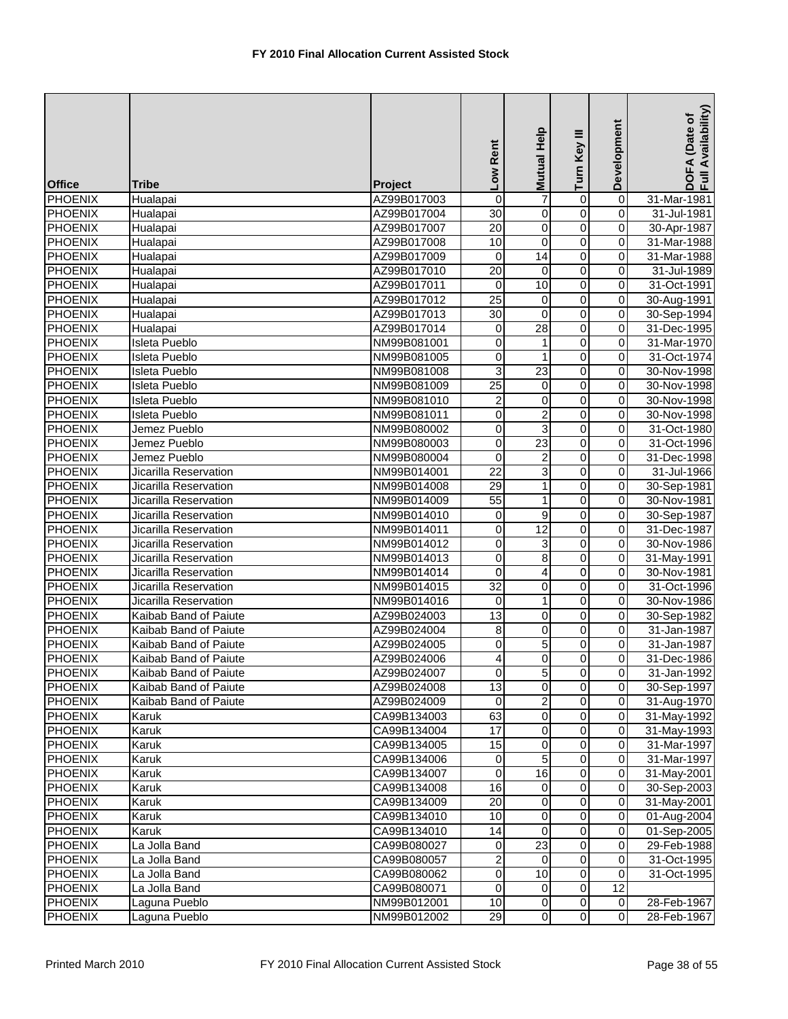| <b>Office</b>  | <b>Tribe</b>          | Project     | Low Rent                | Help<br><b>Mutual</b>   | Turn Key III            | Development    | Availability)<br>DOFA (Date of<br>F <sub>u</sub> |
|----------------|-----------------------|-------------|-------------------------|-------------------------|-------------------------|----------------|--------------------------------------------------|
| <b>PHOENIX</b> | Hualapai              | AZ99B017003 | $\boldsymbol{0}$        | 7                       | $\mathbf 0$             | $\overline{0}$ | 31-Mar-1981                                      |
| <b>PHOENIX</b> | Hualapai              | AZ99B017004 | $\overline{30}$         | 0                       | $\overline{0}$          | $\mathbf 0$    | 31-Jul-1981                                      |
| <b>PHOENIX</b> | Hualapai              | AZ99B017007 | $\overline{20}$         | $\overline{0}$          | $\overline{0}$          | $\mathbf 0$    | 30-Apr-1987                                      |
| <b>PHOENIX</b> | Hualapai              | AZ99B017008 | 10                      | $\pmb{0}$               | 0                       | $\pmb{0}$      | 31-Mar-1988                                      |
| <b>PHOENIX</b> | Hualapai              | AZ99B017009 | $\mathbf 0$             | $\overline{14}$         | $\overline{0}$          | 0              | 31-Mar-1988                                      |
| <b>PHOENIX</b> | Hualapai              | AZ99B017010 | $\overline{20}$         | 0                       | 0                       | 0              | 31-Jul-1989                                      |
| <b>PHOENIX</b> | Hualapai              | AZ99B017011 | $\mathbf 0$             | 10                      | $\overline{0}$          | $\overline{0}$ | 31-Oct-1991                                      |
| <b>PHOENIX</b> | Hualapai              | AZ99B017012 | $\overline{25}$         | 0                       | $\overline{0}$          | $\pmb{0}$      | 30-Aug-1991                                      |
| <b>PHOENIX</b> | Hualapai              | AZ99B017013 | $\overline{30}$         | $\mathbf 0$             | $\overline{0}$          | $\pmb{0}$      | 30-Sep-1994                                      |
| <b>PHOENIX</b> | Hualapai              | AZ99B017014 | $\boldsymbol{0}$        | $\overline{28}$         | $\overline{0}$          | $\mathbf 0$    | 31-Dec-1995                                      |
| <b>PHOENIX</b> | Isleta Pueblo         | NM99B081001 | $\overline{0}$          | 1                       | $\overline{0}$          | $\overline{0}$ | 31-Mar-1970                                      |
| <b>PHOENIX</b> | Isleta Pueblo         | NM99B081005 | $\mathbf 0$             | 1                       | $\overline{0}$          | $\pmb{0}$      | 31-Oct-1974                                      |
| <b>PHOENIX</b> | Isleta Pueblo         | NM99B081008 | 3                       | 23                      | 0                       | 0              | 30-Nov-1998                                      |
| <b>PHOENIX</b> | Isleta Pueblo         | NM99B081009 | $\overline{25}$         | 0                       | $\overline{0}$          | $\overline{0}$ | 30-Nov-1998                                      |
| <b>PHOENIX</b> | Isleta Pueblo         | NM99B081010 | $\overline{\mathbf{c}}$ | 0                       | 0                       | $\overline{0}$ | 30-Nov-1998                                      |
| <b>PHOENIX</b> | <b>Isleta Pueblo</b>  | NM99B081011 | $\mathbf 0$             | $\overline{c}$          | $\mathsf 0$             | $\pmb{0}$      | 30-Nov-1998                                      |
| <b>PHOENIX</b> | Jemez Pueblo          | NM99B080002 | 0                       | 3                       | $\overline{0}$          | $\mathbf 0$    | 31-Oct-1980                                      |
| <b>PHOENIX</b> | Jemez Pueblo          | NM99B080003 | $\pmb{0}$               | $\overline{23}$         | 0                       | $\overline{0}$ | 31-Oct-1996                                      |
| <b>PHOENIX</b> | Jemez Pueblo          | NM99B080004 | $\mathbf 0$             | $\boldsymbol{2}$        | 0                       | 0              | 31-Dec-1998                                      |
| <b>PHOENIX</b> | Jicarilla Reservation | NM99B014001 | 22                      | 3                       | $\mathbf 0$             | 0              | 31-Jul-1966                                      |
| <b>PHOENIX</b> | Jicarilla Reservation | NM99B014008 | 29                      | $\mathbf 1$             | $\overline{0}$          | $\overline{0}$ | 30-Sep-1981                                      |
| <b>PHOENIX</b> | Jicarilla Reservation | NM99B014009 | $\overline{55}$         | $\mathbf{1}$            | $\overline{0}$          | $\overline{0}$ | 30-Nov-1981                                      |
| <b>PHOENIX</b> | Jicarilla Reservation | NM99B014010 | 0                       | 9                       | $\overline{0}$          | $\pmb{0}$      | 30-Sep-1987                                      |
| <b>PHOENIX</b> | Jicarilla Reservation | NM99B014011 | $\mathbf 0$             | 12                      | $\overline{0}$          | $\mathbf 0$    | 31-Dec-1987                                      |
| <b>PHOENIX</b> | Jicarilla Reservation | NM99B014012 | $\mathbf 0$             | 3                       | $\overline{0}$          | $\overline{0}$ | 30-Nov-1986                                      |
| <b>PHOENIX</b> | Jicarilla Reservation | NM99B014013 | $\mathbf 0$             | 8                       | 0                       | 0              | 31-May-1991                                      |
| <b>PHOENIX</b> | Jicarilla Reservation | NM99B014014 | $\mathbf 0$             | 4                       | 0                       | 0              | 30-Nov-1981                                      |
| <b>PHOENIX</b> | Jicarilla Reservation | NM99B014015 | 32                      | 0                       | $\overline{0}$          | $\pmb{0}$      | 31-Oct-1996                                      |
| <b>PHOENIX</b> | Jicarilla Reservation | NM99B014016 | $\mathbf 0$             | $\mathbf{1}$            | 0                       | $\overline{0}$ | 30-Nov-1986                                      |
| <b>PHOENIX</b> | Kaibab Band of Paiute | AZ99B024003 | 13                      | 0                       | $\overline{0}$          | $\pmb{0}$      | 30-Sep-1982                                      |
| <b>PHOENIX</b> | Kaibab Band of Paiute | AZ99B024004 | $\overline{8}$          | 0                       | $\overline{0}$          | $\pmb{0}$      | 31-Jan-1987                                      |
| <b>PHOENIX</b> | Kaibab Band of Paiute | AZ99B024005 | $\mathbf 0$             | $\overline{5}$          | $\overline{0}$          | $\mathbf 0$    | 31-Jan-1987                                      |
| <b>PHOENIX</b> | Kaibab Band of Paiute | AZ99B024006 | 4                       | 0                       | 0                       | $\mathbf 0$    | 31-Dec-1986                                      |
| <b>PHOENIX</b> | Kaibab Band of Paiute | AZ99B024007 | $\overline{0}$          | 5 <sub>l</sub>          | $\mathbf 0$             | $\overline{0}$ | 31-Jan-1992                                      |
| <b>PHOENIX</b> | Kaibab Band of Paiute | AZ99B024008 | 13                      | $\mathbf 0$             | $\overline{0}$          | $\mathbf 0$    | 30-Sep-1997                                      |
| <b>PHOENIX</b> | Kaibab Band of Paiute | AZ99B024009 | 0                       | $\overline{\mathbf{c}}$ | $\overline{\mathsf{o}}$ | $\overline{0}$ | 31-Aug-1970                                      |
| <b>PHOENIX</b> | Karuk                 | CA99B134003 | 63                      | 0                       | $\overline{0}$          | $\overline{0}$ | 31-May-1992                                      |
| <b>PHOENIX</b> | Karuk                 | CA99B134004 | 17                      | 0                       | 0                       | $\mathbf 0$    | 31-May-1993                                      |
| <b>PHOENIX</b> | Karuk                 | CA99B134005 | 15                      | 0                       | $\overline{\mathsf{o}}$ | $\mathbf 0$    | 31-Mar-1997                                      |
| <b>PHOENIX</b> | Karuk                 | CA99B134006 | 0                       | 5                       | $\overline{0}$          | 0              | 31-Mar-1997                                      |
| <b>PHOENIX</b> | Karuk                 | CA99B134007 | 0                       | 16                      | 0                       | 0              | 31-May-2001                                      |
| <b>PHOENIX</b> | Karuk                 | CA99B134008 | 16                      | $\mathbf 0$             | $\mathbf 0$             | $\mathbf 0$    | 30-Sep-2003                                      |
| <b>PHOENIX</b> | Karuk                 | CA99B134009 | 20                      | 0                       | $\overline{\mathsf{o}}$ | $\pmb{0}$      | 31-May-2001                                      |
| <b>PHOENIX</b> | Karuk                 | CA99B134010 | 10                      | 0                       | 0                       | $\pmb{0}$      | 01-Aug-2004                                      |
| <b>PHOENIX</b> | Karuk                 | CA99B134010 | 14                      | 0                       | 0                       | $\pmb{0}$      | 01-Sep-2005                                      |
| <b>PHOENIX</b> | La Jolla Band         | CA99B080027 | $\mathbf 0$             | $\overline{23}$         | $\overline{0}$          | $\overline{0}$ | 29-Feb-1988                                      |
| <b>PHOENIX</b> | La Jolla Band         | CA99B080057 | $\overline{\mathbf{c}}$ | 0                       | $\overline{\mathsf{o}}$ | $\overline{0}$ | 31-Oct-1995                                      |
| <b>PHOENIX</b> | La Jolla Band         | CA99B080062 | $\boldsymbol{0}$        | 10                      | $\mathbf 0$             | $\pmb{0}$      | 31-Oct-1995                                      |
| <b>PHOENIX</b> | La Jolla Band         | CA99B080071 | 0                       | $\overline{0}$          | $\mathbf 0$             | 12             |                                                  |
| <b>PHOENIX</b> | Laguna Pueblo         | NM99B012001 | $\overline{10}$         | $\mathbf 0$             | $\overline{0}$          | $\pmb{0}$      | 28-Feb-1967                                      |
| <b>PHOENIX</b> | Laguna Pueblo         | NM99B012002 | 29                      | $\overline{0}$          | $\overline{\mathsf{o}}$ | $\pmb{0}$      | 28-Feb-1967                                      |
|                |                       |             |                         |                         |                         |                |                                                  |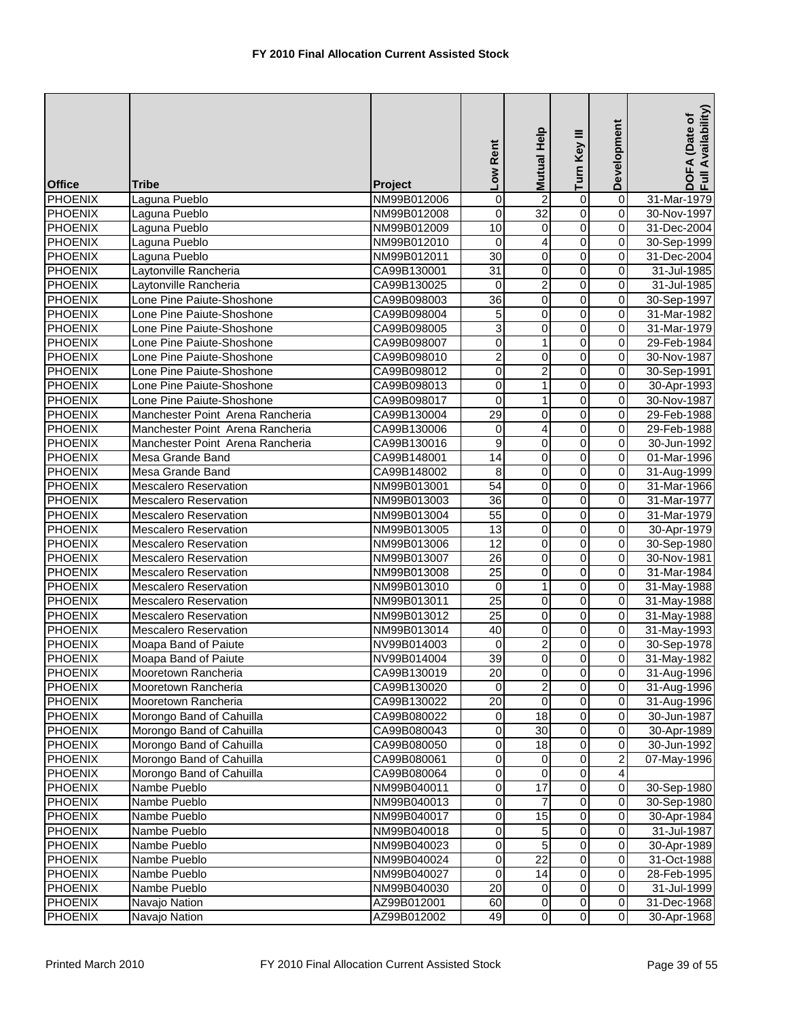|                           |                                  |                            | Low Rent                       | Mutual Help          | Turn Key III                     | Development                  | Availability)<br>DOFA (Date of<br>Full Availability |
|---------------------------|----------------------------------|----------------------------|--------------------------------|----------------------|----------------------------------|------------------------------|-----------------------------------------------------|
| <b>Office</b>             | <b>Tribe</b>                     | Project                    |                                |                      |                                  |                              |                                                     |
| PHOENIX                   | Laguna Pueblo                    | NM99B012006                | $\overline{0}$                 | $\overline{c}$<br>32 | 0                                | $\overline{\mathbf{0}}$      | 31-Mar-1979                                         |
| PHOENIX<br><b>PHOENIX</b> | Laguna Pueblo                    | NM99B012008                | 0<br>10                        |                      | $\overline{0}$<br>$\overline{0}$ | 0                            | 30-Nov-1997<br>31-Dec-2004                          |
| <b>PHOENIX</b>            | Laguna Pueblo                    | NM99B012009<br>NM99B012010 | 0                              | 0<br>4               | $\overline{0}$                   | 0<br>0                       | 30-Sep-1999                                         |
|                           | Laguna Pueblo                    |                            | $\overline{30}$                |                      | $\overline{0}$                   |                              |                                                     |
| <b>PHOENIX</b>            | Laguna Pueblo                    | NM99B012011                |                                | 0                    |                                  | 0                            | 31-Dec-2004                                         |
| <b>PHOENIX</b>            | Laytonville Rancheria            | CA99B130001                | $\overline{31}$                | 0                    | $\overline{0}$                   | 0                            | 31-Jul-1985                                         |
| <b>PHOENIX</b>            | Laytonville Rancheria            | CA99B130025                | $\mathbf 0$<br>$\overline{36}$ | $\overline{2}$       | $\overline{0}$<br>$\overline{0}$ | 0<br>$\overline{\mathbf{0}}$ | 31-Jul-1985                                         |
| <b>PHOENIX</b>            | Lone Pine Paiute-Shoshone        | CA99B098003                |                                | 0                    |                                  |                              | 30-Sep-1997                                         |
| <b>PHOENIX</b>            | Lone Pine Paiute-Shoshone        | CA99B098004                | 5                              | $\pmb{0}$            | $\overline{0}$                   | 0                            | 31-Mar-1982                                         |
| <b>PHOENIX</b>            | Lone Pine Paiute-Shoshone        | CA99B098005                | 3                              | $\pmb{0}$            | $\overline{0}$                   | 0                            | 31-Mar-1979                                         |
| <b>PHOENIX</b>            | Lone Pine Paiute-Shoshone        | CA99B098007                | $\overline{0}$                 | $\mathbf{1}$         | $\overline{0}$                   | 0                            | 29-Feb-1984                                         |
| <b>PHOENIX</b>            | Lone Pine Paiute-Shoshone        | CA99B098010                | $\overline{2}$                 | 0                    | $\overline{0}$                   | 0                            | 30-Nov-1987                                         |
| <b>PHOENIX</b>            | Lone Pine Paiute-Shoshone        | CA99B098012                | 0                              | $\overline{c}$       | $\overline{0}$                   | 0                            | 30-Sep-1991                                         |
| PHOENIX                   | Lone Pine Paiute-Shoshone        | CA99B098013                | $\overline{0}$                 | $\mathbf{1}$         | $\overline{0}$                   | 0                            | 30-Apr-1993                                         |
| PHOENIX                   | Lone Pine Paiute-Shoshone        | CA99B098017                | 0                              | $\mathbf{1}$         | $\overline{0}$                   | $\overline{\mathsf{o}}$      | 30-Nov-1987                                         |
| <b>PHOENIX</b>            | Manchester Point Arena Rancheria | CA99B130004                | 29                             | $\mathbf 0$          | $\overline{0}$                   | 0                            | 29-Feb-1988                                         |
| PHOENIX                   | Manchester Point Arena Rancheria | CA99B130006                | 0                              | 4                    | 0                                | 0                            | 29-Feb-1988                                         |
| <b>PHOENIX</b>            | Manchester Point Arena Rancheria | CA99B130016                | $\overline{9}$                 | $\overline{0}$       | $\overline{0}$                   | 0                            | 30-Jun-1992                                         |
| <b>PHOENIX</b>            | Mesa Grande Band                 | CA99B148001                | 14                             | 0                    | 0                                | 0                            | 01-Mar-1996                                         |
| <b>PHOENIX</b>            | Mesa Grande Band                 | CA99B148002                | 8                              | 0                    | $\mathbf 0$                      | 0                            | 31-Aug-1999                                         |
| <b>PHOENIX</b>            | <b>Mescalero Reservation</b>     | NM99B013001                | $\overline{54}$                | 0                    | $\overline{0}$                   | 0                            | 31-Mar-1966                                         |
| <b>PHOENIX</b>            | <b>Mescalero Reservation</b>     | NM99B013003                | 36                             | $\overline{0}$       | $\overline{0}$                   | 0                            | 31-Mar-1977                                         |
| <b>PHOENIX</b>            | <b>Mescalero Reservation</b>     | NM99B013004                | $\overline{55}$                | 0                    | $\overline{0}$                   | 0                            | 31-Mar-1979                                         |
| <b>PHOENIX</b>            | <b>Mescalero Reservation</b>     | NM99B013005                | $\overline{13}$                | $\pmb{0}$            | $\overline{0}$                   | 0                            | 30-Apr-1979                                         |
| <b>PHOENIX</b>            | <b>Mescalero Reservation</b>     | NM99B013006                | 12                             | $\overline{0}$       | $\overline{0}$                   | 0                            | 30-Sep-1980                                         |
| <b>PHOENIX</b>            | <b>Mescalero Reservation</b>     | NM99B013007                | $\overline{26}$                | 0                    | $\overline{0}$                   | 0                            | 30-Nov-1981                                         |
| <b>PHOENIX</b>            | <b>Mescalero Reservation</b>     | NM99B013008                | $\overline{25}$                | 0                    | $\overline{0}$                   | 0                            | 31-Mar-1984                                         |
| <b>PHOENIX</b>            | <b>Mescalero Reservation</b>     | NM99B013010                | $\mathbf 0$                    | $\mathbf{1}$         | 0                                | 0                            | 31-May-1988                                         |
| <b>PHOENIX</b>            | <b>Mescalero Reservation</b>     | NM99B013011                | $\overline{25}$                | 0                    | $\overline{0}$                   | $\overline{\mathbf{0}}$      | 31-May-1988                                         |
| <b>PHOENIX</b>            | <b>Mescalero Reservation</b>     | NM99B013012                | $\overline{25}$                | 0                    | $\overline{0}$                   | 0                            | 31-May-1988                                         |
| <b>PHOENIX</b>            | Mescalero Reservation            | NM99B013014                | 40                             | $\pmb{0}$            | $\overline{0}$                   | 0                            | 31-May-1993                                         |
| <b>PHOENIX</b>            | Moapa Band of Paiute             | NV99B014003                | $\mathbf 0$                    | $\overline{2}$       | $\overline{0}$                   | 0                            | 30-Sep-1978                                         |
| <b>PHOENIX</b>            | Moapa Band of Paiute             | NV99B014004                | 39                             | 0                    | 0                                | $\overline{0}$               | 31-May-1982                                         |
| <b>PHOENIX</b>            | Mooretown Rancheria              | CA99B130019                | 20                             | $\overline{0}$       | $\overline{0}$                   | 0                            | 31-Aug-1996                                         |
| <b>PHOENIX</b>            | Mooretown Rancheria              | CA99B130020                | $\mathbf 0$                    | $\overline{2}$       | $\overline{0}$                   | $\overline{\mathbf{0}}$      | 31-Aug-1996                                         |
| <b>PHOENIX</b>            | Mooretown Rancheria              | CA99B130022                | 20                             | 0                    | $\overline{0}$                   | $\overline{\mathbf{0}}$      | 31-Aug-1996                                         |
| PHOENIX                   | Morongo Band of Cahuilla         | CA99B080022                | 0                              | $\overline{18}$      | 0                                | $\mathbf 0$                  | 30-Jun-1987                                         |
| <b>PHOENIX</b>            | Morongo Band of Cahuilla         | CA99B080043                | 0                              | 30                   | 0                                | 0                            | 30-Apr-1989                                         |
| <b>PHOENIX</b>            | Morongo Band of Cahuilla         | CA99B080050                | 0                              | 18                   | $\overline{0}$                   | 0                            | 30-Jun-1992                                         |
| <b>PHOENIX</b>            | Morongo Band of Cahuilla         | CA99B080061                | 0                              | 0                    | 0                                | $\boldsymbol{2}$             | 07-May-1996                                         |
| <b>PHOENIX</b>            | Morongo Band of Cahuilla         | CA99B080064                | 0                              | 0                    | 0                                | 4                            |                                                     |
| <b>PHOENIX</b>            | Nambe Pueblo                     | NM99B040011                | 0                              | $\overline{17}$      | 0                                | $\mathbf 0$                  | 30-Sep-1980                                         |
| <b>PHOENIX</b>            | Nambe Pueblo                     | NM99B040013                | 0                              | 7                    | $\overline{\mathsf{o}}$          | $\overline{\mathsf{o}}$      | 30-Sep-1980                                         |
| <b>PHOENIX</b>            | Nambe Pueblo                     | NM99B040017                | 0                              | 15                   | $\mathsf{O}\xspace$              | $\pmb{0}$                    | 30-Apr-1984                                         |
| <b>PHOENIX</b>            | Nambe Pueblo                     | NM99B040018                | 0                              | 5                    | 0                                | 0                            | 31-Jul-1987                                         |
| <b>PHOENIX</b>            | Nambe Pueblo                     | NM99B040023                | 0                              | $\overline{5}$       | $\overline{0}$                   | 0                            | 30-Apr-1989                                         |
| <b>PHOENIX</b>            | Nambe Pueblo                     | NM99B040024                | 0                              | $\overline{22}$      | 0                                | $\mathbf 0$                  | 31-Oct-1988                                         |
| <b>PHOENIX</b>            | Nambe Pueblo                     | NM99B040027                | 0                              | 14                   | 0                                | 0                            | 28-Feb-1995                                         |
| <b>PHOENIX</b>            | Nambe Pueblo                     | NM99B040030                | 20                             | 0                    | $\overline{\mathsf{o}}$          | $\mathbf 0$                  | 31-Jul-1999                                         |
| <b>PHOENIX</b>            | Navajo Nation                    | AZ99B012001                | 60                             | $\mathbf 0$          | $\overline{0}$                   | $\pmb{0}$                    | 31-Dec-1968                                         |
| <b>PHOENIX</b>            | Navajo Nation                    | AZ99B012002                | 49                             | $\overline{0}$       | $\overline{\mathsf{o}}$          | $\overline{0}$               | 30-Apr-1968                                         |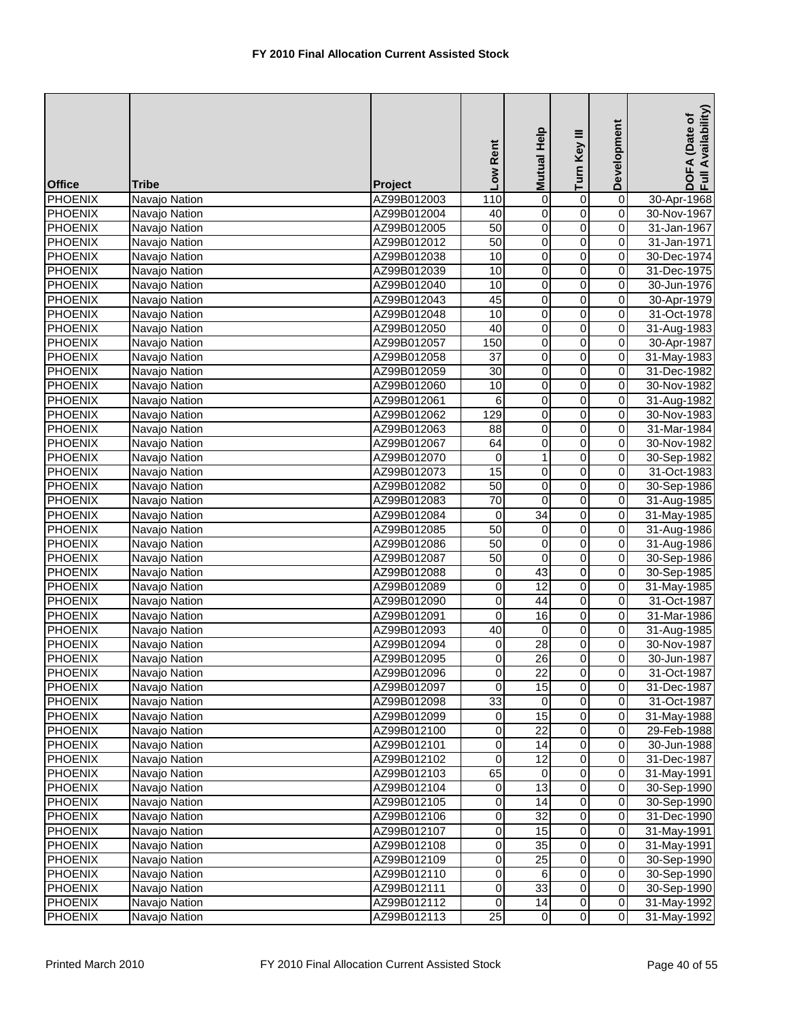| <b>Office</b>                    | <b>Tribe</b>                   | Project                    | Low Rent            | <b>Mutual Help</b>    | Turn Key III   | Development             | DOFA (Date of<br>Full Availability) |
|----------------------------------|--------------------------------|----------------------------|---------------------|-----------------------|----------------|-------------------------|-------------------------------------|
| <b>PHOENIX</b>                   | Navajo Nation                  | AZ99B012003                | 110                 | 0                     | $\mathbf 0$    | $\overline{\mathbf{0}}$ | 30-Apr-1968                         |
| <b>PHOENIX</b>                   | Navajo Nation                  | AZ99B012004                | 40                  | $\pmb{0}$             | $\overline{0}$ | $\overline{0}$          | 30-Nov-1967                         |
| <b>PHOENIX</b>                   | Navajo Nation                  | AZ99B012005                | 50                  | $\pmb{0}$             | $\overline{0}$ | 0                       | 31-Jan-1967                         |
| <b>PHOENIX</b>                   | Navajo Nation                  | AZ99B012012                | 50                  | $\overline{0}$        | $\overline{0}$ | 0                       | 31-Jan-1971                         |
| <b>PHOENIX</b>                   | Navajo Nation                  | AZ99B012038                | 10                  | $\pmb{0}$             | 0              | 0                       | 30-Dec-1974                         |
| <b>PHOENIX</b>                   | Navajo Nation                  | AZ99B012039                | 10                  | 0                     | $\overline{0}$ | 0                       | 31-Dec-1975                         |
| <b>PHOENIX</b>                   | Navajo Nation                  | AZ99B012040                | 10                  | $\pmb{0}$             | $\overline{0}$ | $\overline{0}$          | 30-Jun-1976                         |
| <b>PHOENIX</b>                   | Navajo Nation                  | AZ99B012043                | 45                  | 0                     | $\overline{0}$ | $\overline{\mathsf{o}}$ | 30-Apr-1979                         |
| <b>PHOENIX</b>                   | Navajo Nation                  | AZ99B012048                | 10                  | $\pmb{0}$             | $\overline{0}$ | 0                       | 31-Oct-1978                         |
| <b>PHOENIX</b>                   | Navajo Nation                  | AZ99B012050                | 40                  | $\pmb{0}$             | $\overline{0}$ | 0                       | 31-Aug-1983                         |
| <b>PHOENIX</b>                   | Navajo Nation                  | AZ99B012057                | 150                 | $\overline{0}$        | $\overline{0}$ | 0                       | 30-Apr-1987                         |
| <b>PHOENIX</b>                   | Navajo Nation                  | AZ99B012058                | $\overline{37}$     | $\pmb{0}$             | 0              | 0                       | 31-May-1983                         |
| <b>PHOENIX</b>                   | Navajo Nation                  | AZ99B012059                | 30                  | 0                     | $\overline{0}$ | 0                       | 31-Dec-1982                         |
| <b>PHOENIX</b>                   | Navajo Nation                  | AZ99B012060                | 10                  | $\pmb{0}$             | $\overline{0}$ | $\overline{0}$          | 30-Nov-1982                         |
| <b>PHOENIX</b>                   | Navajo Nation                  | AZ99B012061                | 6                   | $\overline{0}$        | $\overline{0}$ | $\overline{\mathsf{o}}$ | 31-Aug-1982                         |
| <b>PHOENIX</b>                   | Navajo Nation                  | AZ99B012062                | 129                 | $\mathbf 0$           | $\overline{0}$ | 0                       | 30-Nov-1983                         |
| <b>PHOENIX</b>                   | Navajo Nation                  | AZ99B012063                | 88                  | $\pmb{0}$             | $\overline{0}$ | 0                       | 31-Mar-1984                         |
| <b>PHOENIX</b>                   | Navajo Nation                  | AZ99B012067                | 64                  | $\overline{0}$        | $\overline{0}$ | 0                       | 30-Nov-1982                         |
| <b>PHOENIX</b>                   | Navajo Nation                  | AZ99B012070                | 0                   | $\mathbf{1}$          | 0              | 0                       | 30-Sep-1982                         |
| <b>PHOENIX</b>                   | Navajo Nation                  | AZ99B012073                | 15                  | 0                     | 0              | 0                       | 31-Oct-1983                         |
| <b>PHOENIX</b>                   | Navajo Nation                  | AZ99B012082                | $\overline{50}$     | $\pmb{0}$             | $\overline{0}$ | 0                       | 30-Sep-1986                         |
| <b>PHOENIX</b>                   | Navajo Nation                  | AZ99B012083                | $\overline{70}$     | $\mathbf 0$           | $\overline{0}$ | $\overline{\mathsf{o}}$ | 31-Aug-1985                         |
| <b>PHOENIX</b>                   | Navajo Nation                  | AZ99B012084                | 0                   | 34                    | $\overline{0}$ | 0                       | 31-May-1985                         |
| <b>PHOENIX</b>                   | Navajo Nation                  | AZ99B012085                | 50                  | 0                     | $\overline{0}$ | 0                       | 31-Aug-1986                         |
| <b>PHOENIX</b>                   | Navajo Nation                  | AZ99B012086                | $\overline{50}$     | $\overline{0}$        | $\overline{0}$ | 0                       | 31-Aug-1986                         |
| <b>PHOENIX</b>                   | Navajo Nation                  | AZ99B012087                | 50                  | $\pmb{0}$             | $\overline{0}$ | $\mathbf 0$             | 30-Sep-1986                         |
| <b>PHOENIX</b>                   | Navajo Nation                  | AZ99B012088                | 0                   | 43                    | $\overline{0}$ | 0                       | 30-Sep-1985                         |
| <b>PHOENIX</b>                   | Navajo Nation                  | AZ99B012089                | 0                   | $\overline{12}$       | 0              | 0                       | 31-May-1985                         |
| <b>PHOENIX</b>                   | Navajo Nation                  | AZ99B012090                | $\mathsf{O}\xspace$ | 44                    | $\overline{0}$ | $\overline{\mathsf{o}}$ | 31-Oct-1987                         |
| <b>PHOENIX</b>                   | Navajo Nation                  | AZ99B012091                | 0                   | 16                    | $\overline{0}$ | 0                       | 31-Mar-1986                         |
| <b>PHOENIX</b>                   | Navajo Nation                  | AZ99B012093                | 40                  | 0                     | $\overline{0}$ | 0                       | 31-Aug-1985                         |
| <b>PHOENIX</b><br><b>PHOENIX</b> | Navajo Nation                  | AZ99B012094<br>AZ99B012095 | 0<br>0              | $\overline{28}$<br>26 | 0<br>0         | 0<br>0                  | 30-Nov-1987<br>30-Jun-1987          |
| <b>PHOENIX</b>                   | Navajo Nation<br>Navajo Nation | AZ99B012096                | $\overline{0}$      | 22                    | $\overline{0}$ |                         | 31-Oct-1987                         |
| <b>PHOENIX</b>                   | Navajo Nation                  | AZ99B012097                | $\mathbf 0$         | $\overline{15}$       | $\overline{0}$ | 0<br>0                  | 31-Dec-1987                         |
| <b>PHOENIX</b>                   | Navajo Nation                  | AZ99B012098                | 33                  | 0                     | $\overline{0}$ | $\mathsf{O}\xspace$     | 31-Oct-1987                         |
| <b>PHOENIX</b>                   | Navajo Nation                  | AZ99B012099                | $\pmb{0}$           | $\overline{15}$       | 0              | $\mathbf 0$             | 31-May-1988                         |
| <b>PHOENIX</b>                   | Navajo Nation                  | AZ99B012100                | 0                   | 22                    | 0              | 0                       | 29-Feb-1988                         |
| <b>PHOENIX</b>                   | Navajo Nation                  | AZ99B012101                | 0                   | 14                    | 0              | 0                       | 30-Jun-1988                         |
| <b>PHOENIX</b>                   | Navajo Nation                  | AZ99B012102                | $\pmb{0}$           | 12                    | 0              | $\mathbf 0$             | 31-Dec-1987                         |
| <b>PHOENIX</b>                   | Navajo Nation                  | AZ99B012103                | 65                  | 0                     | 0              | $\mathbf 0$             | 31-May-1991                         |
| <b>PHOENIX</b>                   | Navajo Nation                  | AZ99B012104                | $\mathbf 0$         | 13                    | $\pmb{0}$      | $\mathbf 0$             | 30-Sep-1990                         |
| <b>PHOENIX</b>                   | Navajo Nation                  | AZ99B012105                | $\mathsf{O}\xspace$ | 14                    | $\overline{0}$ | $\mathsf{O}\xspace$     | 30-Sep-1990                         |
| <b>PHOENIX</b>                   | Navajo Nation                  | AZ99B012106                | 0                   | 32                    | 0              | $\mathsf{O}\xspace$     | 31-Dec-1990                         |
| <b>PHOENIX</b>                   | Navajo Nation                  | AZ99B012107                | 0                   | 15                    | 0              | 0                       | 31-May-1991                         |
| <b>PHOENIX</b>                   | Navajo Nation                  | AZ99B012108                | $\mathsf{O}\xspace$ | $\overline{35}$       | $\overline{0}$ | $\mathbf 0$             | 31-May-1991                         |
| <b>PHOENIX</b>                   | Navajo Nation                  | AZ99B012109                | $\mathsf{O}\xspace$ | 25                    | $\overline{0}$ | $\mathbf 0$             | 30-Sep-1990                         |
| <b>PHOENIX</b>                   | Navajo Nation                  | AZ99B012110                | 0                   | 6                     | 0              | $\mathbf 0$             | 30-Sep-1990                         |
| <b>PHOENIX</b>                   | Navajo Nation                  | AZ99B012111                | $\pmb{0}$           | 33                    | 0              | $\mathbf 0$             | 30-Sep-1990                         |
| <b>PHOENIX</b>                   | Navajo Nation                  | AZ99B012112                | 0                   | 14                    | $\overline{0}$ | $\mathsf{O}\xspace$     | 31-May-1992                         |
| <b>PHOENIX</b>                   | Navajo Nation                  | AZ99B012113                | 25                  | $\mathbf 0$           | $\overline{0}$ | $\mathsf{O}\xspace$     | 31-May-1992                         |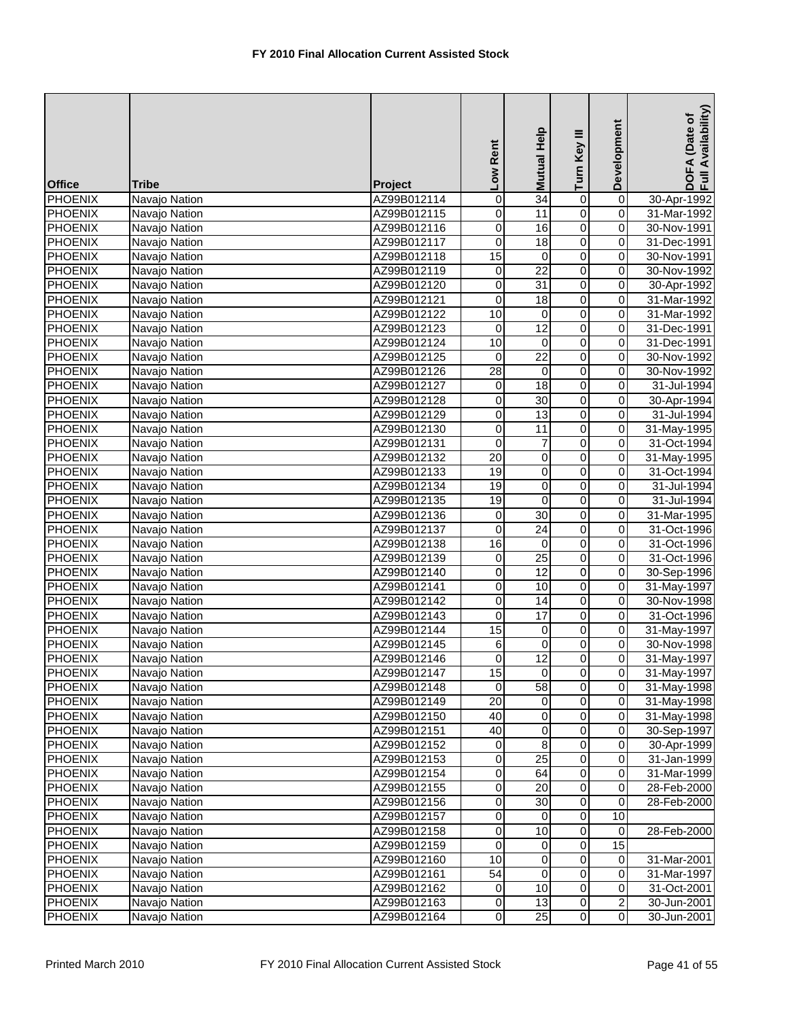| <b>Office</b>  | Tribe         | Project     | Low Rent            | Help<br><b>Mutual</b> | Turn Key III   | Development             | DOFA (Date of<br>Full Availability) |
|----------------|---------------|-------------|---------------------|-----------------------|----------------|-------------------------|-------------------------------------|
| <b>PHOENIX</b> | Navajo Nation | AZ99B012114 | 0                   | 34                    | $\overline{0}$ | $\overline{0}$          | 30-Apr-1992                         |
| <b>PHOENIX</b> | Navajo Nation | AZ99B012115 | 0                   | 11                    | $\overline{0}$ | 0                       | 31-Mar-1992                         |
| <b>PHOENIX</b> | Navajo Nation | AZ99B012116 | 0                   | 16                    | $\overline{0}$ | 0                       | 30-Nov-1991                         |
| <b>PHOENIX</b> | Navajo Nation | AZ99B012117 | 0                   | 18                    | 0              | 0                       | 31-Dec-1991                         |
| <b>PHOENIX</b> | Navajo Nation | AZ99B012118 | 15                  | 0                     | $\overline{0}$ | 0                       | 30-Nov-1991                         |
| <b>PHOENIX</b> | Navajo Nation | AZ99B012119 | $\pmb{0}$           | $\overline{22}$       | $\overline{0}$ | 0                       | 30-Nov-1992                         |
| <b>PHOENIX</b> | Navajo Nation | AZ99B012120 | $\overline{0}$      | 31                    | $\overline{0}$ | $\overline{\mathsf{o}}$ | 30-Apr-1992                         |
| <b>PHOENIX</b> | Navajo Nation | AZ99B012121 | 0                   | $\overline{18}$       | $\overline{0}$ | 0                       | 31-Mar-1992                         |
| <b>PHOENIX</b> | Navajo Nation | AZ99B012122 | 10                  | 0                     | $\overline{0}$ | 0                       | 31-Mar-1992                         |
| <b>PHOENIX</b> | Navajo Nation | AZ99B012123 | 0                   | 12                    | $\overline{0}$ | $\overline{0}$          | 31-Dec-1991                         |
| <b>PHOENIX</b> | Navajo Nation | AZ99B012124 | $\overline{10}$     | 0                     | $\overline{0}$ | $\overline{\mathsf{o}}$ | 31-Dec-1991                         |
| <b>PHOENIX</b> | Navajo Nation | AZ99B012125 | 0                   | $\overline{22}$       | $\overline{0}$ | 0                       | 30-Nov-1992                         |
| <b>PHOENIX</b> | Navajo Nation | AZ99B012126 | $\overline{28}$     | $\mathbf 0$           | $\overline{0}$ | 0                       | 30-Nov-1992                         |
| <b>PHOENIX</b> | Navajo Nation | AZ99B012127 | $\overline{0}$      | 18                    | $\overline{0}$ | $\overline{0}$          | 31-Jul-1994                         |
| <b>PHOENIX</b> | Navajo Nation | AZ99B012128 | 0                   | $\overline{30}$       | $\overline{0}$ | 0                       | 30-Apr-1994                         |
| <b>PHOENIX</b> | Navajo Nation | AZ99B012129 | 0                   | $\overline{13}$       | 0              | 0                       | 31-Jul-1994                         |
| <b>PHOENIX</b> | Navajo Nation | AZ99B012130 | 0                   | $\overline{11}$       | $\overline{0}$ | 0                       | 31-May-1995                         |
| <b>PHOENIX</b> | Navajo Nation | AZ99B012131 | 0                   | $\overline{7}$        | $\overline{0}$ | 0                       | 31-Oct-1994                         |
| <b>PHOENIX</b> | Navajo Nation | AZ99B012132 | $\overline{20}$     | $\mathbf 0$           | 0              | 0                       | 31-May-1995                         |
| <b>PHOENIX</b> | Navajo Nation | AZ99B012133 | 19                  | 0                     | 0              | 0                       | 31-Oct-1994                         |
| <b>PHOENIX</b> | Navajo Nation | AZ99B012134 | $\overline{19}$     | 0                     | $\overline{0}$ | $\overline{0}$          | 31-Jul-1994                         |
| <b>PHOENIX</b> | Navajo Nation | AZ99B012135 | 19                  | 0                     | $\overline{0}$ | 0                       | 31-Jul-1994                         |
| <b>PHOENIX</b> | Navajo Nation | AZ99B012136 | 0                   | 30                    | $\overline{0}$ | 0                       | 31-Mar-1995                         |
| <b>PHOENIX</b> | Navajo Nation | AZ99B012137 | 0                   | $\overline{24}$       | $\overline{0}$ | 0                       | 31-Oct-1996                         |
| <b>PHOENIX</b> | Navajo Nation | AZ99B012138 | 16                  | $\mathbf 0$           | $\overline{0}$ | 0                       | 31-Oct-1996                         |
| <b>PHOENIX</b> | Navajo Nation | AZ99B012139 | 0                   | $\overline{25}$       | 0              | 0                       | 31-Oct-1996                         |
| <b>PHOENIX</b> | Navajo Nation | AZ99B012140 | 0                   | 12                    | 0              | 0                       | 30-Sep-1996                         |
| <b>PHOENIX</b> | Navajo Nation | AZ99B012141 | 0                   | 10                    | $\overline{0}$ | $\overline{0}$          | 31-May-1997                         |
| <b>PHOENIX</b> | Navajo Nation | AZ99B012142 | 0                   | 14                    | $\overline{0}$ | $\overline{\mathsf{o}}$ | 30-Nov-1998                         |
| <b>PHOENIX</b> | Navajo Nation | AZ99B012143 | 0                   | 17                    | $\overline{0}$ | 0                       | 31-Oct-1996                         |
| <b>PHOENIX</b> | Navajo Nation | AZ99B012144 | $\overline{15}$     | 0                     | $\overline{0}$ | 0                       | 31-May-1997                         |
| <b>PHOENIX</b> | Navajo Nation | AZ99B012145 | 6                   | $\mathbf 0$           | $\overline{0}$ | 0                       | 30-Nov-1998                         |
| <b>PHOENIX</b> | Navajo Nation | AZ99B012146 | 0                   | 12                    | 0              | 0                       | 31-May-1997                         |
| <b>PHOENIX</b> | Navajo Nation | AZ99B012147 | 15                  | $\overline{0}$        | $\overline{0}$ | $\overline{0}$          | 31-May-1997                         |
| <b>PHOENIX</b> | Navajo Nation | AZ99B012148 | $\mathbf 0$         | 58                    | $\overline{0}$ | $\overline{0}$          | 31-May-1998                         |
| <b>PHOENIX</b> | Navajo Nation | AZ99B012149 | $\overline{20}$     | 0                     | $\overline{0}$ | $\mathbf 0$             | 31-May-1998                         |
| <b>PHOENIX</b> | Navajo Nation | AZ99B012150 | 40                  | 0                     | $\overline{0}$ | $\mathbf 0$             | 31-May-1998                         |
| <b>PHOENIX</b> | Navajo Nation | AZ99B012151 | 40                  | 0                     | $\overline{0}$ | 0                       | 30-Sep-1997                         |
| <b>PHOENIX</b> | Navajo Nation | AZ99B012152 | $\pmb{0}$           | 8                     | $\overline{0}$ | $\mathbf 0$             | 30-Apr-1999                         |
| <b>PHOENIX</b> | Navajo Nation | AZ99B012153 | 0                   | 25                    | 0              | $\mathbf 0$             | 31-Jan-1999                         |
| <b>PHOENIX</b> | Navajo Nation | AZ99B012154 | 0                   | 64                    | 0              | $\mathbf 0$             | 31-Mar-1999                         |
| <b>PHOENIX</b> | Navajo Nation | AZ99B012155 | 0                   | $\overline{20}$       | $\pmb{0}$      | $\mathbf 0$             | 28-Feb-2000                         |
| <b>PHOENIX</b> | Navajo Nation | AZ99B012156 | $\mathsf{O}\xspace$ | 30                    | $\overline{0}$ | $\mathsf{O}\xspace$     | 28-Feb-2000                         |
| <b>PHOENIX</b> | Navajo Nation | AZ99B012157 | 0                   | 0                     | 0              | 10                      |                                     |
| <b>PHOENIX</b> | Navajo Nation | AZ99B012158 | 0                   | 10                    | $\pmb{0}$      | 0                       | 28-Feb-2000                         |
| <b>PHOENIX</b> | Navajo Nation | AZ99B012159 | $\overline{0}$      | 0                     | $\overline{0}$ | 15                      |                                     |
| <b>PHOENIX</b> | Navajo Nation | AZ99B012160 | 10                  | 0                     | 0              | $\mathbf 0$             | 31-Mar-2001                         |
| <b>PHOENIX</b> | Navajo Nation | AZ99B012161 | 54                  | 0                     | 0              | 0                       | 31-Mar-1997                         |
| <b>PHOENIX</b> | Navajo Nation | AZ99B012162 | $\mathbf 0$         | 10                    | $\pmb{0}$      | 0                       | 31-Oct-2001                         |
| <b>PHOENIX</b> | Navajo Nation | AZ99B012163 | 0                   | 13                    | $\overline{0}$ | $\overline{\mathbf{c}}$ | 30-Jun-2001                         |
| <b>PHOENIX</b> | Navajo Nation | AZ99B012164 | 0                   | 25                    | $\overline{0}$ | $\overline{\mathbf{0}}$ | 30-Jun-2001                         |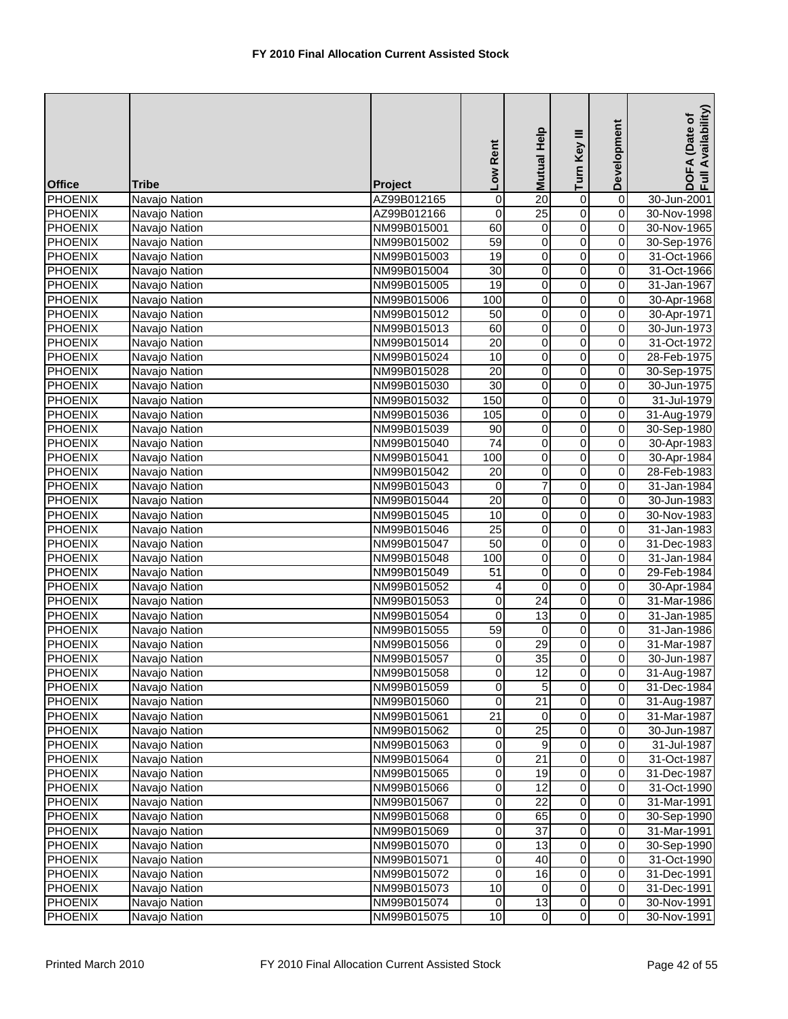| <b>Office</b>  | <b>Tribe</b>  | Project     | Low Rent            | Mutual Help     | Turn Key III   | Development             | DOFA (Date of<br>Full Availability) |
|----------------|---------------|-------------|---------------------|-----------------|----------------|-------------------------|-------------------------------------|
| <b>PHOENIX</b> | Navajo Nation | AZ99B012165 | $\mathsf{O}\xspace$ | $\overline{20}$ | $\mathbf 0$    | $\overline{0}$          | 30-Jun-2001                         |
| <b>PHOENIX</b> | Navajo Nation | AZ99B012166 | $\mathbf 0$         | $\overline{25}$ | $\overline{0}$ | $\overline{0}$          | 30-Nov-1998                         |
| <b>PHOENIX</b> | Navajo Nation | NM99B015001 | 60                  | 0               | $\overline{0}$ | 0                       | 30-Nov-1965                         |
| <b>PHOENIX</b> | Navajo Nation | NM99B015002 | 59                  | $\overline{0}$  | $\overline{0}$ | 0                       | 30-Sep-1976                         |
| <b>PHOENIX</b> | Navajo Nation | NM99B015003 | 19                  | $\pmb{0}$       | 0              | 0                       | 31-Oct-1966                         |
| <b>PHOENIX</b> | Navajo Nation | NM99B015004 | 30                  | 0               | $\overline{0}$ | 0                       | 31-Oct-1966                         |
| <b>PHOENIX</b> | Navajo Nation | NM99B015005 | $\overline{19}$     | $\pmb{0}$       | $\overline{0}$ | 0                       | 31-Jan-1967                         |
| <b>PHOENIX</b> | Navajo Nation | NM99B015006 | 100                 | 0               | $\overline{0}$ | $\overline{\mathsf{o}}$ | 30-Apr-1968                         |
| <b>PHOENIX</b> | Navajo Nation | NM99B015012 | 50                  | $\pmb{0}$       | $\overline{0}$ | 0                       | 30-Apr-1971                         |
| <b>PHOENIX</b> | Navajo Nation | NM99B015013 | 60                  | $\pmb{0}$       | $\overline{0}$ | 0                       | 30-Jun-1973                         |
| <b>PHOENIX</b> | Navajo Nation | NM99B015014 | $\overline{20}$     | $\overline{0}$  | $\overline{0}$ | 0                       | 31-Oct-1972                         |
| <b>PHOENIX</b> | Navajo Nation | NM99B015024 | 10                  | $\pmb{0}$       | 0              | 0                       | 28-Feb-1975                         |
| <b>PHOENIX</b> | Navajo Nation | NM99B015028 | $\overline{20}$     | 0               | $\overline{0}$ | 0                       | 30-Sep-1975                         |
| <b>PHOENIX</b> | Navajo Nation | NM99B015030 | $\overline{30}$     | $\pmb{0}$       | $\overline{0}$ | $\overline{0}$          | 30-Jun-1975                         |
| <b>PHOENIX</b> | Navajo Nation | NM99B015032 | 150                 | $\overline{0}$  | $\overline{0}$ | $\overline{\mathsf{o}}$ | 31-Jul-1979                         |
| <b>PHOENIX</b> | Navajo Nation | NM99B015036 | 105                 | $\mathbf 0$     | $\overline{0}$ | 0                       | 31-Aug-1979                         |
| <b>PHOENIX</b> | Navajo Nation | NM99B015039 | 90                  | $\pmb{0}$       | $\overline{0}$ | 0                       | 30-Sep-1980                         |
| <b>PHOENIX</b> | Navajo Nation | NM99B015040 | $\overline{74}$     | $\overline{0}$  | $\overline{0}$ | 0                       | 30-Apr-1983                         |
| <b>PHOENIX</b> | Navajo Nation | NM99B015041 | 100                 | $\pmb{0}$       | $\overline{0}$ | 0                       | 30-Apr-1984                         |
| <b>PHOENIX</b> | Navajo Nation | NM99B015042 | 20                  | 0               | 0              | 0                       | 28-Feb-1983                         |
| <b>PHOENIX</b> | Navajo Nation | NM99B015043 | 0                   | $\overline{7}$  | $\overline{0}$ | 0                       | 31-Jan-1984                         |
| <b>PHOENIX</b> | Navajo Nation | NM99B015044 | $\overline{20}$     | $\overline{0}$  | $\overline{0}$ | $\overline{\mathsf{o}}$ | 30-Jun-1983                         |
| <b>PHOENIX</b> | Navajo Nation | NM99B015045 | 10                  | $\pmb{0}$       | $\overline{0}$ | 0                       | 30-Nov-1983                         |
| <b>PHOENIX</b> | Navajo Nation | NM99B015046 | $\overline{25}$     | $\pmb{0}$       | $\overline{0}$ | 0                       | 31-Jan-1983                         |
| <b>PHOENIX</b> | Navajo Nation | NM99B015047 | 50                  | $\overline{0}$  | $\overline{0}$ | 0                       | 31-Dec-1983                         |
| <b>PHOENIX</b> | Navajo Nation | NM99B015048 | 100                 | 0               | $\overline{0}$ | 0                       | 31-Jan-1984                         |
| <b>PHOENIX</b> | Navajo Nation | NM99B015049 | $\overline{51}$     | 0               | $\overline{0}$ | 0                       | 29-Feb-1984                         |
| <b>PHOENIX</b> | Navajo Nation | NM99B015052 | 4                   | 0               | $\overline{0}$ | 0                       | 30-Apr-1984                         |
| <b>PHOENIX</b> | Navajo Nation | NM99B015053 | $\mathsf{O}\xspace$ | $\overline{24}$ | $\overline{0}$ | 0                       | 31-Mar-1986                         |
| <b>PHOENIX</b> | Navajo Nation | NM99B015054 | 0                   | $\overline{13}$ | $\overline{0}$ | 0                       | 31-Jan-1985                         |
| <b>PHOENIX</b> | Navajo Nation | NM99B015055 | 59                  | $\mathbf 0$     | $\overline{0}$ | 0                       | 31-Jan-1986                         |
| <b>PHOENIX</b> | Navajo Nation | NM99B015056 | 0                   | $\overline{29}$ | 0              | 0                       | 31-Mar-1987                         |
| PHOENIX        | Navajo Nation | NM99B015057 | 0                   | 35              | 0              | 0                       | 30-Jun-1987                         |
| <b>PHOENIX</b> | Navajo Nation | NM99B015058 | $\overline{0}$      | 12              | $\overline{0}$ | 0                       | 31-Aug-1987                         |
| <b>PHOENIX</b> | Navajo Nation | NM99B015059 | $\pmb{0}$           | 5               | $\overline{0}$ | $\mathbf 0$             | 31-Dec-1984                         |
| <b>PHOENIX</b> | Navajo Nation | NM99B015060 | 0                   | 21              | $\overline{0}$ | $\mathbf 0$             | 31-Aug-1987                         |
| <b>PHOENIX</b> | Navajo Nation | NM99B015061 | $\overline{21}$     | 0               | 0              | $\mathbf 0$             | 31-Mar-1987                         |
| <b>PHOENIX</b> | Navajo Nation | NM99B015062 | 0                   | $\overline{25}$ | 0              | 0                       | 30-Jun-1987                         |
| <b>PHOENIX</b> | Navajo Nation | NM99B015063 | 0                   | 9               | 0              | 0                       | 31-Jul-1987                         |
| <b>PHOENIX</b> | Navajo Nation | NM99B015064 | $\overline{0}$      | 21              | 0              | $\mathbf 0$             | 31-Oct-1987                         |
| <b>PHOENIX</b> | Navajo Nation | NM99B015065 | 0                   | 19              | 0              | $\mathbf 0$             | 31-Dec-1987                         |
| <b>PHOENIX</b> | Navajo Nation | NM99B015066 | $\pmb{0}$           | 12              | $\pmb{0}$      | $\mathbf 0$             | 31-Oct-1990                         |
| <b>PHOENIX</b> | Navajo Nation | NM99B015067 | $\mathsf{O}\xspace$ | $\overline{22}$ | $\overline{0}$ | $\mathsf{O}\xspace$     | 31-Mar-1991                         |
| <b>PHOENIX</b> | Navajo Nation | NM99B015068 | 0                   | 65              | 0              | $\mathsf{O}\xspace$     | 30-Sep-1990                         |
| <b>PHOENIX</b> | Navajo Nation | NM99B015069 | 0                   | 37              | 0              | 0                       | 31-Mar-1991                         |
| <b>PHOENIX</b> | Navajo Nation | NM99B015070 | 0                   | 13              | $\overline{0}$ | $\mathbf 0$             | 30-Sep-1990                         |
| <b>PHOENIX</b> | Navajo Nation | NM99B015071 | $\mathsf{O}\xspace$ | 40              | $\overline{0}$ | $\mathbf 0$             | 31-Oct-1990                         |
| <b>PHOENIX</b> | Navajo Nation | NM99B015072 | 0                   | 16              | 0              | $\mathbf 0$             | 31-Dec-1991                         |
| <b>PHOENIX</b> | Navajo Nation | NM99B015073 | 10                  | 0               | $\pmb{0}$      | 0                       | 31-Dec-1991                         |
| <b>PHOENIX</b> | Navajo Nation | NM99B015074 | $\mathbf 0$         | 13              | $\overline{0}$ | $\mathsf{O}\xspace$     | 30-Nov-1991                         |
| <b>PHOENIX</b> | Navajo Nation | NM99B015075 | 10                  | $\overline{0}$  | $\overline{0}$ | $\mathsf{O}\xspace$     | 30-Nov-1991                         |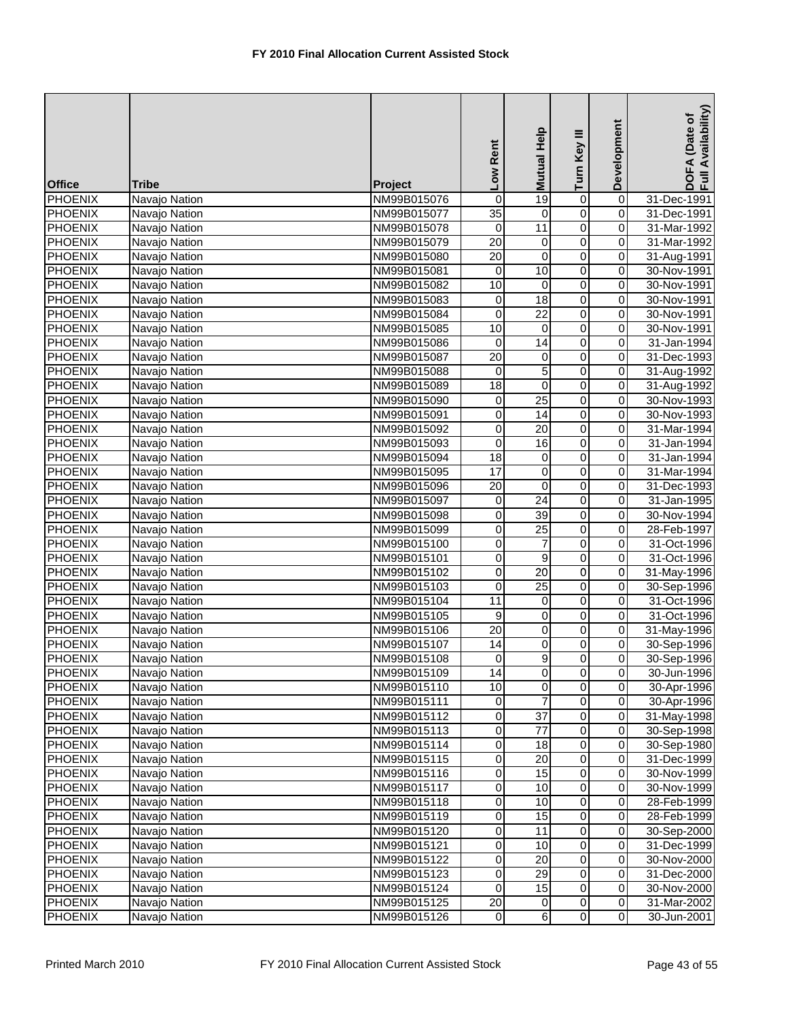| <b>Office</b>  | Tribe         | Project     | Low Rent            | Help<br><b>Mutual</b> | Turn Key III   | Development             | DOFA (Date of<br>Full Availability) |
|----------------|---------------|-------------|---------------------|-----------------------|----------------|-------------------------|-------------------------------------|
| <b>PHOENIX</b> | Navajo Nation | NM99B015076 | $\pmb{0}$           | 19                    | $\overline{0}$ | $\overline{0}$          | 31-Dec-1991                         |
| <b>PHOENIX</b> | Navajo Nation | NM99B015077 | $\overline{35}$     | $\mathbf 0$           | $\overline{0}$ | $\overline{0}$          | 31-Dec-1991                         |
| <b>PHOENIX</b> | Navajo Nation | NM99B015078 | 0                   | $\overline{11}$       | $\overline{0}$ | 0                       | 31-Mar-1992                         |
| <b>PHOENIX</b> | Navajo Nation | NM99B015079 | $\overline{20}$     | 0                     | 0              | 0                       | 31-Mar-1992                         |
| <b>PHOENIX</b> | Navajo Nation | NM99B015080 | $\overline{20}$     | 0                     | $\overline{0}$ | 0                       | 31-Aug-1991                         |
| <b>PHOENIX</b> | Navajo Nation | NM99B015081 | 0                   | 10                    | $\overline{0}$ | 0                       | 30-Nov-1991                         |
| <b>PHOENIX</b> | Navajo Nation | NM99B015082 | 10                  | $\pmb{0}$             | $\overline{0}$ | $\overline{0}$          | 30-Nov-1991                         |
| <b>PHOENIX</b> | Navajo Nation | NM99B015083 | 0                   | 18                    | $\overline{0}$ | 0                       | 30-Nov-1991                         |
| <b>PHOENIX</b> | Navajo Nation | NM99B015084 | $\mathbf 0$         | $\overline{22}$       | $\overline{0}$ | 0                       | 30-Nov-1991                         |
| <b>PHOENIX</b> | Navajo Nation | NM99B015085 | 10                  | $\mathbf 0$           | $\overline{0}$ | $\overline{0}$          | 30-Nov-1991                         |
| <b>PHOENIX</b> | Navajo Nation | NM99B015086 | 0                   | $\overline{14}$       | $\overline{0}$ | $\overline{\mathsf{o}}$ | 31-Jan-1994                         |
| <b>PHOENIX</b> | Navajo Nation | NM99B015087 | $\overline{20}$     | 0                     | 0              | 0                       | 31-Dec-1993                         |
| <b>PHOENIX</b> | Navajo Nation | NM99B015088 | 0                   | 5                     | $\overline{0}$ | 0                       | 31-Aug-1992                         |
| <b>PHOENIX</b> | Navajo Nation | NM99B015089 | $\overline{18}$     | $\overline{0}$        | $\overline{0}$ | $\overline{0}$          | 31-Aug-1992                         |
| <b>PHOENIX</b> | Navajo Nation | NM99B015090 | 0                   | $\overline{25}$       | $\overline{0}$ | 0                       | 30-Nov-1993                         |
| <b>PHOENIX</b> | Navajo Nation | NM99B015091 | 0                   | 14                    | 0              | 0                       | 30-Nov-1993                         |
| <b>PHOENIX</b> | Navajo Nation | NM99B015092 | 0                   | $\overline{20}$       | $\overline{0}$ | $\overline{0}$          | 31-Mar-1994                         |
| <b>PHOENIX</b> | Navajo Nation | NM99B015093 | 0                   | 16                    | $\overline{0}$ | 0                       | 31-Jan-1994                         |
| <b>PHOENIX</b> | Navajo Nation | NM99B015094 | $\overline{18}$     | $\mathbf 0$           | 0              | 0                       | 31-Jan-1994                         |
| <b>PHOENIX</b> | Navajo Nation | NM99B015095 | 17                  | 0                     | 0              | 0                       | 31-Mar-1994                         |
| <b>PHOENIX</b> | Navajo Nation | NM99B015096 | $\overline{20}$     | $\pmb{0}$             | $\overline{0}$ | 0                       | 31-Dec-1993                         |
| <b>PHOENIX</b> | Navajo Nation | NM99B015097 | $\mathbf 0$         | 24                    | $\overline{0}$ | $\mathbf 0$             | 31-Jan-1995                         |
| <b>PHOENIX</b> | Navajo Nation | NM99B015098 | 0                   | 39                    | $\overline{0}$ | 0                       | 30-Nov-1994                         |
| <b>PHOENIX</b> | Navajo Nation | NM99B015099 | 0                   | $\overline{25}$       | $\overline{0}$ | 0                       | 28-Feb-1997                         |
| <b>PHOENIX</b> | Navajo Nation | NM99B015100 | $\mathsf{O}\xspace$ | $\overline{7}$        | $\overline{0}$ | 0                       | 31-Oct-1996                         |
| <b>PHOENIX</b> | Navajo Nation | NM99B015101 | 0                   | 9                     | 0              | 0                       | 31-Oct-1996                         |
| <b>PHOENIX</b> | Navajo Nation | NM99B015102 | 0                   | 20                    | 0              | 0                       | 31-May-1996                         |
| <b>PHOENIX</b> | Navajo Nation | NM99B015103 | 0                   | $\overline{25}$       | $\overline{0}$ | $\overline{0}$          | 30-Sep-1996                         |
| <b>PHOENIX</b> | Navajo Nation | NM99B015104 | $\overline{11}$     | 0                     | $\overline{0}$ | $\mathbf 0$             | 31-Oct-1996                         |
| <b>PHOENIX</b> | Navajo Nation | NM99B015105 | 9                   | $\pmb{0}$             | $\overline{0}$ | 0                       | 31-Oct-1996                         |
| <b>PHOENIX</b> | Navajo Nation | NM99B015106 | 20                  | $\pmb{0}$             | $\overline{0}$ | 0                       | 31-May-1996                         |
| <b>PHOENIX</b> | Navajo Nation | NM99B015107 | 14                  | $\pmb{0}$             | $\overline{0}$ | 0                       | 30-Sep-1996                         |
| <b>PHOENIX</b> | Navajo Nation | NM99B015108 | 0                   | 9                     | 0              | 0                       | 30-Sep-1996                         |
| <b>PHOENIX</b> | Navajo Nation | NM99B015109 | 14                  | $\overline{0}$        | $\overline{0}$ | $\overline{0}$          | 30-Jun-1996                         |
| <b>PHOENIX</b> | Navajo Nation | NM99B015110 | 10                  | $\mathbf 0$           | $\overline{0}$ | $\overline{0}$          | 30-Apr-1996                         |
| <b>PHOENIX</b> | Navajo Nation | NM99B015111 | $\overline{0}$      |                       | $\overline{0}$ | $\overline{\mathsf{o}}$ | 30-Apr-1996                         |
| <b>PHOENIX</b> | Navajo Nation | NM99B015112 | 0                   | $\overline{37}$       | $\overline{0}$ | $\mathbf 0$             | 31-May-1998                         |
| <b>PHOENIX</b> | Navajo Nation | NM99B015113 | 0                   | $\overline{77}$       | 0              | 0                       | 30-Sep-1998                         |
| <b>PHOENIX</b> | Navajo Nation | NM99B015114 | $\mathsf{O}\xspace$ | 18                    | $\overline{0}$ | $\mathbf 0$             | 30-Sep-1980                         |
| <b>PHOENIX</b> | Navajo Nation | NM99B015115 | 0                   | 20                    | 0              | $\mathbf 0$             | 31-Dec-1999                         |
| <b>PHOENIX</b> | Navajo Nation | NM99B015116 | 0                   | 15                    | 0              | 0                       | 30-Nov-1999                         |
| <b>PHOENIX</b> | Navajo Nation | NM99B015117 | 0                   | 10                    | $\overline{0}$ | 0                       | 30-Nov-1999                         |
| <b>PHOENIX</b> | Navajo Nation | NM99B015118 | $\mathsf{O}\xspace$ | 10                    | $\overline{0}$ | $\mathsf{O}\xspace$     | 28-Feb-1999                         |
| <b>PHOENIX</b> | Navajo Nation | NM99B015119 | $\pmb{0}$           | $\overline{15}$       | 0              | $\mathbf 0$             | 28-Feb-1999                         |
| <b>PHOENIX</b> | Navajo Nation | NM99B015120 | 0                   | 11                    | $\pmb{0}$      | 0                       | 30-Sep-2000                         |
| <b>PHOENIX</b> | Navajo Nation | NM99B015121 | $\overline{0}$      | 10                    | $\overline{0}$ | $\mathbf 0$             | 31-Dec-1999                         |
| <b>PHOENIX</b> | Navajo Nation | NM99B015122 | 0                   | 20                    | 0              | $\mathbf 0$             | 30-Nov-2000                         |
| <b>PHOENIX</b> | Navajo Nation | NM99B015123 | 0                   | 29                    | 0              | 0                       | 31-Dec-2000                         |
| <b>PHOENIX</b> | Navajo Nation | NM99B015124 | 0                   | 15                    | $\pmb{0}$      | 0                       | 30-Nov-2000                         |
| <b>PHOENIX</b> | Navajo Nation | NM99B015125 | $\overline{20}$     | 0                     | $\overline{0}$ | $\pmb{0}$               | 31-Mar-2002                         |
| <b>PHOENIX</b> | Navajo Nation | NM99B015126 | $\mathbf 0$         | $\,6$                 | $\overline{0}$ | $\mathsf{O}\xspace$     | 30-Jun-2001                         |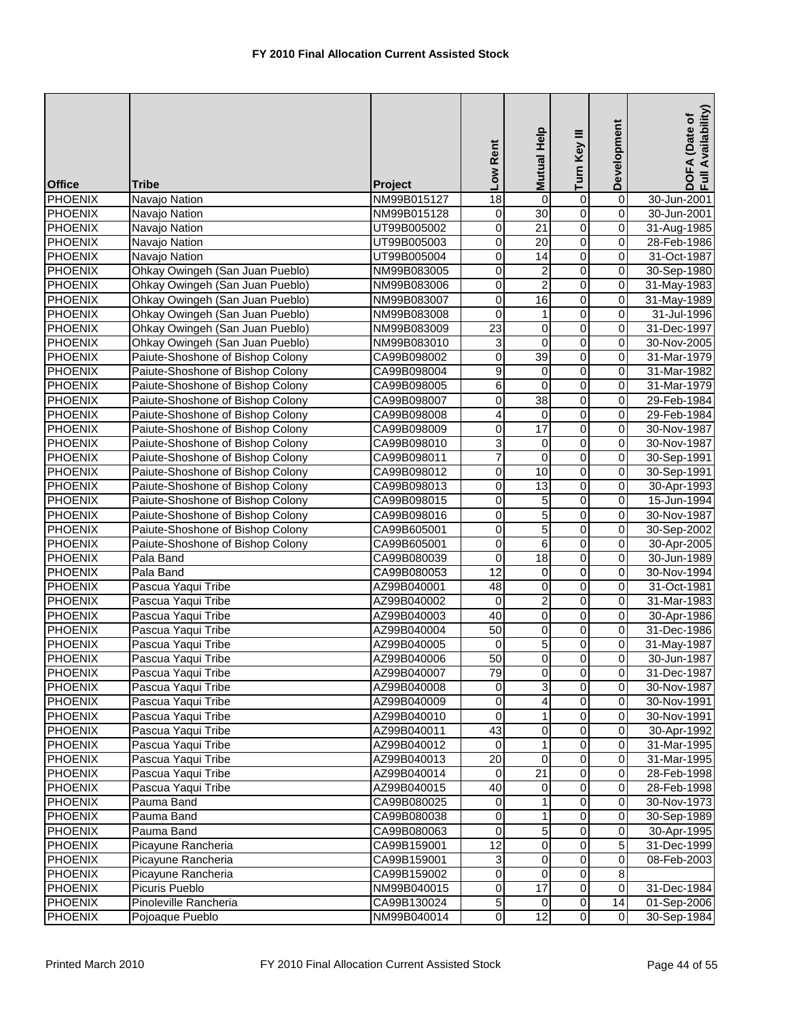| <b>Office</b>             | Tribe                                    | Project                    | Low Rent             | Mutual Help         | Turn Key III            | Development             | DOFA (Date of<br>Full Availability) |
|---------------------------|------------------------------------------|----------------------------|----------------------|---------------------|-------------------------|-------------------------|-------------------------------------|
| PHOENIX                   | Navajo Nation                            | NM99B015127                | $\overline{18}$      | 0                   | 0                       | 0                       | 30-Jun-2001                         |
| <b>PHOENIX</b>            | Navajo Nation                            | NM99B015128                | 0                    | 30                  | $\overline{0}$          | 0                       | 30-Jun-2001                         |
| <b>PHOENIX</b>            | Navajo Nation                            | UT99B005002                | 0                    | $\overline{21}$     | $\overline{0}$          | 0                       | 31-Aug-1985                         |
| <b>PHOENIX</b>            | Navajo Nation                            | UT99B005003                | 0                    | $\overline{20}$     | $\overline{0}$          | 0                       | 28-Feb-1986                         |
| <b>PHOENIX</b>            | Navajo Nation                            | UT99B005004                | 0                    | 14                  | $\overline{0}$          | 0                       | 31-Oct-1987                         |
| <b>PHOENIX</b>            | Ohkay Owingeh (San Juan Pueblo)          | NM99B083005                | 0                    | $\overline{c}$      | $\overline{0}$          | 0                       | 30-Sep-1980                         |
| <b>PHOENIX</b>            | Ohkay Owingeh (San Juan Pueblo)          | NM99B083006                | 0                    | $\overline{2}$      | $\overline{0}$          | 0                       | 31-May-1983                         |
| <b>PHOENIX</b>            | Ohkay Owingeh (San Juan Pueblo)          | NM99B083007                | 0                    | 16                  | $\overline{0}$          | $\overline{\mathbf{0}}$ | 31-May-1989                         |
| <b>PHOENIX</b>            | Ohkay Owingeh (San Juan Pueblo)          | NM99B083008                | 0                    | $\mathbf{1}$        | $\overline{0}$          | 0                       | 31-Jul-1996                         |
| <b>PHOENIX</b>            | Ohkay Owingeh (San Juan Pueblo)          | NM99B083009                | $\overline{23}$      | $\pmb{0}$           | $\overline{0}$          | $\overline{0}$          | 31-Dec-1997                         |
| <b>PHOENIX</b>            | Ohkay Owingeh (San Juan Pueblo)          | NM99B083010                | $\overline{3}$       | $\mathbf 0$         | $\overline{0}$          | 0                       | 30-Nov-2005                         |
| <b>PHOENIX</b>            | Paiute-Shoshone of Bishop Colony         | CA99B098002                | 0                    | 39                  | $\overline{0}$          | 0                       | 31-Mar-1979                         |
| <b>PHOENIX</b>            | Paiute-Shoshone of Bishop Colony         | CA99B098004                | 9                    | 0                   | $\overline{0}$          | 0                       | 31-Mar-1982                         |
| <b>PHOENIX</b>            | Paiute-Shoshone of Bishop Colony         | CA99B098005                | $\overline{6}$       | $\mathbf 0$         | $\overline{0}$          | 0                       | 31-Mar-1979                         |
| <b>PHOENIX</b>            | Paiute-Shoshone of Bishop Colony         | CA99B098007                | $\overline{0}$       | 38                  | $\overline{0}$          | $\overline{\mathbf{0}}$ | 29-Feb-1984                         |
| PHOENIX                   | Paiute-Shoshone of Bishop Colony         | CA99B098008                | 4                    | $\mathbf 0$         | $\overline{0}$          | $\mathsf 0$             | 29-Feb-1984                         |
| PHOENIX                   | Paiute-Shoshone of Bishop Colony         | CA99B098009                | 0                    | $\overline{17}$     | $\overline{0}$          | 0                       | 30-Nov-1987                         |
| <b>PHOENIX</b>            | Paiute-Shoshone of Bishop Colony         | CA99B098010                | 3                    | 0                   | $\overline{0}$          | 0                       | 30-Nov-1987                         |
| <b>PHOENIX</b>            | Paiute-Shoshone of Bishop Colony         | CA99B098011                | $\overline{7}$       | $\pmb{0}$           | 0                       | 0                       | 30-Sep-1991                         |
| <b>PHOENIX</b>            | Paiute-Shoshone of Bishop Colony         | CA99B098012                | 0                    | 10                  | $\mathbf 0$             | 0                       | 30-Sep-1991                         |
| <b>PHOENIX</b>            | Paiute-Shoshone of Bishop Colony         | CA99B098013                | 0                    | 13                  | $\overline{0}$          | 0                       | 30-Apr-1993                         |
| <b>PHOENIX</b>            | Paiute-Shoshone of Bishop Colony         | CA99B098015                | 0                    | 5                   | $\overline{0}$          | 0                       | 15-Jun-1994                         |
| <b>PHOENIX</b>            | Paiute-Shoshone of Bishop Colony         | CA99B098016                | 0                    | $\overline{5}$      | $\overline{0}$          | 0                       | 30-Nov-1987                         |
| <b>PHOENIX</b>            | Paiute-Shoshone of Bishop Colony         | CA99B605001                | 0                    | $\overline{5}$      | $\overline{0}$          | 0                       | 30-Sep-2002                         |
| <b>PHOENIX</b>            | Paiute-Shoshone of Bishop Colony         | CA99B605001                | $\overline{0}$       | $\overline{6}$      | $\overline{0}$          | 0                       | 30-Apr-2005                         |
| <b>PHOENIX</b>            | Pala Band                                | CA99B080039                | 0<br>12              | $\overline{18}$     | $\overline{0}$          | 0                       | 30-Jun-1989                         |
| <b>PHOENIX</b>            | Pala Band                                | CA99B080053                |                      | 0                   | $\overline{0}$<br>0     | 0                       | 30-Nov-1994                         |
| PHOENIX<br><b>PHOENIX</b> | Pascua Yaqui Tribe<br>Pascua Yaqui Tribe | AZ99B040001<br>AZ99B040002 | 48<br>$\overline{0}$ | 0<br>$\overline{2}$ | $\overline{0}$          | 0<br>0                  | 31-Oct-1981<br>31-Mar-1983          |
| <b>PHOENIX</b>            | Pascua Yaqui Tribe                       | AZ99B040003                | 40                   | 0                   | $\overline{0}$          | 0                       | 30-Apr-1986                         |
| <b>PHOENIX</b>            | Pascua Yaqui Tribe                       | AZ99B040004                | $\overline{50}$      | $\overline{0}$      | $\overline{0}$          | 0                       | 31-Dec-1986                         |
| <b>PHOENIX</b>            | Pascua Yaqui Tribe                       | AZ99B040005                | 0                    | $\overline{5}$      | $\overline{0}$          | 0                       | 31-May-1987                         |
| <b>PHOENIX</b>            | Pascua Yaqui Tribe                       | AZ99B040006                | $\overline{50}$      | $\mathbf 0$         | 0                       | 0                       | 30-Jun-1987                         |
| <b>PHOENIX</b>            | Pascua Yaqui Tribe                       | AZ99B040007                | 79                   | $\overline{0}$      | $\overline{0}$          | 0                       | 31-Dec-1987                         |
| <b>PHOENIX</b>            | Pascua Yaqui Tribe                       | AZ99B040008                | $\mathbf 0$          | ω                   | $\overline{0}$          | $\mathbf 0$             | 30-Nov-1987                         |
| <b>PHOENIX</b>            | Pascua Yaqui Tribe                       | AZ99B040009                | $\mathbf 0$          | 4                   | $\overline{0}$          | $\mathbf 0$             | 30-Nov-1991                         |
| PHOENIX                   | Pascua Yaqui Tribe                       | AZ99B040010                | 0                    | 1                   | 0                       | $\mathbf 0$             | 30-Nov-1991                         |
| <b>PHOENIX</b>            | Pascua Yaqui Tribe                       | AZ99B040011                | 43                   | 0                   | 0                       | 0                       | 30-Apr-1992                         |
| <b>PHOENIX</b>            | Pascua Yaqui Tribe                       | AZ99B040012                | $\mathbf 0$          | $\mathbf{1}$        | $\overline{0}$          | 0                       | 31-Mar-1995                         |
| <b>PHOENIX</b>            | Pascua Yaqui Tribe                       | AZ99B040013                | 20                   | $\overline{0}$      | 0                       | $\mathbf 0$             | 31-Mar-1995                         |
| <b>PHOENIX</b>            | Pascua Yaqui Tribe                       | AZ99B040014                | 0                    | 21                  | 0                       | $\mathbf 0$             | 28-Feb-1998                         |
| <b>PHOENIX</b>            | Pascua Yaqui Tribe                       | AZ99B040015                | 40                   | 0                   | 0                       | $\mathbf 0$             | 28-Feb-1998                         |
| <b>PHOENIX</b>            | Pauma Band                               | CA99B080025                | $\pmb{0}$            | 1                   | $\overline{\mathbf{o}}$ | $\mathsf{O}\xspace$     | 30-Nov-1973                         |
| <b>PHOENIX</b>            | Pauma Band                               | CA99B080038                | 0                    | $\mathbf{1}$        | $\mathsf{O}\xspace$     | $\mathbf 0$             | 30-Sep-1989                         |
| <b>PHOENIX</b>            | Pauma Band                               | CA99B080063                | 0                    | 5                   | $\mathsf 0$             | 0                       | 30-Apr-1995                         |
| <b>PHOENIX</b>            | Picayune Rancheria                       | CA99B159001                | $\overline{12}$      | 0                   | $\overline{0}$          | $\overline{5}$          | 31-Dec-1999                         |
| <b>PHOENIX</b>            | Picayune Rancheria                       | CA99B159001                | 3                    | 0                   | 0                       | 0                       | 08-Feb-2003                         |
| <b>PHOENIX</b>            | Picayune Rancheria                       | CA99B159002                | 0                    | 0                   | 0                       | 8                       |                                     |
| <b>PHOENIX</b>            | Picuris Pueblo                           | NM99B040015                | 0                    | $\overline{17}$     | $\overline{\mathsf{o}}$ | $\mathbf 0$             | 31-Dec-1984                         |
| <b>PHOENIX</b>            | Pinoleville Rancheria                    | CA99B130024                | $\overline{5}$       | $\mathbf 0$         | $\overline{0}$          | $\overline{14}$         | 01-Sep-2006                         |
| <b>PHOENIX</b>            | Pojoaque Pueblo                          | NM99B040014                | $\overline{0}$       | $\overline{12}$     | $\overline{0}$          | $\overline{0}$          | 30-Sep-1984                         |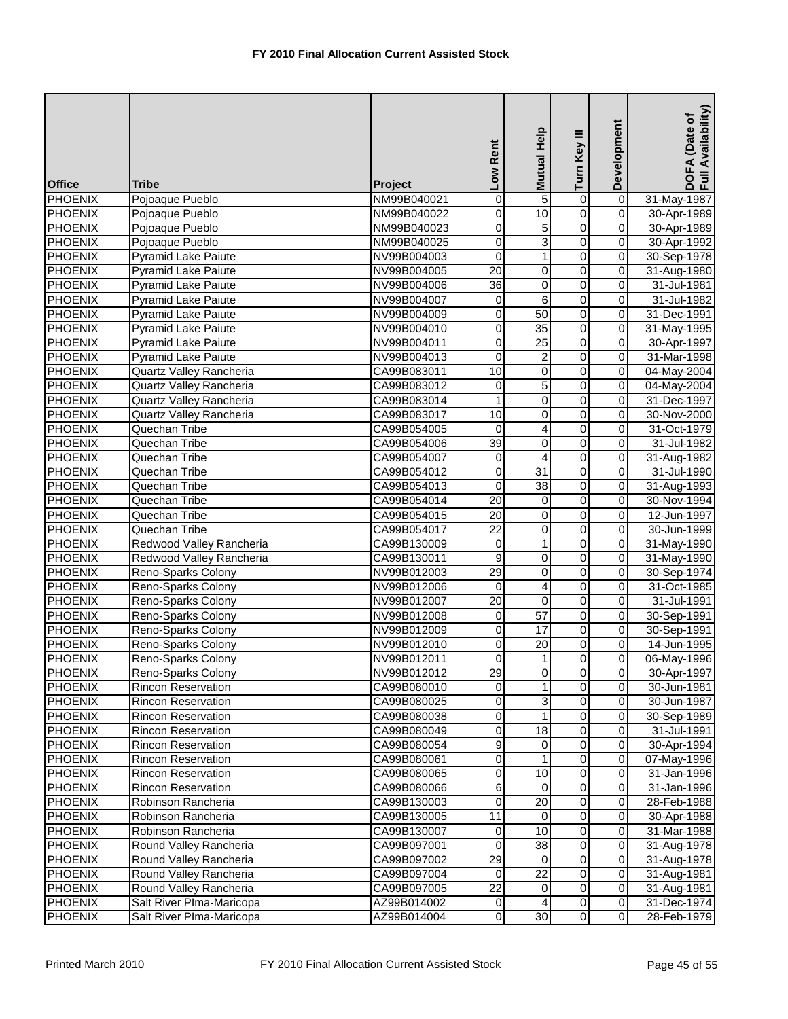| <b>Office</b>                    | <b>Tribe</b>                             | Project                    | Low Rent        | Mutual Help          | Turn Key III            | Development                        | DOFA (Date of<br>Full Availability) |
|----------------------------------|------------------------------------------|----------------------------|-----------------|----------------------|-------------------------|------------------------------------|-------------------------------------|
| <b>PHOENIX</b>                   | Pojoaque Pueblo                          | NM99B040021                | $\overline{0}$  | 5                    | $\overline{0}$          | $\overline{0}$                     | 31-May-1987                         |
| <b>PHOENIX</b>                   | Pojoaque Pueblo                          | NM99B040022                | $\mathbf 0$     | 10                   | $\overline{0}$          | $\overline{0}$                     | 30-Apr-1989                         |
| <b>PHOENIX</b>                   | Pojoaque Pueblo                          | NM99B040023                | 0               | 5                    | $\overline{0}$          | 0                                  | 30-Apr-1989                         |
| <b>PHOENIX</b>                   | Pojoaque Pueblo                          | NM99B040025                | 0               | 3                    | $\overline{0}$          | $\overline{\mathbf{0}}$            | 30-Apr-1992                         |
| <b>PHOENIX</b>                   | Pyramid Lake Paiute                      | NV99B004003                | 0               | $\mathbf{1}$         | $\overline{0}$          | 0                                  | 30-Sep-1978                         |
| <b>PHOENIX</b>                   | <b>Pyramid Lake Paiute</b>               | NV99B004005                | 20              | 0                    | $\overline{0}$          | 0                                  | 31-Aug-1980                         |
| <b>PHOENIX</b>                   | <b>Pyramid Lake Paiute</b>               | NV99B004006                | $\overline{36}$ | 0                    | $\overline{0}$          | $\overline{0}$                     | 31-Jul-1981                         |
| <b>PHOENIX</b>                   | <b>Pyramid Lake Paiute</b>               | NV99B004007                | $\overline{0}$  | 6                    | $\overline{0}$          | $\overline{\mathbf{0}}$            | 31-Jul-1982                         |
| <b>PHOENIX</b>                   | <b>Pyramid Lake Paiute</b>               | NV99B004009                | $\mathbf 0$     | 50                   | $\overline{0}$          | 0                                  | 31-Dec-1991                         |
| <b>PHOENIX</b>                   | Pyramid Lake Paiute                      | NV99B004010                | $\mathbf 0$     | $\overline{35}$      | $\overline{0}$          | 0                                  | 31-May-1995                         |
| <b>PHOENIX</b>                   | <b>Pyramid Lake Paiute</b>               | NV99B004011                | $\overline{0}$  | $\overline{25}$      | $\overline{0}$          | $\overline{0}$                     | 30-Apr-1997                         |
| <b>PHOENIX</b>                   | <b>Pyramid Lake Paiute</b>               | NV99B004013                | 0               | $\overline{c}$       | $\overline{0}$          | 0                                  | 31-Mar-1998                         |
| <b>PHOENIX</b>                   | Quartz Valley Rancheria                  | CA99B083011                | 10              | 0                    | $\overline{0}$          | 0                                  | 04-May-2004                         |
| <b>PHOENIX</b>                   | Quartz Valley Rancheria                  | CA99B083012                | $\mathbf 0$     | $\overline{5}$       | $\overline{0}$          | 0                                  | 04-May-2004                         |
| <b>PHOENIX</b>                   | Quartz Valley Rancheria                  | CA99B083014                | 1               | $\overline{0}$       | $\overline{0}$          | $\overline{\mathbf{0}}$            | 31-Dec-1997                         |
| <b>PHOENIX</b>                   | Quartz Valley Rancheria                  | CA99B083017                | 10              | $\mathbf 0$          | $\overline{0}$          | $\mathsf 0$                        | 30-Nov-2000                         |
| <b>PHOENIX</b>                   | Quechan Tribe                            | CA99B054005                | 0               | 4                    | $\overline{0}$          | 0                                  | 31-Oct-1979                         |
| <b>PHOENIX</b>                   | Quechan Tribe                            | CA99B054006                | $\overline{39}$ | $\overline{0}$       | $\overline{0}$          | 0                                  | 31-Jul-1982                         |
| <b>PHOENIX</b>                   | Quechan Tribe                            | CA99B054007                | 0               | 4                    | $\overline{0}$          | 0                                  | 31-Aug-1982                         |
| <b>PHOENIX</b>                   | Quechan Tribe                            | CA99B054012                | $\mathbf 0$     | 31                   | $\mathsf 0$             | 0                                  | 31-Jul-1990                         |
| <b>PHOENIX</b>                   | Quechan Tribe                            | CA99B054013                | 0               | 38                   | $\overline{0}$          | 0                                  | 31-Aug-1993                         |
| PHOENIX                          | Quechan Tribe                            | CA99B054014                | $\overline{20}$ | 0                    | $\overline{0}$          | $\overline{0}$                     | 30-Nov-1994                         |
| <b>PHOENIX</b>                   | Quechan Tribe                            | CA99B054015                | $\overline{20}$ | 0                    | $\overline{0}$          | 0                                  | 12-Jun-1997                         |
| <b>PHOENIX</b>                   | Quechan Tribe                            | CA99B054017                | $\overline{22}$ | $\pmb{0}$            | $\overline{0}$          | 0                                  | 30-Jun-1999                         |
| <b>PHOENIX</b>                   | Redwood Valley Rancheria                 | CA99B130009                | $\overline{0}$  | $\mathbf{1}$         | $\overline{0}$          | 0                                  | 31-May-1990                         |
| <b>PHOENIX</b>                   | Redwood Valley Rancheria                 | CA99B130011                | $\overline{9}$  | $\pmb{0}$            | $\overline{0}$          | $\overline{\mathbf{0}}$            | 31-May-1990                         |
| <b>PHOENIX</b>                   | Reno-Sparks Colony                       | NV99B012003                | 29              | 0                    | $\overline{0}$          | 0                                  | 30-Sep-1974                         |
| <b>PHOENIX</b>                   | Reno-Sparks Colony                       | NV99B012006                | 0               | 4                    | 0                       | 0                                  | 31-Oct-1985                         |
| <b>PHOENIX</b>                   | Reno-Sparks Colony                       | NV99B012007                | $\overline{20}$ | $\overline{0}$       | $\overline{0}$          | $\overline{\mathbf{0}}$            | 31-Jul-1991                         |
| <b>PHOENIX</b>                   | Reno-Sparks Colony                       | NV99B012008                | 0               | 57                   | $\overline{0}$          | 0                                  | 30-Sep-1991                         |
| <b>PHOENIX</b>                   | Reno-Sparks Colony                       | NV99B012009                | 0               | $\overline{17}$      | $\overline{0}$          | 0                                  | 30-Sep-1991                         |
| <b>PHOENIX</b>                   | Reno-Sparks Colony                       | NV99B012010                | 0               | $\overline{20}$      | $\overline{0}$          | 0                                  | 14-Jun-1995                         |
| <b>PHOENIX</b>                   | Reno-Sparks Colony                       | NV99B012011                | 0               | 1                    | $\overline{0}$          | $\mathbf 0$                        | 06-May-1996                         |
| <b>PHOENIX</b>                   | Reno-Sparks Colony                       | NV99B012012                | 29              | $\overline{0}$       | $\overline{0}$          | 0                                  | 30-Apr-1997                         |
| <b>PHOENIX</b>                   | Rincon Reservation                       | CA99B080010                | $\mathbf 0$     | $\mathbf{1}$         | $\overline{0}$          | $\mathbf 0$                        | 30-Jun-1981                         |
| <b>PHOENIX</b>                   | <b>Rincon Reservation</b>                | CA99B080025                | $\mathbf 0$     | 3                    | $\overline{0}$          | $\overline{\mathbf{0}}$            | 30-Jun-1987                         |
| PHOENIX                          | <b>Rincon Reservation</b>                | CA99B080038                | 0               |                      | 0                       | $\mathbf 0$                        | 30-Sep-1989                         |
| <b>PHOENIX</b>                   | <b>Rincon Reservation</b>                | CA99B080049                | 0               | 18                   | 0                       | 0                                  | 31-Jul-1991                         |
| <b>PHOENIX</b>                   | <b>Rincon Reservation</b>                | CA99B080054                | 9               | 0                    | $\overline{0}$          | 0                                  | 30-Apr-1994                         |
| <b>PHOENIX</b>                   | Rincon Reservation                       | CA99B080061                | $\overline{0}$  | 1                    | 0                       | $\mathbf 0$                        | 07-May-1996                         |
| <b>PHOENIX</b>                   | Rincon Reservation                       | CA99B080065                | 0               | 10                   | 0<br>0                  | $\mathbf 0$                        | 31-Jan-1996                         |
| <b>PHOENIX</b>                   | Rincon Reservation                       | CA99B080066                | 6<br>0          | 0<br>$\overline{20}$ | $\overline{\mathbf{o}}$ | $\mathbf 0$<br>$\mathsf{O}\xspace$ | 31-Jan-1996                         |
| <b>PHOENIX</b><br><b>PHOENIX</b> | Robinson Rancheria<br>Robinson Rancheria | CA99B130003                | 11              | $\overline{0}$       | $\mathsf{O}\xspace$     | $\pmb{0}$                          | 28-Feb-1988                         |
| <b>PHOENIX</b>                   | Robinson Rancheria                       | CA99B130005<br>CA99B130007 |                 | 10                   | $\mathsf 0$             | $\mathbf 0$                        | 30-Apr-1988<br>31-Mar-1988          |
| <b>PHOENIX</b>                   | Round Valley Rancheria                   | CA99B097001                | 0<br>0          | 38                   | $\overline{0}$          | 0                                  | 31-Aug-1978                         |
| <b>PHOENIX</b>                   | Round Valley Rancheria                   | CA99B097002                | 29              | 0                    | 0                       | $\mathbf 0$                        | 31-Aug-1978                         |
| <b>PHOENIX</b>                   | Round Valley Rancheria                   | CA99B097004                | $\mathbf 0$     | $\overline{22}$      | 0                       | $\mathbf 0$                        | 31-Aug-1981                         |
| <b>PHOENIX</b>                   | Round Valley Rancheria                   | CA99B097005                | 22              | $\mathbf 0$          | 0                       | $\mathbf 0$                        | 31-Aug-1981                         |
| <b>PHOENIX</b>                   | Salt River PIma-Maricopa                 | AZ99B014002                | $\pmb{0}$       | 4                    | $\overline{\mathsf{o}}$ | $\pmb{0}$                          | 31-Dec-1974                         |
| <b>PHOENIX</b>                   | Salt River PIma-Maricopa                 | AZ99B014004                | $\overline{0}$  | 30                   | $\overline{0}$          | $\overline{0}$                     | 28-Feb-1979                         |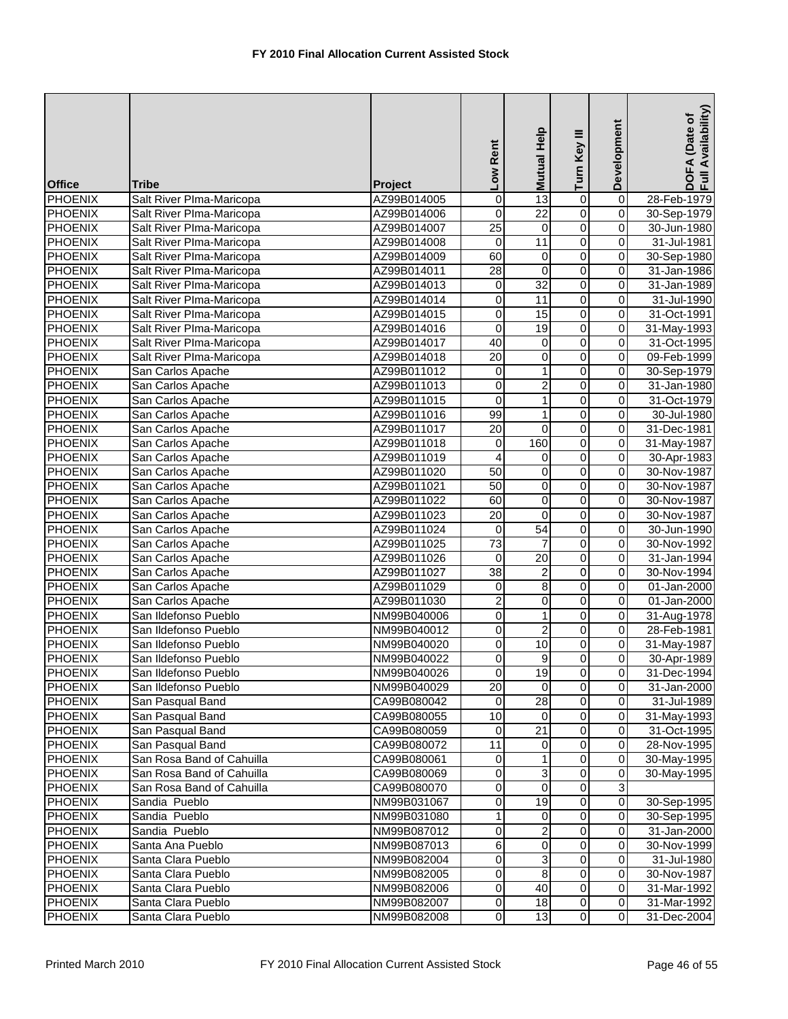| <b>Office</b>  | <b>Tribe</b>              | Project     | Low Rent         | Mutual Help     | Turn Key III            | Development             | DOFA (Date of<br>Full Availability) |
|----------------|---------------------------|-------------|------------------|-----------------|-------------------------|-------------------------|-------------------------------------|
| <b>PHOENIX</b> | Salt River Plma-Maricopa  | AZ99B014005 | 0                | 13              | $\overline{0}$          | $\overline{0}$          | 28-Feb-1979                         |
| <b>PHOENIX</b> | Salt River PIma-Maricopa  | AZ99B014006 | 0                | $\overline{22}$ | $\overline{0}$          | $\overline{0}$          | 30-Sep-1979                         |
| <b>PHOENIX</b> | Salt River PIma-Maricopa  | AZ99B014007 | $\overline{25}$  | $\pmb{0}$       | $\overline{0}$          | 0                       | 30-Jun-1980                         |
| <b>PHOENIX</b> | Salt River Plma-Maricopa  | AZ99B014008 | 0                | $\overline{11}$ | $\overline{0}$          | 0                       | 31-Jul-1981                         |
| <b>PHOENIX</b> | Salt River PIma-Maricopa  | AZ99B014009 | 60               | 0               | $\overline{0}$          | 0                       | 30-Sep-1980                         |
| <b>PHOENIX</b> | Salt River PIma-Maricopa  | AZ99B014011 | $\overline{28}$  | 0               | $\overline{0}$          | 0                       | 31-Jan-1986                         |
| <b>PHOENIX</b> | Salt River PIma-Maricopa  | AZ99B014013 | $\mathbf 0$      | 32              | $\overline{0}$          | $\overline{0}$          | 31-Jan-1989                         |
| <b>PHOENIX</b> | Salt River PIma-Maricopa  | AZ99B014014 | 0                | 11              | $\overline{0}$          | $\overline{\mathbf{0}}$ | 31-Jul-1990                         |
| <b>PHOENIX</b> | Salt River PIma-Maricopa  | AZ99B014015 | $\mathbf 0$      | 15              | $\overline{0}$          | 0                       | 31-Oct-1991                         |
| <b>PHOENIX</b> | Salt River PIma-Maricopa  | AZ99B014016 | $\overline{0}$   | 19              | $\overline{0}$          | 0                       | 31-May-1993                         |
| <b>PHOENIX</b> | Salt River PIma-Maricopa  | AZ99B014017 | 40               | 0               | $\overline{0}$          | $\overline{0}$          | 31-Oct-1995                         |
| <b>PHOENIX</b> | Salt River PIma-Maricopa  | AZ99B014018 | $\overline{20}$  | 0               | $\overline{0}$          | 0                       | 09-Feb-1999                         |
| <b>PHOENIX</b> | San Carlos Apache         | AZ99B011012 | $\mathbf 0$      | $\mathbf{1}$    | $\overline{0}$          | 0                       | 30-Sep-1979                         |
| <b>PHOENIX</b> | San Carlos Apache         | AZ99B011013 | $\overline{0}$   | $\overline{c}$  | $\overline{0}$          | 0                       | 31-Jan-1980                         |
| <b>PHOENIX</b> | San Carlos Apache         | AZ99B011015 | 0                | $\mathbf{1}$    | $\overline{0}$          | $\overline{\mathsf{o}}$ | 31-Oct-1979                         |
| PHOENIX        | San Carlos Apache         | AZ99B011016 | 99               | $\mathbf{1}$    | $\overline{0}$          | $\mathsf 0$             | 30-Jul-1980                         |
| PHOENIX        | San Carlos Apache         | AZ99B011017 | 20               | $\overline{0}$  | $\overline{0}$          | 0                       | 31-Dec-1981                         |
| <b>PHOENIX</b> | San Carlos Apache         | AZ99B011018 | $\pmb{0}$        | 160             | $\overline{0}$          | 0                       | 31-May-1987                         |
| <b>PHOENIX</b> | San Carlos Apache         | AZ99B011019 | 4                | 0               | 0                       | 0                       | 30-Apr-1983                         |
| <b>PHOENIX</b> | San Carlos Apache         | AZ99B011020 | 50               | 0               | $\mathsf 0$             | 0                       | 30-Nov-1987                         |
| <b>PHOENIX</b> | San Carlos Apache         | AZ99B011021 | $\overline{50}$  | 0               | $\overline{0}$          | 0                       | 30-Nov-1987                         |
| <b>PHOENIX</b> | San Carlos Apache         | AZ99B011022 | 60               | $\overline{0}$  | $\overline{0}$          | 0                       | 30-Nov-1987                         |
| <b>PHOENIX</b> | San Carlos Apache         | AZ99B011023 | $\overline{20}$  | 0               | $\overline{0}$          | 0                       | 30-Nov-1987                         |
| <b>PHOENIX</b> | San Carlos Apache         | AZ99B011024 | $\mathbf 0$      | 54              | $\overline{0}$          | 0                       | 30-Jun-1990                         |
| <b>PHOENIX</b> | San Carlos Apache         | AZ99B011025 | $\overline{73}$  | $\overline{7}$  | $\overline{0}$          | 0                       | 30-Nov-1992                         |
| <b>PHOENIX</b> | San Carlos Apache         | AZ99B011026 | 0                | $\overline{20}$ | $\overline{0}$          | 0                       | 31-Jan-1994                         |
| <b>PHOENIX</b> | San Carlos Apache         | AZ99B011027 | 38               | $\mathbf 2$     | $\overline{0}$          | 0                       | 30-Nov-1994                         |
| <b>PHOENIX</b> | San Carlos Apache         | AZ99B011029 | 0                | 8               | $\overline{0}$          | 0                       | 01-Jan-2000                         |
| <b>PHOENIX</b> | San Carlos Apache         | AZ99B011030 | $\overline{2}$   | $\overline{0}$  | $\overline{0}$          | $\overline{\mathbf{0}}$ | 01-Jan-2000                         |
| <b>PHOENIX</b> | San Ildefonso Pueblo      | NM99B040006 | 0                | $\mathbf{1}$    | $\overline{0}$          | 0                       | 31-Aug-1978                         |
| <b>PHOENIX</b> | San Ildefonso Pueblo      | NM99B040012 | 0                | $\overline{2}$  | $\overline{0}$          | 0                       | 28-Feb-1981                         |
| <b>PHOENIX</b> | San Ildefonso Pueblo      | NM99B040020 | 0                | 10              | $\overline{0}$          | 0                       | 31-May-1987                         |
| <b>PHOENIX</b> | San Ildefonso Pueblo      | NM99B040022 | 0                | 9               | $\overline{0}$          | $\overline{0}$          | 30-Apr-1989                         |
| <b>PHOENIX</b> | San Ildefonso Pueblo      | NM99B040026 | $\overline{0}$   | 19              | $\overline{0}$          | 0                       | 31-Dec-1994                         |
| <b>PHOENIX</b> | San Ildefonso Pueblo      | NM99B040029 | 20               | 0               | $\overline{0}$          | $\mathbf 0$             | 31-Jan-2000                         |
| PHOENIX        | San Pasqual Band          | CA99B080042 | 0                | $\overline{28}$ | 0                       | $\mathbf 0$             | 31-Jul-1989                         |
| PHOENIX        | San Pasqual Band          | CA99B080055 | 10               | 0               | 0                       | $\mathbf 0$             | 31-May-1993                         |
| <b>PHOENIX</b> | San Pasqual Band          | CA99B080059 | 0                | $\overline{21}$ | 0                       | 0                       | 31-Oct-1995                         |
| <b>PHOENIX</b> | San Pasqual Band          | CA99B080072 | 11               | 0               | $\overline{0}$          | 0                       | 28-Nov-1995                         |
| <b>PHOENIX</b> | San Rosa Band of Cahuilla | CA99B080061 | 0                | 1               | 0                       | $\mathbf 0$             | 30-May-1995                         |
| <b>PHOENIX</b> | San Rosa Band of Cahuilla | CA99B080069 | 0                | $\mathsf 3$     | 0                       | $\mathbf 0$             | 30-May-1995                         |
| <b>PHOENIX</b> | San Rosa Band of Cahuilla | CA99B080070 | 0                | 0               | 0                       | دن                      |                                     |
| <b>PHOENIX</b> | Sandia Pueblo             | NM99B031067 | 0                | 19              | $\overline{\mathbf{o}}$ | $\overline{\mathbf{0}}$ | 30-Sep-1995                         |
| <b>PHOENIX</b> | Sandia Pueblo             | NM99B031080 | 1                | $\mathbf 0$     | $\mathsf{O}\xspace$     | $\pmb{0}$               | 30-Sep-1995                         |
| <b>PHOENIX</b> | Sandia Pueblo             | NM99B087012 | 0                | 2               | 0                       | $\mathbf 0$             | 31-Jan-2000                         |
| <b>PHOENIX</b> | Santa Ana Pueblo          | NM99B087013 | 6                | 0               | $\overline{0}$          | 0                       | 30-Nov-1999                         |
| <b>PHOENIX</b> | Santa Clara Pueblo        | NM99B082004 | 0                | 3               | 0                       | $\mathbf 0$             | 31-Jul-1980                         |
| <b>PHOENIX</b> | Santa Clara Pueblo        | NM99B082005 | 0                | 8               | 0                       | 0                       | 30-Nov-1987                         |
| <b>PHOENIX</b> | Santa Clara Pueblo        | NM99B082006 | 0                | 40              | 0                       | $\mathbf 0$             | 31-Mar-1992                         |
| <b>PHOENIX</b> | Santa Clara Pueblo        | NM99B082007 | $\overline{0}$   | $\frac{1}{8}$   | $\pmb{0}$               | $\mathsf{O}\xspace$     | 31-Mar-1992                         |
| <b>PHOENIX</b> | Santa Clara Pueblo        | NM99B082008 | $\boldsymbol{0}$ | 13              | $\overline{0}$          | $\overline{0}$          | 31-Dec-2004                         |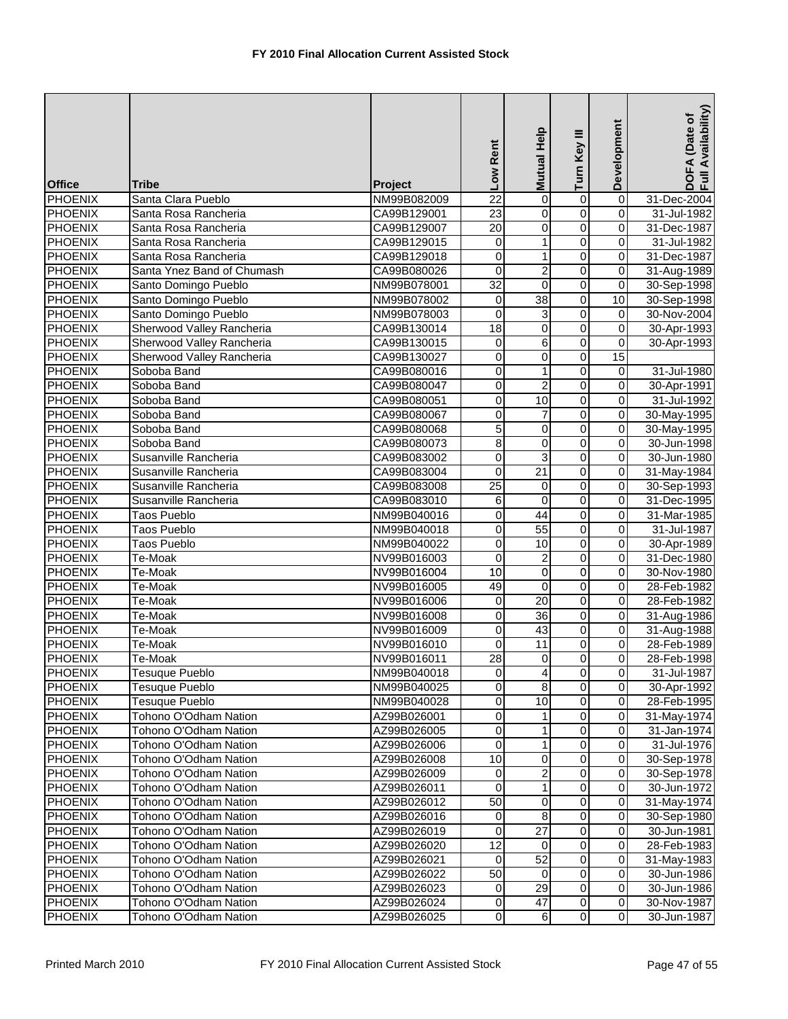| <b>Office</b>  | <b>Tribe</b>               | Project     | Low Rent        | Mutual Help             | Turn Key III            | Development             | DOFA (Date of<br>Full Availability) |
|----------------|----------------------------|-------------|-----------------|-------------------------|-------------------------|-------------------------|-------------------------------------|
| PHOENIX        | Santa Clara Pueblo         | NM99B082009 | $\overline{22}$ | 0                       | 0                       | $\overline{\mathbf{0}}$ | 31-Dec-2004                         |
| <b>PHOENIX</b> | Santa Rosa Rancheria       | CA99B129001 | $\overline{23}$ | $\pmb{0}$               | $\overline{0}$          | 0                       | 31-Jul-1982                         |
| <b>PHOENIX</b> | Santa Rosa Rancheria       | CA99B129007 | $\overline{20}$ | $\pmb{0}$               | $\overline{0}$          | 0                       | 31-Dec-1987                         |
| <b>PHOENIX</b> | Santa Rosa Rancheria       | CA99B129015 | 0               | $\mathbf{1}$            | $\overline{0}$          | 0                       | 31-Jul-1982                         |
| <b>PHOENIX</b> | Santa Rosa Rancheria       | CA99B129018 | 0               | 1                       | $\overline{0}$          | 0                       | 31-Dec-1987                         |
| PHOENIX        | Santa Ynez Band of Chumash | CA99B080026 | $\overline{0}$  | $\overline{c}$          | $\overline{0}$          | 0                       | 31-Aug-1989                         |
| <b>PHOENIX</b> | Santo Domingo Pueblo       | NM99B078001 | $\overline{32}$ | $\mathbf 0$             | $\overline{0}$          | 0                       | 30-Sep-1998                         |
| <b>PHOENIX</b> | Santo Domingo Pueblo       | NM99B078002 | $\pmb{0}$       | 38                      | $\overline{0}$          | 10                      | 30-Sep-1998                         |
| <b>PHOENIX</b> | Santo Domingo Pueblo       | NM99B078003 | 0               | 3                       | $\overline{0}$          | 0                       | 30-Nov-2004                         |
| <b>PHOENIX</b> | Sherwood Valley Rancheria  | CA99B130014 | $\overline{18}$ | $\pmb{0}$               | $\overline{0}$          | 0                       | 30-Apr-1993                         |
| <b>PHOENIX</b> | Sherwood Valley Rancheria  | CA99B130015 | 0               | $\overline{6}$          | $\overline{0}$          | 0                       | 30-Apr-1993                         |
| PHOENIX        | Sherwood Valley Rancheria  | CA99B130027 | 0               | 0                       | $\overline{0}$          | $\overline{15}$         |                                     |
| <b>PHOENIX</b> | Soboba Band                | CA99B080016 | 0               | 1                       | $\overline{0}$          | 0                       | 31-Jul-1980                         |
| PHOENIX        | Soboba Band                | CA99B080047 | 0               | $\overline{c}$          | $\overline{0}$          | 0                       | 30-Apr-1991                         |
| PHOENIX        | Soboba Band                | CA99B080051 | 0               | 10                      | $\overline{0}$          | $\overline{\mathbf{0}}$ | 31-Jul-1992                         |
| <b>PHOENIX</b> | Soboba Band                | CA99B080067 | 0               | $\overline{7}$          | $\overline{0}$          | $\mathsf 0$             | 30-May-1995                         |
| PHOENIX        | Soboba Band                | CA99B080068 | 5               | 0                       | $\overline{0}$          | 0                       | 30-May-1995                         |
| <b>PHOENIX</b> | Soboba Band                | CA99B080073 | $\overline{8}$  | $\overline{0}$          | $\overline{0}$          | 0                       | 30-Jun-1998                         |
| <b>PHOENIX</b> | Susanville Rancheria       | CA99B083002 | 0               | 3                       | 0                       | 0                       | 30-Jun-1980                         |
| <b>PHOENIX</b> | Susanville Rancheria       | CA99B083004 | 0               | 21                      | $\mathsf 0$             | 0                       | 31-May-1984                         |
| PHOENIX        | Susanville Rancheria       | CA99B083008 | $\overline{25}$ | 0                       | $\overline{0}$          | 0                       | 30-Sep-1993                         |
| PHOENIX        | Susanville Rancheria       | CA99B083010 | 6               | $\mathbf 0$             | $\overline{0}$          | 0                       | 31-Dec-1995                         |
| <b>PHOENIX</b> | <b>Taos Pueblo</b>         | NM99B040016 | 0               | $\overline{44}$         | $\overline{0}$          | 0                       | 31-Mar-1985                         |
| <b>PHOENIX</b> | <b>Taos Pueblo</b>         | NM99B040018 | 0               | 55                      | $\overline{0}$          | 0                       | 31-Jul-1987                         |
| <b>PHOENIX</b> | Taos Pueblo                | NM99B040022 | $\overline{0}$  | 10                      | $\overline{0}$          | 0                       | 30-Apr-1989                         |
| <b>PHOENIX</b> | Te-Moak                    | NV99B016003 | 0               | $\overline{c}$          | $\overline{0}$          | 0                       | 31-Dec-1980                         |
| <b>PHOENIX</b> | Te-Moak                    | NV99B016004 | 10              | 0                       | $\overline{0}$          | 0                       | 30-Nov-1980                         |
| <b>PHOENIX</b> | Te-Moak                    | NV99B016005 | 49              | 0                       | 0                       | 0                       | 28-Feb-1982                         |
| <b>PHOENIX</b> | Te-Moak                    | NV99B016006 | 0               | 20                      | $\overline{0}$          | $\overline{\mathsf{o}}$ | 28-Feb-1982                         |
| <b>PHOENIX</b> | Te-Moak                    | NV99B016008 | 0               | $\overline{36}$         | $\overline{0}$          | 0                       | 31-Aug-1986                         |
| <b>PHOENIX</b> | Te-Moak                    | NV99B016009 | 0               | 43                      | $\overline{0}$          | 0                       | 31-Aug-1988                         |
| <b>PHOENIX</b> | Te-Moak                    | NV99B016010 | 0               | 11                      | $\overline{0}$          | 0                       | 28-Feb-1989                         |
| <b>PHOENIX</b> | Te-Moak                    | NV99B016011 | 28              | 0                       | $\overline{0}$          | 0                       | 28-Feb-1998                         |
| <b>PHOENIX</b> | <b>Tesuque Pueblo</b>      | NM99B040018 | $\overline{O}$  | $\vert$                 | $\overline{0}$          | 0                       | 31-Jul-1987                         |
| <b>PHOENIX</b> | <b>Tesuque Pueblo</b>      | NM99B040025 | $\overline{0}$  | 8                       | $\overline{0}$          | $\overline{\mathbf{0}}$ | 30-Apr-1992                         |
| <b>PHOENIX</b> | <b>Tesuque Pueblo</b>      | NM99B040028 | 0               | 10                      | $\overline{0}$          | $\overline{\mathbf{0}}$ | 28-Feb-1995                         |
| PHOENIX        | Tohono O'Odham Nation      | AZ99B026001 | 0               | $\mathbf{1}$            | $\overline{0}$          | $\mathbf 0$             | 31-May-1974                         |
| <b>PHOENIX</b> | Tohono O'Odham Nation      | AZ99B026005 | 0               | 1                       | $\overline{0}$          | 0                       | 31-Jan-1974                         |
| <b>PHOENIX</b> | Tohono O'Odham Nation      | AZ99B026006 | 0               | $\mathbf{1}$            | $\overline{0}$          | 0                       | 31-Jul-1976                         |
| <b>PHOENIX</b> | Tohono O'Odham Nation      | AZ99B026008 | 10              | $\overline{\mathsf{o}}$ | 0                       | $\mathbf 0$             | 30-Sep-1978                         |
| <b>PHOENIX</b> | Tohono O'Odham Nation      | AZ99B026009 | $\mathbf 0$     | $\boldsymbol{2}$        | $\mathsf 0$             | $\pmb{0}$               | 30-Sep-1978                         |
| <b>PHOENIX</b> | Tohono O'Odham Nation      | AZ99B026011 | 0               | 1                       | 0                       | $\mathsf{O}\xspace$     | 30-Jun-1972                         |
| <b>PHOENIX</b> | Tohono O'Odham Nation      | AZ99B026012 | 50              | $\mathbf 0$             | $\overline{\mathsf{o}}$ | $\overline{\mathbf{0}}$ | 31-May-1974                         |
| <b>PHOENIX</b> | Tohono O'Odham Nation      | AZ99B026016 | $\mathbf 0$     | $\infty$                | $\overline{\mathsf{o}}$ | $\pmb{0}$               | 30-Sep-1980                         |
| <b>PHOENIX</b> | Tohono O'Odham Nation      | AZ99B026019 | 0               | $\overline{27}$         | $\mathsf 0$             | $\mathbf 0$             | 30-Jun-1981                         |
| <b>PHOENIX</b> | Tohono O'Odham Nation      | AZ99B026020 | $\overline{12}$ | 0                       | $\overline{0}$          | $\overline{0}$          | 28-Feb-1983                         |
| <b>PHOENIX</b> | Tohono O'Odham Nation      | AZ99B026021 | $\mathbf 0$     | 52                      | $\overline{0}$          | $\mathbf 0$             | 31-May-1983                         |
| <b>PHOENIX</b> | Tohono O'Odham Nation      | AZ99B026022 | 50              | 0                       | 0                       | $\mathbf 0$             | 30-Jun-1986                         |
| <b>PHOENIX</b> | Tohono O'Odham Nation      | AZ99B026023 | $\mathbf 0$     | $\overline{29}$         | 0                       | $\mathbf 0$             | 30-Jun-1986                         |
| <b>PHOENIX</b> | Tohono O'Odham Nation      | AZ99B026024 | $\pmb{0}$       | 47                      | $\overline{\mathbf{o}}$ | $\mathsf{O}\xspace$     | 30-Nov-1987                         |
| <b>PHOENIX</b> | Tohono O'Odham Nation      | AZ99B026025 | $\overline{0}$  | $6 \mid$                | $\overline{0}$          | $\overline{\mathbf{o}}$ | 30-Jun-1987                         |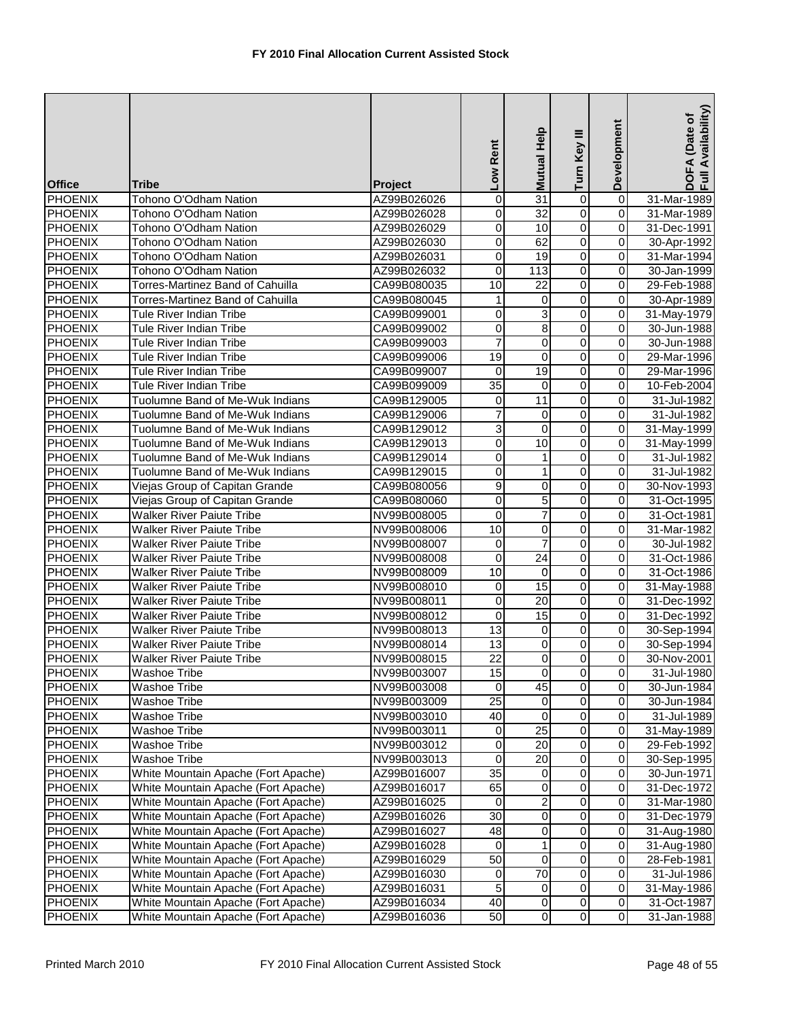| <b>Office</b>  | Tribe                               | Project     | Low Rent         | Mutual Help             | Turn Key III            | Development             | Availability)<br>DOFA (Date of<br>Full Availability |
|----------------|-------------------------------------|-------------|------------------|-------------------------|-------------------------|-------------------------|-----------------------------------------------------|
| <b>PHOENIX</b> | Tohono O'Odham Nation               | AZ99B026026 | 0                | 31                      | 0                       | $\overline{0}$          | 31-Mar-1989                                         |
| <b>PHOENIX</b> | Tohono O'Odham Nation               | AZ99B026028 | 0                | 32                      | $\overline{0}$          | $\overline{0}$          | 31-Mar-1989                                         |
| <b>PHOENIX</b> | Tohono O'Odham Nation               | AZ99B026029 | 0                | 10                      | $\overline{0}$          | $\mathbf 0$             | 31-Dec-1991                                         |
| <b>PHOENIX</b> | Tohono O'Odham Nation               | AZ99B026030 | $\mathbf 0$      | 62                      | 0                       | $\pmb{0}$               | 30-Apr-1992                                         |
| <b>PHOENIX</b> | Tohono O'Odham Nation               | AZ99B026031 | 0                | 19                      | 0                       | $\mathbf 0$             | 31-Mar-1994                                         |
| PHOENIX        | Tohono O'Odham Nation               | AZ99B026032 | 0                | 113                     | $\overline{0}$          | $\mathbf 0$             | 30-Jan-1999                                         |
| <b>PHOENIX</b> | Torres-Martinez Band of Cahuilla    | CA99B080035 | 10               | $\overline{22}$         | $\overline{0}$          | $\overline{0}$          | 29-Feb-1988                                         |
| <b>PHOENIX</b> | Torres-Martinez Band of Cahuilla    | CA99B080045 | 1                | $\mathbf 0$             | $\overline{0}$          | $\overline{\mathbf{0}}$ | 30-Apr-1989                                         |
| <b>PHOENIX</b> | <b>Tule River Indian Tribe</b>      | CA99B099001 | $\boldsymbol{0}$ | 3                       | $\overline{0}$          | $\overline{0}$          | 31-May-1979                                         |
| <b>PHOENIX</b> | <b>Tule River Indian Tribe</b>      | CA99B099002 | 0                | 8                       | 0                       | $\mathbf 0$             | 30-Jun-1988                                         |
| <b>PHOENIX</b> | <b>Tule River Indian Tribe</b>      | CA99B099003 | $\overline{7}$   | $\overline{0}$          | $\overline{0}$          | $\overline{0}$          | 30-Jun-1988                                         |
| <b>PHOENIX</b> | <b>Tule River Indian Tribe</b>      | CA99B099006 | 19               | 0                       | 0                       | $\pmb{0}$               | 29-Mar-1996                                         |
| <b>PHOENIX</b> | <b>Tule River Indian Tribe</b>      | CA99B099007 | 0                | $\overline{19}$         | 0                       | $\pmb{0}$               | 29-Mar-1996                                         |
| PHOENIX        | <b>Tule River Indian Tribe</b>      | CA99B099009 | $\overline{35}$  | 0                       | 0                       | $\boldsymbol{0}$        | 10-Feb-2004                                         |
| <b>PHOENIX</b> | Tuolumne Band of Me-Wuk Indians     | CA99B129005 | $\mathbf 0$      | 11                      | $\overline{0}$          | $\overline{\mathbf{0}}$ | 31-Jul-1982                                         |
| PHOENIX        | Tuolumne Band of Me-Wuk Indians     | CA99B129006 | $\overline{7}$   | $\mathbf 0$             | $\mathsf 0$             | $\overline{0}$          | 31-Jul-1982                                         |
| <b>PHOENIX</b> | Tuolumne Band of Me-Wuk Indians     | CA99B129012 | 3                | $\mathbf 0$             | $\overline{0}$          | $\mathbf 0$             | 31-May-1999                                         |
| <b>PHOENIX</b> | Tuolumne Band of Me-Wuk Indians     | CA99B129013 | $\overline{0}$   | 10                      | $\overline{0}$          | $\mathbf 0$             | 31-May-1999                                         |
| <b>PHOENIX</b> | Tuolumne Band of Me-Wuk Indians     | CA99B129014 | $\overline{0}$   | 1                       | 0                       | $\mathbf 0$             | 31-Jul-1982                                         |
| <b>PHOENIX</b> | Tuolumne Band of Me-Wuk Indians     | CA99B129015 | 0                | 1                       | 0                       | $\mathbf 0$             | 31-Jul-1982                                         |
| <b>PHOENIX</b> | Viejas Group of Capitan Grande      | CA99B080056 | $\overline{9}$   | $\mathbf 0$             | $\overline{0}$          | $\mathbf 0$             | 30-Nov-1993                                         |
| <b>PHOENIX</b> | Viejas Group of Capitan Grande      | CA99B080060 | $\overline{0}$   | $\overline{5}$          | $\overline{0}$          | $\overline{0}$          | 31-Oct-1995                                         |
| <b>PHOENIX</b> | <b>Walker River Paiute Tribe</b>    | NV99B008005 | 0                | $\overline{7}$          | $\overline{0}$          | $\overline{0}$          | 31-Oct-1981                                         |
| <b>PHOENIX</b> | <b>Walker River Paiute Tribe</b>    | NV99B008006 | 10               | 0                       | $\overline{0}$          | $\boldsymbol{0}$        | 31-Mar-1982                                         |
| <b>PHOENIX</b> | <b>Walker River Paiute Tribe</b>    | NV99B008007 | $\mathbf 0$      | 7                       | $\overline{0}$          | $\overline{0}$          | 30-Jul-1982                                         |
| <b>PHOENIX</b> | <b>Walker River Paiute Tribe</b>    | NV99B008008 | $\boldsymbol{0}$ | $\overline{24}$         | 0                       | $\overline{0}$          | 31-Oct-1986                                         |
| <b>PHOENIX</b> | <b>Walker River Paiute Tribe</b>    | NV99B008009 | 10               | 0                       | $\overline{0}$          | $\overline{0}$          | 31-Oct-1986                                         |
| <b>PHOENIX</b> | <b>Walker River Paiute Tribe</b>    | NV99B008010 | 0                | $\overline{15}$         | 0                       | $\mathbf 0$             | 31-May-1988                                         |
| PHOENIX        | <b>Walker River Paiute Tribe</b>    | NV99B008011 | $\boldsymbol{0}$ | 20                      | $\overline{\mathsf{o}}$ | $\pmb{0}$               | 31-Dec-1992                                         |
| <b>PHOENIX</b> | <b>Walker River Paiute Tribe</b>    | NV99B008012 | 0                | $\overline{15}$         | 0                       | $\overline{0}$          | 31-Dec-1992                                         |
| <b>PHOENIX</b> | <b>Walker River Paiute Tribe</b>    | NV99B008013 | $\overline{13}$  | $\mathbf 0$             | $\overline{0}$          | $\mathbf 0$             | 30-Sep-1994                                         |
| <b>PHOENIX</b> | <b>Walker River Paiute Tribe</b>    | NV99B008014 | 13               | 0                       | 0                       | $\mathbf 0$             | 30-Sep-1994                                         |
| PHOENIX        | <b>Walker River Paiute Tribe</b>    | NV99B008015 | 22               | $\overline{0}$          | 0                       | $\mathbf 0$             | 30-Nov-2001                                         |
| <b>PHOENIX</b> | Washoe Tribe                        | NV99B003007 | 15               | $\overline{0}$          | $\pmb{0}$               | $\mathbf{0}$            | 31-Jul-1980                                         |
| <b>PHOENIX</b> | Washoe Tribe                        | NV99B003008 | 0                | 45                      | $\overline{\mathbf{0}}$ | $\overline{0}$          | 30-Jun-1984                                         |
| PHOENIX        | Washoe Tribe                        | NV99B003009 | $\overline{25}$  | $\mathbf 0$             | $\overline{\mathsf{o}}$ | $\overline{0}$          | 30-Jun-1984                                         |
| PHOENIX        | Washoe Tribe                        | NV99B003010 | 40               | 0                       | 0                       | $\pmb{0}$               | 31-Jul-1989                                         |
| <b>PHOENIX</b> | Washoe Tribe                        | NV99B003011 | 0                | $\overline{25}$         | 0                       | $\pmb{0}$               | 31-May-1989                                         |
| <b>PHOENIX</b> | <b>Washoe Tribe</b>                 | NV99B003012 | 0                | 20                      | $\overline{0}$          | $\mathbf 0$             | 29-Feb-1992                                         |
| <b>PHOENIX</b> | <b>Washoe Tribe</b>                 | NV99B003013 | 0                | 20                      | $\overline{\mathsf{o}}$ | $\pmb{0}$               | 30-Sep-1995                                         |
| <b>PHOENIX</b> | White Mountain Apache (Fort Apache) | AZ99B016007 | 35               | $\mathbf 0$             | 0                       | $\mathbf 0$             | 30-Jun-1971                                         |
| <b>PHOENIX</b> | White Mountain Apache (Fort Apache) | AZ99B016017 | 65               | 0                       | 0                       | 0                       | 31-Dec-1972                                         |
| <b>PHOENIX</b> | White Mountain Apache (Fort Apache) | AZ99B016025 | 0                | $\overline{2}$          | $\overline{\mathsf{o}}$ | $\overline{\mathbf{0}}$ | 31-Mar-1980                                         |
| <b>PHOENIX</b> | White Mountain Apache (Fort Apache) | AZ99B016026 | 30               | $\overline{0}$          | $\mathsf{O}\xspace$     | $\pmb{0}$               | 31-Dec-1979                                         |
| <b>PHOENIX</b> | White Mountain Apache (Fort Apache) | AZ99B016027 | 48               | 0                       | $\pmb{0}$               | $\mathsf 0$             | 31-Aug-1980                                         |
| <b>PHOENIX</b> | White Mountain Apache (Fort Apache) | AZ99B016028 | $\mathbf 0$      | $\mathbf{1}$            | $\overline{0}$          | $\overline{0}$          | 31-Aug-1980                                         |
| <b>PHOENIX</b> | White Mountain Apache (Fort Apache) | AZ99B016029 | 50               | $\overline{\mathsf{o}}$ | $\overline{\mathsf{o}}$ | $\mathbf 0$             | 28-Feb-1981                                         |
| <b>PHOENIX</b> | White Mountain Apache (Fort Apache) | AZ99B016030 | 0                | 70                      | 0                       | $\mathbf 0$             | 31-Jul-1986                                         |
| <b>PHOENIX</b> | White Mountain Apache (Fort Apache) | AZ99B016031 | 5                | $\mathbf 0$             | 0                       | $\pmb{0}$               | 31-May-1986                                         |
| <b>PHOENIX</b> | White Mountain Apache (Fort Apache) | AZ99B016034 | $\overline{40}$  | $\overline{0}$          | $\overline{\mathsf{o}}$ | $\overline{\mathsf{o}}$ | 31-Oct-1987                                         |
| <b>PHOENIX</b> | White Mountain Apache (Fort Apache) | AZ99B016036 | 50               | $\overline{0}$          | $\overline{0}$          | $\overline{\mathbf{0}}$ | 31-Jan-1988                                         |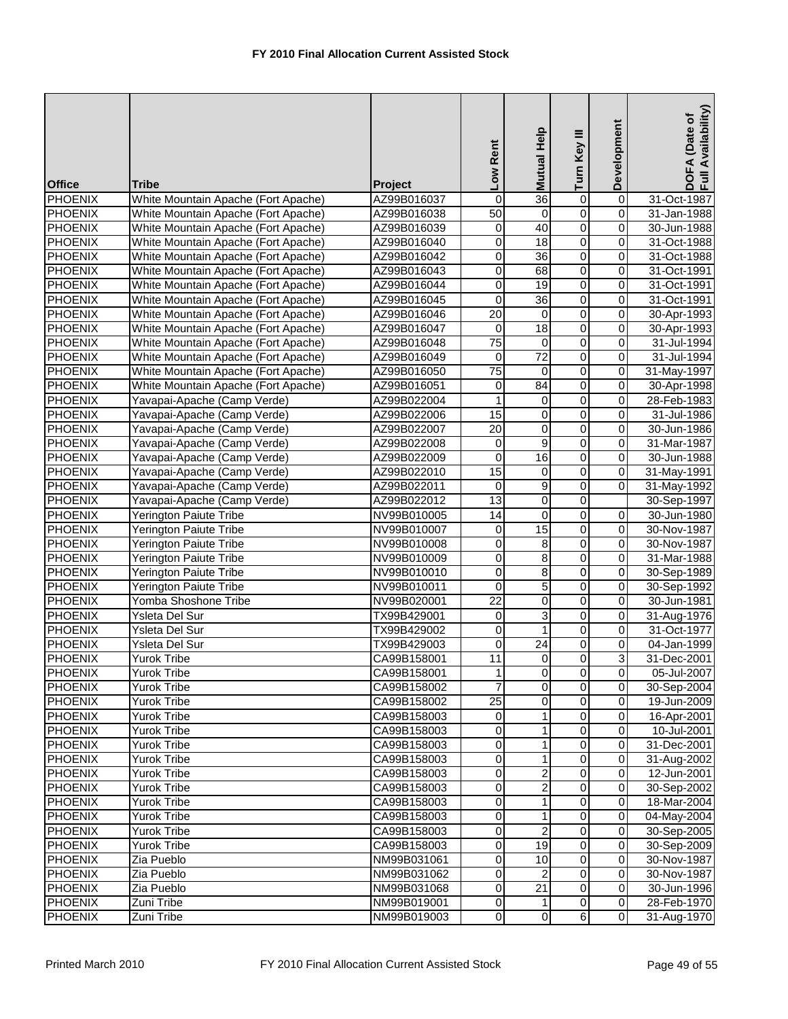|                                  |                                                |                            | Low Rent             | Mutual Help         | Turn Key III                     | Development                  | DOFA (Date of<br>Full Availability) |
|----------------------------------|------------------------------------------------|----------------------------|----------------------|---------------------|----------------------------------|------------------------------|-------------------------------------|
| <b>Office</b>                    | <b>Tribe</b>                                   | <b>Project</b>             |                      |                     |                                  |                              |                                     |
| PHOENIX                          | White Mountain Apache (Fort Apache)            | AZ99B016037                | 0                    | 36                  | $\overline{0}$                   | $\overline{0}$               | 31-Oct-1987                         |
| PHOENIX                          | White Mountain Apache (Fort Apache)            | AZ99B016038                | $\overline{50}$      | $\mathbf 0$         | $\overline{0}$                   | $\overline{0}$               | 31-Jan-1988                         |
| <b>PHOENIX</b>                   | White Mountain Apache (Fort Apache)            | AZ99B016039                | 0                    | 40                  | $\overline{0}$                   | 0                            | 30-Jun-1988                         |
| <b>PHOENIX</b>                   | White Mountain Apache (Fort Apache)            | AZ99B016040                | $\overline{0}$       | $\overline{18}$     | $\overline{0}$                   | 0                            | 31-Oct-1988                         |
| PHOENIX                          | White Mountain Apache (Fort Apache)            | AZ99B016042                | 0                    | 36                  | $\overline{0}$                   | 0                            | 31-Oct-1988                         |
| <b>PHOENIX</b>                   | White Mountain Apache (Fort Apache)            | AZ99B016043                | 0                    | 68                  | $\overline{0}$                   | 0                            | 31-Oct-1991                         |
| <b>PHOENIX</b>                   | White Mountain Apache (Fort Apache)            | AZ99B016044                | 0                    | $\overline{19}$     | $\overline{0}$                   | 0                            | 31-Oct-1991                         |
| <b>PHOENIX</b>                   | White Mountain Apache (Fort Apache)            | AZ99B016045                | 0                    | 36                  | $\overline{0}$                   | $\overline{\mathbf{0}}$      | 31-Oct-1991                         |
| <b>PHOENIX</b>                   | White Mountain Apache (Fort Apache)            | AZ99B016046                | $\overline{20}$      | $\boldsymbol{0}$    | $\overline{0}$                   | 0                            | 30-Apr-1993                         |
| PHOENIX                          | White Mountain Apache (Fort Apache)            | AZ99B016047                | 0                    | $\overline{18}$     | $\overline{0}$                   | 0                            | 30-Apr-1993                         |
| <b>PHOENIX</b>                   | White Mountain Apache (Fort Apache)            | AZ99B016048                | $\overline{75}$      | 0                   | $\overline{0}$                   | 0                            | 31-Jul-1994                         |
| <b>PHOENIX</b>                   | White Mountain Apache (Fort Apache)            | AZ99B016049                | 0                    | $\overline{72}$     | $\overline{0}$                   | 0                            | 31-Jul-1994                         |
| <b>PHOENIX</b>                   | White Mountain Apache (Fort Apache)            | AZ99B016050                | $\overline{75}$      | 0                   | $\overline{0}$                   | 0                            | 31-May-1997                         |
| <b>PHOENIX</b>                   | White Mountain Apache (Fort Apache)            | AZ99B016051                | $\mathbf 0$          | 84                  | $\overline{0}$                   | $\mathbf 0$                  | 30-Apr-1998                         |
| <b>PHOENIX</b>                   | Yavapai-Apache (Camp Verde)                    | AZ99B022004                | $\mathbf{1}$         | 0                   | $\overline{0}$                   | $\overline{0}$               | 28-Feb-1983                         |
| <b>PHOENIX</b>                   | Yavapai-Apache (Camp Verde)                    | AZ99B022006                | 15                   | 0                   | $\mathsf 0$                      | 0                            | 31-Jul-1986                         |
| PHOENIX                          | Yavapai-Apache (Camp Verde)                    | AZ99B022007                | 20                   | $\pmb{0}$           | $\overline{0}$                   | 0                            | 30-Jun-1986                         |
| <b>PHOENIX</b>                   | Yavapai-Apache (Camp Verde)                    | AZ99B022008                | 0                    | 9                   | $\overline{0}$                   | 0                            | 31-Mar-1987                         |
| <b>PHOENIX</b>                   | Yavapai-Apache (Camp Verde)                    | AZ99B022009                | 0                    | $\overline{16}$     | $\overline{0}$                   | $\overline{0}$               | 30-Jun-1988                         |
| PHOENIX                          | Yavapai-Apache (Camp Verde)                    | AZ99B022010                | $\overline{15}$      | 0                   | $\overline{0}$                   | 0                            | 31-May-1991                         |
| <b>PHOENIX</b>                   | Yavapai-Apache (Camp Verde)                    | AZ99B022011                | 0                    | 9                   | 0                                | 0                            | 31-May-1992                         |
| <b>PHOENIX</b>                   | Yavapai-Apache (Camp Verde)                    | AZ99B022012                | 13                   | $\overline{0}$      | $\overline{0}$                   |                              | 30-Sep-1997                         |
| <b>PHOENIX</b>                   | <b>Yerington Paiute Tribe</b>                  | NV99B010005                | 14                   | 0                   | $\overline{0}$                   | $\mathbf 0$                  | 30-Jun-1980                         |
| <b>PHOENIX</b>                   | <b>Yerington Paiute Tribe</b>                  | NV99B010007                | 0                    | 15                  | $\overline{0}$                   | 0                            | 30-Nov-1987                         |
| <b>PHOENIX</b>                   | Yerington Paiute Tribe                         | NV99B010008                | $\overline{0}$       | 8                   | $\overline{0}$                   | 0                            | 30-Nov-1987                         |
| PHOENIX                          | Yerington Paiute Tribe                         | NV99B010009                | 0                    | 8                   | $\overline{0}$                   | 0                            | 31-Mar-1988                         |
| <b>PHOENIX</b>                   | <b>Yerington Paiute Tribe</b>                  | NV99B010010                | 0                    | 8                   | $\overline{0}$                   | 0                            | 30-Sep-1989                         |
| <b>PHOENIX</b><br><b>PHOENIX</b> | Yerington Paiute Tribe<br>Yomba Shoshone Tribe | NV99B010011                | 0<br>$\overline{22}$ | 5<br>$\overline{0}$ | $\overline{0}$<br>$\overline{0}$ | 0<br>$\overline{\mathbf{0}}$ | 30-Sep-1992                         |
| <b>PHOENIX</b>                   | Ysleta Del Sur                                 | NV99B020001<br>TX99B429001 | $\overline{0}$       | 3                   | $\overline{0}$                   | $\overline{\mathbf{0}}$      | 30-Jun-1981<br>31-Aug-1976          |
| <b>PHOENIX</b>                   | Ysleta Del Sur                                 | TX99B429002                | 0                    | $\mathbf{1}$        | $\overline{0}$                   | 0                            | 31-Oct-1977                         |
| <b>PHOENIX</b>                   | Ysleta Del Sur                                 | TX99B429003                | 0                    | 24                  | 0                                | 0                            | 04-Jan-1999                         |
| <b>PHOENIX</b>                   | <b>Yurok Tribe</b>                             | CA99B158001                | 11                   | $\mathbf 0$         | $\overline{0}$                   | 3                            | 31-Dec-2001                         |
| <b>PHOENIX</b>                   | Yurok Tribe                                    | CA99B158001                | 11                   | $\overline{0}$      | $\overline{0}$                   | 0                            | 05-Jul-2007                         |
| <b>PHOENIX</b>                   | Yurok Tribe                                    | CA99B158002                | 7                    | $\Omega$            | $\overline{0}$                   | 0                            | 30-Sep-2004                         |
| <b>PHOENIX</b>                   | <b>Yurok Tribe</b>                             | CA99B158002                | $\overline{25}$      | 0                   | 0                                | $\mathbf 0$                  | 19-Jun-2009                         |
| <b>PHOENIX</b>                   | <b>Yurok Tribe</b>                             | CA99B158003                | 0                    | 1                   | $\overline{\mathsf{o}}$          | $\mathbf 0$                  | 16-Apr-2001                         |
| <b>PHOENIX</b>                   | <b>Yurok Tribe</b>                             | CA99B158003                | 0                    | $\mathbf{1}$        | 0                                | 0                            | 10-Jul-2001                         |
| <b>PHOENIX</b>                   | <b>Yurok Tribe</b>                             | CA99B158003                | 0                    | 1                   | 0                                | 0                            | 31-Dec-2001                         |
| <b>PHOENIX</b>                   | <b>Yurok Tribe</b>                             | CA99B158003                | 0                    | $\mathbf{1}$        | $\overline{0}$                   | 0                            | 31-Aug-2002                         |
| <b>PHOENIX</b>                   | <b>Yurok Tribe</b>                             | CA99B158003                | 0                    | $\boldsymbol{2}$    | 0                                | $\mathbf 0$                  | 12-Jun-2001                         |
| <b>PHOENIX</b>                   | <b>Yurok Tribe</b>                             | CA99B158003                | 0                    | 2                   | 0                                | $\mathbf 0$                  | 30-Sep-2002                         |
| <b>PHOENIX</b>                   | <b>Yurok Tribe</b>                             | CA99B158003                | 0                    | 1                   | 0                                | $\mathbf 0$                  | 18-Mar-2004                         |
| PHOENIX                          | Yurok Tribe                                    | CA99B158003                | 0                    |                     | $\overline{\mathsf{o}}$          | $\overline{0}$               | 04-May-2004                         |
| <b>PHOENIX</b>                   | <b>Yurok Tribe</b>                             | CA99B158003                | 0                    | $\overline{c}$      | 0                                | $\pmb{0}$                    | 30-Sep-2005                         |
| <b>PHOENIX</b>                   | <b>Yurok Tribe</b>                             | CA99B158003                | 0                    | 19                  | $\overline{0}$                   | $\mathbf 0$                  | 30-Sep-2009                         |
| <b>PHOENIX</b>                   | Zia Pueblo                                     | NM99B031061                | 0                    | $10$                | $\overline{0}$                   | $\mathbf 0$                  | 30-Nov-1987                         |
| <b>PHOENIX</b>                   | Zia Pueblo                                     | NM99B031062                | 0                    | 2                   | $\overline{\mathsf{o}}$          | $\mathbf 0$                  | 30-Nov-1987                         |
| <b>PHOENIX</b>                   | Zia Pueblo                                     | NM99B031068                | 0                    | $\overline{21}$     | 0                                | $\mathbf 0$                  | 30-Jun-1996                         |
| <b>PHOENIX</b>                   | Zuni Tribe                                     | NM99B019001                | $\pmb{0}$            | 1                   | $\overline{\mathbf{o}}$          | $\pmb{0}$                    | 28-Feb-1970                         |
| <b>PHOENIX</b>                   | Zuni Tribe                                     | NM99B019003                | $\overline{0}$       | $\overline{0}$      | 6                                | $\overline{\mathsf{o}}$      | 31-Aug-1970                         |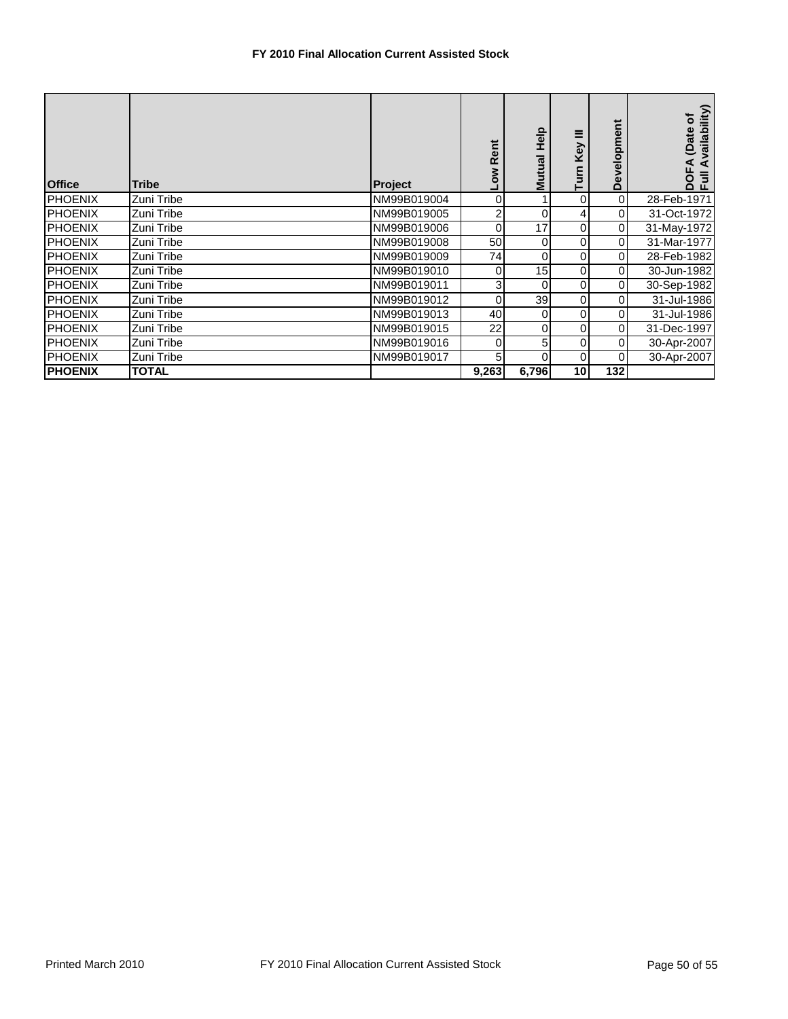| <b>Office</b>  | <b>Tribe</b> | <b>Project</b> | Low Rent | <b>Help</b><br>Mutual | ≡<br>Key<br>E | Development    | vailability)<br>đ<br>(Date<br>$\blacktriangleleft$<br>$\overline{5}$<br>흥륜 |
|----------------|--------------|----------------|----------|-----------------------|---------------|----------------|----------------------------------------------------------------------------|
| <b>PHOENIX</b> | Zuni Tribe   | NM99B019004    | $\Omega$ |                       | 0             | $\overline{O}$ | 28-Feb-1971                                                                |
| <b>PHOENIX</b> | Zuni Tribe   | NM99B019005    | 2        | $\Omega$              | 4             | $\overline{0}$ | 31-Oct-1972                                                                |
| <b>PHOENIX</b> | Zuni Tribe   | NM99B019006    | $\Omega$ | 17                    | 0             | $\overline{O}$ | 31-May-1972                                                                |
| <b>PHOENIX</b> | Zuni Tribe   | NM99B019008    | 50       | 0                     | 0             | $\overline{0}$ | 31-Mar-1977                                                                |
| <b>PHOENIX</b> | Zuni Tribe   | NM99B019009    | 74       | 0                     | 0             | $\overline{0}$ | 28-Feb-1982                                                                |
| <b>PHOENIX</b> | Zuni Tribe   | NM99B019010    | 0        | 15                    | 0             | $\overline{0}$ | 30-Jun-1982                                                                |
| <b>PHOENIX</b> | Zuni Tribe   | NM99B019011    | 3        | 0                     | 0             | $\overline{0}$ | 30-Sep-1982                                                                |
| <b>PHOENIX</b> | Zuni Tribe   | NM99B019012    | $\Omega$ | 39                    | 0             | $\overline{0}$ | 31-Jul-1986                                                                |
| <b>PHOENIX</b> | Zuni Tribe   | NM99B019013    | 40       | 0                     | 0             | $\overline{0}$ | 31-Jul-1986                                                                |
| <b>PHOENIX</b> | Zuni Tribe   | NM99B019015    | 22       | 0                     | 0             | $\overline{0}$ | 31-Dec-1997                                                                |
| <b>PHOENIX</b> | Zuni Tribe   | NM99B019016    | $\Omega$ | 5                     | 0             | $\overline{0}$ | 30-Apr-2007                                                                |
| <b>PHOENIX</b> | Zuni Tribe   | NM99B019017    | 5        |                       | 0             | $\overline{0}$ | 30-Apr-2007                                                                |
| <b>PHOENIX</b> | <b>TOTAL</b> |                | 9,263    | 6,796                 | 10            | 132            |                                                                            |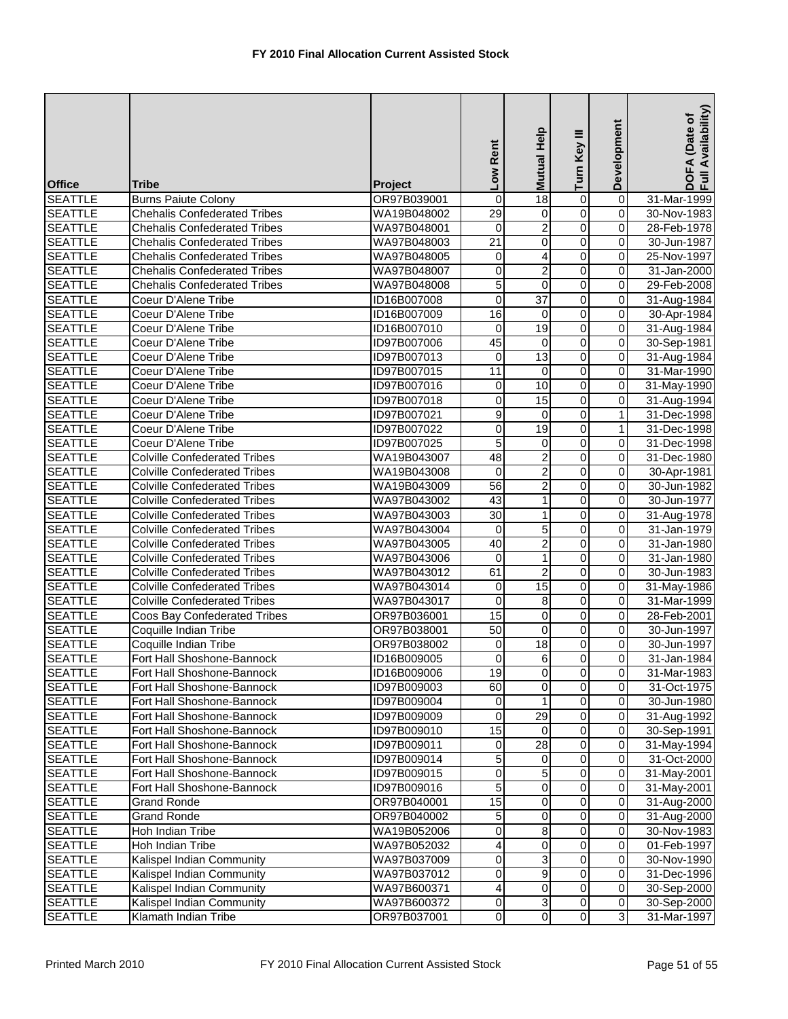| <b>Office</b>  | Tribe                               | Project     | Low Rent        | Mutual Help             | Turn Key III            | Development             | DOFA (Date of<br>Full Availability) |
|----------------|-------------------------------------|-------------|-----------------|-------------------------|-------------------------|-------------------------|-------------------------------------|
| <b>SEATTLE</b> | <b>Burns Paiute Colony</b>          | OR97B039001 | 0               | $\overline{18}$         | 0                       | $\overline{\mathbf{0}}$ | 31-Mar-1999                         |
| <b>SEATTLE</b> | <b>Chehalis Confederated Tribes</b> | WA19B048002 | $\overline{29}$ | 0                       | $\overline{0}$          | 0                       | 30-Nov-1983                         |
| <b>SEATTLE</b> | <b>Chehalis Confederated Tribes</b> | WA97B048001 | 0               | $\overline{2}$          | $\overline{0}$          | 0                       | 28-Feb-1978                         |
| <b>SEATTLE</b> | <b>Chehalis Confederated Tribes</b> | WA97B048003 | $\overline{21}$ | 0                       | $\overline{0}$          | 0                       | 30-Jun-1987                         |
| <b>SEATTLE</b> | <b>Chehalis Confederated Tribes</b> | WA97B048005 | 0               | $\overline{4}$          | 0                       | 0                       | 25-Nov-1997                         |
| <b>SEATTLE</b> | <b>Chehalis Confederated Tribes</b> | WA97B048007 | 0               | $\overline{c}$          | 0                       | 0                       | 31-Jan-2000                         |
| <b>SEATTLE</b> | <b>Chehalis Confederated Tribes</b> | WA97B048008 | 5               | $\overline{0}$          | $\overline{0}$          | 0                       | 29-Feb-2008                         |
| <b>SEATTLE</b> | Coeur D'Alene Tribe                 | ID16B007008 | $\overline{0}$  | $\overline{37}$         | $\overline{0}$          | $\overline{\mathbf{0}}$ | 31-Aug-1984                         |
| <b>SEATTLE</b> | Coeur D'Alene Tribe                 | ID16B007009 | 16              | $\pmb{0}$               | $\overline{0}$          | 0                       | 30-Apr-1984                         |
| <b>SEATTLE</b> | Coeur D'Alene Tribe                 | ID16B007010 | 0               | 19                      | $\overline{0}$          | 0                       | 31-Aug-1984                         |
| <b>SEATTLE</b> | Coeur D'Alene Tribe                 | ID97B007006 | 45              | $\pmb{0}$               | $\overline{0}$          | 0                       | 30-Sep-1981                         |
| <b>SEATTLE</b> | Coeur D'Alene Tribe                 | ID97B007013 | 0               | $\overline{13}$         | $\overline{0}$          | 0                       | 31-Aug-1984                         |
| <b>SEATTLE</b> | Coeur D'Alene Tribe                 | ID97B007015 | 11              | $\mathbf 0$             | $\overline{0}$          | 0                       | 31-Mar-1990                         |
| <b>SEATTLE</b> | Coeur D'Alene Tribe                 | ID97B007016 | $\mathbf 0$     | 10                      | $\overline{0}$          | 0                       | 31-May-1990                         |
| <b>SEATTLE</b> | Coeur D'Alene Tribe                 | ID97B007018 | 0               | 15                      | $\overline{0}$          | $\overline{\mathbf{0}}$ | 31-Aug-1994                         |
| <b>SEATTLE</b> | Coeur D'Alene Tribe                 | ID97B007021 | 9               | $\mathbf 0$             | $\overline{0}$          | $\mathbf{1}$            | 31-Dec-1998                         |
| <b>SEATTLE</b> | Coeur D'Alene Tribe                 | ID97B007022 | 0               | 19                      | 0                       | $\mathbf{1}$            | 31-Dec-1998                         |
| <b>SEATTLE</b> | Coeur D'Alene Tribe                 | ID97B007025 | 5               | 0                       | $\overline{0}$          | 0                       | 31-Dec-1998                         |
| <b>SEATTLE</b> | <b>Colville Confederated Tribes</b> | WA19B043007 | 48              | $\overline{\mathbf{c}}$ | 0                       | 0                       | 31-Dec-1980                         |
| <b>SEATTLE</b> | <b>Colville Confederated Tribes</b> | WA19B043008 | $\mathbf 0$     | $\overline{\mathbf{c}}$ | $\mathbf 0$             | $\mathbf 0$             | 30-Apr-1981                         |
| <b>SEATTLE</b> | <b>Colville Confederated Tribes</b> | WA19B043009 | $\overline{56}$ | $\overline{2}$          | $\overline{0}$          | 0                       | 30-Jun-1982                         |
| <b>SEATTLE</b> | <b>Colville Confederated Tribes</b> | WA97B043002 | 43              | $\mathbf{1}$            | $\overline{0}$          | $\overline{\mathsf{o}}$ | 30-Jun-1977                         |
| <b>SEATTLE</b> | <b>Colville Confederated Tribes</b> | WA97B043003 | $\overline{30}$ | 1                       | $\overline{0}$          | 0                       | 31-Aug-1978                         |
| <b>SEATTLE</b> | <b>Colville Confederated Tribes</b> | WA97B043004 | 0               | 5                       | $\overline{0}$          | 0                       | 31-Jan-1979                         |
| <b>SEATTLE</b> | <b>Colville Confederated Tribes</b> | WA97B043005 | 40              | $\overline{2}$          | $\overline{0}$          | 0                       | 31-Jan-1980                         |
| <b>SEATTLE</b> | <b>Colville Confederated Tribes</b> | WA97B043006 | 0               | $\mathbf{1}$            | $\overline{0}$          | $\mathbf 0$             | 31-Jan-1980                         |
| <b>SEATTLE</b> | <b>Colville Confederated Tribes</b> | WA97B043012 | 61              | $\overline{c}$          | $\overline{0}$          | $\mathbf 0$             | 30-Jun-1983                         |
| <b>SEATTLE</b> | <b>Colville Confederated Tribes</b> | WA97B043014 | $\mathbf 0$     | 15                      | 0                       | 0                       | 31-May-1986                         |
| <b>SEATTLE</b> | <b>Colville Confederated Tribes</b> | WA97B043017 | 0               | 8                       | $\overline{0}$          | $\overline{\mathbf{0}}$ | 31-Mar-1999                         |
| <b>SEATTLE</b> | Coos Bay Confederated Tribes        | OR97B036001 | 15              | 0                       | $\overline{0}$          | 0                       | 28-Feb-2001                         |
| <b>SEATTLE</b> | Coquille Indian Tribe               | OR97B038001 | $\overline{50}$ | $\mathbf 0$             | $\overline{0}$          | 0                       | 30-Jun-1997                         |
| <b>SEATTLE</b> | Coquille Indian Tribe               | OR97B038002 | 0               | 18                      | 0                       | 0                       | 30-Jun-1997                         |
| <b>SEATTLE</b> | Fort Hall Shoshone-Bannock          | ID16B009005 | 0               | 6                       | $\overline{0}$          | 0                       | 31-Jan-1984                         |
| <b>SEATTLE</b> | Fort Hall Shoshone-Bannock          | ID16B009006 | 19              | $\overline{0}$          | $\overline{0}$          | 0                       | 31-Mar-1983                         |
| <b>SEATTLE</b> | Fort Hall Shoshone-Bannock          | ID97B009003 | 60              | 0                       | $\overline{0}$          | $\mathbf 0$             | 31-Oct-1975                         |
| <b>SEATTLE</b> | Fort Hall Shoshone-Bannock          | ID97B009004 | 0               |                         | 0                       | $\pmb{0}$               | 30-Jun-1980                         |
| <b>SEATTLE</b> | Fort Hall Shoshone-Bannock          | ID97B009009 | 0               | $\overline{29}$         | 0                       | $\mathbf 0$             | 31-Aug-1992                         |
| <b>SEATTLE</b> | Fort Hall Shoshone-Bannock          | ID97B009010 | 15              | $\Omega$                | 0                       | 0                       | 30-Sep-1991                         |
| <b>SEATTLE</b> | Fort Hall Shoshone-Bannock          | ID97B009011 | 0               | 28                      | $\overline{0}$          | 0                       | 31-May-1994                         |
| <b>SEATTLE</b> | Fort Hall Shoshone-Bannock          | ID97B009014 | 5               | 0                       | 0                       | $\mathbf 0$             | 31-Oct-2000                         |
| <b>SEATTLE</b> | Fort Hall Shoshone-Bannock          | ID97B009015 | $\mathbf 0$     | 5                       | 0                       | $\mathbf 0$             | 31-May-2001                         |
| <b>SEATTLE</b> | Fort Hall Shoshone-Bannock          | ID97B009016 | 5               | 0                       | 0                       | $\mathbf 0$             | 31-May-2001                         |
| <b>SEATTLE</b> | <b>Grand Ronde</b>                  | OR97B040001 | 15              | 0                       | $\overline{\mathbf{o}}$ | $\mathbf 0$             | 31-Aug-2000                         |
| <b>SEATTLE</b> | <b>Grand Ronde</b>                  | OR97B040002 | 5               | $\pmb{0}$               | $\mathsf{O}\xspace$     | $\mathbf 0$             | 31-Aug-2000                         |
| <b>SEATTLE</b> | Hoh Indian Tribe                    | WA19B052006 | 0               | 8                       | 0                       | 0                       | 30-Nov-1983                         |
| <b>SEATTLE</b> | Hoh Indian Tribe                    | WA97B052032 | 4               | 0                       | $\overline{0}$          | 0                       | 01-Feb-1997                         |
| <b>SEATTLE</b> | Kalispel Indian Community           | WA97B037009 | 0               | 3                       | 0                       | $\mathbf 0$             | 30-Nov-1990                         |
| <b>SEATTLE</b> | Kalispel Indian Community           | WA97B037012 | 0               | 9                       | 0                       | 0                       | 31-Dec-1996                         |
| <b>SEATTLE</b> | Kalispel Indian Community           | WA97B600371 | 4               | 0                       | 0                       | $\mathbf 0$             | 30-Sep-2000                         |
| <b>SEATTLE</b> | Kalispel Indian Community           | WA97B600372 | 0               | $\mathsf 3$             | $\overline{\mathsf{o}}$ | $\mathsf{O}\xspace$     | 30-Sep-2000                         |
| <b>SEATTLE</b> | Klamath Indian Tribe                | OR97B037001 | $\overline{O}$  | $\overline{0}$          | $\overline{0}$          | $\overline{3}$          | 31-Mar-1997                         |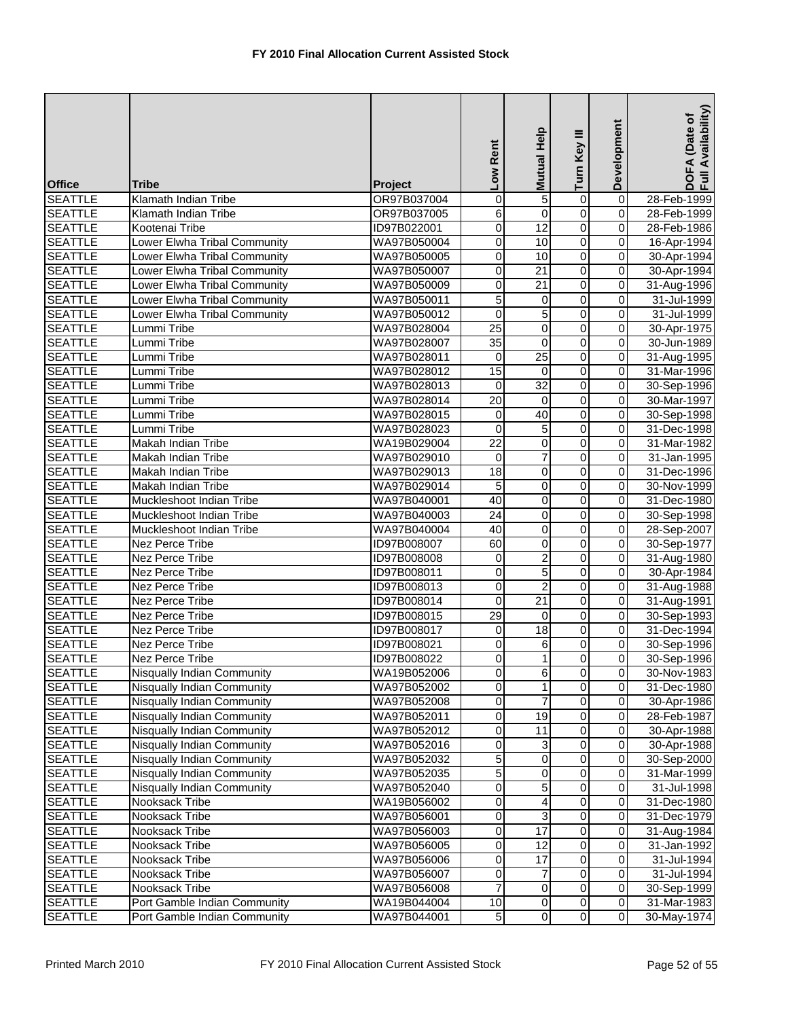| <b>Office</b>                    | <b>Tribe</b>                                             | Project                    | Low Rent                    | Mutual Help     | Turn Key III                     | Development             | DOFA (Date of<br>Full Availability) |
|----------------------------------|----------------------------------------------------------|----------------------------|-----------------------------|-----------------|----------------------------------|-------------------------|-------------------------------------|
| <b>SEATTLE</b>                   | Klamath Indian Tribe                                     | OR97B037004                | $\mathsf{O}\xspace$         | 5               | $\mathbf 0$                      | $\overline{\mathsf{o}}$ | 28-Feb-1999                         |
| <b>SEATTLE</b>                   | Klamath Indian Tribe                                     | OR97B037005                | 6                           | $\pmb{0}$       | $\overline{0}$                   | 0                       | 28-Feb-1999                         |
| <b>SEATTLE</b>                   | Kootenai Tribe                                           | ID97B022001                | 0                           | $\overline{12}$ | $\overline{0}$                   | 0                       | 28-Feb-1986                         |
| <b>SEATTLE</b>                   | Lower Elwha Tribal Community                             | WA97B050004                | 0                           | 10              | $\overline{0}$                   | 0                       | 16-Apr-1994                         |
| <b>SEATTLE</b>                   | Lower Elwha Tribal Community                             | WA97B050005                | 0                           | 10              | 0                                | 0                       | 30-Apr-1994                         |
| <b>SEATTLE</b>                   | Lower Elwha Tribal Community                             | WA97B050007                | 0                           | $\overline{21}$ | $\overline{0}$                   | 0                       | 30-Apr-1994                         |
| <b>SEATTLE</b>                   | Lower Elwha Tribal Community                             | WA97B050009                | 0                           | 21              | $\overline{0}$                   | $\overline{0}$          | 31-Aug-1996                         |
| <b>SEATTLE</b>                   | Lower Elwha Tribal Community                             | WA97B050011                | 5                           | 0               | $\overline{0}$                   | $\overline{\mathsf{o}}$ | 31-Jul-1999                         |
| <b>SEATTLE</b>                   | Lower Elwha Tribal Community                             | WA97B050012                | $\mathbf 0$                 | $\overline{5}$  | $\overline{0}$                   | 0                       | 31-Jul-1999                         |
| <b>SEATTLE</b>                   | Lummi Tribe                                              | WA97B028004                | $\overline{25}$             | $\mathbf 0$     | $\overline{0}$                   | 0                       | 30-Apr-1975                         |
| <b>SEATTLE</b>                   | Lummi Tribe                                              | WA97B028007                | $\overline{35}$             | $\overline{0}$  | $\overline{0}$                   | 0                       | 30-Jun-1989                         |
| <b>SEATTLE</b>                   | Lummi Tribe                                              | WA97B028011                | 0                           | $\overline{25}$ | 0                                | 0                       | 31-Aug-1995                         |
| <b>SEATTLE</b>                   | Lummi Tribe                                              | WA97B028012                | 15                          | $\mathbf 0$     | $\overline{0}$                   | 0                       | 31-Mar-1996                         |
| <b>SEATTLE</b>                   | Lummi Tribe                                              | WA97B028013                | 0                           | 32              | $\overline{0}$                   | $\overline{0}$          | 30-Sep-1996                         |
| <b>SEATTLE</b>                   | Lummi Tribe                                              | WA97B028014                | 20                          | $\overline{0}$  | $\overline{0}$                   | $\overline{\mathsf{o}}$ | 30-Mar-1997                         |
| <b>SEATTLE</b>                   | Lummi Tribe                                              | WA97B028015                | 0                           | 40              | $\overline{0}$                   | 0                       | 30-Sep-1998                         |
| <b>SEATTLE</b>                   | Lummi Tribe                                              | WA97B028023                | $\mathbf 0$                 | 5               | $\overline{0}$                   | 0                       | 31-Dec-1998                         |
| <b>SEATTLE</b>                   | Makah Indian Tribe                                       | WA19B029004                | $\overline{22}$             | $\overline{0}$  | $\overline{0}$                   | 0                       | 31-Mar-1982                         |
| <b>SEATTLE</b>                   | Makah Indian Tribe                                       | WA97B029010                | 0                           | $\overline{7}$  | $\overline{0}$                   | 0                       | 31-Jan-1995                         |
| <b>SEATTLE</b>                   | Makah Indian Tribe                                       | WA97B029013                | 18                          | 0               | 0                                | 0                       | 31-Dec-1996                         |
| <b>SEATTLE</b>                   | Makah Indian Tribe                                       | WA97B029014                | 5                           | $\pmb{0}$       | $\overline{0}$                   | 0                       | 30-Nov-1999                         |
| <b>SEATTLE</b>                   | Muckleshoot Indian Tribe                                 | WA97B040001                | 40                          | $\overline{0}$  | $\overline{0}$                   | $\overline{\mathsf{o}}$ | 31-Dec-1980                         |
| <b>SEATTLE</b>                   | Muckleshoot Indian Tribe                                 | WA97B040003                | $\overline{24}$             | $\pmb{0}$       | $\overline{0}$                   | $\overline{\mathsf{o}}$ | 30-Sep-1998                         |
| <b>SEATTLE</b>                   | Muckleshoot Indian Tribe                                 | WA97B040004                | 40                          | $\pmb{0}$       | $\overline{0}$                   | 0                       | 28-Sep-2007                         |
| <b>SEATTLE</b>                   | Nez Perce Tribe                                          | ID97B008007                | 60                          | $\overline{0}$  | $\overline{0}$                   | 0                       | 30-Sep-1977                         |
| <b>SEATTLE</b>                   | Nez Perce Tribe                                          | ID97B008008                | $\mathbf 0$                 | $\overline{c}$  | $\overline{0}$                   | $\overline{\mathsf{o}}$ | 31-Aug-1980                         |
| <b>SEATTLE</b>                   | Nez Perce Tribe                                          | ID97B008011                | 0                           | $\overline{5}$  | $\overline{0}$                   | $\mathbf 0$             | 30-Apr-1984                         |
| <b>SEATTLE</b>                   | Nez Perce Tribe                                          | ID97B008013                | 0                           | $\overline{c}$  | $\overline{0}$                   | 0                       | 31-Aug-1988                         |
| <b>SEATTLE</b>                   | Nez Perce Tribe                                          | ID97B008014                | $\overline{0}$              | 21              | $\overline{0}$                   | $\overline{\mathsf{o}}$ | 31-Aug-1991                         |
| <b>SEATTLE</b>                   | Nez Perce Tribe                                          | ID97B008015                | $\overline{29}$             | $\mathbf 0$     | $\overline{0}$                   | 0                       | 30-Sep-1993                         |
| <b>SEATTLE</b>                   | Nez Perce Tribe                                          | <b>ID97B008017</b>         | 0                           | $\overline{18}$ | $\overline{0}$                   | 0                       | 31-Dec-1994                         |
| <b>SEATTLE</b><br><b>SEATTLE</b> | Nez Perce Tribe<br>Nez Perce Tribe                       | ID97B008021<br>ID97B008022 | 0<br>0                      | 6<br>1          | 0<br>0                           | 0<br>$\overline{0}$     | 30-Sep-1996                         |
|                                  |                                                          | WA19B052006                |                             |                 |                                  |                         | 30-Sep-1996                         |
| <b>SEATTLE</b><br><b>SEATTLE</b> | Nisqually Indian Community<br>Nisqually Indian Community | WA97B052002                | $\overline{0}$<br>$\pmb{0}$ | 6<br>1          | $\overline{0}$<br>$\overline{0}$ | 0<br>$\mathbf 0$        | 30-Nov-1983<br>31-Dec-1980          |
| <b>SEATTLE</b>                   | Nisqually Indian Community                               | WA97B052008                | $\mathsf{O}\xspace$         |                 | $\overline{0}$                   | $\mathbf 0$             | 30-Apr-1986                         |
| <b>SEATTLE</b>                   | <b>Nisqually Indian Community</b>                        | WA97B052011                | 0                           | $\overline{19}$ | 0                                | $\mathbf 0$             | 28-Feb-1987                         |
| <b>SEATTLE</b>                   | Nisqually Indian Community                               | WA97B052012                | 0                           | 11              | 0                                | 0                       | 30-Apr-1988                         |
| <b>SEATTLE</b>                   | Nisqually Indian Community                               | WA97B052016                | 0                           | 3               | 0                                | 0                       | 30-Apr-1988                         |
| <b>SEATTLE</b>                   | Nisqually Indian Community                               | WA97B052032                | 5                           | $\mathbf 0$     | 0                                | $\mathbf 0$             | 30-Sep-2000                         |
| <b>SEATTLE</b>                   | Nisqually Indian Community                               | WA97B052035                | 5                           | 0               | 0                                | $\mathbf 0$             | 31-Mar-1999                         |
| <b>SEATTLE</b>                   | Nisqually Indian Community                               | WA97B052040                | 0                           | 5               | $\pmb{0}$                        | $\mathbf 0$             | 31-Jul-1998                         |
| <b>SEATTLE</b>                   | Nooksack Tribe                                           | WA19B056002                | $\mathsf{O}\xspace$         | 4               | $\overline{0}$                   | $\mathsf{O}\xspace$     | 31-Dec-1980                         |
| <b>SEATTLE</b>                   | Nooksack Tribe                                           | WA97B056001                | 0                           | 3               | 0                                | $\mathsf{O}\xspace$     | 31-Dec-1979                         |
| <b>SEATTLE</b>                   | Nooksack Tribe                                           | WA97B056003                | 0                           | $\overline{17}$ | 0                                | 0                       | 31-Aug-1984                         |
| <b>SEATTLE</b>                   | Nooksack Tribe                                           | WA97B056005                | 0                           | $\overline{12}$ | $\overline{0}$                   | $\mathbf 0$             | 31-Jan-1992                         |
| <b>SEATTLE</b>                   | Nooksack Tribe                                           | WA97B056006                | $\mathsf{O}\xspace$         | 17              | $\overline{0}$                   | $\mathbf 0$             | 31-Jul-1994                         |
| <b>SEATTLE</b>                   | Nooksack Tribe                                           | WA97B056007                | 0                           | 7               | 0                                | $\mathbf 0$             | 31-Jul-1994                         |
| <b>SEATTLE</b>                   | Nooksack Tribe                                           | WA97B056008                | 7                           | 0               | 0                                | $\mathbf 0$             | 30-Sep-1999                         |
| <b>SEATTLE</b>                   | Port Gamble Indian Community                             | WA19B044004                | 10                          | $\pmb{0}$       | $\overline{0}$                   | $\mathsf{O}\xspace$     | 31-Mar-1983                         |
| <b>SEATTLE</b>                   | Port Gamble Indian Community                             | WA97B044001                | 5 <sub>5</sub>              | $\overline{0}$  | $\overline{0}$                   | $\overline{\mathsf{o}}$ | 30-May-1974                         |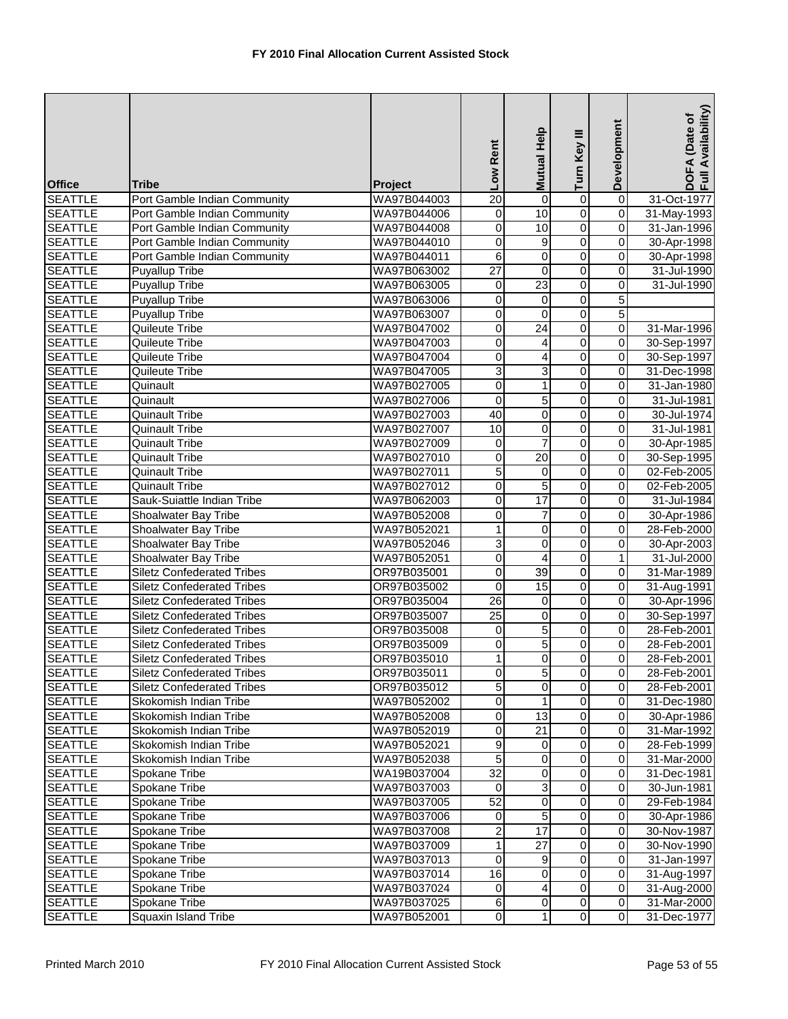| <b>Office</b>                    | Tribe                                                           | Project                    | Low Rent                         | Mutual Help              | Turn Key III                     | Development             | DOFA (Date of<br>Full Availability) |
|----------------------------------|-----------------------------------------------------------------|----------------------------|----------------------------------|--------------------------|----------------------------------|-------------------------|-------------------------------------|
| <b>SEATTLE</b>                   | Port Gamble Indian Community                                    | WA97B044003                | $\overline{20}$                  | 0                        | $\overline{0}$                   | $\overline{0}$          | 31-Oct-1977                         |
| <b>SEATTLE</b>                   | Port Gamble Indian Community                                    | WA97B044006                | $\pmb{0}$                        | 10                       | $\overline{0}$                   | $\overline{0}$          | 31-May-1993                         |
| <b>SEATTLE</b>                   | Port Gamble Indian Community                                    | WA97B044008                | 0                                | 10                       | $\overline{0}$                   | 0                       | 31-Jan-1996                         |
| <b>SEATTLE</b>                   | Port Gamble Indian Community                                    | WA97B044010                | $\overline{0}$                   | 9                        | $\overline{0}$                   | 0                       | 30-Apr-1998                         |
| <b>SEATTLE</b>                   | Port Gamble Indian Community                                    | WA97B044011                | 6                                | 0                        | $\overline{0}$                   | $\overline{\mathbf{0}}$ | 30-Apr-1998                         |
| <b>SEATTLE</b>                   | <b>Puyallup Tribe</b>                                           | WA97B063002                | $\overline{27}$                  | 0                        | $\overline{0}$                   | 0                       | 31-Jul-1990                         |
| <b>SEATTLE</b>                   | <b>Puyallup Tribe</b>                                           | WA97B063005                | $\mathbf 0$                      | 23                       | $\overline{0}$                   | 0                       | 31-Jul-1990                         |
| <b>SEATTLE</b>                   | <b>Puyallup Tribe</b>                                           | WA97B063006                | 0                                | $\overline{\mathsf{o}}$  | $\overline{0}$                   | $\overline{5}$          |                                     |
| <b>SEATTLE</b>                   | Puyallup Tribe                                                  | WA97B063007                | 0                                | 0                        | $\overline{0}$                   | $\overline{5}$          |                                     |
| <b>SEATTLE</b>                   | Quileute Tribe                                                  | WA97B047002                | 0                                | $\overline{24}$          | $\overline{0}$                   | 0                       | 31-Mar-1996                         |
| <b>SEATTLE</b>                   | Quileute Tribe                                                  | WA97B047003                | 0                                | 4                        | $\overline{0}$                   | 0                       | 30-Sep-1997                         |
| <b>SEATTLE</b>                   | Quileute Tribe                                                  | WA97B047004                | 0                                | $\overline{4}$           | $\overline{0}$                   | $\overline{\mathbf{0}}$ | 30-Sep-1997                         |
| <b>SEATTLE</b>                   | Quileute Tribe                                                  | WA97B047005                | 3                                | 3                        | $\overline{0}$                   | $\mathbf 0$             | 31-Dec-1998                         |
| <b>SEATTLE</b>                   | Quinault                                                        | WA97B027005                | 0                                | $\mathbf{1}$             | $\overline{0}$                   | $\mathbf 0$             | 31-Jan-1980                         |
| <b>SEATTLE</b>                   | Quinault                                                        | WA97B027006                | $\overline{0}$                   | $\overline{5}$           | $\overline{0}$                   | $\overline{0}$          | 31-Jul-1981                         |
| <b>SEATTLE</b>                   | <b>Quinault Tribe</b>                                           | WA97B027003                | 40                               | 0                        | $\mathsf 0$                      | 0                       | 30-Jul-1974                         |
| <b>SEATTLE</b>                   | <b>Quinault Tribe</b>                                           | WA97B027007                | 10                               | $\pmb{0}$                | $\overline{0}$                   | 0                       | 31-Jul-1981                         |
| <b>SEATTLE</b>                   | <b>Quinault Tribe</b>                                           | WA97B027009                | 0                                | $\overline{7}$           | $\overline{0}$                   | 0                       | 30-Apr-1985                         |
| <b>SEATTLE</b>                   | <b>Quinault Tribe</b>                                           | WA97B027010                | 0                                | $\overline{20}$          | $\overline{0}$                   | $\mathbf 0$             | 30-Sep-1995                         |
| <b>SEATTLE</b>                   | <b>Quinault Tribe</b>                                           | WA97B027011                | $\overline{5}$                   | $\pmb{0}$                | $\overline{0}$                   | $\pmb{0}$               | 02-Feb-2005                         |
| <b>SEATTLE</b>                   | <b>Quinault Tribe</b>                                           | WA97B027012                | 0                                | 5                        | 0                                | 0                       | 02-Feb-2005                         |
| <b>SEATTLE</b>                   | Sauk-Suiattle Indian Tribe                                      | WA97B062003                | 0                                | 17                       | $\overline{0}$                   | $\overline{\mathbf{0}}$ | 31-Jul-1984                         |
| <b>SEATTLE</b>                   | Shoalwater Bay Tribe                                            | WA97B052008                | 0                                | $\overline{\mathcal{I}}$ | $\overline{\mathsf{o}}$          | $\overline{\mathsf{o}}$ | 30-Apr-1986                         |
| <b>SEATTLE</b>                   | Shoalwater Bay Tribe                                            | WA97B052021                | $\mathbf{1}$                     | $\pmb{0}$                | $\overline{0}$                   | $\overline{0}$          | 28-Feb-2000                         |
| <b>SEATTLE</b>                   | Shoalwater Bay Tribe                                            | WA97B052046                | 3                                | $\overline{0}$           | $\overline{0}$                   | 0                       | 30-Apr-2003                         |
| <b>SEATTLE</b>                   | Shoalwater Bay Tribe                                            | WA97B052051                | $\overline{0}$                   | 4                        | $\overline{0}$                   | $\mathbf{1}$            | 31-Jul-2000                         |
| <b>SEATTLE</b>                   | <b>Siletz Confederated Tribes</b>                               | OR97B035001                | 0                                | $\overline{39}$          | $\overline{0}$                   | 0                       | 31-Mar-1989                         |
| <b>SEATTLE</b>                   | <b>Siletz Confederated Tribes</b>                               | OR97B035002                | $\mathbf 0$                      | 15                       | $\overline{0}$                   | 0                       | 31-Aug-1991                         |
| <b>SEATTLE</b>                   | <b>Siletz Confederated Tribes</b>                               | OR97B035004                | 26                               | 0                        | $\overline{0}$                   | $\overline{\mathbf{0}}$ | 30-Apr-1996                         |
| <b>SEATTLE</b>                   | <b>Siletz Confederated Tribes</b>                               | OR97B035007                | $\overline{25}$                  | $\overline{\mathsf{o}}$  | $\overline{0}$                   | $\overline{\mathbf{0}}$ | 30-Sep-1997                         |
| <b>SEATTLE</b>                   | <b>Siletz Confederated Tribes</b>                               | OR97B035008                | 0                                | $\overline{5}$           | $\overline{0}$                   | 0                       | 28-Feb-2001                         |
| <b>SEATTLE</b>                   | <b>Siletz Confederated Tribes</b>                               | OR97B035009                | 0<br>1                           | 5<br>$\mathbf 0$         | 0<br>$\overline{0}$              | 0<br>$\overline{0}$     | 28-Feb-2001                         |
| <b>SEATTLE</b><br><b>SEATTLE</b> | Siletz Confederated Tribes<br><b>Siletz Confederated Tribes</b> | OR97B035010                |                                  |                          |                                  |                         | 28-Feb-2001                         |
|                                  | <b>Siletz Confederated Tribes</b>                               | OR97B035011                | $\overline{0}$<br>$\overline{5}$ | $5\vert$<br>$\Omega$     | $\overline{0}$<br>$\overline{0}$ | 0<br>0                  | 28-Feb-2001                         |
| <b>SEATTLE</b><br><b>SEATTLE</b> | Skokomish Indian Tribe                                          | OR97B035012<br>WA97B052002 | 0                                |                          | 0                                | $\mathbf 0$             | 28-Feb-2001<br>31-Dec-1980          |
| <b>SEATTLE</b>                   | Skokomish Indian Tribe                                          | WA97B052008                | $\overline{0}$                   | $\overline{13}$          | $\overline{\mathsf{o}}$          | $\mathbf 0$             | 30-Apr-1986                         |
| <b>SEATTLE</b>                   | Skokomish Indian Tribe                                          | WA97B052019                | 0                                | $\overline{21}$          | 0                                | $\mathbf 0$             | 31-Mar-1992                         |
| <b>SEATTLE</b>                   | Skokomish Indian Tribe                                          | WA97B052021                | 9                                | 0                        | 0                                | 0                       | 28-Feb-1999                         |
| <b>SEATTLE</b>                   | Skokomish Indian Tribe                                          | WA97B052038                | 5                                | $\overline{0}$           | $\overline{0}$                   | $\mathbf 0$             | 31-Mar-2000                         |
| <b>SEATTLE</b>                   | Spokane Tribe                                                   | WA19B037004                | 32                               | $\mathbf 0$              | 0                                | $\mathbf 0$             | 31-Dec-1981                         |
| <b>SEATTLE</b>                   | Spokane Tribe                                                   | WA97B037003                | 0                                | 3                        | 0                                | $\mathbf 0$             | 30-Jun-1981                         |
| <b>SEATTLE</b>                   | Spokane Tribe                                                   | WA97B037005                | 52                               | 0                        | 0                                | 0                       | 29-Feb-1984                         |
| <b>SEATTLE</b>                   | Spokane Tribe                                                   | WA97B037006                | $\overline{0}$                   | 5                        | $\overline{0}$                   | $\overline{0}$          | 30-Apr-1986                         |
| <b>SEATTLE</b>                   | Spokane Tribe                                                   | WA97B037008                | 2                                | $\overline{17}$          | 0                                | $\pmb{0}$               | 30-Nov-1987                         |
| <b>SEATTLE</b>                   | Spokane Tribe                                                   | WA97B037009                | 1                                | $\overline{27}$          | $\overline{\mathsf{o}}$          | $\mathbf 0$             | 30-Nov-1990                         |
| <b>SEATTLE</b>                   | Spokane Tribe                                                   | WA97B037013                | 0                                | 9                        | $\overline{0}$                   | $\mathbf 0$             | 31-Jan-1997                         |
| <b>SEATTLE</b>                   | Spokane Tribe                                                   | WA97B037014                | 16                               | 0                        | $\overline{\mathsf{o}}$          | $\mathbf 0$             | 31-Aug-1997                         |
| <b>SEATTLE</b>                   | Spokane Tribe                                                   | WA97B037024                | 0                                | 4                        | 0                                | $\mathbf 0$             | 31-Aug-2000                         |
| <b>SEATTLE</b>                   | Spokane Tribe                                                   | WA97B037025                | 6                                | $\mathbf 0$              | $\overline{\mathbf{o}}$          | $\mathsf{O}\xspace$     | 31-Mar-2000                         |
| <b>SEATTLE</b>                   | Squaxin Island Tribe                                            | WA97B052001                | $\overline{0}$                   | 1                        | $\overline{0}$                   | $\overline{\mathsf{o}}$ | 31-Dec-1977                         |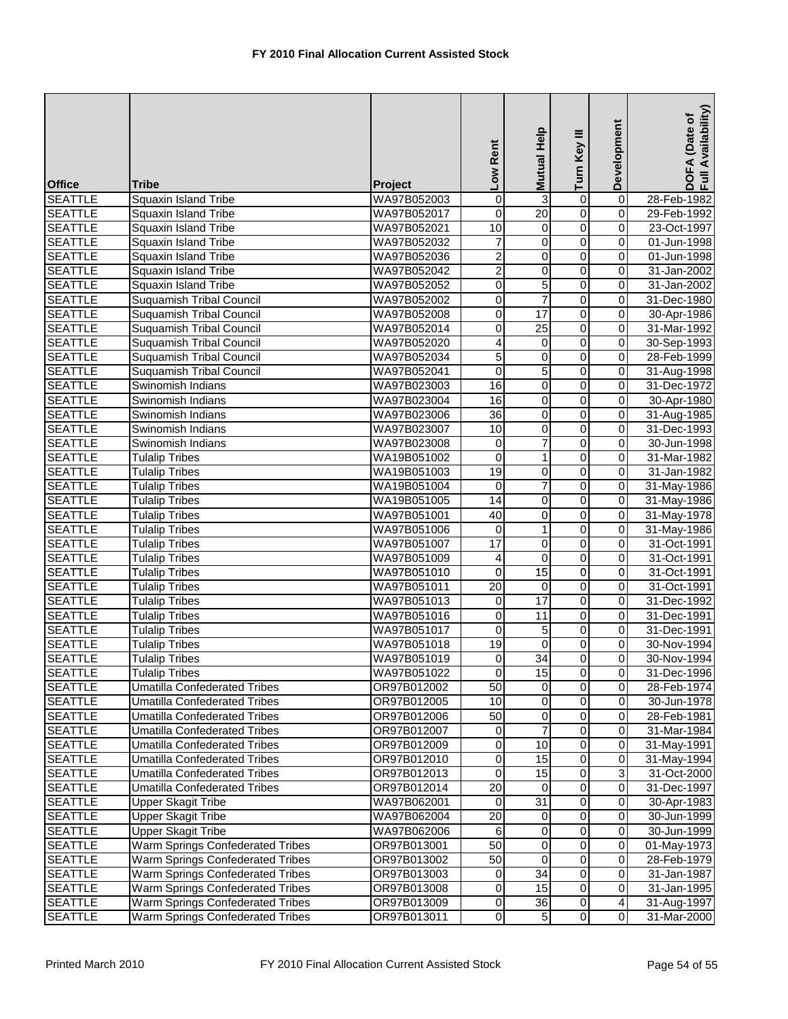| <b>Office</b>  | <b>Tribe</b>                        | Project     | Low Rent                | Mutual Help             | Turn Key III            | Development             | DOFA (Date of<br>Full Availability) |
|----------------|-------------------------------------|-------------|-------------------------|-------------------------|-------------------------|-------------------------|-------------------------------------|
| <b>SEATTLE</b> | Squaxin Island Tribe                | WA97B052003 | $\overline{0}$          | 3                       | $\overline{0}$          | $\overline{0}$          | 28-Feb-1982                         |
| <b>SEATTLE</b> | Squaxin Island Tribe                | WA97B052017 | 0                       | 20                      | $\overline{0}$          | $\overline{0}$          | 29-Feb-1992                         |
| <b>SEATTLE</b> | <b>Squaxin Island Tribe</b>         | WA97B052021 | 10                      | 0                       | $\overline{0}$          | 0                       | 23-Oct-1997                         |
| <b>SEATTLE</b> | <b>Squaxin Island Tribe</b>         | WA97B052032 | $\overline{7}$          | $\overline{\mathsf{o}}$ | $\overline{0}$          | 0                       | 01-Jun-1998                         |
| <b>SEATTLE</b> | <b>Squaxin Island Tribe</b>         | WA97B052036 | $\overline{c}$          | 0                       | $\overline{0}$          | 0                       | 01-Jun-1998                         |
| <b>SEATTLE</b> | <b>Squaxin Island Tribe</b>         | WA97B052042 | $\overline{2}$          | 0                       | $\overline{0}$          | 0                       | 31-Jan-2002                         |
| <b>SEATTLE</b> | Squaxin Island Tribe                | WA97B052052 | $\overline{0}$          | $\overline{5}$          | $\overline{0}$          | 0                       | 31-Jan-2002                         |
| <b>SEATTLE</b> | <b>Suquamish Tribal Council</b>     | WA97B052002 | $\overline{0}$          | $\overline{7}$          | $\overline{0}$          | $\overline{\mathbf{0}}$ | 31-Dec-1980                         |
| <b>SEATTLE</b> | <b>Suquamish Tribal Council</b>     | WA97B052008 | 0                       | 17                      | $\overline{0}$          | 0                       | 30-Apr-1986                         |
| <b>SEATTLE</b> | <b>Suquamish Tribal Council</b>     | WA97B052014 | 0                       | $\overline{25}$         | $\overline{0}$          | 0                       | 31-Mar-1992                         |
| <b>SEATTLE</b> | <b>Suquamish Tribal Council</b>     | WA97B052020 | $\overline{4}$          | 0                       | $\overline{0}$          | 0                       | 30-Sep-1993                         |
| <b>SEATTLE</b> | <b>Suquamish Tribal Council</b>     | WA97B052034 | 5                       | 0                       | $\overline{0}$          | 0                       | 28-Feb-1999                         |
| <b>SEATTLE</b> | <b>Suquamish Tribal Council</b>     | WA97B052041 | 0                       | 5                       | $\overline{0}$          | 0                       | 31-Aug-1998                         |
| <b>SEATTLE</b> | Swinomish Indians                   | WA97B023003 | 16                      | 0                       | $\overline{0}$          | 0                       | 31-Dec-1972                         |
| <b>SEATTLE</b> | Swinomish Indians                   | WA97B023004 | 16                      | $\overline{\mathsf{o}}$ | $\overline{0}$          | $\overline{\mathbf{0}}$ | 30-Apr-1980                         |
| <b>SEATTLE</b> | Swinomish Indians                   | WA97B023006 | $\overline{36}$         | $\mathbf 0$             | $\overline{0}$          | $\overline{\mathbf{0}}$ | 31-Aug-1985                         |
| <b>SEATTLE</b> | Swinomish Indians                   | WA97B023007 | 10                      | $\pmb{0}$               | $\overline{0}$          | 0                       | 31-Dec-1993                         |
| <b>SEATTLE</b> | Swinomish Indians                   | WA97B023008 | $\overline{0}$          | $\overline{7}$          | $\overline{0}$          | 0                       | 30-Jun-1998                         |
| <b>SEATTLE</b> | <b>Tulalip Tribes</b>               | WA19B051002 | $\overline{0}$          | $\mathbf{1}$            | 0                       | $\overline{0}$          | 31-Mar-1982                         |
| <b>SEATTLE</b> | <b>Tulalip Tribes</b>               | WA19B051003 | 19                      | 0                       | $\mathsf 0$             | $\overline{0}$          | 31-Jan-1982                         |
| <b>SEATTLE</b> | <b>Tulalip Tribes</b>               | WA19B051004 | $\mathbf 0$             | $\overline{7}$          | $\overline{0}$          | 0                       | 31-May-1986                         |
| <b>SEATTLE</b> | <b>Tulalip Tribes</b>               | WA19B051005 | 14                      | 0                       | $\overline{0}$          | $\overline{\mathbf{0}}$ | 31-May-1986                         |
| <b>SEATTLE</b> | <b>Tulalip Tribes</b>               | WA97B051001 | 40                      | 0                       | $\overline{0}$          | 0                       | 31-May-1978                         |
| <b>SEATTLE</b> | <b>Tulalip Tribes</b>               | WA97B051006 | 0                       | $\mathbf{1}$            | $\overline{0}$          | 0                       | 31-May-1986                         |
| <b>SEATTLE</b> | <b>Tulalip Tribes</b>               | WA97B051007 | 17                      | $\overline{0}$          | $\overline{0}$          | 0                       | 31-Oct-1991                         |
| <b>SEATTLE</b> | <b>Tulalip Tribes</b>               | WA97B051009 | $\overline{\mathbf{4}}$ | 0                       | $\overline{0}$          | $\overline{\mathbf{0}}$ | 31-Oct-1991                         |
| <b>SEATTLE</b> | <b>Tulalip Tribes</b>               | WA97B051010 | $\overline{0}$          | 15                      | $\overline{0}$          | 0                       | 31-Oct-1991                         |
| <b>SEATTLE</b> | <b>Tulalip Tribes</b>               | WA97B051011 | $\overline{20}$         | $\mathbf 0$             | 0                       | 0                       | 31-Oct-1991                         |
| <b>SEATTLE</b> | <b>Tulalip Tribes</b>               | WA97B051013 | $\pmb{0}$               | 17                      | $\overline{0}$          | $\overline{\mathbf{0}}$ | 31-Dec-1992                         |
| <b>SEATTLE</b> | <b>Tulalip Tribes</b>               | WA97B051016 | 0                       | $\overline{11}$         | $\overline{0}$          | 0                       | 31-Dec-1991                         |
| <b>SEATTLE</b> | <b>Tulalip Tribes</b>               | WA97B051017 | $\overline{0}$          | 5                       | $\overline{0}$          | 0                       | 31-Dec-1991                         |
| <b>SEATTLE</b> | <b>Tulalip Tribes</b>               | WA97B051018 | 19                      | 0                       | $\overline{0}$          | 0                       | 30-Nov-1994                         |
| <b>SEATTLE</b> | <b>Tulalip Tribes</b>               | WA97B051019 | 0                       | 34                      | 0                       | $\mathbf 0$             | 30-Nov-1994                         |
| <b>SEATTLE</b> | <b>Tulalip Tribes</b>               | WA97B051022 | $\overline{0}$          | 15                      | $\overline{0}$          | 0                       | 31-Dec-1996                         |
| <b>SEATTLE</b> | Umatilla Confederated Tribes        | OR97B012002 | 50                      | $\mathbf 0$             | $\overline{0}$          | $\mathbf 0$             | 28-Feb-1974                         |
| <b>SEATTLE</b> | Umatilla Confederated Tribes        | OR97B012005 | 10                      | $\mathbf 0$             | $\pmb{0}$               | $\overline{\mathbf{0}}$ | 30-Jun-1978                         |
| <b>SEATTLE</b> | <b>Umatilla Confederated Tribes</b> | OR97B012006 | 50                      | $\mathbf 0$             | $\pmb{0}$               | 0                       | 28-Feb-1981                         |
| <b>SEATTLE</b> | Umatilla Confederated Tribes        | OR97B012007 | 0                       |                         | 0                       | 0                       | 31-Mar-1984                         |
| <b>SEATTLE</b> | <b>Umatilla Confederated Tribes</b> | OR97B012009 | 0                       | 10                      | $\overline{0}$          | 0                       | 31-May-1991                         |
| <b>SEATTLE</b> | <b>Umatilla Confederated Tribes</b> | OR97B012010 | 0                       | 15                      | 0                       | $\pmb{0}$               | 31-May-1994                         |
| <b>SEATTLE</b> | <b>Umatilla Confederated Tribes</b> | OR97B012013 | $\mathbf 0$             | 15                      | 0                       | دن                      | 31-Oct-2000                         |
| <b>SEATTLE</b> | <b>Umatilla Confederated Tribes</b> | OR97B012014 | 20                      | 0                       | 0                       | $\mathbf 0$             | 31-Dec-1997                         |
| <b>SEATTLE</b> | <b>Upper Skagit Tribe</b>           | WA97B062001 | $\mathbf 0$             | 31                      | $\overline{\mathbf{o}}$ | $\mathsf{O}\xspace$     | 30-Apr-1983                         |
| <b>SEATTLE</b> | <b>Upper Skagit Tribe</b>           | WA97B062004 | 20                      | $\mathbf 0$             | $\mathsf{O}\xspace$     | $\pmb{0}$               | 30-Jun-1999                         |
| <b>SEATTLE</b> | <b>Upper Skagit Tribe</b>           | WA97B062006 | 6                       | 0                       | $\mathsf 0$             | 0                       | 30-Jun-1999                         |
| <b>SEATTLE</b> | Warm Springs Confederated Tribes    | OR97B013001 | $\overline{50}$         | 0                       | $\overline{0}$          | 0                       | 01-May-1973                         |
| <b>SEATTLE</b> | Warm Springs Confederated Tribes    | OR97B013002 | 50                      | 0                       | $\overline{0}$          | $\mathbf 0$             | 28-Feb-1979                         |
| <b>SEATTLE</b> | Warm Springs Confederated Tribes    | OR97B013003 | $\mathbf 0$             | 34                      | 0                       | $\mathbf 0$             | 31-Jan-1987                         |
| <b>SEATTLE</b> | Warm Springs Confederated Tribes    | OR97B013008 | 0                       | 15                      | 0                       | $\mathbf 0$             | 31-Jan-1995                         |
| <b>SEATTLE</b> | Warm Springs Confederated Tribes    | OR97B013009 | $\overline{0}$          | $\overline{36}$         | $\overline{\mathsf{o}}$ | $\blacktriangle$        | 31-Aug-1997                         |
| <b>SEATTLE</b> | Warm Springs Confederated Tribes    | OR97B013011 | $\overline{0}$          | $\sqrt{5}$              | $\overline{0}$          | $\overline{\mathbf{o}}$ | 31-Mar-2000                         |